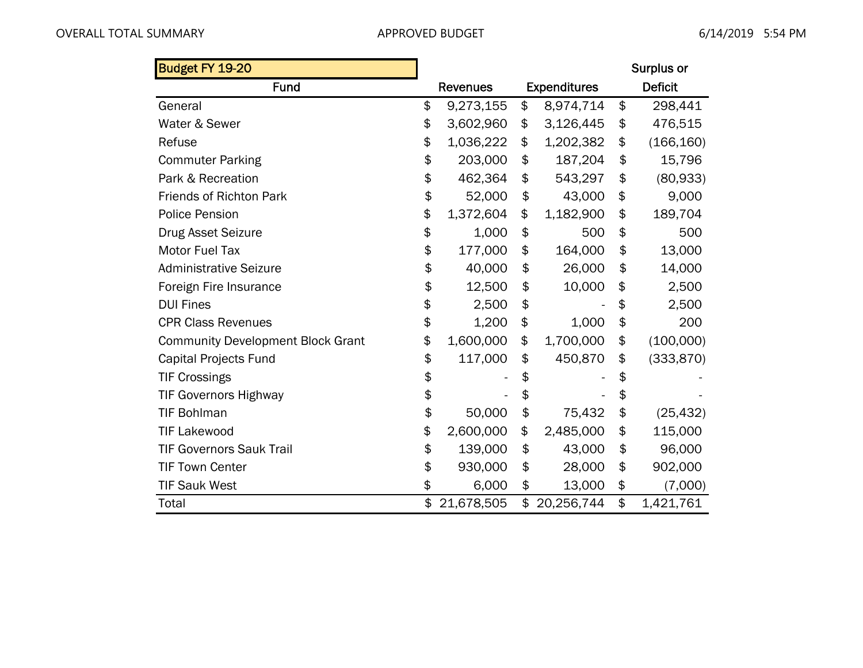| Budget FY 19-20                          |                  |                     | Surplus or       |
|------------------------------------------|------------------|---------------------|------------------|
| Fund                                     | <b>Revenues</b>  | <b>Expenditures</b> | <b>Deficit</b>   |
| General                                  | \$<br>9,273,155  | \$<br>8,974,714     | \$<br>298,441    |
| Water & Sewer                            | \$<br>3,602,960  | \$<br>3,126,445     | \$<br>476,515    |
| Refuse                                   | \$<br>1,036,222  | \$<br>1,202,382     | \$<br>(166, 160) |
| <b>Commuter Parking</b>                  | \$<br>203,000    | \$<br>187,204       | \$<br>15,796     |
| Park & Recreation                        | \$<br>462,364    | \$<br>543,297       | \$<br>(80, 933)  |
| <b>Friends of Richton Park</b>           | \$<br>52,000     | \$<br>43,000        | \$<br>9,000      |
| <b>Police Pension</b>                    | \$<br>1,372,604  | \$<br>1,182,900     | \$<br>189,704    |
| <b>Drug Asset Seizure</b>                | \$<br>1,000      | \$<br>500           | \$<br>500        |
| <b>Motor Fuel Tax</b>                    | \$<br>177,000    | \$<br>164,000       | \$<br>13,000     |
| <b>Administrative Seizure</b>            | \$<br>40,000     | \$<br>26,000        | \$<br>14,000     |
| Foreign Fire Insurance                   | \$<br>12,500     | \$<br>10,000        | \$<br>2,500      |
| <b>DUI Fines</b>                         | \$<br>2,500      | \$                  | \$<br>2,500      |
| <b>CPR Class Revenues</b>                | \$<br>1,200      | \$<br>1,000         | \$<br>200        |
| <b>Community Development Block Grant</b> | \$<br>1,600,000  | \$<br>1,700,000     | \$<br>(100,000)  |
| Capital Projects Fund                    | \$<br>117,000    | \$<br>450,870       | \$<br>(333, 870) |
| <b>TIF Crossings</b>                     | \$               | \$                  | \$               |
| <b>TIF Governors Highway</b>             | \$               | \$                  | \$               |
| <b>TIF Bohlman</b>                       | \$<br>50,000     | \$<br>75,432        | \$<br>(25, 432)  |
| <b>TIF Lakewood</b>                      | \$<br>2,600,000  | \$<br>2,485,000     | \$<br>115,000    |
| <b>TIF Governors Sauk Trail</b>          | \$<br>139,000    | \$<br>43,000        | \$<br>96,000     |
| <b>TIF Town Center</b>                   | \$<br>930,000    | \$<br>28,000        | \$<br>902,000    |
| <b>TIF Sauk West</b>                     | \$<br>6,000      | \$<br>13,000        | \$<br>(7,000)    |
| Total                                    | \$<br>21,678,505 | \$<br>20,256,744    | \$<br>1,421,761  |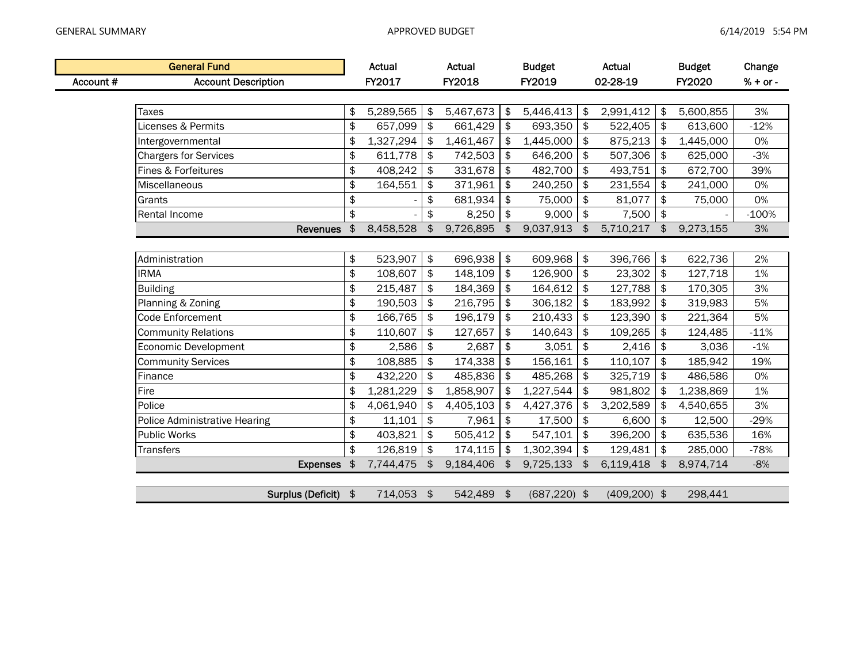|           | <b>General Fund</b>                  |    | Actual     |                           | Actual     |               | <b>Budget</b>   |               | Actual          |               | <b>Budget</b> | Change     |
|-----------|--------------------------------------|----|------------|---------------------------|------------|---------------|-----------------|---------------|-----------------|---------------|---------------|------------|
| Account # | <b>Account Description</b>           |    | FY2017     |                           | FY2018     |               | FY2019          |               | 02-28-19        |               | FY2020        | $% + or -$ |
|           |                                      |    |            |                           |            |               |                 |               |                 |               |               |            |
|           | <b>Taxes</b>                         | \$ | 5,289,565  | \$                        | 5,467,673  | \$            | 5,446,413       | \$            | 2,991,412       | \$            | 5,600,855     | 3%         |
|           | Licenses & Permits                   | \$ | 657,099    | \$                        | 661,429    | $\frac{1}{2}$ | 693,350         | \$            | 522,405         | \$            | 613,600       | $-12%$     |
|           | Intergovernmental                    | \$ | 1,327,294  | \$                        | 1,461,467  | \$            | 1,445,000       | \$            | 875,213         | \$            | 1,445,000     | 0%         |
|           | <b>Chargers for Services</b>         | \$ | 611,778    | $\boldsymbol{\hat{\phi}}$ | 742,503    | \$            | 646,200         | \$            | 507,306         | \$            | 625,000       | $-3%$      |
|           | Fines & Forfeitures                  | \$ | 408,242    | $\frac{1}{2}$             | 331,678    | \$            | 482,700         | \$            | 493,751         | \$            | 672,700       | 39%        |
|           | Miscellaneous                        | \$ | 164,551    | \$                        | 371,961    | $\frac{1}{2}$ | 240,250         | \$            | 231,554         | \$            | 241,000       | 0%         |
|           | Grants                               | \$ |            | \$                        | 681,934    | \$            | 75,000          | \$            | 81,077          | \$            | 75,000        | 0%         |
|           | Rental Income                        | \$ |            | \$                        | 8,250      | $\sqrt{2}$    | 9,000           | \$            | 7,500           | $\frac{1}{2}$ |               | $-100%$    |
|           | Revenues \$                          |    | 8,458,528  | \$                        | 9,726,895  | $\frac{1}{2}$ | 9,037,913       | \$            | 5,710,217       | \$            | 9,273,155     | 3%         |
|           |                                      |    |            |                           |            |               |                 |               |                 |               |               |            |
|           | Administration                       | \$ | 523,907    | $\frac{1}{2}$             | 696,938    | $\frac{1}{2}$ | 609,968         | $\frac{1}{2}$ | 396,766         | \$            | 622,736       | 2%         |
|           | <b>IRMA</b>                          | \$ | 108,607    | \$                        | 148,109    | $\frac{1}{2}$ | 126,900         | \$            | 23,302          | $\pmb{\$}$    | 127,718       | 1%         |
|           | <b>Building</b>                      | \$ | 215,487    | \$                        | 184,369    | \$            | 164,612         | \$            | 127,788         | \$            | 170,305       | 3%         |
|           | Planning & Zoning                    |    | 190,503    | \$                        | 216,795    | \$            | 306,182         | \$            | 183,992         | \$            | 319,983       | 5%         |
|           | Code Enforcement                     | \$ | 166,765    | \$                        | 196,179    | $\frac{1}{2}$ | 210,433         | \$            | 123,390         | \$            | 221,364       | 5%         |
|           | <b>Community Relations</b>           | \$ | 110,607    | \$                        | 127,657    | $\frac{1}{2}$ | 140,643         | \$            | 109,265         | \$            | 124,485       | $-11%$     |
|           | Economic Development                 | \$ | 2,586      | $\pmb{\$}$                | 2,687      | $\frac{1}{2}$ | 3,051           | $\,$          | 2,416           | \$            | 3,036         | $-1%$      |
|           | <b>Community Services</b>            | \$ | 108,885    | \$                        | 174,338    | \$            | 156,161         | \$            | 110,107         | \$            | 185,942       | 19%        |
|           | Finance                              | \$ | 432,220    | $\boldsymbol{\hat{\phi}}$ | 485,836    | \$            | 485,268         | \$            | 325,719         | \$            | 486,586       | 0%         |
|           | Fire                                 | \$ | 1,281,229  | \$                        | 1,858,907  | \$            | 1,227,544       | \$            | 981,802         | \$            | 1,238,869     | 1%         |
|           | Police                               | \$ | 4,061,940  | $\frac{1}{2}$             | 4,405,103  | $\frac{1}{2}$ | 4,427,376       | \$            | 3,202,589       | \$            | 4,540,655     | 3%         |
|           | <b>Police Administrative Hearing</b> | \$ | 11,101     | \$                        | 7,961      | $\sqrt{2}$    | 17,500          | \$            | 6,600           | \$            | 12,500        | $-29%$     |
|           | <b>Public Works</b>                  | \$ | 403,821    | $\frac{1}{2}$             | 505,412    | \$            | 547,101         | \$            | 396,200         | \$            | 635,536       | 16%        |
|           | <b>Transfers</b>                     | \$ | 126,819    | \$                        | 174,115    | \$            | 1,302,394       | \$            | 129,481         | \$            | 285,000       | $-78%$     |
|           | Expenses \$                          |    | 7,744,475  | $\frac{1}{2}$             | 9,184,406  | $\frac{1}{2}$ | 9,725,133       | $\frac{1}{2}$ | 6,119,418       | $\frac{1}{2}$ | 8,974,714     | $-8%$      |
|           |                                      |    |            |                           |            |               |                 |               |                 |               |               |            |
|           | Surplus (Deficit) \$                 |    | 714,053 \$ |                           | 542,489 \$ |               | $(687, 220)$ \$ |               | $(409, 200)$ \$ |               | 298,441       |            |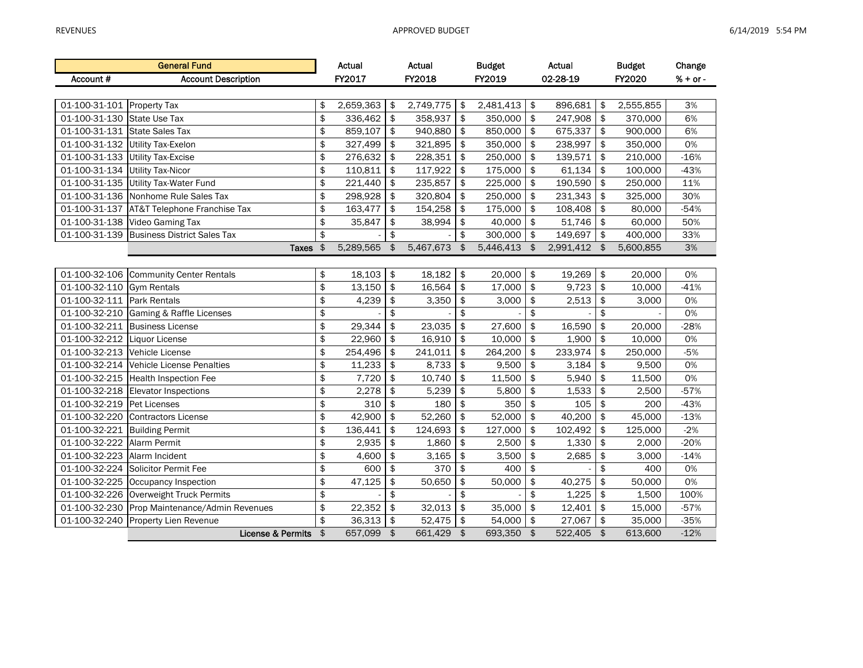|                               | <b>General Fund</b>                           |               | Actual    |               | Actual    |               | <b>Budget</b> |               | Actual       |               | <b>Budget</b> | Change     |
|-------------------------------|-----------------------------------------------|---------------|-----------|---------------|-----------|---------------|---------------|---------------|--------------|---------------|---------------|------------|
| Account#                      | <b>Account Description</b>                    |               | FY2017    |               | FY2018    |               | FY2019        |               | 02-28-19     |               | FY2020        | $% + or -$ |
|                               |                                               |               |           |               |           |               |               |               |              |               |               |            |
| 01-100-31-101 Property Tax    |                                               | \$            | 2,659,363 | \$            | 2,749,775 | \$            | 2,481,413     | \$            | 896,681      | \$            | 2,555,855     | 3%         |
| 01-100-31-130 State Use Tax   |                                               | \$            | 336,462   | \$            | 358,937   | \$            | 350,000       | \$            | 247,908      | \$            | 370,000       | 6%         |
| 01-100-31-131 State Sales Tax |                                               | \$            | 859,107   | \$            | 940,880   | \$            | 850,000       | \$            | 675,337      | \$            | 900,000       | 6%         |
| 01-100-31-132                 | Utility Tax-Exelon                            | \$            | 327,499   | \$            | 321,895   | \$            | 350,000       | \$            | 238,997      | \$            | 350,000       | 0%         |
| 01-100-31-133                 | <b>Utility Tax-Excise</b>                     | \$            | 276,632   | \$            | 228,351   | \$            | 250,000       | \$            | 139,571      | \$            | 210,000       | $-16%$     |
| 01-100-31-134                 | <b>Utility Tax-Nicor</b>                      | \$            | 110,811   | \$            | 117,922   | \$            | 175,000       | \$            | 61,134       | \$            | 100,000       | $-43%$     |
| 01-100-31-135                 | Utility Tax-Water Fund                        | \$            | 221,440   | \$            | 235,857   | \$            | 225,000       | \$            | 190,590      | \$            | 250,000       | 11%        |
|                               | 01-100-31-136 Nonhome Rule Sales Tax          | \$            | 298,928   | \$            | 320,804   | \$            | 250,000       | \$            | 231,343      | \$            | 325,000       | 30%        |
|                               | 01-100-31-137 AT&T Telephone Franchise Tax    | \$            | 163,477   | \$            | 154,258   | \$            | 175,000       | \$            | 108,408      | \$            | 80,000        | $-54%$     |
|                               | 01-100-31-138 Video Gaming Tax                | \$            | 35,847    | \$            | 38,994    | \$            | 40,000        | \$            | 51,746       | \$            | 60,000        | 50%        |
|                               | 01-100-31-139 Business District Sales Tax     | \$            |           | \$            |           | \$            | 300,000       | \$            | 149,697 \$   |               | 400,000       | 33%        |
|                               | <b>Taxes</b>                                  | $\frac{4}{5}$ | 5,289,565 | $\frac{1}{2}$ | 5,467,673 | $\frac{1}{2}$ | 5,446,413 \$  |               | 2,991,412 \$ |               | 5,600,855     | $3%$       |
|                               |                                               |               |           |               |           |               |               |               |              |               |               |            |
|                               | 01-100-32-106 Community Center Rentals        | \$            | 18,103    | \$            | 18,182    | \$            | 20,000        | \$            | 19,269       | \$            | 20,000        | 0%         |
| 01-100-32-110 Gym Rentals     |                                               | \$            | 13,150    | \$            | 16,564    | \$            | 17,000        | \$            | 9,723        | \$            | 10,000        | $-41%$     |
| 01-100-32-111 Park Rentals    |                                               | \$            | 4,239     | \$            | 3,350     | \$            | 3,000         | \$            | 2,513        | \$            | 3,000         | 0%         |
|                               | 01-100-32-210 Gaming & Raffle Licenses        | \$            |           | \$            |           | \$            |               | \$            |              | \$            |               | 0%         |
|                               | 01-100-32-211 Business License                | \$            | 29,344    | \$            | 23,035    | \$            | 27,600        | $\frac{1}{2}$ | 16,590       | \$            | 20,000        | $-28%$     |
| 01-100-32-212 Liquor License  |                                               | \$            | 22,960    | \$            | 16,910    | \$            | 10,000        | \$            | 1,900        | \$            | 10,000        | 0%         |
| 01-100-32-213 Vehicle License |                                               | \$            | 254,496   | \$            | 241,011   | \$            | 264,200       | \$            | 233,974      | \$            | 250,000       | $-5%$      |
|                               | 01-100-32-214 Vehicle License Penalties       | \$            | 11,233    | \$            | 8,733     | \$            | 9,500         | \$            | 3,184        | \$            | 9,500         | 0%         |
|                               | 01-100-32-215 Health Inspection Fee           | \$            | 7,720     | \$            | 10,740    | \$            | 11,500        | $\pmb{\$}$    | 5,940        | \$            | 11,500        | 0%         |
|                               | 01-100-32-218 Elevator Inspections            | \$            | 2,278     | \$            | 5,239     | \$            | 5,800         | \$            | 1,533        | \$            | 2,500         | $-57%$     |
| 01-100-32-219 Pet Licenses    |                                               | \$            | 310       | \$            | 180       | \$            | 350           | \$            | 105          | \$            | 200           | $-43%$     |
|                               | 01-100-32-220 Contractors License             | \$            | 42,900    | \$            | 52,260    | \$            | 52,000        | \$            | 40,200       | \$            | 45,000        | $-13%$     |
| 01-100-32-221 Building Permit |                                               | \$            | 136,441   | \$            | 124,693   | \$            | 127,000       | \$            | 102,492      | \$            | 125,000       | $-2%$      |
| 01-100-32-222 Alarm Permit    |                                               | \$            | 2,935     | \$            | 1,860     | \$            | 2,500         | $\frac{1}{2}$ | 1,330        | \$            | 2,000         | $-20%$     |
| 01-100-32-223 Alarm Incident  |                                               | \$            | 4,600     | \$            | 3,165     | \$            | 3,500         | \$            | 2,685        | \$            | 3,000         | $-14%$     |
|                               | 01-100-32-224 Solicitor Permit Fee            | \$            | 600       | \$            | 370       | \$            | 400           | $\frac{1}{2}$ |              | \$            | 400           | 0%         |
|                               | 01-100-32-225 Occupancy Inspection            | \$            | 47,125    | \$            | 50,650    | \$            | 50,000        | \$            | 40,275       | \$            | 50,000        | $0\%$      |
|                               | 01-100-32-226 Overweight Truck Permits        | \$            |           | \$            |           | \$            |               | \$            | 1,225        | \$            | 1,500         | 100%       |
|                               | 01-100-32-230 Prop Maintenance/Admin Revenues | \$            | 22,352    | \$            | 32,013    | $\,$          | 35,000        | $\frac{1}{2}$ | 12,401       | \$            | 15,000        | $-57%$     |
| 01-100-32-240                 | <b>Property Lien Revenue</b>                  | \$            | 36,313    | \$            | 52,475    | \$            | 54,000        | $\frac{1}{2}$ | 27,067       | \$            | 35,000        | $-35%$     |
|                               | License & Permits                             | $\frac{1}{2}$ | 657,099   | $\frac{4}{5}$ | 661,429   | $\frac{1}{2}$ | 693,350 \$    |               | 522,405      | $\frac{4}{5}$ | 613,600       | $-12%$     |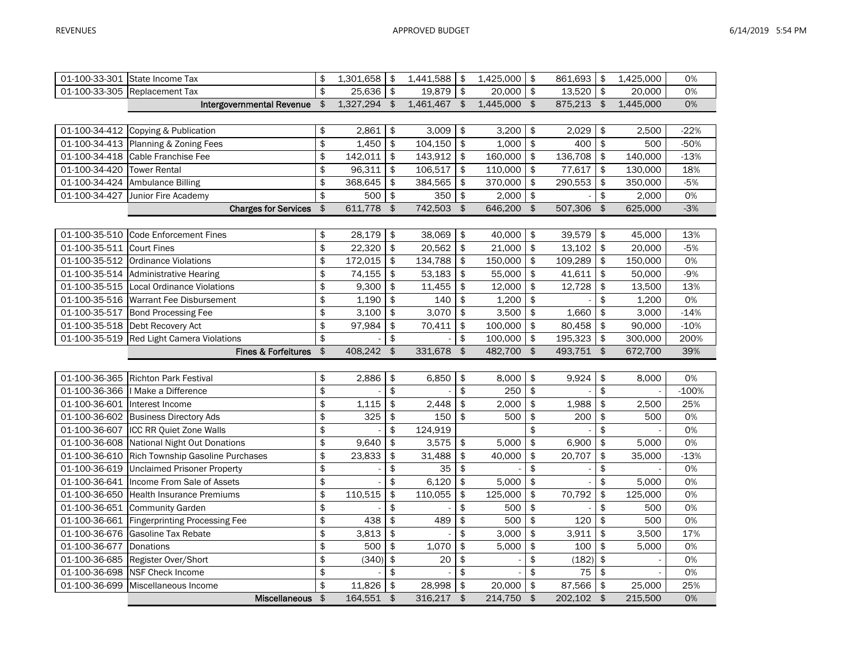|                               | 01-100-33-301 State Income Tax                 | \$            | 1,301,658    | \$             | 1,441,588 | \$                     | 1,425,000 | \$                     | 861,693 \$ |               | 1,425,000 | 0%      |
|-------------------------------|------------------------------------------------|---------------|--------------|----------------|-----------|------------------------|-----------|------------------------|------------|---------------|-----------|---------|
|                               | 01-100-33-305 Replacement Tax                  | \$            | 25,636       | $\frac{1}{2}$  | 19,879    | \$                     | 20,000    | \$                     | 13,520     | \$            | 20,000    | 0%      |
|                               | Intergovernmental Revenue                      | \$            | 1,327,294    | \$             | 1,461,467 | \$                     | 1,445,000 | \$                     | 875,213    | \$            | 1,445,000 | 0%      |
|                               |                                                |               |              |                |           |                        |           |                        |            |               |           |         |
| 01-100-34-412                 | Copying & Publication                          | \$            | 2,861        | \$             | 3,009     | \$                     | 3,200     | \$                     | 2,029      | \$            | 2,500     | $-22%$  |
|                               | 01-100-34-413 Planning & Zoning Fees           | \$            | 1,450        | \$             | 104,150   | \$                     | 1,000     | \$                     | 400        | \$            | 500       | $-50%$  |
|                               | 01-100-34-418 Cable Franchise Fee              | \$            | 142,011      | \$             | 143,912   | \$                     | 160,000   | \$                     | 136,708    | \$            | 140,000   | $-13%$  |
| 01-100-34-420 Tower Rental    |                                                | \$            | 96,311       | \$             | 106,517   | \$                     | 110,000   | \$                     | 77,617     | \$            | 130,000   | 18%     |
|                               | 01-100-34-424 Ambulance Billing                | \$            | 368,645      | \$             | 384,565   | \$                     | 370,000   | \$                     | 290,553    | \$            | 350,000   | $-5%$   |
| 01-100-34-427                 | Junior Fire Academy                            | \$            | 500          | $\pmb{\$}$     | 350       | \$                     | 2,000     | $\mathfrak{p}$         |            | \$            | 2,000     | 0%      |
|                               | <b>Charges for Services</b>                    | \$            | 611,778 \$   |                | 742,503   | $\boldsymbol{\hat{z}}$ | 646,200   | \$                     | 507,306    | $\frac{1}{2}$ | 625,000   | $-3%$   |
|                               |                                                |               |              |                |           |                        |           |                        |            |               |           |         |
|                               | 01-100-35-510 Code Enforcement Fines           | \$            | 28,179       | \$             | 38,069    | \$                     | 40,000    | \$                     | 39,579     | \$            | 45,000    | 13%     |
| 01-100-35-511                 | <b>Court Fines</b>                             | \$            | 22,320       | \$             | 20,562    | \$                     | 21,000    | \$                     | 13,102     | \$            | 20,000    | $-5%$   |
|                               | 01-100-35-512 Ordinance Violations             | \$            | 172,015      | \$             | 134,788   | \$                     | 150,000   | \$                     | 109,289    | \$            | 150,000   | 0%      |
|                               | 01-100-35-514 Administrative Hearing           | \$            | 74,155       | \$             | 53,183    | \$                     | 55,000    | \$                     | 41,611     | \$            | 50,000    | $-9%$   |
| 01-100-35-515                 | Local Ordinance Violations                     | \$            | 9,300        | $\frac{1}{2}$  | 11,455    | \$                     | 12,000    | \$                     | 12,728     | \$            | 13,500    | 13%     |
|                               | 01-100-35-516 Warrant Fee Disbursement         | \$            | 1,190        | \$             | 140       | \$                     | 1,200     | \$                     |            | \$            | 1,200     | 0%      |
|                               | 01-100-35-517 Bond Processing Fee              | \$            | 3,100        | \$             | 3,070     | \$                     | 3,500     | \$                     | 1,660      | \$            | 3,000     | $-14%$  |
|                               | 01-100-35-518 Debt Recovery Act                | \$            | 97,984       | \$             | 70,411    | \$                     | 100,000   | \$                     | 80,458     | \$            | 90,000    | $-10%$  |
|                               | 01-100-35-519 Red Light Camera Violations      | \$            |              | \$             |           | \$                     | 100,000   | \$                     | 195,323    | \$            | 300,000   | 200%    |
|                               | Fines & Forfeitures                            | $\frac{1}{2}$ | 408,242      | $\frac{1}{2}$  | 331,678   | $\frac{1}{2}$          | 482,700   | $\boldsymbol{\hat{z}}$ | 493,751    | \$            | 672,700   | 39%     |
|                               |                                                |               |              |                |           |                        |           |                        |            |               |           |         |
|                               | 01-100-36-365 Richton Park Festival            | \$            | 2,886        | \$             | 6,850     | \$                     | 8,000     | \$                     | 9,924      | \$            | 8,000     | 0%      |
| 01-100-36-366                 | I Make a Difference                            | \$            |              | \$             |           | \$                     | 250       | \$                     |            | \$            |           | $-100%$ |
| 01-100-36-601 Interest Income |                                                | \$            | 1,115        | $\frac{1}{2}$  | 2,448     | \$                     | 2,000     | \$                     | 1,988      | \$            | 2,500     | 25%     |
|                               | 01-100-36-602 Business Directory Ads           | \$            | 325          | $\frac{1}{2}$  | 150       | \$                     | 500       | \$                     | 200        | \$            | 500       | 0%      |
| 01-100-36-607                 | <b>ICC RR Quiet Zone Walls</b>                 | \$            |              | \$             | 124,919   |                        |           | \$                     |            | \$            |           | 0%      |
| 01-100-36-608                 | National Night Out Donations                   | \$            | 9,640        | \$             | 3,575     | \$                     | 5,000     | \$                     | 6,900      | \$            | 5,000     | 0%      |
|                               | 01-100-36-610 Rich Township Gasoline Purchases | \$            | 23,833       | \$             | 31,488    | \$                     | 40,000    | \$                     | 20,707     | \$            | 35,000    | $-13%$  |
|                               | 01-100-36-619 Unclaimed Prisoner Property      | \$            |              | \$             | 35        | \$                     |           | \$                     |            | \$            |           | 0%      |
| 01-100-36-641                 | Income From Sale of Assets                     | \$            |              | \$             | 6,120     | \$                     | 5,000     | \$                     |            | \$            | 5,000     | 0%      |
|                               | 01-100-36-650 Health Insurance Premiums        | \$            | 110,515      | $\mathfrak{L}$ | 110,055   | \$                     | 125,000   | \$                     | 70,792     | \$            | 125,000   | 0%      |
|                               | 01-100-36-651 Community Garden                 | \$            |              | \$             |           | \$                     | 500       | \$                     |            | \$            | 500       | 0%      |
|                               | 01-100-36-661 Fingerprinting Processing Fee    | \$            | 438          | \$             | 489       | \$                     | 500       | \$                     | 120        | \$            | 500       | 0%      |
|                               | 01-100-36-676 Gasoline Tax Rebate              | \$            | 3,813        | \$             |           | \$                     | 3,000     | \$                     | 3,911      | \$            | 3,500     | 17%     |
| 01-100-36-677 Donations       |                                                | \$            | 500          | \$             | 1,070     | \$                     | 5,000     | \$                     | 100        | \$            | 5,000     | 0%      |
|                               | 01-100-36-685 Register Over/Short              | \$            | (340)        | $\frac{1}{2}$  | 20        | \$                     |           | \$                     | (182)      | \$            |           | 0%      |
| 01-100-36-698                 | NSF Check Income                               | \$            |              | \$             |           | \$                     |           | \$                     | 75         | \$            |           | 0%      |
|                               | 01-100-36-699 Miscellaneous Income             | \$            | 11,826       | \$             | 28,998    | \$                     | 20,000    | \$                     | 87,566     | \$            | 25,000    | 25%     |
|                               | <b>Miscellaneous</b>                           | \$            | $164,551$ \$ |                | 316,217   | $\frac{1}{2}$          | 214,750   | $\frac{1}{2}$          | 202,102    | $\frac{1}{2}$ | 215,500   | 0%      |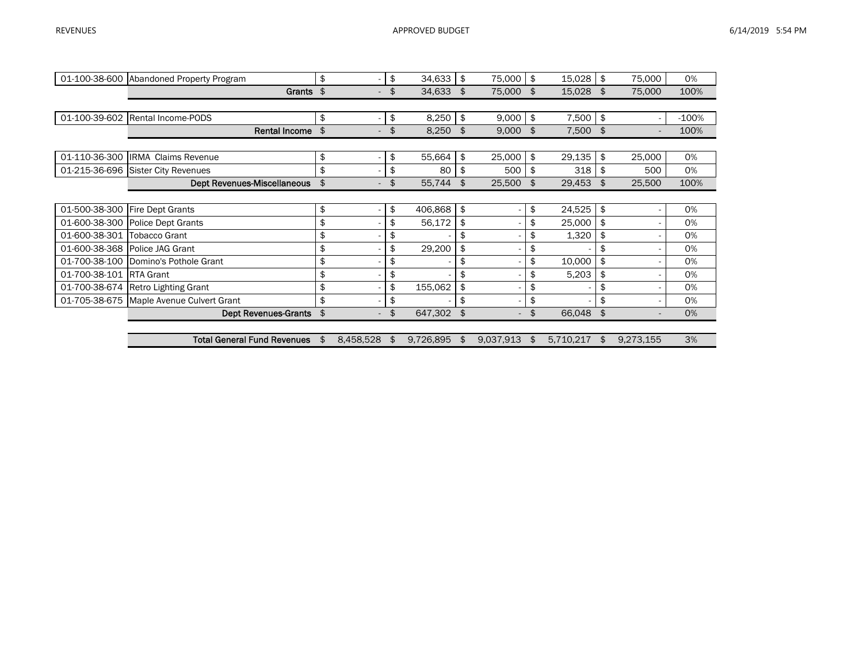|               | 01-100-38-600 Abandoned Property Program | \$                   | \$<br>34,633    | \$<br>75,000                   | \$<br>15,028    | \$<br>75,000                   | 0%      |
|---------------|------------------------------------------|----------------------|-----------------|--------------------------------|-----------------|--------------------------------|---------|
|               | Grants \$                                |                      | \$<br>34,633    | \$<br>75,000                   | \$<br>15,028    | \$<br>75,000                   | 100%    |
|               |                                          |                      |                 |                                |                 |                                |         |
| 01-100-39-602 | Rental Income-PODS                       | \$                   | \$<br>8,250     | \$<br>9,000                    | \$<br>7,500     | \$<br>$\sim$                   | $-100%$ |
|               | <b>Rental Income</b>                     | \$                   | \$<br>8,250     | \$<br>9,000                    | \$<br>7,500 \$  |                                | 100%    |
|               |                                          |                      |                 |                                |                 |                                |         |
| 01-110-36-300 | <b>IRMA Claims Revenue</b>               | \$                   | \$<br>55,664    | \$<br>25,000                   | \$<br>29,135    | \$<br>25,000                   | 0%      |
| 01-215-36-696 | <b>Sister City Revenues</b>              | \$                   | \$<br>80        | \$<br>500                      | \$<br>318       | \$<br>500                      | 0%      |
|               | <b>Dept Revenues-Miscellaneous</b>       | \$                   | \$<br>55,744    | \$<br>25,500                   | \$<br>29,453    | \$<br>25,500                   | 100%    |
|               |                                          |                      |                 |                                |                 |                                |         |
| 01-500-38-300 | Fire Dept Grants                         | \$                   | \$<br>406,868   | \$                             | \$<br>24,525    | \$                             | 0%      |
| 01-600-38-300 | Police Dept Grants                       | \$                   | \$<br>56,172    | \$                             | \$<br>25,000    | \$                             | 0%      |
| 01-600-38-301 | <b>Tobacco Grant</b>                     | \$                   | \$              | \$                             | \$<br>1,320     | \$<br>۰.                       | 0%      |
|               | 01-600-38-368 Police JAG Grant           | \$                   | \$<br>29,200    | \$                             | \$              | \$                             | 0%      |
| 01-700-38-100 | Domino's Pothole Grant                   | \$                   | \$              | \$                             | \$<br>10,000    | \$                             | 0%      |
| 01-700-38-101 | <b>RTA Grant</b>                         | \$                   | \$              | \$                             | \$<br>5,203     | \$                             | 0%      |
| 01-700-38-674 | <b>Retro Lighting Grant</b>              | \$                   | \$<br>155,062   | \$                             | \$              | \$                             | 0%      |
| 01-705-38-675 | Maple Avenue Culvert Grant               | \$                   | \$              | \$                             | \$              | \$                             | 0%      |
|               | <b>Dept Revenues-Grants</b>              | \$<br>$\overline{a}$ | \$<br>647,302   | \$<br>$\overline{\phantom{a}}$ | \$<br>66,048    | \$<br>$\overline{\phantom{a}}$ | 0%      |
|               |                                          |                      |                 |                                |                 |                                |         |
|               | <b>Total General Fund Revenues</b>       | \$<br>8,458,528      | \$<br>9,726,895 | \$<br>9,037,913                | \$<br>5,710,217 | \$<br>9,273,155                | 3%      |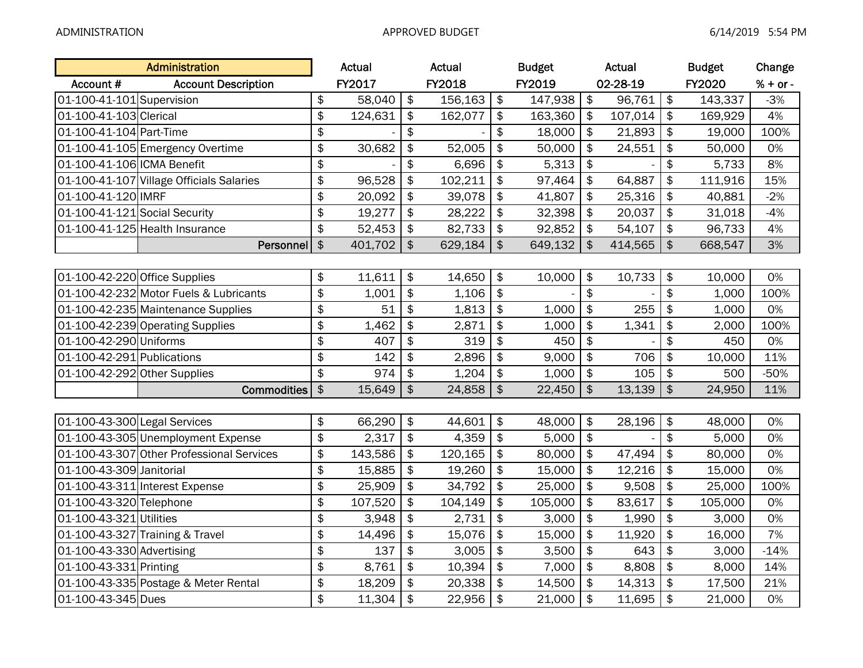|                               | Administration                            |               | Actual  |                         | Actual  |                           | <b>Budget</b> |                           | Actual   |                           | <b>Budget</b> | Change     |
|-------------------------------|-------------------------------------------|---------------|---------|-------------------------|---------|---------------------------|---------------|---------------------------|----------|---------------------------|---------------|------------|
| Account #                     | <b>Account Description</b>                |               | FY2017  |                         | FY2018  |                           | FY2019        |                           | 02-28-19 |                           | FY2020        | $% + or -$ |
| 01-100-41-101 Supervision     |                                           | \$            | 58,040  | $\sqrt{2}$              | 156,163 | $\sqrt{2}$                | 147,938       | $\boldsymbol{\hat{z}}$    | 96,761   | $\frac{1}{2}$             | 143,337       | $-3%$      |
| 01-100-41-103 Clerical        |                                           | \$            | 124,631 | $\frac{1}{2}$           | 162,077 | $\frac{1}{2}$             | 163,360       | \$                        | 107,014  | $\frac{1}{2}$             | 169,929       | 4%         |
| 01-100-41-104 Part-Time       |                                           | \$            |         | $\frac{1}{2}$           |         | $\frac{1}{2}$             | 18,000        | $\frac{1}{2}$             | 21,893   | $\frac{1}{2}$             | 19,000        | 100%       |
|                               | 01-100-41-105 Emergency Overtime          | \$            | 30,682  | $\frac{1}{2}$           | 52,005  | $\frac{1}{2}$             | 50,000        | $\boldsymbol{\hat{z}}$    | 24,551   | $\frac{1}{2}$             | 50,000        | 0%         |
| 01-100-41-106 ICMA Benefit    |                                           | \$            |         | $\frac{1}{2}$           | 6,696   | $\frac{1}{2}$             | 5,313         | $\frac{1}{2}$             |          | \$                        | 5,733         | 8%         |
|                               | 01-100-41-107 Village Officials Salaries  | \$            | 96,528  | $\frac{1}{2}$           | 102,211 | \$                        | 97,464        | \$                        | 64,887   | $\frac{1}{2}$             | 111,916       | 15%        |
| 01-100-41-120 IMRF            |                                           | \$            | 20,092  | $\sqrt{2}$              | 39,078  | $\sqrt{2}$                | 41,807        | $\frac{1}{2}$             | 25,316   | $\frac{1}{2}$             | 40,881        | $-2%$      |
| 01-100-41-121 Social Security |                                           | \$            | 19,277  | $\frac{1}{2}$           | 28,222  | $\frac{1}{2}$             | 32,398        | $\frac{1}{2}$             | 20,037   | $\frac{1}{2}$             | 31,018        | $-4%$      |
|                               | 01-100-41-125 Health Insurance            | \$            | 52,453  | $\frac{1}{2}$           | 82,733  | $\frac{1}{2}$             | 92,852        | $\frac{1}{2}$             | 54,107   | $\frac{1}{2}$             | 96,733        | 4%         |
|                               | Personnel                                 | $\frac{1}{2}$ | 401,702 | $\frac{1}{2}$           | 629,184 | $\frac{1}{2}$             | 649,132       | $\mathfrak{S}$            | 414,565  | $\mathfrak{S}$            | 668,547       | 3%         |
|                               |                                           |               |         |                         |         |                           |               |                           |          |                           |               |            |
| 01-100-42-220 Office Supplies |                                           | \$            | 11,611  | $\frac{1}{2}$           | 14,650  | $\frac{1}{2}$             | 10,000        | $\boldsymbol{\hat{z}}$    | 10,733   | $\frac{1}{2}$             | 10,000        | 0%         |
|                               | 01-100-42-232 Motor Fuels & Lubricants    | \$            | 1,001   | $\frac{1}{2}$           | 1,106   | $\frac{1}{2}$             |               | \$                        |          | \$                        | 1,000         | 100%       |
|                               | 01-100-42-235 Maintenance Supplies        | \$            | 51      | $\frac{1}{2}$           | 1,813   | $\frac{1}{2}$             | 1,000         | \$                        | 255      | $\frac{1}{2}$             | 1,000         | 0%         |
|                               | 01-100-42-239 Operating Supplies          | \$            | 1,462   | $\frac{1}{2}$           | 2,871   | $\frac{1}{2}$             | 1,000         | $\frac{1}{2}$             | 1,341    | $\frac{1}{2}$             | 2,000         | 100%       |
| 01-100-42-290 Uniforms        |                                           | \$            | 407     | $\frac{1}{2}$           | 319     | $\sqrt{2}$                | 450           | $\frac{1}{2}$             |          | $\frac{1}{2}$             | 450           | 0%         |
| 01-100-42-291 Publications    |                                           | \$            | 142     | $\frac{1}{2}$           | 2,896   | $\frac{1}{2}$             | 9,000         | $\frac{1}{2}$             | 706      | $\frac{1}{2}$             | 10,000        | 11%        |
| 01-100-42-292 Other Supplies  |                                           | \$            | 974     | $\frac{1}{2}$           | 1,204   | $\frac{1}{2}$             | 1,000         | $\boldsymbol{\hat{\phi}}$ | 105      | $\frac{1}{2}$             | 500           | $-50%$     |
|                               | <b>Commodities</b>                        | $\frac{1}{2}$ | 15,649  | $\frac{4}{5}$           | 24,858  | $\frac{1}{2}$             | 22,450        | $\boldsymbol{\hat{\phi}}$ | 13,139   | $\frac{1}{2}$             | 24,950        | 11%        |
|                               |                                           |               |         |                         |         |                           |               |                           |          |                           |               |            |
| 01-100-43-300 Legal Services  |                                           | \$            | 66,290  | $\frac{1}{2}$           | 44,601  | $\frac{1}{2}$             | 48,000        | $\frac{1}{2}$             | 28,196   | $\frac{1}{2}$             | 48,000        | 0%         |
|                               | 01-100-43-305 Unemployment Expense        | \$            | 2,317   | $\frac{1}{2}$           | 4,359   | $\frac{1}{2}$             | 5,000         | $\frac{1}{2}$             |          | $\frac{1}{2}$             | 5,000         | 0%         |
|                               | 01-100-43-307 Other Professional Services | \$            | 143,586 | $\frac{1}{2}$           | 120,165 | $\frac{1}{2}$             | 80,000        | $\frac{1}{2}$             | 47,494   | $\frac{1}{2}$             | 80,000        | 0%         |
| 01-100-43-309 Janitorial      |                                           | \$            | 15,885  | $\frac{1}{2}$           | 19,260  | $\frac{1}{2}$             | 15,000        | \$                        | 12,216   | $\frac{1}{2}$             | 15,000        | 0%         |
|                               | 01-100-43-311 Interest Expense            | \$            | 25,909  | $\frac{1}{2}$           | 34,792  | $\frac{1}{2}$             | 25,000        | \$                        | 9,508    | $\frac{1}{2}$             | 25,000        | 100%       |
| 01-100-43-320 Telephone       |                                           | \$            | 107,520 | \$                      | 104,149 | $\frac{1}{2}$             | 105,000       | \$                        | 83,617   | \$                        | 105,000       | 0%         |
| 01-100-43-321 Utilities       |                                           | \$            | 3,948   | $\frac{1}{2}$           | 2,731   | $\frac{1}{2}$             | 3,000         | $\boldsymbol{\hat{\phi}}$ | 1,990    | $\boldsymbol{\hat{\phi}}$ | 3,000         | 0%         |
|                               | 01-100-43-327 Training & Travel           | \$            | 14,496  | $\overline{\ast}$       | 15,076  | $\vert \hat{\mathcal{F}}$ | 15,000        | $\frac{1}{2}$             | 11,920   | $\frac{1}{2}$             | 16,000        | 7%         |
| 01-100-43-330 Advertising     |                                           | \$            | 137     | $\frac{1}{2}$           | 3,005   | $\frac{1}{2}$             | 3,500         | $\frac{1}{2}$             | 643      | \$                        | 3,000         | $-14%$     |
| 01-100-43-331 Printing        |                                           | \$            | 8,761   | $\frac{1}{2}$           | 10,394  | $\frac{1}{2}$             | 7,000         | \$                        | 8,808    | $\frac{1}{2}$             | 8,000         | 14%        |
|                               | 01-100-43-335 Postage & Meter Rental      | \$            | 18,209  | $\frac{1}{2}$           | 20,338  | $\frac{1}{2}$             | 14,500        | $\frac{1}{2}$             | 14,313   | $\frac{1}{2}$             | 17,500        | 21%        |
| 01-100-43-345 Dues            |                                           | \$            | 11,304  | $\overline{\mathbf{3}}$ | 22,956  | $\sqrt{2}$                | 21,000        | $\boldsymbol{\hat{z}}$    | 11,695   | $\frac{1}{2}$             | 21,000        | 0%         |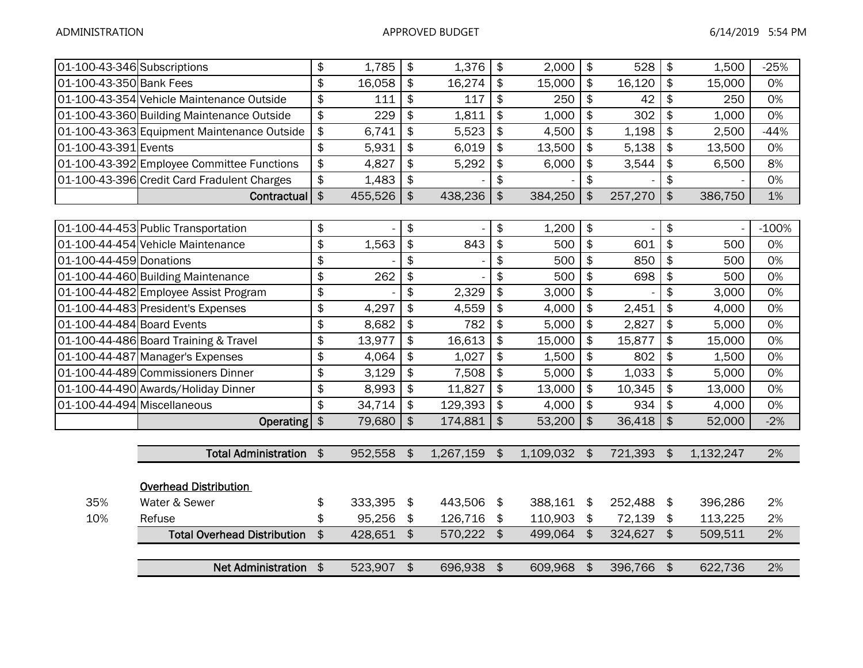| 01-100-43-346 Subscriptions |                                             | \$            | 1,785   | \$                     | 1,376      | $\frac{1}{2}$          | 2,000     | $\frac{1}{2}$          | 528     | \$                        | 1,500     | $-25%$  |
|-----------------------------|---------------------------------------------|---------------|---------|------------------------|------------|------------------------|-----------|------------------------|---------|---------------------------|-----------|---------|
| 01-100-43-350 Bank Fees     |                                             | \$            | 16,058  | $\frac{1}{2}$          | 16,274     | $\frac{1}{2}$          | 15,000    | $\frac{1}{2}$          | 16,120  | $\boldsymbol{\hat{\phi}}$ | 15,000    | 0%      |
|                             | 01-100-43-354 Vehicle Maintenance Outside   | \$            | 111     | \$                     | 117        | $\frac{1}{2}$          | 250       | $\frac{1}{2}$          | 42      | \$                        | 250       | 0%      |
|                             | 01-100-43-360 Building Maintenance Outside  | \$            | 229     | \$                     | 1,811      | $\frac{1}{2}$          | 1,000     | $\frac{1}{2}$          | 302     | \$                        | 1,000     | 0%      |
|                             | 01-100-43-363 Equipment Maintenance Outside | \$            | 6,741   | \$                     | 5,523      | $\frac{1}{2}$          | 4,500     | $\frac{1}{2}$          | 1,198   | \$                        | 2,500     | $-44%$  |
| 01-100-43-391 Events        |                                             | \$            | 5,931   | \$                     | 6,019      | $\boldsymbol{\hat{z}}$ | 13,500    | $\frac{1}{2}$          | 5.138   | \$                        | 13,500    | 0%      |
|                             | 01-100-43-392 Employee Committee Functions  | \$            | 4,827   | \$                     | 5,292      | $\frac{1}{2}$          | 6,000     | $\frac{1}{2}$          | 3,544   | \$                        | 6,500     | 8%      |
|                             | 01-100-43-396 Credit Card Fradulent Charges | \$            | 1,483   | \$                     |            | $\boldsymbol{\hat{z}}$ |           | \$                     |         | \$                        |           | 0%      |
|                             | Contractual                                 | $\frac{1}{2}$ | 455,526 | $\mathfrak{D}$         | 438,236    | $\mathfrak{S}$         | 384,250   | $\mathfrak{S}$         | 257,270 | $\mathfrak{S}$            | 386,750   | 1%      |
|                             |                                             |               |         |                        |            |                        |           |                        |         |                           |           |         |
|                             | 01-100-44-453 Public Transportation         | \$            |         | \$                     |            | $\frac{1}{2}$          | 1,200     | $\frac{1}{2}$          |         | \$                        |           | $-100%$ |
|                             | 01-100-44-454 Vehicle Maintenance           | \$            | 1,563   | \$                     | 843        | $\frac{1}{2}$          | 500       | $\frac{1}{2}$          | 601     | $\frac{1}{2}$             | 500       | 0%      |
| 01-100-44-459 Donations     |                                             | \$            |         | \$                     |            | $\frac{1}{2}$          | 500       | $\frac{1}{2}$          | 850     | $\frac{1}{2}$             | 500       | 0%      |
|                             | 01-100-44-460 Building Maintenance          | \$            | 262     | \$                     |            | \$                     | 500       | \$                     | 698     | \$                        | 500       | 0%      |
|                             | 01-100-44-482 Employee Assist Program       | \$            |         | \$                     | 2,329      | $\frac{1}{2}$          | 3,000     | $\frac{1}{2}$          |         | \$                        | 3,000     | 0%      |
|                             | 01-100-44-483 President's Expenses          | \$            | 4,297   | \$                     | 4,559      | $\frac{1}{2}$          | 4,000     | $\frac{1}{2}$          | 2,451   | \$                        | 4,000     | 0%      |
| 01-100-44-484 Board Events  |                                             | \$            | 8,682   | \$                     | 782        | $\frac{1}{2}$          | 5,000     | $\frac{1}{2}$          | 2,827   | \$                        | 5,000     | 0%      |
|                             | 01-100-44-486 Board Training & Travel       | \$            | 13,977  | \$                     | 16,613     | $\frac{1}{2}$          | 15,000    | $\frac{1}{2}$          | 15,877  | \$                        | 15,000    | 0%      |
|                             | 01-100-44-487 Manager's Expenses            | \$            | 4,064   | \$                     | 1,027      | $\frac{1}{2}$          | 1,500     | $\frac{1}{2}$          | 802     | $\frac{1}{2}$             | 1,500     | 0%      |
|                             | 01-100-44-489 Commissioners Dinner          | \$            | 3,129   | \$                     | 7,508      | $\frac{1}{2}$          | 5,000     | $\frac{1}{2}$          | 1,033   | \$                        | 5,000     | 0%      |
|                             | 01-100-44-490 Awards/Holiday Dinner         | \$            | 8,993   | \$                     | 11,827     | $\frac{1}{2}$          | 13,000    | $\boldsymbol{\hat{z}}$ | 10,345  | \$                        | 13,000    | 0%      |
| 01-100-44-494 Miscellaneous |                                             | \$            | 34,714  | \$                     | 129,393    | $\frac{1}{2}$          | 4,000     | $\frac{1}{2}$          | 934     | \$                        | 4,000     | 0%      |
|                             | <b>Operating</b>                            | $\frac{1}{2}$ | 79,680  | $\boldsymbol{\hat{z}}$ | 174,881    | $\frac{1}{2}$          | 53,200    | $\frac{1}{2}$          | 36,418  | $\frac{1}{2}$             | 52,000    | $-2%$   |
|                             |                                             |               |         |                        |            |                        |           |                        |         |                           |           |         |
|                             | <b>Total Administration</b>                 | $\frac{1}{2}$ | 952,558 | \$                     | 1,267,159  | $\mathfrak{S}$         | 1,109,032 | $\mathfrak{L}$         | 721,393 | $\sqrt{3}$                | 1,132,247 | 2%      |
|                             |                                             |               |         |                        |            |                        |           |                        |         |                           |           |         |
|                             | <b>Overhead Distribution</b>                |               |         |                        |            |                        |           |                        |         |                           |           |         |
| 35%                         | Water & Sewer                               | \$            | 333,395 | \$                     | 443,506    | \$                     | 388,161   | \$                     | 252,488 | $\frac{1}{2}$             | 396,286   | 2%      |
| 10%                         | Refuse                                      | \$            | 95,256  | \$                     | 126,716    | \$                     | 110,903   | \$                     | 72,139  | \$                        | 113,225   | 2%      |
|                             | <b>Total Overhead Distribution</b>          | $\frac{1}{2}$ | 428,651 | $\mathfrak{S}$         | 570,222    | \$                     | 499,064   | $\mathfrak{S}$         | 324,627 | $\boldsymbol{\hat{z}}$    | 509,511   | 2%      |
|                             |                                             |               |         |                        |            |                        |           |                        |         |                           |           |         |
|                             | Net Administration \$                       |               | 523,907 | $\frac{1}{2}$          | 696,938 \$ |                        | 609,968   | $\mathfrak{F}$         | 396,766 | $\sqrt{2}$                | 622,736   | 2%      |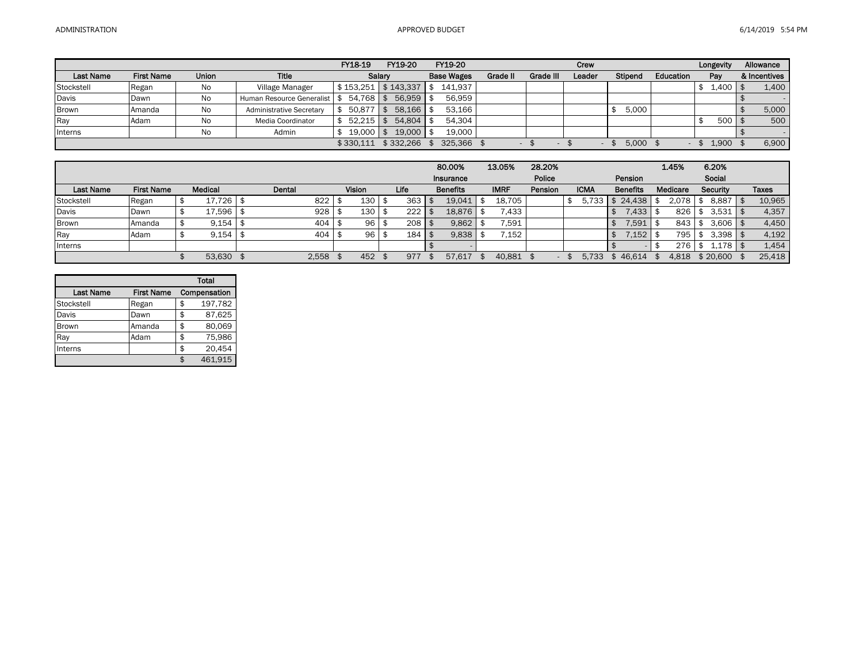|              |                   |              |                                 | FY18-19               | FY19-20   | FY19-20           |          |           | Crew   |         |           | Longevity    | Allowance    |
|--------------|-------------------|--------------|---------------------------------|-----------------------|-----------|-------------------|----------|-----------|--------|---------|-----------|--------------|--------------|
| Last Name    | <b>First Name</b> | <b>Union</b> | <b>Title</b>                    |                       | Salary    | <b>Base Wages</b> | Grade II | Grade III | Leader | Stipend | Education | Pay          | & Incentives |
| Stockstell   | Regan             | No           | Village Manager                 | $$153.251$ $$143.337$ |           | 141.937           |          |           |        |         |           | $1,400$   \$ | 1.400        |
| Davis        | Dawn              | No           | Human Resource Generalist   \$  | $54.768$ \$           | 56.959    | 56.959            |          |           |        |         |           |              |              |
| <b>Brown</b> | Amanda            | No           | <b>Administrative Secretary</b> | 50.877                | 58.166    | 53,166            |          |           |        | 5.000   |           |              | 5,000        |
| Ray          | Adam              | No           | <b>Media Coordinator</b>        | $52.215$ \$           | 54.804    | 54.304            |          |           |        |         |           | $500$   \$   | 500          |
| Interns      |                   | <b>No</b>    | Admin                           | 19.000                | 19.000    | 19,000            |          |           |        |         |           |              |              |
|              |                   |              |                                 | \$330.111             | \$332.266 | 325.366           |          |           |        | 5.000   |           | 1.900        | 6,900        |

|                  |                   |                |        |               |      | 80.00%          | 13.05%      | 28.20%  |             |                 | 1.45%    | 6.20%            |        |
|------------------|-------------------|----------------|--------|---------------|------|-----------------|-------------|---------|-------------|-----------------|----------|------------------|--------|
|                  |                   |                |        |               |      | Insurance       |             | Police  |             | Pension         |          | Social           |        |
| <b>Last Name</b> | <b>First Name</b> | <b>Medical</b> | Dental | <b>Vision</b> | Life | <b>Benefits</b> | <b>IMRF</b> | Pension | <b>ICMA</b> | <b>Benefits</b> | Medicare | <b>Security</b>  | Taxes  |
| Stockstell       | Regan             | 17.726         | 822    | 130           | 363  | 19.041          | 18,705      |         | 5,733       | 24.438          | 2.078    | $8,887$   \$     | 10,965 |
| Davis            | Dawn              | 17,596         | 928    | 130           | 222  | 18.876          | .433        |         |             | .433            | 826      | 3,531            | 4,357  |
| Brown            | Amanda            | 9,154          | 404    | 96            | 208  | 9,862           | 7,591       |         |             | .591            | 843 I    | $3.606$   \$     | 4,450  |
| Ray              | Adam              | 9,154          | 404    | 96            | 184  | 9,838           | 7,152       |         |             | .152            | 795 I    | $3.398$ $\mid$ 3 | 4,192  |
| Interns          |                   |                |        |               |      |                 |             |         |             |                 | 276      | $1,178$   \$     | 1,454  |
|                  |                   | 53.630         | 2,558  | 452           | 977  | 57.617          | 40,881      |         | 5.733       | \$46.614        | 4,818    | \$20,600         | 25,418 |

|                  |                   | <b>Total</b>  |
|------------------|-------------------|---------------|
| <b>Last Name</b> | <b>First Name</b> | Compensation  |
| Stockstell       | Regan             | \$<br>197,782 |
| Davis            | Dawn              | \$<br>87,625  |
| <b>Brown</b>     | Amanda            | \$<br>80,069  |
| Ray              | Adam              | \$<br>75,986  |
| Interns          |                   | \$<br>20,454  |
|                  |                   | 461.915       |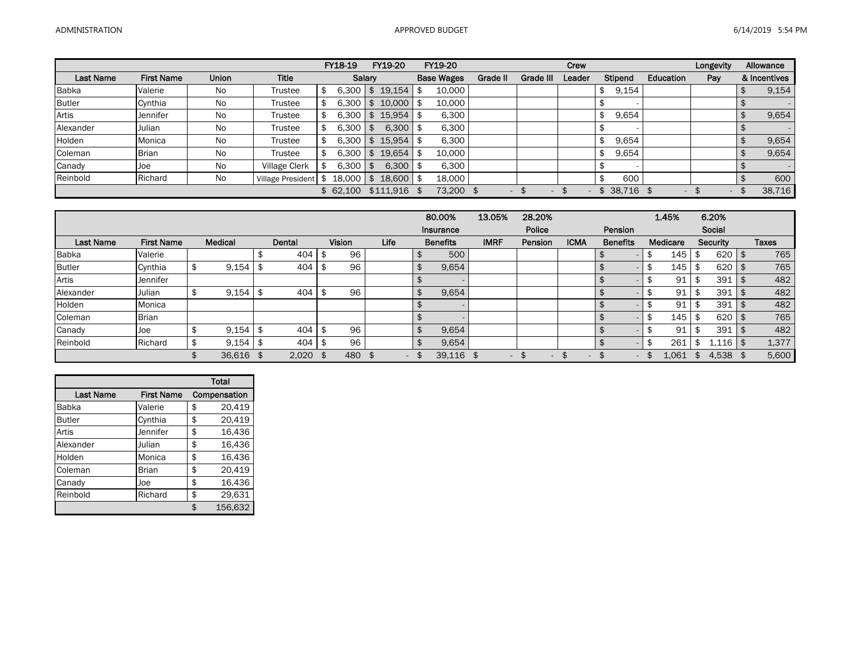|                  |                   |              |                          | FY18-19  | FY19-20       |     | <b>FY19-20</b>    |          |           | Crew   |                |                          | Longevity | Allowance    |
|------------------|-------------------|--------------|--------------------------|----------|---------------|-----|-------------------|----------|-----------|--------|----------------|--------------------------|-----------|--------------|
| <b>Last Name</b> | <b>First Name</b> | <b>Union</b> | Title                    | Salary   |               |     | <b>Base Wages</b> | Grade II | Grade III | Leader | <b>Stipend</b> | Education                | Pay       | & Incentives |
| <b>Babka</b>     | Valerie           | No           | <b>Trustee</b>           | 6,300    | \$19.154      | -\$ | 10,000            |          |           |        | 9,154          |                          |           | 9,154        |
| <b>Butler</b>    | Cynthia           | No.          | <b>Trustee</b>           | 6,300    | $10,000$ \$   |     | 10.000            |          |           |        |                |                          |           |              |
| Artis            | Jennifer          | No           | <b>Trustee</b>           | 6,300    | 15,954        |     | 6.300             |          |           |        | 9,654          |                          |           | 9,654        |
| Alexander        | Julian            | No           | Trustee                  | 6,300    | $6,300$ \$    |     | 6,300             |          |           |        |                |                          |           |              |
| Holden           | Monica            | <b>No</b>    | <b>Trustee</b>           | 6,300    | 15,954        |     | 6.300             |          |           |        | 9,654          |                          |           | 9,654        |
| Coleman          | <b>Brian</b>      | No.          | <b>Trustee</b>           | 6,300    | 19.654        |     | 10,000            |          |           |        | 9,654          |                          |           | 9,654        |
| Canady           | Joe               | <b>No</b>    | <b>Village Clerk</b>     | 6,300    | $6,300$ \$    |     | 6.300             |          |           |        |                |                          |           |              |
| Reinbold         | Richard           | No           | <b>Village President</b> | 18.000   | 18,600 \$     |     | 18.000            |          |           |        | 600            |                          |           | 600          |
|                  |                   |              |                          | \$62,100 | $$111.916$ \$ |     | 73,200 \$         |          |           |        | $$38,716$ \$   | $\overline{\phantom{a}}$ | \$        | 38,716       |

|                  |                   |         |      |        |   |               |                          | 80.00%          | 13.05%                   | 28.20%                   |             |                          | 1.45%    | 6.20%           |              |
|------------------|-------------------|---------|------|--------|---|---------------|--------------------------|-----------------|--------------------------|--------------------------|-------------|--------------------------|----------|-----------------|--------------|
|                  |                   |         |      |        |   |               |                          | Insurance       |                          | Police                   |             | Pension                  |          | Social          |              |
| <b>Last Name</b> | <b>First Name</b> | Medical |      | Dental |   | <b>Vision</b> | Life                     | <b>Benefits</b> | <b>IMRF</b>              | Pension                  | <b>ICMA</b> | <b>Benefits</b>          | Medicare | <b>Security</b> | <b>Taxes</b> |
| Babka            | Valerie           |         |      | 404    | Œ | 96            |                          | 500             |                          |                          |             |                          | 145      | \$<br>620       | 765          |
| <b>Butler</b>    | Cynthia           | 9,154   |      | 404    |   | 96            |                          | 9,654           |                          |                          |             |                          | 145      | \$<br>620       | 765          |
| Artis            | Jennifer          |         |      |        |   |               |                          |                 |                          |                          |             |                          | 91       | \$<br>391       | 482          |
| Alexander        | Julian            | 9,154   |      | 404    |   | 96            |                          | 9,654           |                          |                          |             |                          | 91       | \$<br>391       | 482          |
| Holden           | Monica            |         |      |        |   |               |                          |                 |                          |                          |             |                          | 91       | 391             | 482          |
| Coleman          | <b>Brian</b>      |         |      |        |   |               |                          |                 |                          |                          |             |                          | 145      | \$<br>620       | 765          |
| Canady           | Joe               | 9,154   | - \$ | 404    | э | 96            |                          | 9,654           |                          |                          |             |                          | 91       | \$<br>391       | 482          |
| Reinbold         | Richard           | 9.154   | - \$ | 404    | Ф | 96            |                          | 9,654           |                          |                          |             |                          | 261      | .116            | 1,377        |
|                  |                   | 36,616  |      | 2,020  |   | 480           | $\overline{\phantom{0}}$ | 39,116          | $\overline{\phantom{0}}$ | $\overline{\phantom{a}}$ |             | $\overline{\phantom{0}}$ | 1,061    | 4,538           | 5,600        |

|                  |                   | <b>Total</b>  |
|------------------|-------------------|---------------|
| <b>Last Name</b> | <b>First Name</b> | Compensation  |
| <b>Babka</b>     | Valerie           | \$<br>20,419  |
| <b>Butler</b>    | Cynthia           | \$<br>20,419  |
| Artis            | Jennifer          | \$<br>16,436  |
| Alexander        | Julian            | \$<br>16,436  |
| Holden           | Monica            | \$<br>16,436  |
| Coleman          | <b>Brian</b>      | \$<br>20.419  |
| Canady           | Joe               | \$<br>16,436  |
| Reinbold         | Richard           | \$<br>29,631  |
|                  |                   | \$<br>156,632 |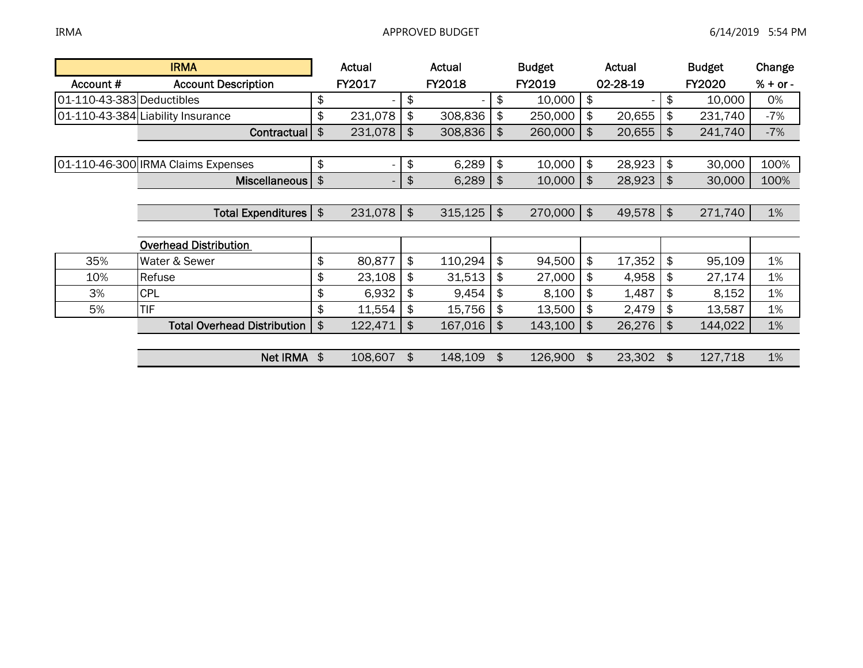|                           | <b>IRMA</b>                        |               | Actual                   | Actual        | <b>Budget</b> |                            | Actual      |               | <b>Budget</b> | Change     |
|---------------------------|------------------------------------|---------------|--------------------------|---------------|---------------|----------------------------|-------------|---------------|---------------|------------|
| Account#                  | <b>Account Description</b>         |               | FY2017                   | <b>FY2018</b> | FY2019        |                            | 02-28-19    |               | <b>FY2020</b> | $% + or -$ |
| 01-110-43-383 Deductibles |                                    | \$            |                          | \$            | \$<br>10,000  | \$                         |             | \$            | 10,000        | 0%         |
|                           | 01-110-43-384 Liability Insurance  | \$            | 231,078                  | \$<br>308,836 | \$<br>250,000 | \$                         | 20,655      | \$            | 231,740       | $-7%$      |
|                           | Contractual                        | \$            | 231,078                  | \$<br>308,836 | \$<br>260,000 | $\frac{1}{2}$              | 20,655      | \$            | 241,740       | $-7%$      |
|                           |                                    |               |                          |               |               |                            |             |               |               |            |
|                           | 01-110-46-300 IRMA Claims Expenses | \$            |                          | \$<br>6,289   | \$<br>10,000  | l \$                       | 28,923      | $\frac{1}{2}$ | 30,000        | 100%       |
|                           | Miscellaneous                      | $\frac{1}{2}$ | $\overline{\phantom{a}}$ | \$<br>6,289   | \$<br>10,000  | $\frac{1}{3}$              | 28,923      | \$            | 30,000        | 100%       |
|                           |                                    |               |                          |               |               |                            |             |               |               |            |
|                           | Total Expenditures   \$            |               | $231,078$ \$             | $315,125$ \$  | $270,000$ \$  |                            | $49,578$ \$ |               | 271,740       | 1%         |
|                           |                                    |               |                          |               |               |                            |             |               |               |            |
|                           | <b>Overhead Distribution</b>       |               |                          |               |               |                            |             |               |               |            |
| 35%                       | Water & Sewer                      | \$            | 80,877                   | \$<br>110,294 | \$<br>94,500  | \$                         | 17,352      | \$            | 95,109        | 1%         |
| 10%                       | Refuse                             | \$            | 23,108                   | \$<br>31,513  | \$<br>27,000  | \$                         | 4,958       | \$            | 27,174        | 1%         |
| 3%                        | <b>CPL</b>                         | \$            | 6,932                    | \$<br>9,454   | \$<br>8,100   | $\boldsymbol{\mathsf{\$}}$ | 1,487       | \$            | 8,152         | 1%         |
| 5%                        | <b>TIF</b>                         | \$            | 11,554                   | \$<br>15,756  | \$<br>13,500  | \$                         | 2,479       | \$            | 13,587        | 1%         |
|                           | <b>Total Overhead Distribution</b> | \$            | 122,471                  | \$<br>167,016 | \$<br>143,100 | \$                         | 26,276      | \$            | 144,022       | 1%         |
|                           |                                    |               |                          |               |               |                            |             |               |               |            |
|                           | <b>Net IRMA</b>                    | \$            | 108,607                  | \$<br>148,109 | \$<br>126,900 | \$                         | 23,302      | \$            | 127,718       | 1%         |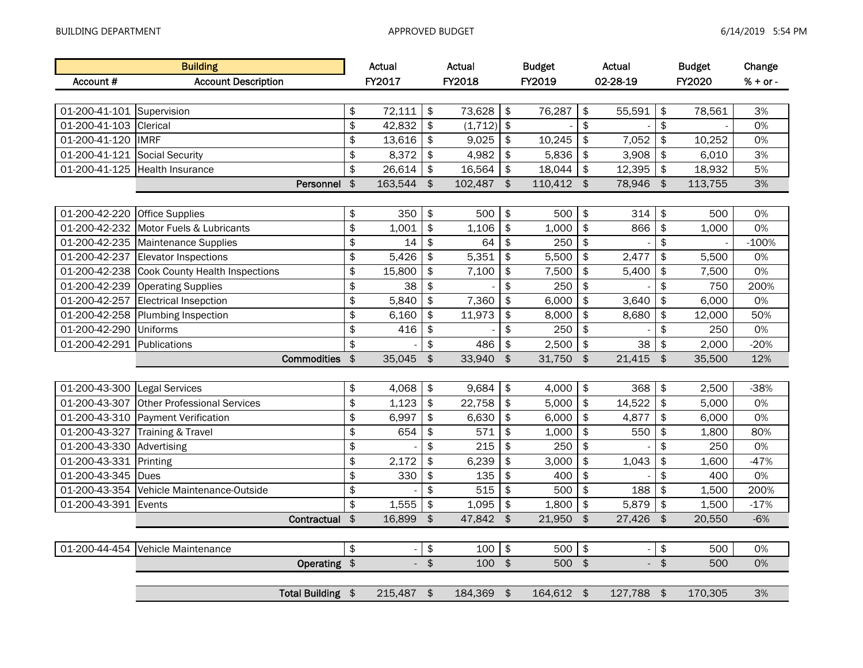|                           | <b>Building</b>                    |               | Actual         |               | Actual   |               | <b>Budget</b> |               | Actual         |               | <b>Budget</b> | Change     |
|---------------------------|------------------------------------|---------------|----------------|---------------|----------|---------------|---------------|---------------|----------------|---------------|---------------|------------|
| Account #                 | <b>Account Description</b>         |               | FY2017         |               | FY2018   |               | FY2019        |               | 02-28-19       |               | FY2020        | $% + or -$ |
|                           |                                    |               |                |               |          |               |               |               |                |               |               |            |
| 01-200-41-101 Supervision |                                    | \$            | 72,111         | \$            | 73,628   | \$            | 76,287        | \$            | 55,591         | \$            | 78,561        | 3%         |
| 01-200-41-103             | Clerical                           | \$            | 42,832         | \$            | (1, 712) | \$            |               | \$            |                | \$            |               | 0%         |
| 01-200-41-120             | <b>IMRF</b>                        | \$            | 13,616         | \$            | 9,025    | \$            | 10,245        | \$            | 7,052          | \$            | 10,252        | 0%         |
| 01-200-41-121             | Social Security                    | \$            | 8,372          | \$            | 4,982    | \$            | 5,836         | \$            | 3,908          | \$            | 6,010         | 3%         |
| 01-200-41-125             | <b>Health Insurance</b>            | \$            | 26,614         | \$            | 16,564   | \$            | 18,044        | \$            | 12,395         | \$            | 18,932        | 5%         |
|                           | Personnel                          | $\frac{1}{2}$ | 163,544        | $\frac{1}{2}$ | 102,487  | $\frac{1}{2}$ | 110,412       | $\frac{1}{2}$ | 78,946         | $\sqrt{2}$    | 113,755       | 3%         |
|                           |                                    |               |                |               |          |               |               |               |                |               |               |            |
| 01-200-42-220             | Office Supplies                    | \$            | 350            | \$            | 500      | \$            | 500           | \$            | 314            | \$            | 500           | 0%         |
| 01-200-42-232             | Motor Fuels & Lubricants           | \$            | 1,001          | \$            | 1,106    | \$            | 1,000         | \$            | 866            | \$            | 1,000         | 0%         |
| 01-200-42-235             | Maintenance Supplies               | \$            | 14             | \$            | 64       | \$            | 250           | \$            |                | \$            |               | $-100%$    |
| 01-200-42-237             | <b>Elevator Inspections</b>        | \$            | 5,426          | \$            | 5,351    | \$            | 5,500         | \$            | 2,477          | \$            | 5,500         | 0%         |
| 01-200-42-238             | Cook County Health Inspections     | \$            | 15,800         | \$            | 7,100    | \$            | 7,500         | \$            | 5,400          | \$            | 7,500         | 0%         |
| 01-200-42-239             | <b>Operating Supplies</b>          | \$            | 38             | \$            |          | \$            | 250           | \$            |                | \$            | 750           | 200%       |
| 01-200-42-257             | <b>Electrical Insepction</b>       | \$            | 5,840          | \$            | 7,360    | \$            | 6,000         | \$            | 3,640          | \$            | 6,000         | 0%         |
| 01-200-42-258             | Plumbing Inspection                | \$            | 6,160          | \$            | 11,973   | \$            | 8,000         | \$            | 8,680          | \$            | 12,000        | 50%        |
| 01-200-42-290             | <b>Uniforms</b>                    | \$            | 416            | \$            |          | \$            | 250           | \$            |                | \$            | 250           | 0%         |
| 01-200-42-291             | Publications                       | \$            |                | \$            | 486      | \$            | 2,500         | \$            | 38             | \$            | 2,000         | $-20%$     |
|                           | <b>Commodities</b>                 | $\frac{1}{2}$ | 35,045         | \$            | 33,940   | $\frac{1}{2}$ | 31,750        | $\frac{1}{2}$ | 21,415         | \$            | 35,500        | 12%        |
|                           |                                    |               |                |               |          |               |               |               |                |               |               |            |
| 01-200-43-300             | <b>Legal Services</b>              | \$            | 4,068          | \$            | 9,684    | \$            | 4,000         | \$            | 368            | \$            | 2,500         | $-38%$     |
| 01-200-43-307             | <b>Other Professional Services</b> | \$            | 1,123          | \$            | 22,758   | \$            | 5,000         | \$            | 14,522         | \$            | 5,000         | 0%         |
| 01-200-43-310             | <b>Payment Verification</b>        | \$            | 6,997          | \$            | 6,630    | \$            | 6,000         | \$            | 4,877          | \$            | 6,000         | 0%         |
| 01-200-43-327             | Training & Travel                  | \$            | 654            | \$            | 571      | \$            | 1,000         | \$            | 550            | \$            | 1,800         | 80%        |
| 01-200-43-330             | Advertising                        | $\pmb{\$}$    |                | \$            | 215      | \$            | 250           | \$            |                | \$            | 250           | 0%         |
| 01-200-43-331             | Printing                           | \$            | 2,172          | \$            | 6,239    | \$            | 3,000         | \$            | 1,043          | \$            | 1,600         | $-47%$     |
| 01-200-43-345             | Dues                               | \$            | 330            | \$            | 135      | \$            | 400           | \$            |                | \$            | 400           | 0%         |
| 01-200-43-354             | Vehicle Maintenance-Outside        | \$            |                | \$            | 515      | \$            | 500           | \$            | 188            | \$            | 1,500         | 200%       |
| 01-200-43-391             | Events                             | \$            | 1,555          | \$            | 1,095    | \$            | 1,800         | \$            | 5,879          | \$            | 1,500         | $-17%$     |
|                           | Contractual                        | \$            | 16,899         | \$            | 47,842   | $\frac{1}{2}$ | 21,950        | \$            | 27,426         | \$            | 20,550        | $-6%$      |
|                           |                                    |               |                |               |          |               |               |               |                |               |               |            |
| 01-200-44-454             | Vehicle Maintenance                |               |                | \$            | 100      | \$            | 500           | \$            |                | \$            | 500           | 0%         |
|                           | Operating \$                       |               | $\overline{a}$ | $\frac{1}{2}$ | 100      | $\frac{1}{2}$ | 500           | $\frac{1}{2}$ | $\mathbb{L}^+$ | $\frac{1}{2}$ | 500           | 0%         |
|                           |                                    |               |                |               |          |               |               |               |                |               |               |            |
|                           | Total Building \$                  |               | 215,487 \$     |               | 184,369  | $\sqrt{3}$    | 164,612 \$    |               | 127,788        | $\frac{1}{2}$ | 170,305       | 3%         |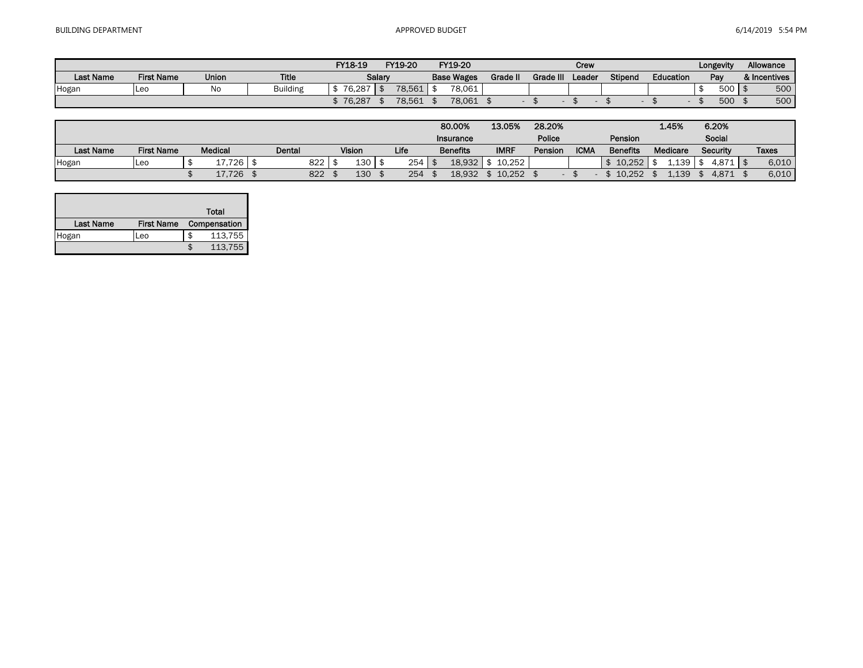|                  |                   |              |                 | FY18-19  | FY19-20 |  | FY19-20           |          |           | Crew   |         |           | Longevity | Allowance    |
|------------------|-------------------|--------------|-----------------|----------|---------|--|-------------------|----------|-----------|--------|---------|-----------|-----------|--------------|
| <b>Last Name</b> | <b>First Name</b> | <b>Union</b> | <b>Title</b>    |          | Salarv  |  | <b>Base Wages</b> | Grade II | Grade III | Leader | Stipend | Education | Pay       | & Incentives |
| Hogan            | <b>ILec</b>       | No           | <b>Building</b> | 76.287   | 78,561  |  | 78.061            |          |           |        |         |           | 500       | 500          |
|                  |                   |              |                 | \$76,287 | 78,561  |  | 78,061            |          |           |        |         |           | 500       | 500          |

|                  |                   |                |        |        |     |                  |      |     | 80,00%           | 13.05%      | 28.20%  |             |                 | 1.45%     | 6.20%    |       |  |
|------------------|-------------------|----------------|--------|--------|-----|------------------|------|-----|------------------|-------------|---------|-------------|-----------------|-----------|----------|-------|--|
|                  |                   |                |        |        |     |                  |      |     | <b>Insurance</b> |             | Police  |             | Pension         |           | Social   |       |  |
| <b>Last Name</b> | <b>First Name</b> | <b>Medical</b> |        | Dental |     | <b>Vision</b>    | Life |     | <b>Benefits</b>  | <b>IMRF</b> | Pension | <b>ICMA</b> | <b>Benefits</b> | Medicare  | Security | Taxes |  |
| Hogan            | <b>Leo</b>        |                | 17,726 |        | 822 | 130 <sub>1</sub> |      | 254 | 18.932           | 10.252      |         |             | 10.252          | $\pm 139$ | 4.871    | 6,010 |  |
|                  |                   |                | 17,726 |        | 822 | 130              |      | 254 | 18.932           | 10.252      |         |             | 10.252          | 1.139     | 4.871    | 6,010 |  |

|                  |                   |   | Total        |
|------------------|-------------------|---|--------------|
| <b>Last Name</b> | <b>First Name</b> |   | Compensation |
| Hogan            | Leo               | S | 113,755      |
|                  |                   |   | 113,755      |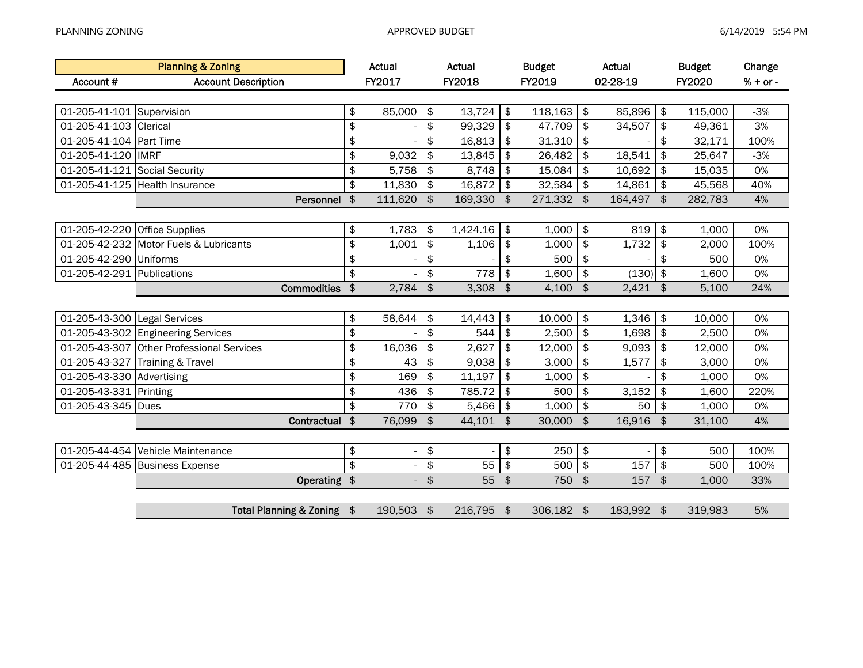|                            | <b>Planning &amp; Zoning</b>              |                         | <b>Actual</b>            |                  | Actual   |                | <b>Budget</b> |                           | Actual     |               | <b>Budget</b> | Change     |
|----------------------------|-------------------------------------------|-------------------------|--------------------------|------------------|----------|----------------|---------------|---------------------------|------------|---------------|---------------|------------|
| Account#                   | <b>Account Description</b>                |                         | FY2017                   |                  | FY2018   |                | FY2019        |                           | 02-28-19   |               | FY2020        | $% + or -$ |
|                            |                                           |                         |                          |                  |          |                |               |                           |            |               |               |            |
| 01-205-41-101 Supervision  |                                           | \$                      | 85,000                   | \$               | 13,724   | \$             | 118,163       | \$                        | 85,896     | $\frac{1}{2}$ | 115,000       | $-3%$      |
| 01-205-41-103              | Clerical                                  | \$                      |                          | \$               | 99,329   | \$             | 47,709        | \$                        | 34,507     | \$            | 49,361        | 3%         |
| 01-205-41-104              | Part Time                                 | \$                      |                          | \$               | 16,813   | \$             | 31,310        | \$                        |            | \$            | 32,171        | 100%       |
| 01-205-41-120              | <b>IMRF</b>                               | \$                      | 9,032                    | \$               | 13,845   | \$             | 26,482        | \$                        | 18,541     | \$            | 25,647        | $-3%$      |
| 01-205-41-121              | Social Security                           | \$                      | 5,758                    | \$               | 8,748    | \$             | 15,084        | \$                        | 10,692     | \$            | 15,035        | 0%         |
| 01-205-41-125              | <b>Health Insurance</b>                   | \$                      | 11,830                   | \$               | 16,872   | \$             | 32,584        | \$                        | 14,861     | \$            | 45,568        | 40%        |
|                            | Personnel                                 | $\frac{2}{3}$           | 111,620                  | $\sqrt{3}$       | 169,330  | $\frac{1}{2}$  | 271,332       | \$                        | 164,497    | $\frac{1}{2}$ | 282,783       | 4%         |
|                            |                                           |                         |                          |                  |          |                |               |                           |            |               |               |            |
| 01-205-42-220              | <b>Office Supplies</b>                    | \$                      | 1,783                    | \$               | 1,424.16 | \$             | 1,000         | \$                        | 819        | \$            | 1,000         | 0%         |
| 01-205-42-232              | Motor Fuels & Lubricants                  | $\overline{\mathbf{z}}$ | 1,001                    | \$               | 1,106    | \$             | 1,000         | \$                        | 1,732      | \$            | 2,000         | 100%       |
| 01-205-42-290              | Uniforms                                  | \$                      |                          | \$               |          | \$             | 500           | \$                        |            | \$            | 500           | 0%         |
| 01-205-42-291 Publications |                                           | \$                      |                          | \$               | 778      | \$             | 1,600         | \$                        | (130)      | $\frac{1}{2}$ | 1,600         | 0%         |
|                            | <b>Commodities</b>                        | $\frac{1}{2}$           | 2,784                    | $\frac{1}{2}$    | 3,308    | $\frac{1}{2}$  | 4,100         | $\frac{1}{2}$             | $2,421$ \$ |               | 5,100         | 24%        |
|                            |                                           |                         |                          |                  |          |                |               |                           |            |               |               |            |
| 01-205-43-300              | Legal Services                            | \$                      | 58,644                   | \$               | 14,443   | \$             | 10,000        | \$                        | 1,346      | \$            | 10,000        | 0%         |
| 01-205-43-302              | <b>Engineering Services</b>               | \$                      |                          | \$               | 544      | \$             | 2,500         | \$                        | 1,698      | \$            | 2,500         | 0%         |
|                            | 01-205-43-307 Other Professional Services | \$                      | 16,036                   | \$               | 2,627    | \$             | 12,000        | \$                        | 9,093      | \$            | 12,000        | 0%         |
| 01-205-43-327              | Training & Travel                         | \$                      | 43                       | \$               | 9,038    | \$             | 3,000         | \$                        | 1,577      | \$            | 3,000         | 0%         |
| 01-205-43-330              | Advertising                               | \$                      | 169                      | \$               | 11,197   | \$             | 1,000         | \$                        |            | \$            | 1,000         | 0%         |
| 01-205-43-331              | Printing                                  | \$                      | 436                      | \$               | 785.72   | \$             | 500           | \$                        | 3,152      | \$            | 1,600         | 220%       |
| 01-205-43-345              | <b>Dues</b>                               | \$                      | 770                      | \$               | 5,466    | \$             | 1,000         | \$                        | 50         | \$            | 1,000         | 0%         |
|                            | Contractual                               | $\boldsymbol{\hat{z}}$  | 76,099                   | \$               | 44,101   | $\mathfrak{S}$ | 30,000        | $\mathfrak{S}$            | 16,916     | \$            | 31,100        | 4%         |
|                            |                                           |                         |                          |                  |          |                |               |                           |            |               |               |            |
| 01-205-44-454              | Vehicle Maintenance                       | \$                      |                          | \$               |          | \$             | 250           | $\boldsymbol{\hat{\phi}}$ |            | \$            | 500           | 100%       |
| 01-205-44-485              | <b>Business Expense</b>                   | \$                      |                          | \$               | 55       | \$             | 500           | $\pmb{\$}$                | 157        | $\,$          | 500           | 100%       |
|                            | Operating \$                              |                         | $\overline{\phantom{0}}$ | $$\mathfrak{P}$$ | 55       | $\frac{1}{2}$  | 750           | $\frac{1}{2}$             | 157        | $\frac{1}{2}$ | 1,000         | 33%        |
|                            |                                           |                         |                          |                  |          |                |               |                           |            |               |               |            |
|                            | Total Planning & Zoning \$                |                         | 190,503 \$               |                  | 216,795  | $\frac{1}{2}$  | 306,182 \$    |                           | 183,992 \$ |               | 319,983       | 5%         |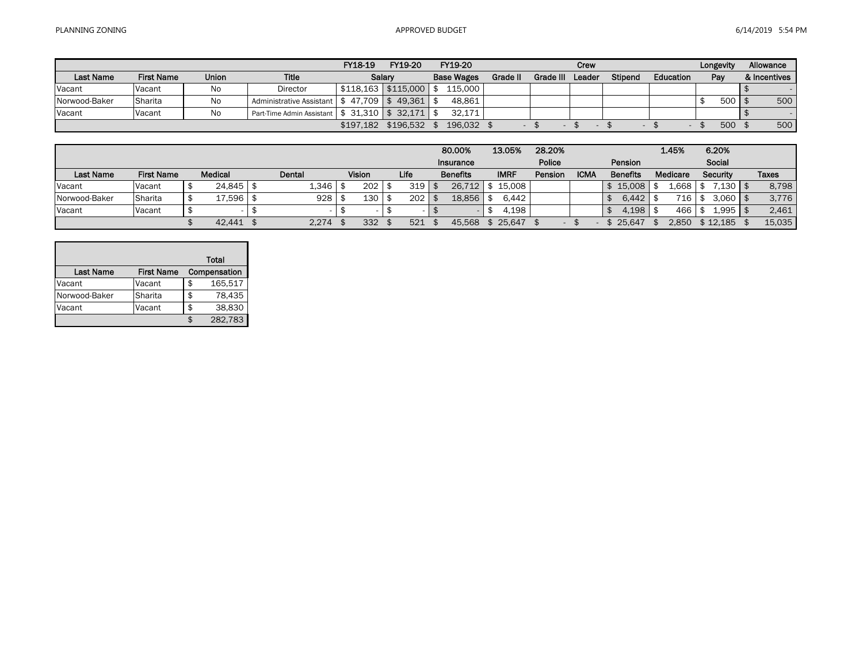$\sim$ 

|                  |                   |              |                                            | FY18-19   | FY19-20               | FY19-20           |                 |           | Crew   |                          |                  | Longevity              | Allowance    |
|------------------|-------------------|--------------|--------------------------------------------|-----------|-----------------------|-------------------|-----------------|-----------|--------|--------------------------|------------------|------------------------|--------------|
| <b>Last Name</b> | <b>First Name</b> | <b>Union</b> | Title                                      | Salarv    |                       | <b>Base Wages</b> | <b>Grade II</b> | Grade III | Leader | <b>Stipend</b>           | <b>Education</b> | Pay                    | & Incentives |
| Vacant           | Vacant            | No           | Director                                   |           | $$118.163$ $$115.000$ | 115.000           |                 |           |        |                          |                  |                        |              |
| Norwood-Baker    | <b>Sharita</b>    | No           | Administrative Assistant   \$ 47,709       |           | 49.361                | 48.861            |                 |           |        |                          |                  | $500 \mid \frac{1}{2}$ | 500          |
| Vacant           | Vacant            | No           | Part-Time Admin Assistant   \$ 31,310   \$ |           | 32.171                | 32.171            |                 |           |        |                          |                  |                        |              |
|                  |                   |              |                                            | \$197.182 | \$196.532             | 196.032           |                 |           |        | $\overline{\phantom{a}}$ |                  | 500                    | 500          |

|                  |                   |                |        |                  |        | 80,00%          | 13.05%      | 28.20%  |             |                 | 1.45%            |      | 6.20%           |        |
|------------------|-------------------|----------------|--------|------------------|--------|-----------------|-------------|---------|-------------|-----------------|------------------|------|-----------------|--------|
|                  |                   |                |        |                  |        | Insurance       |             | Police  |             | Pension         |                  |      | Social          |        |
| <b>Last Name</b> | <b>First Name</b> | <b>Medical</b> | Dental | <b>Vision</b>    | Life   | <b>Benefits</b> | <b>IMRF</b> | Pension | <b>ICMA</b> | <b>Benefits</b> | Medicare         |      | <b>Security</b> | Taxes  |
| Vacant           | <b>Vacant</b>     | 24.845         | 1,346  | 202 <sub>1</sub> | 319    | 26.712          | 15,008      |         |             | 15,008          | .668             |      | .130            | 8,798  |
| Norwood-Baker    | <b>Sharita</b>    | 7,596          | 928    | 130              | 202    | 18.856          | 6.442       |         |             | 6.442           | 716 <sub>1</sub> | - \$ | $3.060$   \$    | 3,776  |
| Vacant           | Vacant            |                |        |                  | $\sim$ |                 | 4.198       |         |             | .198            | 466              |      | $1,995$   $$$   | 2,461  |
|                  |                   | 42.441         | 2,274  | 332              | 521    | 45.568          | 25.647      |         |             | 25.647          | 2.850            |      | \$12.185        | 15.035 |

|                  |                   |    | <b>Total</b> |
|------------------|-------------------|----|--------------|
| <b>Last Name</b> | <b>First Name</b> |    | Compensation |
| Vacant           | Vacant            | \$ | 165,517      |
| Norwood-Baker    | Sharita           | \$ | 78,435       |
| Vacant           | Vacant            | \$ | 38,830       |
|                  |                   | ና  | 282,783      |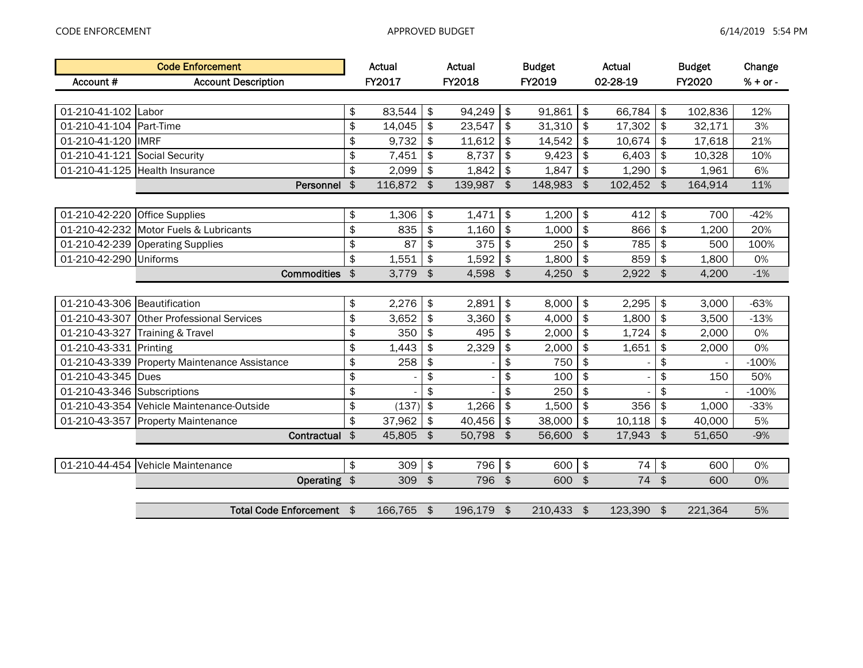|                              | <b>Code Enforcement</b>                   |               | <b>Actual</b> |               | Actual  |                      | <b>Budget</b> |               | Actual     |               | <b>Budget</b> | Change     |
|------------------------------|-------------------------------------------|---------------|---------------|---------------|---------|----------------------|---------------|---------------|------------|---------------|---------------|------------|
| Account #                    | <b>Account Description</b>                |               | FY2017        |               | FY2018  |                      | FY2019        |               | 02-28-19   |               | <b>FY2020</b> | $% + or -$ |
|                              |                                           |               |               |               |         |                      |               |               |            |               |               |            |
| 01-210-41-102                | Labor                                     | \$            | 83,544        | \$            | 94,249  | $\frac{1}{2}$        | 91,861        | \$            | 66,784     | \$            | 102,836       | 12%        |
| 01-210-41-104                | Part-Time                                 | \$            | 14,045        | \$            | 23,547  | \$                   | 31,310        | \$            | 17,302     | $\frac{1}{2}$ | 32,171        | 3%         |
| 01-210-41-120                | <b>IMRF</b>                               | \$            | 9,732         | \$            | 11,612  | \$                   | 14,542        | \$            | 10,674     | \$            | 17,618        | 21%        |
| 01-210-41-121                | Social Security                           | \$            | 7,451         | \$            | 8,737   | \$                   | 9,423         | \$            | 6,403      | \$            | 10,328        | 10%        |
| 01-210-41-125                | Health Insurance                          | \$            | 2,099         | \$            | 1,842   | \$                   | 1,847         | \$            | 1,290      | \$            | 1,961         | 6%         |
|                              | Personnel                                 | \$            | 116,872 \$    |               | 139,987 | \$                   | 148,983       | $\frac{1}{2}$ | 102,452 \$ |               | 164,914       | 11%        |
|                              |                                           |               |               |               |         |                      |               |               |            |               |               |            |
| 01-210-42-220                | <b>Office Supplies</b>                    | \$            | 1,306         | \$            | 1,471   | \$                   | 1,200         | \$            | 412        | \$            | 700           | $-42%$     |
| 01-210-42-232                | Motor Fuels & Lubricants                  | \$            | 835           | \$            | 1,160   | \$                   | 1,000         | \$            | 866        | \$            | 1,200         | 20%        |
| 01-210-42-239                | <b>Operating Supplies</b>                 | \$            | 87            | \$            | 375     | \$                   | 250           | \$            | 785        | \$            | 500           | 100%       |
| 01-210-42-290                | <b>Uniforms</b>                           | \$            | 1,551         | \$            | 1,592   | \$                   | 1,800         | \$            | 859        | \$            | 1,800         | 0%         |
|                              | <b>Commodities</b>                        | $\frac{2}{3}$ | 3,779         | $\frac{1}{2}$ | 4,598   | $\frac{1}{2}$        | 4,250         | $\frac{1}{2}$ | 2,922      | $\frac{1}{2}$ | 4,200         | $-1%$      |
|                              |                                           |               |               |               |         |                      |               |               |            |               |               |            |
| 01-210-43-306 Beautification |                                           | \$            | 2,276         | \$            | 2,891   | \$                   | 8.000         | \$            | 2,295      | \$            | 3,000         | $-63%$     |
|                              | 01-210-43-307 Other Professional Services | \$            | 3,652         | \$            | 3,360   | \$                   | 4,000         | \$            | 1,800      | \$            | 3,500         | $-13%$     |
| 01-210-43-327                | Training & Travel                         | \$            | 350           | \$            | 495     | \$                   | 2,000         | \$            | 1,724      | \$            | 2,000         | 0%         |
| 01-210-43-331                | Printing                                  | \$            | 1,443         | \$            | 2,329   | \$                   | 2,000         | \$            | 1,651      | \$            | 2,000         | 0%         |
| 01-210-43-339                | <b>Property Maintenance Assistance</b>    | \$            | 258           | \$            |         | \$                   | 750           | \$            |            | \$            |               | $-100%$    |
| 01-210-43-345                | <b>Dues</b>                               | \$            |               | \$            |         | \$                   | 100           | \$            |            | \$            | 150           | 50%        |
| 01-210-43-346 Subscriptions  |                                           | \$            |               | \$            |         | \$                   | 250           | \$            |            | \$            |               | $-100%$    |
| 01-210-43-354                | Vehicle Maintenance-Outside               | \$            | (137)         | \$            | 1,266   | \$                   | 1,500         | \$            | 356        | \$            | 1,000         | $-33%$     |
|                              | 01-210-43-357 Property Maintenance        | \$            | 37,962        | \$            | 40,456  | \$                   | 38,000        | \$            | 10,118     | \$            | 40,000        | 5%         |
|                              | Contractual \$                            |               | 45,805 \$     |               | 50,798  | $\sqrt{3}$           | 56,600        | $\frac{1}{2}$ | 17,943     | $\frac{1}{2}$ | 51,650        | $-9%$      |
|                              |                                           |               |               |               |         |                      |               |               |            |               |               |            |
| 01-210-44-454                | Vehicle Maintenance                       | \$            | 309           | \$            | 796     | $\frac{1}{2}$        | 600           | \$            | 74         | $\pmb{\$}$    | 600           | 0%         |
|                              | Operating \$                              |               | 309           | $\oint$       | 796     | $\frac{1}{2}$        | 600           | $\frac{1}{2}$ | 74 \$      |               | 600           | 0%         |
|                              |                                           |               |               |               |         |                      |               |               |            |               |               |            |
|                              | Total Code Enforcement \$                 |               | 166,765 \$    |               | 196,179 | $\overline{\bullet}$ | 210,433       | \$            | 123,390 \$ |               | 221,364       | 5%         |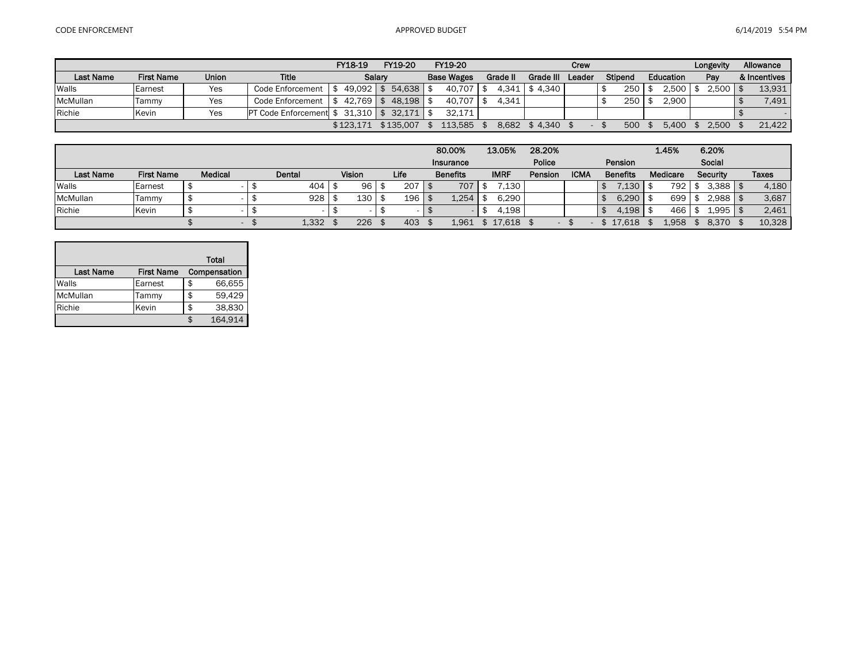|                  |                   |       |                               | FY18-19     | FY19-20   | FY19-20 |          |                  | Crew |         |           | Longevity | Allowance    |
|------------------|-------------------|-------|-------------------------------|-------------|-----------|---------|----------|------------------|------|---------|-----------|-----------|--------------|
| <b>Last Name</b> | <b>First Name</b> | Union | <b>Title</b>                  |             | Salarv    |         | Grade II | Grade III Leader |      | Stipend | Education | Pay       | & Incentives |
| Walls            | Earnest           | Yes   | Code Enforcement              | $49.092$ \$ | 54.638    | 40.707  | 4.341    | \$4.340          |      | 250     | 2.500     |           | 13,931       |
| McMullan         | Tammy             | Yes   | Code Enforcement              | $42.769$ \$ | 48.198    | 40,707  | 4.341    |                  |      | 250     | 2.900     |           | 7,491        |
| Richie           | Kevin             | Yes   | <b>PT Code Enforcement \$</b> | 31.310 \$   | 32.171    | 32.171  |          |                  |      |         |           |           |              |
|                  |                   |       |                               | \$123.171   | \$135.007 | 113.585 | 8.682    | \$4.340          |      | 500     | 5.400     | 2.500     | 21,422       |

|                  |                   |         |        |        |      | 80.00%          | 13.05%      | 28.20%  |                          |             |                 | 1.45%    | 6.20%    |              |
|------------------|-------------------|---------|--------|--------|------|-----------------|-------------|---------|--------------------------|-------------|-----------------|----------|----------|--------------|
|                  |                   |         |        |        |      | Insurance       |             | Police  |                          |             | Pension         |          | Social   |              |
| <b>Last Name</b> | <b>First Name</b> | Medical | Dental | Vision | Life | <b>Benefits</b> | <b>IMRF</b> | Pension |                          | <b>ICMA</b> | <b>Benefits</b> | Medicare | Security | <b>Taxes</b> |
| Walls            | Earnest           |         | 404    | 96     | 207  | 707             | .130        |         |                          |             | .130            | 792      | 3.388    | 4,180        |
| McMullan         | Tammy             |         | 928    | 130    | 196  | 1.254           | 6.290       |         |                          |             | 6.290           | 699      | 2.988    | 3,687        |
| Richie           | Kevin             |         |        |        |      |                 | 4,198       |         |                          |             | 4.198           | 466      | 1,995    | 2,461        |
|                  |                   | -       | 1,332  | 226    | 403  | 1.961           | 17,618      |         | $\overline{\phantom{0}}$ |             | 17.618          | 1.958    | 8,370    | 10,328       |

|                  |                   | Total        |
|------------------|-------------------|--------------|
| <b>Last Name</b> | <b>First Name</b> | Compensation |
| Walls            | Earnest           | \$<br>66,655 |
| McMullan         | Tammy             | \$<br>59,429 |
| Richie           | Kevin             | \$<br>38,830 |
|                  |                   | 164,914      |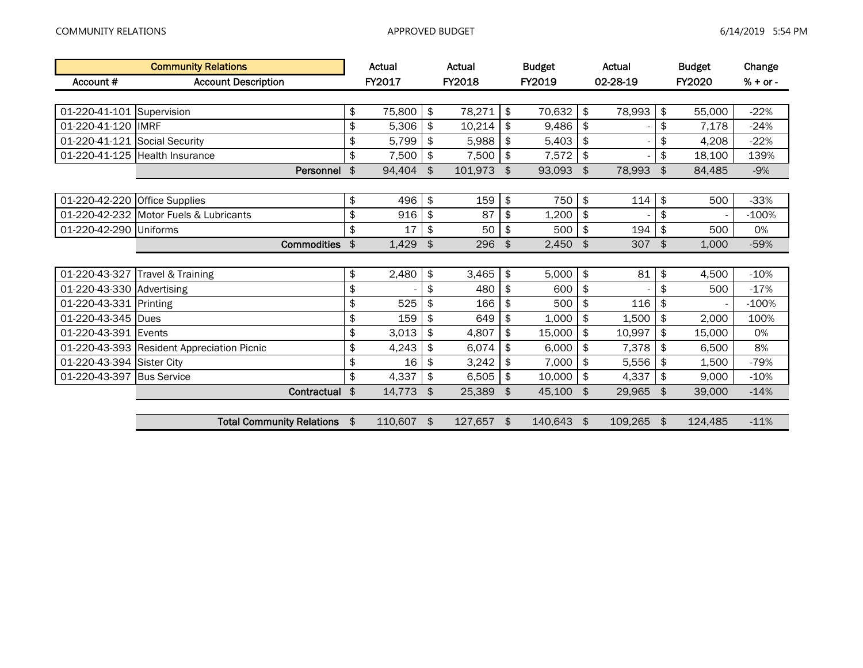|                           | <b>Community Relations</b>                 | Actual           | Actual        | <b>Budget</b> | Actual           |               | <b>Budget</b> | Change     |
|---------------------------|--------------------------------------------|------------------|---------------|---------------|------------------|---------------|---------------|------------|
| Account #                 | <b>Account Description</b>                 | FY2017           | FY2018        | FY2019        | 02-28-19         |               | <b>FY2020</b> | $% + or -$ |
|                           |                                            |                  |               |               |                  |               |               |            |
| 01-220-41-101 Supervision |                                            | \$<br>75,800     | \$<br>78,271  | \$<br>70,632  | \$<br>78,993     | \$            | 55,000        | $-22%$     |
| 01-220-41-120  IMRF       |                                            | \$<br>5,306      | \$<br>10,214  | \$<br>9,486   | \$               | \$            | 7,178         | $-24%$     |
| 01-220-41-121             | <b>Social Security</b>                     | \$<br>5,799      | \$<br>5,988   | \$<br>5,403   | \$               | \$            | 4,208         | $-22%$     |
|                           | 01-220-41-125 Health Insurance             | \$<br>7,500      | \$<br>7,500   | \$<br>7,572   | \$               | \$            | 18,100        | 139%       |
|                           | Personnel                                  | \$<br>94,404     | \$<br>101,973 | \$<br>93,093  | \$<br>78,993     | \$            | 84,485        | $-9%$      |
|                           |                                            |                  |               |               |                  |               |               |            |
| 01-220-42-220             | <b>Office Supplies</b>                     | \$<br>496        | \$<br>159     | \$<br>750     | \$<br>114        | \$            | 500           | $-33%$     |
|                           | 01-220-42-232 Motor Fuels & Lubricants     | \$<br>916        | \$<br>87      | \$<br>1,200   | \$               | \$            |               | $-100%$    |
| 01-220-42-290             | <b>Uniforms</b>                            | \$<br>17         | \$<br>50      | \$<br>500     | \$<br>194        | \$            | 500           | 0%         |
|                           | <b>Commodities</b>                         | \$<br>1,429      | \$<br>296     | \$<br>2,450   | \$<br>307        | $\frac{4}{5}$ | 1,000         | $-59%$     |
|                           |                                            |                  |               |               |                  |               |               |            |
| 01-220-43-327             | Travel & Training                          | \$<br>2,480      | \$<br>3,465   | \$<br>5,000   | \$<br>81         | \$            | 4,500         | $-10%$     |
| 01-220-43-330 Advertising |                                            | \$               | \$<br>480     | \$<br>600     | \$               | \$            | 500           | $-17%$     |
| 01-220-43-331 Printing    |                                            | \$<br>525        | \$<br>166     | \$<br>500     | \$<br>116        | \$            |               | $-100%$    |
| 01-220-43-345             | Dues                                       | \$<br>159        | \$<br>649     | \$<br>1,000   | \$<br>1,500      | \$            | 2,000         | 100%       |
| 01-220-43-391 Events      |                                            | \$<br>3,013      | \$<br>4,807   | \$<br>15,000  | \$<br>10,997     | \$            | 15,000        | 0%         |
|                           | 01-220-43-393 Resident Appreciation Picnic | \$<br>4,243      | \$<br>6,074   | \$<br>6,000   | \$<br>7,378      | \$            | 6,500         | 8%         |
| 01-220-43-394 Sister City |                                            | \$<br>16         | \$<br>3,242   | \$<br>7,000   | \$<br>5,556      | \$            | 1,500         | $-79%$     |
| 01-220-43-397             | <b>Bus Service</b>                         | \$<br>4,337      | \$<br>6,505   | \$<br>10,000  | \$<br>4,337      | \$            | 9,000         | $-10%$     |
|                           | Contractual                                | \$<br>14,773     | \$<br>25,389  | \$<br>45,100  | \$<br>29,965     | \$            | 39,000        | $-14%$     |
|                           |                                            |                  |               |               |                  |               |               |            |
|                           | <b>Total Community Relations</b>           | \$<br>110,607 \$ | 127,657 \$    | 140,643       | \$<br>109,265 \$ |               | 124,485       | $-11%$     |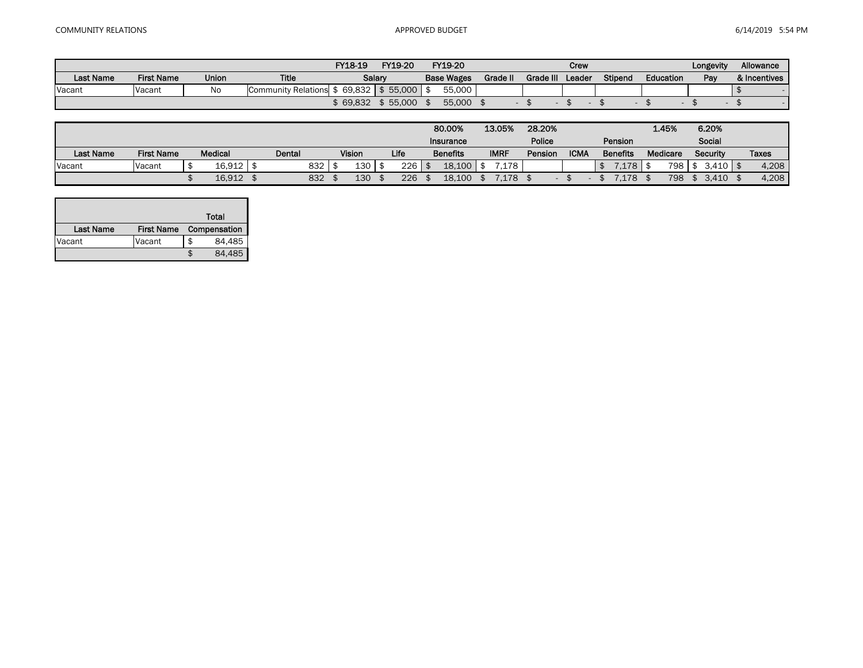|                  |                   |              |                            | FY18-19  | FY19-20  | FY19-20           |                 |           | Crew   |         |                  | Longevity | Allowance    |
|------------------|-------------------|--------------|----------------------------|----------|----------|-------------------|-----------------|-----------|--------|---------|------------------|-----------|--------------|
| <b>Last Name</b> | <b>First Name</b> | <b>Union</b> | <b>Title</b>               |          | Salary   | <b>Base Wages</b> | <b>Grade II</b> | Grade III | Leader | Stipend | <b>Education</b> | Pay       | & Incentives |
| Vacant           | Vacant            | No           | <b>Community Relations</b> | 69.832 l | \$55.000 | 55,000            |                 |           |        |         |                  |           |              |
|                  |                   |              |                            | 69,832   | \$55.000 | 55,000            |                 |           |        |         |                  |           |              |

|           |                   |                |        |     |               |      | 80.00%          | 13.05%      | 28.20%  |             |                 |      | 1.45%           | 6.20%              |              |
|-----------|-------------------|----------------|--------|-----|---------------|------|-----------------|-------------|---------|-------------|-----------------|------|-----------------|--------------------|--------------|
|           |                   |                |        |     |               |      | Insurance       |             | Police  |             | Pension         |      |                 | Social             |              |
| Last Name | <b>First Name</b> | <b>Medical</b> | Dental |     | <b>Vision</b> | Life | <b>Benefits</b> | <b>IMRF</b> | Pension | <b>ICMA</b> | <b>Benefits</b> |      | <b>Medicare</b> | Security           | <b>Taxes</b> |
| Vacant    | Vacant            | 16.912         |        | 832 | 130           | 226  | 18.100          | .178        |         |             |                 | .178 | 798             | $3.410$ $\sqrt{5}$ | 4,208        |
|           |                   | 16,912         |        | 832 | 130           | 226  | 18.100          | .178        |         |             |                 | .178 | 798             | 3.410              | 4,208        |

|                  |                   |   | Total        |
|------------------|-------------------|---|--------------|
| <b>Last Name</b> | <b>First Name</b> |   | Compensation |
| Vacant           | Vacant            | S | 84,485       |
|                  |                   |   | 84,485       |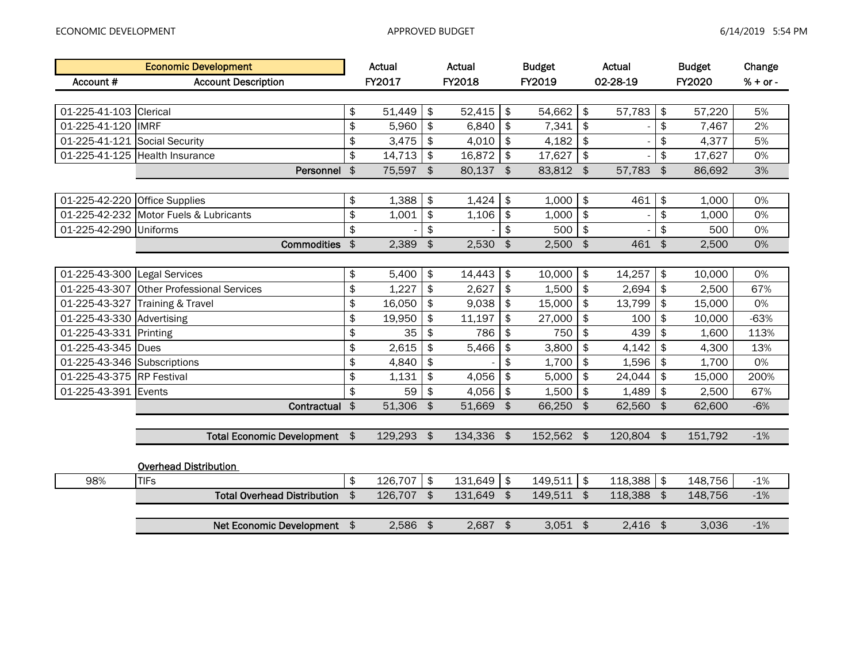|                               | <b>Economic Development</b>               |               | Actual       |                           | Actual     |               | <b>Budget</b> |               | Actual     |               | <b>Budget</b> | Change     |
|-------------------------------|-------------------------------------------|---------------|--------------|---------------------------|------------|---------------|---------------|---------------|------------|---------------|---------------|------------|
| Account #                     | <b>Account Description</b>                |               | FY2017       |                           | FY2018     |               | FY2019        |               | 02-28-19   |               | FY2020        | $% + or -$ |
|                               |                                           |               |              |                           |            |               |               |               |            |               |               |            |
| 01-225-41-103 Clerical        |                                           | \$            | 51,449       | \$                        | 52,415     | \$            | 54,662        | \$            | 57,783     | \$            | 57,220        | 5%         |
| 01-225-41-120 IMRF            |                                           | \$            | 5,960        | $\frac{1}{2}$             | 6,840      | \$            | 7,341         | \$            |            | \$            | 7,467         | 2%         |
| 01-225-41-121 Social Security |                                           | \$            | 3,475        | $\frac{1}{2}$             | 4,010      | \$            | 4,182         | \$            |            | \$            | 4,377         | 5%         |
|                               | 01-225-41-125 Health Insurance            | \$            | 14,713       | $\sqrt{2}$                | 16,872     | \$            | 17,627        | \$            |            | \$            | 17,627        | 0%         |
|                               | Personnel                                 | $\frac{1}{2}$ | 75,597 \$    |                           | 80,137 \$  |               | 83,812        | $\frac{1}{2}$ | 57,783     | $\frac{1}{2}$ | 86,692        | 3%         |
|                               |                                           |               |              |                           |            |               |               |               |            |               |               |            |
| 01-225-42-220                 | <b>Office Supplies</b>                    | \$            | 1,388        | $\boldsymbol{\hat{\phi}}$ | 1,424      | \$            | 1,000         | \$            | 461        | \$            | 1,000         | 0%         |
|                               | 01-225-42-232 Motor Fuels & Lubricants    | \$            | 1,001        | $\frac{1}{2}$             | 1,106      | \$            | 1,000         | \$            |            | \$            | 1,000         | 0%         |
| 01-225-42-290 Uniforms        |                                           | \$            |              | \$                        |            | \$            | 500           | \$            |            | \$            | 500           | 0%         |
|                               | <b>Commodities</b>                        | $\sqrt{2}$    | 2,389        | $\frac{1}{2}$             | 2,530      | $\frac{1}{2}$ | 2,500         | $\frac{1}{2}$ | 461 \$     |               | 2,500         | 0%         |
|                               |                                           |               |              |                           |            |               |               |               |            |               |               |            |
| 01-225-43-300 Legal Services  |                                           | \$            | 5,400        | $\frac{1}{2}$             | 14,443     | \$            | 10,000        | \$            | 14,257     | \$            | 10,000        | 0%         |
|                               | 01-225-43-307 Other Professional Services | $\, \, \$$    | 1,227        | $\boldsymbol{\hat{\phi}}$ | 2,627      | \$            | 1,500         | \$            | 2,694      | \$            | 2,500         | 67%        |
| 01-225-43-327                 | Training & Travel                         | \$            | 16,050       | \$                        | 9,038      | \$            | 15,000        | \$            | 13,799     | \$            | 15,000        | 0%         |
| 01-225-43-330 Advertising     |                                           | \$            | 19,950       | $\frac{1}{2}$             | 11,197     | \$            | 27,000        | \$            | 100        | \$            | 10,000        | $-63%$     |
| 01-225-43-331 Printing        |                                           | \$            | 35           | \$                        | 786        | \$            | 750           | \$            | 439        | \$            | 1,600         | 113%       |
| 01-225-43-345 Dues            |                                           | $\frac{1}{2}$ | 2,615        | \$                        | 5,466      | \$            | 3,800         | \$            | 4,142      | \$            | 4,300         | 13%        |
| 01-225-43-346 Subscriptions   |                                           | $\frac{1}{2}$ | 4,840        | $\frac{1}{2}$             |            | \$            | 1,700         | \$            | 1,596      | \$            | 1,700         | 0%         |
| 01-225-43-375 RP Festival     |                                           | \$            | 1,131        | $\frac{1}{2}$             | 4,056      | \$            | 5,000         | \$            | 24,044     | \$            | 15,000        | 200%       |
| 01-225-43-391 Events          |                                           | \$            | 59           | \$                        | 4,056      | \$            | 1,500         | \$            | 1,489      | \$            | 2,500         | 67%        |
|                               | Contractual \$                            |               | 51,306       | $\frac{1}{2}$             | 51,669     | $\frac{1}{2}$ | 66,250        | $\frac{1}{2}$ | 62,560 \$  |               | 62,600        | $-6%$      |
|                               |                                           |               |              |                           |            |               |               |               |            |               |               |            |
|                               | Total Economic Development \$             |               | 129,293 \$   |                           | 134,336 \$ |               | 152,562 \$    |               | 120,804 \$ |               | 151,792       | $-1%$      |
|                               |                                           |               |              |                           |            |               |               |               |            |               |               |            |
|                               | <b>Overhead Distribution</b>              |               |              |                           |            |               |               |               |            |               |               |            |
| 98%                           | <b>TIFs</b>                               | \$            | $126,707$ \$ |                           | 131,649    | $\frac{1}{2}$ | 149,511       | \$            | 118,388    | $\frac{1}{2}$ | 148,756       | $-1%$      |
|                               | <b>Total Overhead Distribution</b>        | $\frac{4}{5}$ | 126,707 \$   |                           | 131,649    | $\mathsf{s}$  | 149,511 \$    |               | 118,388 \$ |               | 148,756       | $-1%$      |
|                               |                                           |               |              |                           |            |               |               |               |            |               |               |            |
|                               | Net Economic Development \$               |               | $2,586$ \$   |                           | $2,687$ \$ |               | $3,051$ \$    |               | $2,416$ \$ |               | 3,036         | $-1%$      |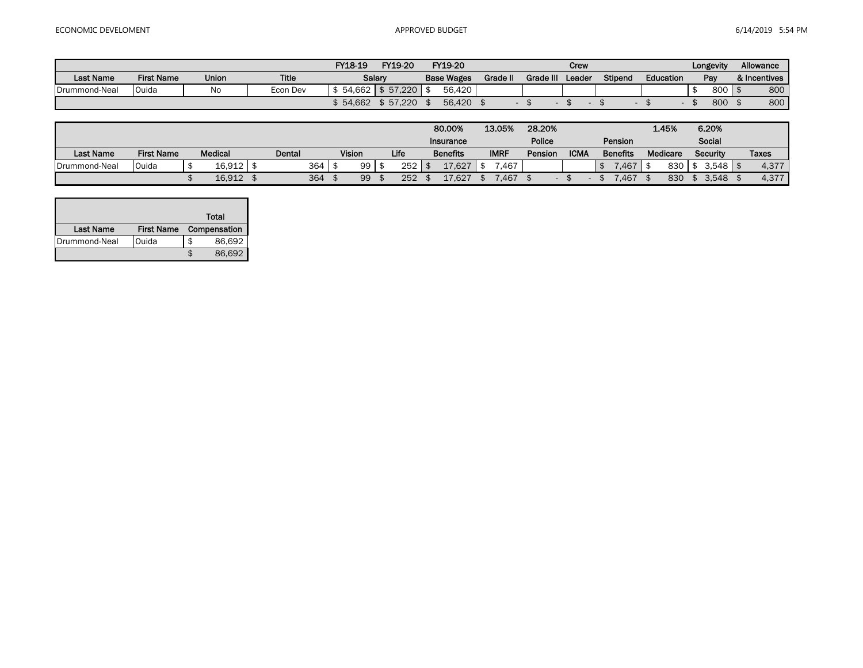|                  |                   |              |              | FY18-19 | FY19-20  | FY19-20           |          |           | Crew   |         |           | Longevity | Allowance      |     |
|------------------|-------------------|--------------|--------------|---------|----------|-------------------|----------|-----------|--------|---------|-----------|-----------|----------------|-----|
| <b>Last Name</b> | <b>First Name</b> | <b>Union</b> | <b>Title</b> |         | Salarv   | <b>Base Wages</b> | Grade II | Grade III | Leader | Stipend | Education | Pay       | & Incentives   |     |
| Drummond-Neal    | Ouida             | No           | Econ Dev     | 54.662  | \$57.220 | 56,420            |          |           |        |         |           | 800       | $\overline{9}$ | 800 |
|                  |                   |              |              | 54,662  | \$57.220 | 56,420            |          |           |        |         |           | 800       |                | 800 |

|                  |                   |         |        |     |               |      | 80.00%          | 13.05%      | 28.20%  |             |                 | 1.45%           |     | 6.20%        |              |
|------------------|-------------------|---------|--------|-----|---------------|------|-----------------|-------------|---------|-------------|-----------------|-----------------|-----|--------------|--------------|
|                  |                   |         |        |     |               |      | Insurance       |             | Police  |             | Pension         |                 |     | Social       |              |
| <b>Last Name</b> | <b>First Name</b> | Medical | Dental |     | <b>Vision</b> | Life | <b>Benefits</b> | <b>IMRF</b> | Pension | <b>ICMA</b> | <b>Benefits</b> | <b>Medicare</b> |     | Security     | <b>Taxes</b> |
| Drummond-Neal    | Ouida             | 16.912  |        | 364 | 99            | 252  | 17.627          | .467        |         |             | .467            |                 | 830 | $3.548$ \ \$ | 4,377        |
|                  |                   | 16,912  |        | 364 | 99            | 252  | 17.627          | .467        |         |             | .467            |                 | 830 | 3.548        | 4,377        |

|                  |                   |   | Total        |
|------------------|-------------------|---|--------------|
| <b>Last Name</b> | <b>First Name</b> |   | Compensation |
| IDrummond-Neal   | Ouida             | S | 86,692       |
|                  |                   |   | 86.692       |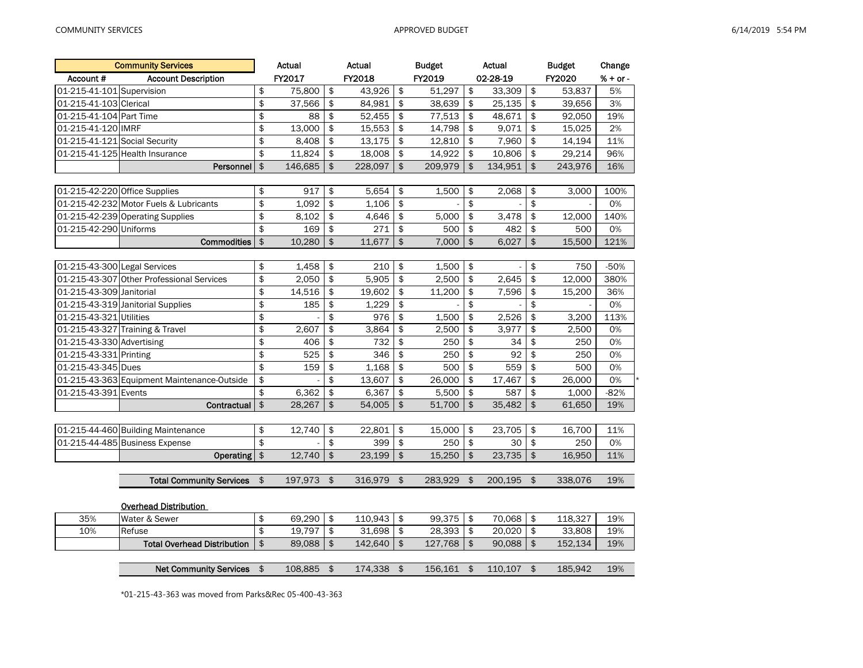|                               | <b>Community Services</b>                   |               | Actual  |                | Actual  | <b>Budget</b>    |                | Actual   |                         | <b>Budget</b> | Change     |
|-------------------------------|---------------------------------------------|---------------|---------|----------------|---------|------------------|----------------|----------|-------------------------|---------------|------------|
| Account #                     | <b>Account Description</b>                  |               | FY2017  |                | FY2018  | FY2019           |                | 02-28-19 |                         | FY2020        | $% + or -$ |
| 01-215-41-101 Supervision     |                                             | \$            | 75,800  | \$             | 43,926  | \$<br>51,297     | \$             | 33,309   | \$                      | 53.837        | 5%         |
| 01-215-41-103 Clerical        |                                             | \$            | 37,566  | \$             | 84,981  | \$<br>38,639     | \$             | 25,135   | \$                      | 39,656        | 3%         |
| 01-215-41-104 Part Time       |                                             | \$            | 88      | \$             | 52,455  | \$<br>77,513     | \$             | 48,671   | \$                      | 92,050        | 19%        |
| 01-215-41-120 IMRF            |                                             | \$            | 13,000  | \$             | 15,553  | \$<br>14,798     | \$             | 9,071    | \$                      | 15,025        | 2%         |
| 01-215-41-121 Social Security |                                             | \$            | 8,408   | \$             | 13,175  | \$<br>12,810     | \$             | 7,960    | \$                      | 14,194        | 11%        |
|                               | 01-215-41-125 Health Insurance              | \$            | 11,824  | \$             | 18,008  | \$<br>14,922     | \$             | 10,806   | \$                      | 29,214        | 96%        |
|                               | Personnel                                   | \$            | 146,685 | $\mathfrak{S}$ | 228,097 | \$<br>209,979    | \$             | 134,951  | \$                      | 243,976       | 16%        |
|                               |                                             |               |         |                |         |                  |                |          |                         |               |            |
| 01-215-42-220 Office Supplies |                                             | \$            | 917     | \$             | 5,654   | \$<br>1,500      | \$             | 2,068    | \$                      | 3,000         | 100%       |
|                               | 01-215-42-232 Motor Fuels & Lubricants      | $\frac{1}{2}$ | 1,092   | \$             | 1,106   | \$               | \$             |          | \$                      |               | 0%         |
|                               | 01-215-42-239 Operating Supplies            | \$            | 8,102   | \$             | 4,646   | \$<br>5,000      | \$             | 3,478    | \$                      | 12,000        | 140%       |
| 01-215-42-290 Uniforms        |                                             | \$            | 169     | \$             | 271     | \$<br>500        | \$             | 482      | \$                      | 500           | 0%         |
|                               | <b>Commodities</b>                          | \$            | 10,280  | \$             | 11,677  | \$<br>7,000      | \$             | 6,027    | \$                      | 15,500        | 121%       |
|                               |                                             |               |         |                |         |                  |                |          |                         |               |            |
| 01-215-43-300 Legal Services  |                                             | \$            | 1,458   | \$             | 210     | \$<br>1,500      | \$             |          | \$                      | 750           | $-50%$     |
|                               | 01-215-43-307 Other Professional Services   | \$            | 2,050   | \$             | 5,905   | \$<br>2,500      | \$             | 2,645    | \$                      | 12,000        | 380%       |
| 01-215-43-309 Janitorial      |                                             | \$            | 14,516  | \$             | 19,602  | \$<br>11,200     | \$             | 7,596    | \$                      | 15,200        | 36%        |
|                               | 01-215-43-319 Janitorial Supplies           | \$            | 185     | \$             | 1,229   | \$               | \$             |          | \$                      |               | 0%         |
| 01-215-43-321 Utilities       |                                             | \$            |         | \$             | 976     | \$<br>1,500      | \$             | 2,526    | \$                      | 3,200         | 113%       |
|                               | 01-215-43-327 Training & Travel             | \$            | 2,607   | \$             | 3,864   | \$<br>2,500      | \$             | 3,977    | \$                      | 2,500         | 0%         |
| 01-215-43-330 Advertising     |                                             | \$            | 406     | \$             | 732     | \$<br>250        | \$             | 34       | $\overline{\mathbf{S}}$ | 250           | 0%         |
| 01-215-43-331 Printing        |                                             | \$            | 525     | \$             | 346     | \$<br>250        | \$             | 92       | \$                      | 250           | 0%         |
| 01-215-43-345 Dues            |                                             | \$            | 159     | \$             | 1,168   | \$<br>500        | \$             | 559      | \$                      | 500           | 0%         |
|                               | 01-215-43-363 Equipment Maintenance-Outside | \$            |         | \$             | 13,607  | \$<br>26,000     | \$             | 17,467   | \$                      | 26,000        | 0%         |
| 01-215-43-391 Events          |                                             | \$            | 6,362   | \$             | 6,367   | \$<br>5,500      | \$             | 587      | \$                      | 1,000         | $-82%$     |
|                               | Contractual                                 | \$            | 28,267  | \$             | 54,005  | \$<br>51,700     | \$             | 35,482   | \$                      | 61,650        | 19%        |
|                               |                                             |               |         |                |         |                  |                |          |                         |               |            |
|                               | 01-215-44-460 Building Maintenance          | \$            | 12,740  | \$             | 22,801  | \$<br>15,000     | \$             | 23,705   | \$                      | 16,700        | 11%        |
|                               | 01-215-44-485 Business Expense              | \$            |         | \$             | 399     | \$<br>250        | \$             | 30       | \$                      | 250           | 0%         |
|                               | Operating                                   | \$            | 12,740  | \$             | 23,199  | \$<br>15,250     | $\mathfrak{L}$ | 23,735   | \$                      | 16,950        | 11%        |
|                               |                                             |               |         |                |         |                  |                |          |                         |               |            |
|                               | <b>Total Community Services</b>             | \$            | 197,973 | \$             | 316,979 | \$<br>283,929    | \$             | 200,195  | \$                      | 338,076       | 19%        |
|                               |                                             |               |         |                |         |                  |                |          |                         |               |            |
|                               | <b>Overhead Distribution</b>                |               |         |                |         |                  |                |          |                         |               |            |
| 35%                           | Water & Sewer                               | \$            | 69,290  | \$             | 110,943 | \$<br>99,375     | \$             | 70,068   | \$                      | 118,327       | 19%        |
| 10%                           | Refuse                                      | \$            | 19,797  | \$             | 31,698  | \$<br>28,393     | \$             | 20,020   | \$                      | 33,808        | 19%        |
|                               | <b>Total Overhead Distribution</b>          | \$            | 89,088  | \$             | 142,640 | \$<br>127,768    | \$             | 90,088   | \$                      | 152,134       | 19%        |
|                               |                                             |               |         |                |         |                  |                |          |                         |               |            |
|                               | Net Community Services \$                   |               | 108,885 | \$             | 174,338 | \$<br>156,161 \$ |                | 110,107  | \$                      | 185,942       | 19%        |

\*01-215-43-363 was moved from Parks&Rec 05-400-43-363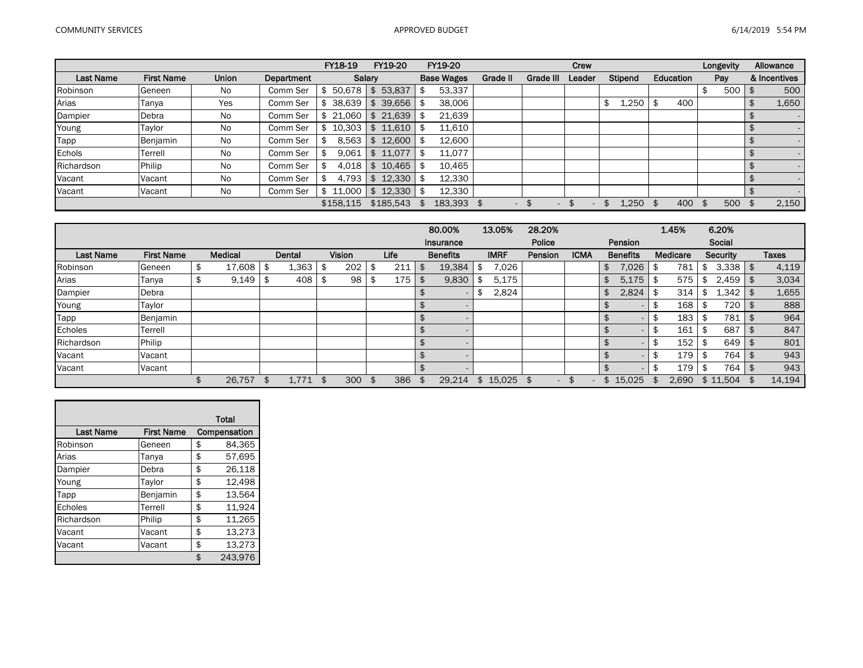|                  |                   |              |                   | FY18-19   | FY19-20               | FY19-20           |                          |           | Crew   |             |           | Longevity |     | Allowance    |       |
|------------------|-------------------|--------------|-------------------|-----------|-----------------------|-------------------|--------------------------|-----------|--------|-------------|-----------|-----------|-----|--------------|-------|
| <b>Last Name</b> | <b>First Name</b> | <b>Union</b> | <b>Department</b> | Salary    |                       | <b>Base Wages</b> | Grade II                 | Grade III | Leader | Stipend     | Education | Pay       |     | & Incentives |       |
| Robinson         | Geneen            | No           | Comm Ser          | \$50.678  | 53,837<br>$$^{\circ}$ | 53,337            |                          |           |        |             |           |           | 500 |              | 500   |
| Arias            | Tanya             | Yes          | Comm Ser          | \$38.639  | 39,656                | 38,006            |                          |           |        | 1,250<br>\$ | 400       |           |     |              | 1,650 |
| Dampier          | Debra             | <b>No</b>    | Comm Ser          | \$21,060  | 21,639<br>\$          | 21,639            |                          |           |        |             |           |           |     |              |       |
| Young            | Taylor            | No           | Comm Ser          | \$10.303  | 11,610<br>\$          | 11,610            |                          |           |        |             |           |           |     |              |       |
| Tapp             | Benjamin          | No           | Comm Ser          | 8.563     | 12,600<br>\$          | 12,600            |                          |           |        |             |           |           |     |              |       |
| Echols           | Terrell           | <b>No</b>    | Comm Ser          | 9.061     | 11,077<br>\$          | 11,077            |                          |           |        |             |           |           |     |              |       |
| Richardson       | Philip            | <b>No</b>    | Comm Ser          | 4.018     | 10.465<br>\$          | 10.465            |                          |           |        |             |           |           |     |              |       |
| Vacant           | Vacant            | <b>No</b>    | Comm Ser          | 4.793     | 12.330<br>\$          | 12,330            |                          |           |        |             |           |           |     |              |       |
| Vacant           | Vacant            | No           | Comm Ser          | \$11,000  | 12,330                | 12,330            |                          |           |        |             |           |           |     |              |       |
|                  |                   |              |                   | \$158.115 | \$185,543             | 183,393 \$        | $\overline{\phantom{0}}$ | $\sim$    |        | 1.250 \$    | 400       | -\$       | 500 |              | 2,150 |

|                  |                   |                |     |        |      |               |      | 80.00%          | 13.05%       | 28.20%                         |             |                 | 1.45%    |      | 6.20%        |      |              |
|------------------|-------------------|----------------|-----|--------|------|---------------|------|-----------------|--------------|--------------------------------|-------------|-----------------|----------|------|--------------|------|--------------|
|                  |                   |                |     |        |      |               |      | Insurance       |              | Police                         |             | Pension         |          |      | Social       |      |              |
| <b>Last Name</b> | <b>First Name</b> | <b>Medical</b> |     | Dental |      | <b>Vision</b> | Life | <b>Benefits</b> | <b>IMRF</b>  | Pension                        | <b>ICMA</b> | <b>Benefits</b> | Medicare |      | Security     |      | <b>Taxes</b> |
| Robinson         | Geneen            | \$<br>17.608   |     | 1,363  |      | 202           | 211  | 19,384          | 7.026        |                                |             | \$<br>7,026     | 781      | \$   | $3,338$   \$ |      | 4,119        |
| Arias            | Tanya             | \$<br>9,149    |     | 408    | - \$ | 98            | 175  | \$<br>9,830     | 5,175        |                                |             | \$<br>5,175     | 575      |      | 2,459        | l \$ | 3,034        |
| Dampier          | Debra             |                |     |        |      |               |      |                 | 2,824        |                                |             | 2,824           | 314      | -S   | 1,342        |      | 1,655        |
| Young            | Taylor            |                |     |        |      |               |      |                 |              |                                |             |                 | 168      |      | 720          |      | 888          |
| Tapp             | Benjamin          |                |     |        |      |               |      |                 |              |                                |             |                 | 183      |      | 781          |      | 964          |
| Echoles          | Terrell           |                |     |        |      |               |      |                 |              |                                |             |                 | 161      |      | 687          |      | 847          |
| Richardson       | Philip            |                |     |        |      |               |      |                 |              |                                |             |                 | 152      |      | 649          |      | 801          |
| Vacant           | Vacant            |                |     |        |      |               |      |                 |              |                                |             | $\sim$          | 179 I    | - SS | 764          |      | 943          |
| Vacant           | Vacant            |                |     |        |      |               |      |                 |              |                                |             |                 | 179      |      | 764          |      | 943          |
|                  |                   | 26,757         | \$. | 1,771  | \$   | 300           | 386  | 29,214          | \$<br>15,025 | \$<br>$\overline{\phantom{0}}$ |             | \$15,025        | 2,690    |      | \$11,504     |      | 14,194       |

|                  |                   | <b>Total</b>  |
|------------------|-------------------|---------------|
| <b>Last Name</b> | <b>First Name</b> | Compensation  |
| Robinson         | Geneen            | \$<br>84,365  |
| Arias            | Tanya             | \$<br>57,695  |
| Dampier          | Debra             | \$<br>26,118  |
| Young            | Taylor            | \$<br>12,498  |
| Tapp             | Benjamin          | \$<br>13,564  |
| Echoles          | Terrell           | \$<br>11,924  |
| Richardson       | Philip            | \$<br>11.265  |
| Vacant           | Vacant            | \$<br>13.273  |
| Vacant           | Vacant            | \$<br>13,273  |
|                  |                   | \$<br>243.976 |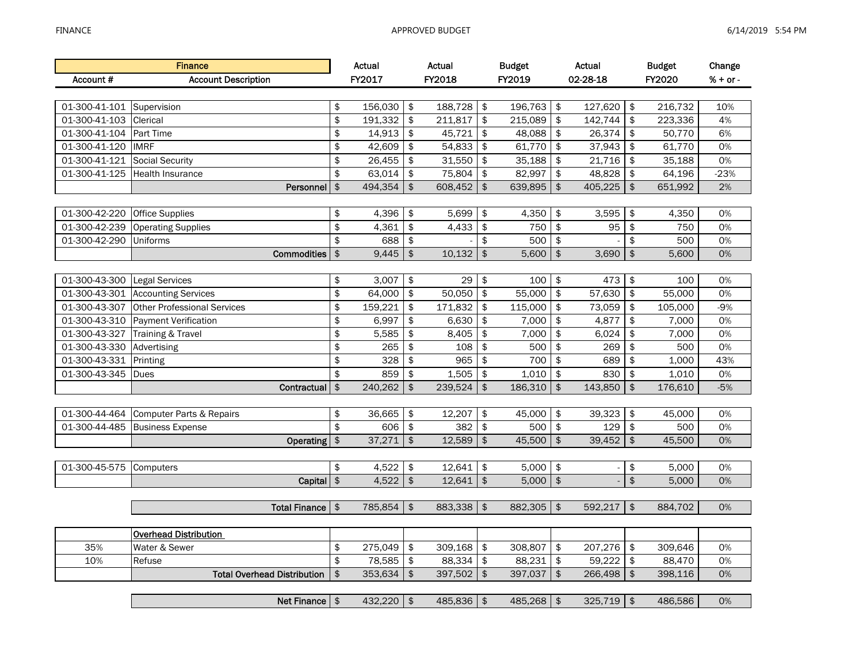|               | <b>Finance</b>                     |                     | Actual       |               | Actual     |               | <b>Budget</b> |               | Actual            |                           | <b>Budget</b> | Change     |
|---------------|------------------------------------|---------------------|--------------|---------------|------------|---------------|---------------|---------------|-------------------|---------------------------|---------------|------------|
| Account#      | <b>Account Description</b>         |                     | FY2017       |               | FY2018     |               | <b>FY2019</b> |               | 02-28-18          |                           | FY2020        | $% + or -$ |
|               |                                    |                     |              |               |            |               |               |               |                   |                           |               |            |
| 01-300-41-101 | Supervision                        | \$                  | 156,030      | \$            | 188,728    | \$            | 196,763       | \$            | 127,620           | \$                        | 216,732       | 10%        |
| 01-300-41-103 | Clerical                           | \$                  | 191,332      | \$            | 211,817    | \$            | 215,089       | \$            | 142,744           | \$                        | 223,336       | 4%         |
| 01-300-41-104 | Part Time                          | \$                  | 14,913       | \$            | 45,721     | \$            | 48,088        | \$            | 26,374            | $\frac{1}{2}$             | 50,770        | 6%         |
| 01-300-41-120 | <b>IMRF</b>                        | \$                  | 42,609       | \$            | 54,833     | \$            | 61,770        | \$            | 37,943            | \$                        | 61,770        | 0%         |
| 01-300-41-121 | Social Security                    | \$                  | 26,455       | \$            | 31,550     | \$            | 35,188        | \$            | 21,716            | \$                        | 35,188        | 0%         |
| 01-300-41-125 | <b>Health Insurance</b>            | \$                  | 63,014       | \$            | 75,804     | \$            | 82,997        | \$            | 48,828            | $\frac{1}{2}$             | 64,196        | $-23%$     |
|               | Personnel                          | $$\mathfrak{F}$$    | 494,354      | \$            | 608,452    | $\frac{1}{2}$ | 639,895       | $\frac{1}{2}$ | 405,225           | $\boldsymbol{\mathsf{s}}$ | 651,992       | 2%         |
|               |                                    |                     |              |               |            |               |               |               |                   |                           |               |            |
| 01-300-42-220 | <b>Office Supplies</b>             | \$                  | 4,396        | \$            | 5,699      | \$            | 4,350         | \$            | 3,595             | \$                        | 4,350         | 0%         |
| 01-300-42-239 | <b>Operating Supplies</b>          | \$                  | 4,361        | \$            | 4,433      | $\,$          | 750           | \$            | 95                | \$                        | 750           | 0%         |
| 01-300-42-290 | Uniforms                           | \$                  | 688          | \$            |            | \$            | 500           | \$            |                   | \$                        | 500           | 0%         |
|               | Commodities                        | $\pmb{\$}$          | 9,445        | $\,$          | 10,132     | $\,$          | 5,600         | $\,$          | 3,690             | $\frac{1}{2}$             | 5,600         | 0%         |
|               |                                    |                     |              |               |            |               |               |               |                   |                           |               |            |
| 01-300-43-300 | <b>Legal Services</b>              | \$                  | 3,007        | \$            | 29         | \$            | 100           | \$            | 473               | $\frac{1}{2}$             | 100           | 0%         |
| 01-300-43-301 | <b>Accounting Services</b>         | \$                  | 64,000       | \$            | 50,050     | \$            | 55,000        | \$            | 57,630            | \$                        | 55,000        | 0%         |
| 01-300-43-307 | <b>Other Professional Services</b> | \$                  | 159,221      | \$            | 171,832    | \$            | 115,000       | \$            | 73,059            | \$                        | 105,000       | $-9%$      |
| 01-300-43-310 | Payment Verification               | \$                  | 6,997        | \$            | 6,630      | \$            | 7,000         | \$            | 4,877             | \$                        | 7,000         | 0%         |
| 01-300-43-327 | Training & Travel                  | \$                  | 5,585        | \$            | 8,405      | \$            | 7,000         | \$            | 6,024             | \$                        | 7,000         | 0%         |
| 01-300-43-330 | Advertising                        | \$                  | 265          | \$            | 108        | \$            | 500           | \$            | 269               | \$                        | 500           | 0%         |
| 01-300-43-331 | Printing                           | \$                  | 328          | \$            | 965        | \$            | 700           | \$            | 689               | \$                        | 1,000         | 43%        |
| 01-300-43-345 | Dues                               | \$                  | 859          | \$            | 1,505      | \$            | 1,010         | \$            | 830               | \$                        | 1,010         | 0%         |
|               | Contractual                        | $\frac{1}{2}$       | 240,262      | \$            | 239,524    | $\frac{1}{2}$ | 186,310       | $\frac{1}{2}$ | 143,850           | $\frac{1}{2}$             | 176,610       | $-5%$      |
|               |                                    |                     |              |               |            |               |               |               |                   |                           |               |            |
| 01-300-44-464 | Computer Parts & Repairs           | \$                  | 36,665       | \$            | 12,207     | \$            | 45,000        | \$            | 39,323            | \$                        | 45,000        | 0%         |
| 01-300-44-485 | <b>Business Expense</b>            | \$                  | 606          | $\frac{1}{2}$ | 382        | \$            | 500           | \$            | 129               | \$                        | 500           | 0%         |
|               | <b>Operating</b>                   | $\pmb{\$}$          | 37,271       | \$            | 12,589     | $\,$          | 45,500        | \$            | 39,452            | \$                        | 45,500        | 0%         |
|               |                                    |                     |              |               |            |               |               |               |                   |                           |               |            |
| 01-300-45-575 | Computers                          | \$                  | 4,522        | \$            | 12,641     | \$            | 5,000         | $\frac{1}{2}$ |                   | \$                        | 5,000         | 0%         |
|               | Capital \$                         |                     | 4,522        | $\frac{1}{2}$ | 12,641     | $\frac{1}{2}$ | 5,000         | $\,$          |                   | \$                        | 5,000         | 0%         |
|               |                                    |                     |              |               |            |               |               |               |                   |                           |               |            |
|               | Total Finance   \$                 |                     | 785,854      | \$            | 883,338    | \$            | 882,305       | $\frac{1}{2}$ | 592,217           | $\frac{1}{2}$             | 884,702       | 0%         |
|               |                                    |                     |              |               |            |               |               |               |                   |                           |               |            |
|               | <b>Overhead Distribution</b>       |                     |              |               |            |               |               |               |                   |                           |               |            |
| 35%           | Water & Sewer                      | \$                  | 275,049      | \$            | 309,168    | \$            | 308,807       | \$            | 207,276<br>59,222 | \$                        | 309,646       | 0%         |
| 10%           | Refuse                             | \$<br>$\frac{1}{2}$ | 78,585       | \$            | 88,334     | \$            | 88,231        | \$            |                   | \$                        | 88,470        | 0%         |
|               | <b>Total Overhead Distribution</b> |                     | 353,634      | \$            | 397,502    | $\frac{1}{2}$ | 397,037       | $\,$          | 266,498           | $\frac{1}{2}$             | 398,116       | 0%         |
|               | Net Finance $\frac{1}{2}$          |                     | $432,220$ \$ |               | 485,836 \$ |               | $485,268$ \$  |               | $325,719$ \$      |                           | 486,586       | 0%         |
|               |                                    |                     |              |               |            |               |               |               |                   |                           |               |            |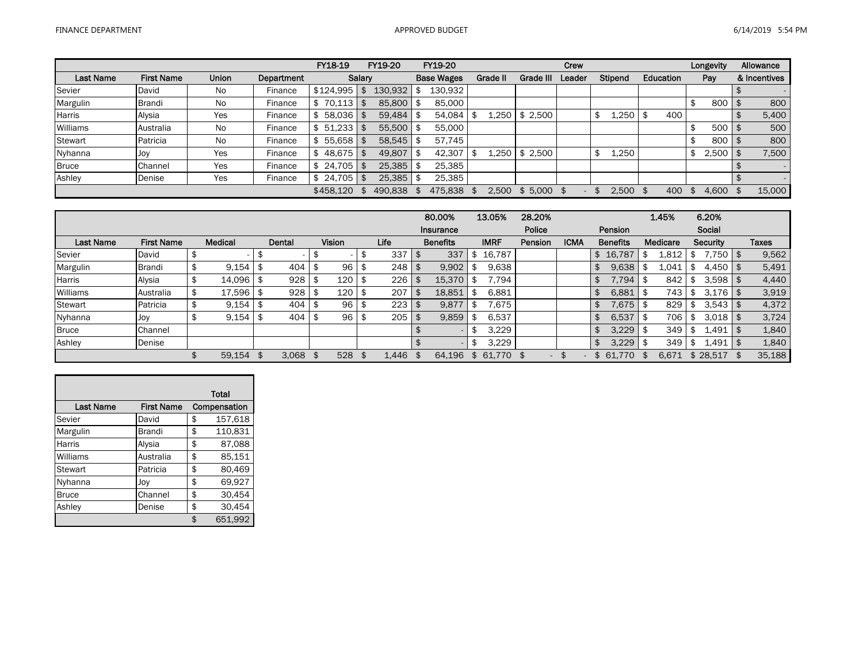|                  |                   |       |            | FY18-19   |        | FY19-20 | FY19-20           |          |           | Crew   |         |           | Longevity          | Allowance    |
|------------------|-------------------|-------|------------|-----------|--------|---------|-------------------|----------|-----------|--------|---------|-----------|--------------------|--------------|
| <b>Last Name</b> | <b>First Name</b> | Union | Department |           | Salary |         | <b>Base Wages</b> | Grade II | Grade III | Leader | Stipend | Education | Pay                | & Incentives |
| Sevier           | David             | No    | Finance    | \$124,995 | l \$   | 130,932 | 130,932           |          |           |        |         |           |                    |              |
| Margulin         | <b>Brandi</b>     | No    | Finance    | 70.113    |        | 85,800  | 85,000            |          |           |        |         |           | \$<br>800 l        | 800          |
| Harris           | Alysia            | Yes   | Finance    | 58.036    | l \$   | 59.484  | 54.084            | 1.250    | \$2,500   |        | 1,250   | 400       |                    | 5,400        |
| Williams         | Australia         | No    | Finance    | 51.233    |        | 55,500  | 55,000            |          |           |        |         |           | \$<br>$500$ \ \$   | 500          |
| Stewart          | Patricia          | No    | Finance    | 55.658    | l SS   | 58,545  | 57.745            |          |           |        |         |           | \$<br>800          | 800          |
| Nyhanna          | Joy               | Yes   | Finance    | 48,675    | l \$   | 49.807  | 42,307            | 1.250    | \$2,500   |        | 1,250   |           | \$<br>$2,500$   \$ | 7,500        |
| <b>Bruce</b>     | Channel           | Yes   | Finance    | 24.705    | - \$   | 25,385  | 25.385            |          |           |        |         |           |                    | $\sim$       |
| Ashley           | Denise            | Yes   | Finance    | 24.705    | - \$   | 25.385  | 25,385            |          |           |        |         |           |                    |              |
|                  |                   |       |            | \$458.120 |        | 490,838 | 475,838           | 2.500    | \$5,000   |        | 2.500   | 400       | 4.600              | 15,000       |

|                  |                   |                 |      |        |     |               |       | 80.00%          | 13.05%       | 28.20%                          |             |    |                 | 1.45%    | 6.20%              |        |
|------------------|-------------------|-----------------|------|--------|-----|---------------|-------|-----------------|--------------|---------------------------------|-------------|----|-----------------|----------|--------------------|--------|
|                  |                   |                 |      |        |     |               |       | Insurance       |              | Police                          |             |    | Pension         |          | Social             |        |
| <b>Last Name</b> | <b>First Name</b> | <b>Medical</b>  |      | Dental |     | <b>Vision</b> | Life  | <b>Benefits</b> | <b>IMRF</b>  | Pension                         | <b>ICMA</b> |    | <b>Benefits</b> | Medicare | Security           | Taxes  |
| Sevier           | David             |                 |      |        |     |               | 337   | 337             | 16,787       |                                 |             | \$ | 16,787          | 1,812    | $7,750$ \$         | 9,562  |
| Margulin         | Brandi            | \$<br>9,154     | ъ    | 404    |     | 96            | 248   | 9,902           | 9,638        |                                 |             |    | 9,638           | 1,041    | $4,450$   \$       | 5,491  |
| <b>Harris</b>    | Alysia            | \$<br>14,096 \$ |      | 928    | \$  | 120           | 226   | 15,370          | 7,794        |                                 |             |    | 7,794           | 842      | $3.598$   \$       | 4,440  |
| Williams         | Australia         | \$<br>17.596    | -\$  | 928    |     | 120           | 207   | 18,851          | 6,881        |                                 |             |    | 6,881           | 743      | $3,176$ \$         | 3,919  |
| <b>Stewart</b>   | Patricia          | 9,154           |      | 404    | -\$ | 96            | 223   | 9,877           | .675         |                                 |             |    | 7,675           | 829      | $3,543$ \$         | 4,372  |
| Nyhanna          | Joy               | 9,154           | - \$ | 404    | -\$ | 96            | 205   | 9,859           | 6,537        |                                 |             |    | 6,537           | 706      | \$<br>$3.018$   \$ | 3,724  |
| <b>Bruce</b>     | Channel           |                 |      |        |     |               |       |                 | 3,229        |                                 |             | £. | 3,229           | 349      | 1.491              | 1,840  |
| Ashley           | Denise            |                 |      |        |     |               |       |                 | 3,229        |                                 |             | £. | 3.229           | 349      | 1.491              | 1,840  |
|                  |                   | 59.154          |      | 3,068  |     | 528           | 1.446 | 64.196          | \$<br>61,770 | - S<br>$\overline{\phantom{a}}$ |             |    | 61.770          | 6,671    | \$28.517           | 35,188 |

|                  |                   | Total         |
|------------------|-------------------|---------------|
| <b>Last Name</b> | <b>First Name</b> | Compensation  |
| Sevier           | David             | \$<br>157,618 |
| Margulin         | <b>Brandi</b>     | \$<br>110,831 |
| <b>Harris</b>    | Alysia            | \$<br>87,088  |
| Williams         | Australia         | \$<br>85,151  |
| Stewart          | Patricia          | \$<br>80,469  |
| Nyhanna          | Jov               | \$<br>69,927  |
| <b>Bruce</b>     | Channel           | \$<br>30,454  |
| Ashley           | Denise            | \$<br>30,454  |
|                  |                   | \$<br>651.992 |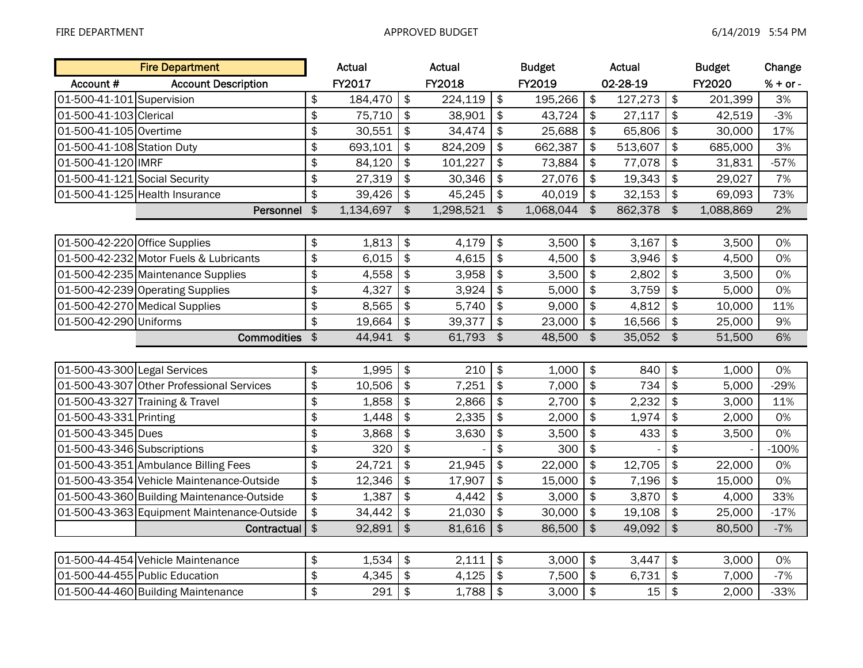|                               | <b>Fire Department</b>                      |                        | Actual    |               | Actual       |               | <b>Budget</b> |                           | Actual   |                         | <b>Budget</b> | Change     |
|-------------------------------|---------------------------------------------|------------------------|-----------|---------------|--------------|---------------|---------------|---------------------------|----------|-------------------------|---------------|------------|
| Account #                     | <b>Account Description</b>                  |                        | FY2017    |               | FY2018       |               | FY2019        |                           | 02-28-19 |                         | FY2020        | $% + or -$ |
| 01-500-41-101 Supervision     |                                             | $\frac{1}{2}$          | 184,470   | \$            | 224,119      | \$            | 195,266       | $\frac{1}{2}$             | 127,273  | $\frac{1}{2}$           | 201,399       | 3%         |
| 01-500-41-103 Clerical        |                                             | $\frac{1}{2}$          | 75,710    | \$            | 38,901       | \$            | 43,724        | $\boldsymbol{\hat{\phi}}$ | 27,117   | $\frac{1}{2}$           | 42,519        | $-3%$      |
| 01-500-41-105 Overtime        |                                             | $\frac{1}{2}$          | 30,551    | \$            | 34,474       | \$            | 25,688        | $\frac{1}{2}$             | 65,806   | $\overline{\bullet}$    | 30,000        | 17%        |
| 01-500-41-108 Station Duty    |                                             | \$                     | 693,101   | \$            | 824,209      | \$            | 662,387       | $\frac{1}{2}$             | 513,607  | $\frac{1}{2}$           | 685,000       | 3%         |
| 01-500-41-120 IMRF            |                                             | \$                     | 84,120    | \$            | 101,227      | \$            | 73,884        | $\frac{1}{2}$             | 77,078   | $\frac{1}{2}$           | 31,831        | $-57%$     |
| 01-500-41-121 Social Security |                                             | \$                     | 27,319    | \$            | 30,346       | \$            | 27,076        | $\frac{1}{2}$             | 19,343   | $\frac{1}{2}$           | 29,027        | 7%         |
|                               | 01-500-41-125 Health Insurance              | $\frac{1}{2}$          | 39,426    | \$            | 45,245       | \$            | 40,019        | $\frac{1}{2}$             | 32,153   | $\frac{1}{2}$           | 69,093        | 73%        |
|                               | Personnel \$                                |                        | 1,134,697 | \$            | 1,298,521 \$ |               | 1,068,044     | \$                        | 862,378  | $\frac{1}{2}$           | 1,088,869     | 2%         |
|                               |                                             |                        |           |               |              |               |               |                           |          |                         |               |            |
| 01-500-42-220 Office Supplies |                                             | \$                     | 1,813     | \$            | 4,179        | \$            | 3,500         | $\sqrt[6]{2}$             | 3,167    | $\frac{1}{2}$           | 3,500         | 0%         |
|                               | 01-500-42-232 Motor Fuels & Lubricants      | \$                     | 6,015     | \$            | 4,615        | \$            | 4,500         | $\frac{1}{2}$             | 3,946    | $\frac{1}{2}$           | 4,500         | 0%         |
|                               | 01-500-42-235 Maintenance Supplies          | $\frac{1}{2}$          | 4,558     | \$            | 3,958        | \$            | 3,500         | $\frac{1}{2}$             | 2,802    | $\frac{1}{2}$           | 3,500         | 0%         |
|                               | 01-500-42-239 Operating Supplies            | \$                     | 4,327     | \$            | 3,924        | \$            | 5,000         | $\boldsymbol{\hat{\phi}}$ | 3,759    | $\frac{1}{2}$           | 5,000         | 0%         |
|                               | 01-500-42-270 Medical Supplies              | \$                     | 8,565     | \$            | 5,740        | \$            | 9,000         | $\frac{1}{2}$             | 4,812    | $\frac{1}{2}$           | 10,000        | 11%        |
| 01-500-42-290 Uniforms        |                                             | \$                     | 19,664    | \$            | 39,377       | \$            | 23,000        | $\frac{1}{2}$             | 16,566   | $\frac{1}{2}$           | 25,000        | 9%         |
|                               | <b>Commodities</b>                          | $\frac{1}{2}$          | 44,941    | $\frac{1}{2}$ | 61,793       | $\frac{1}{2}$ | 48,500        | $\frac{1}{2}$             | 35,052   | $\frac{1}{2}$           | 51,500        | 6%         |
|                               |                                             |                        |           |               |              |               |               |                           |          |                         |               |            |
| 01-500-43-300 Legal Services  |                                             | \$                     | 1,995     | \$            | 210          | \$            | 1,000         | $\boldsymbol{\hat{\phi}}$ | 840      | $\frac{1}{2}$           | 1,000         | 0%         |
|                               | 01-500-43-307 Other Professional Services   | \$                     | 10,506    | \$            | 7,251        | \$            | 7,000         | $\frac{1}{2}$             | 734      | $\frac{1}{2}$           | 5,000         | $-29%$     |
|                               | 01-500-43-327 Training & Travel             | \$                     | 1,858     | \$            | 2,866        | \$            | 2,700         | $\boldsymbol{\hat{\phi}}$ | 2,232    | $\frac{1}{2}$           | 3,000         | 11%        |
| 01-500-43-331 Printing        |                                             | $\frac{1}{2}$          | 1,448     | \$            | 2,335        | \$            | 2,000         | $\frac{1}{2}$             | 1,974    | $\frac{1}{2}$           | 2,000         | 0%         |
| 01-500-43-345 Dues            |                                             | \$                     | 3,868     | \$            | 3,630        | \$            | 3,500         | $\frac{1}{2}$             | 433      | $\frac{1}{2}$           | 3,500         | 0%         |
| 01-500-43-346 Subscriptions   |                                             | \$                     | 320       | \$            |              | \$            | 300           | $\frac{1}{2}$             |          | \$                      |               | $-100%$    |
|                               | 01-500-43-351 Ambulance Billing Fees        | $\ddot{\bm{\epsilon}}$ | 24,721    | \$            | 21,945       | \$            | 22,000        | $\frac{1}{2}$             | 12,705   | $\overline{\mathbf{e}}$ | 22,000        | 0%         |
|                               | 01-500-43-354 Vehicle Maintenance-Outside   | \$                     | 12,346    | \$            | 17,907       | \$            | 15,000        | $\frac{1}{2}$             | 7,196    | $\frac{1}{2}$           | 15,000        | 0%         |
|                               | 01-500-43-360 Building Maintenance-Outside  | $\frac{1}{2}$          | 1,387     | \$            | 4,442        | \$            | 3,000         | $\frac{1}{2}$             | 3,870    | $\boldsymbol{\hat{z}}$  | 4,000         | 33%        |
|                               | 01-500-43-363 Equipment Maintenance-Outside | \$                     | 34,442    | \$            | 21,030       | \$            | 30,000        | $\frac{1}{2}$             | 19,108   | $\frac{1}{2}$           | 25,000        | $-17%$     |
|                               | Contractual                                 | $\frac{1}{2}$          | 92,891    | $\frac{1}{2}$ | 81,616       | \$            | 86,500        | $\sqrt[6]{\frac{1}{2}}$   | 49,092   | $\sqrt{2}$              | 80,500        | $-7%$      |
|                               |                                             |                        |           |               |              |               |               |                           |          |                         |               |            |
|                               | 01-500-44-454 Vehicle Maintenance           | \$                     | 1,534     | \$            | 2,111        | \$            | 3,000         | $\frac{1}{2}$             | 3,447    | \$                      | 3,000         | 0%         |
|                               | 01-500-44-455 Public Education              | \$                     | 4,345     | \$            | 4,125        | \$            | 7,500         | $\frac{1}{2}$             | 6,731    | $\frac{1}{2}$           | 7,000         | $-7%$      |
|                               | 01-500-44-460 Building Maintenance          | $\frac{1}{2}$          | 291       | \$            | 1,788        | \$            | 3,000         | $\frac{1}{2}$             | 15       | $\frac{1}{2}$           | 2,000         | $-33%$     |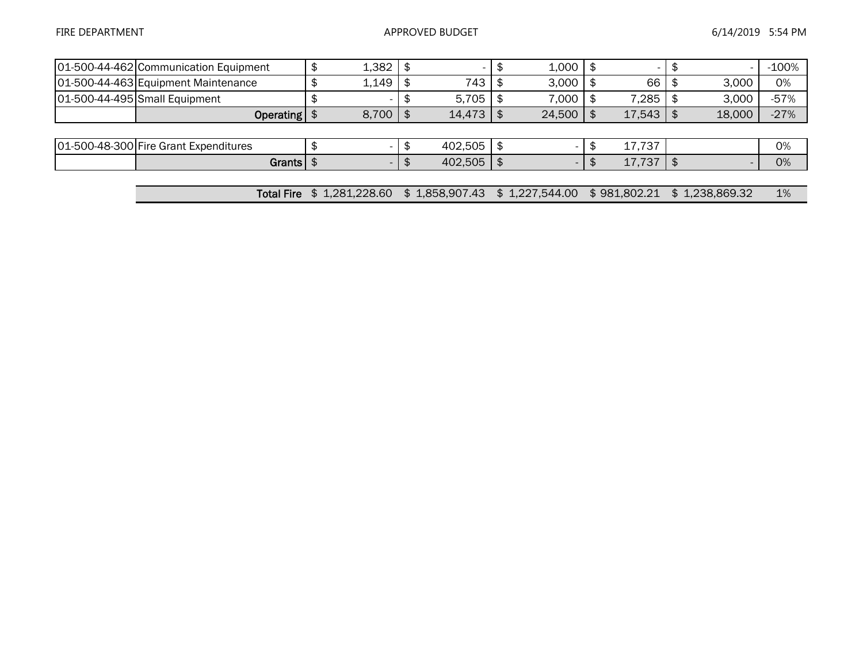| 01-500-44-462 Communication Equipment | 1,382          |     |                | 1,000          |              |                | $-100%$ |
|---------------------------------------|----------------|-----|----------------|----------------|--------------|----------------|---------|
| 01-500-44-463 Equipment Maintenance   | 1,149          |     | 743            | 3,000          | 66           | 3,000          | 0%      |
| 01-500-44-495 Small Equipment         |                | £   | 5.705          | 7,000          | 7,285        | 3,000          | $-57%$  |
| Operating $\frac{1}{2}$               | 8,700          |     | 14,473         | 24,500         | 17,543       | 18,000         | $-27%$  |
|                                       |                |     |                |                |              |                |         |
| 01-500-48-300 Fire Grant Expenditures | $\sim$         | D   | 402,505        |                | 17,737       |                | 0%      |
| Grants $\frac{1}{2}$                  | - 1            | \$. | 402,505        |                | 17,737       |                | 0%      |
|                                       |                |     |                |                |              |                |         |
| <b>Total Fire</b>                     | \$1,281,228.60 |     | \$1,858,907.43 | \$1,227,544.00 | \$981,802.21 | \$1,238,869.32 | 1%      |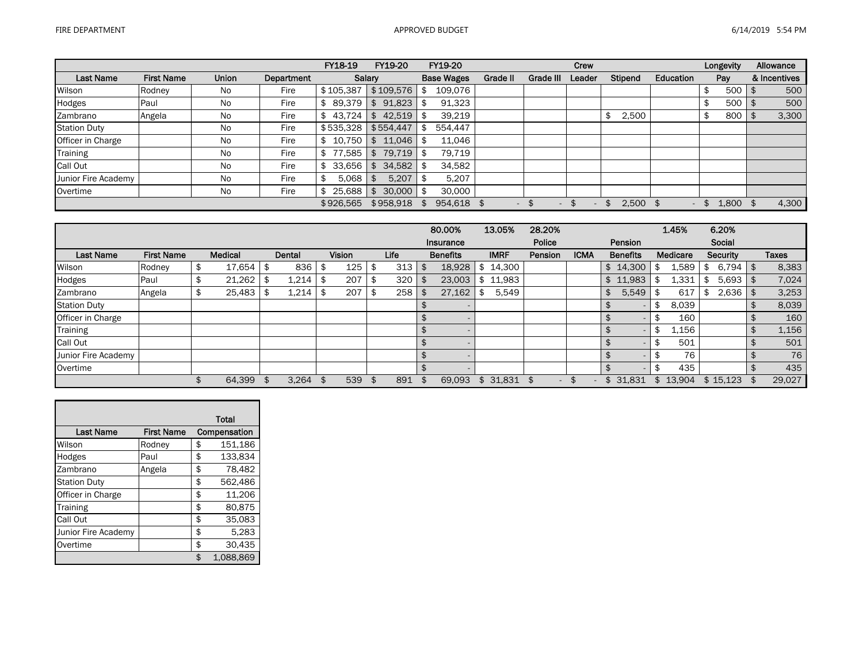|                     |                   |              |            | FY18-19     | FY19-20        | FY19-20           |          |                  | Crew   |             |                          | Longevity   | Allowance    |
|---------------------|-------------------|--------------|------------|-------------|----------------|-------------------|----------|------------------|--------|-------------|--------------------------|-------------|--------------|
| <b>Last Name</b>    | <b>First Name</b> | <b>Union</b> | Department | Salary      |                | <b>Base Wages</b> | Grade II | <b>Grade III</b> | Leader | Stipend     | Education                | Pay         | & Incentives |
| Wilson              | Rodney            | No.          | Fire       | \$105,387   | \$109.576      | 109,076           |          |                  |        |             |                          | 500         | 500          |
| Hodges              | Paul              | No           | Fire       | 89.379      | 91,823<br>\$   | 91,323            |          |                  |        |             |                          | 500         | 500          |
| Zambrano            | Angela            | No           | Fire       | 43.724      | 42,519<br>\$   | 39,219            |          |                  |        | 2,500<br>\$ |                          | 800         | 3,300        |
| <b>Station Duty</b> |                   | No           | Fire       | \$535,328   | \$554,447      | 554,447           |          |                  |        |             |                          |             |              |
| Officer in Charge   |                   | No           | Fire       | 10.750      | 11,046<br>\$   | 11.046            |          |                  |        |             |                          |             |              |
| <b>Training</b>     |                   | No           | Fire       | 77.585      | 79,719         | 79.719            |          |                  |        |             |                          |             |              |
| Call Out            |                   | No           | Fire       | 33.656      | 34,582<br>\$   | 34.582            |          |                  |        |             |                          |             |              |
| Junior Fire Academy |                   | <b>No</b>    | Fire       | 5.068<br>\$ | 5,207<br>\$    | 5,207             |          |                  |        |             |                          |             |              |
| Overtime            |                   | No           | Fire       | 25.688      | 30,000<br>l \$ | 30,000            |          |                  |        |             |                          |             |              |
|                     |                   |              |            | \$926.565   | \$958,918      | 954,618 \$        |          | £.               |        | 2.500       | $\overline{\phantom{0}}$ | \$<br>1.800 | 4,300        |

|                     |                   |                |           |               |     |      | 80.00%          | 13.05%      | 28.20%        |             |                 | 1.45%    |    | 6.20%        |              |
|---------------------|-------------------|----------------|-----------|---------------|-----|------|-----------------|-------------|---------------|-------------|-----------------|----------|----|--------------|--------------|
|                     |                   |                |           |               |     |      | Insurance       |             | Police        |             | Pension         |          |    | Social       |              |
| <b>Last Name</b>    | <b>First Name</b> | <b>Medical</b> | Dental    | <b>Vision</b> |     | Life | <b>Benefits</b> | <b>IMRF</b> | Pension       | <b>ICMA</b> | <b>Benefits</b> | Medicare |    | Security     | <b>Taxes</b> |
| Wilson              | Rodney            | \$<br>17.654   | \$<br>836 | 125           |     | 313  | 18,928          | 14,300      |               |             | \$14,300        | 1,589    | \$ | $6,794$ \ \$ | 8,383        |
| Hodges              | Paul              | \$<br>21,262   | 1,214     | 207           |     | 320  | 23,003          | 11,983      |               |             | \$11,983        | 1,331    |    | $5,693$   \$ | 7,024        |
| Zambrano            | Angela            | 25,483         | 1,214     | 207           |     | 258  | 27,162          | 5,549       |               |             | 5,549<br>\$     | 617      | S  | $2,636$   \$ | 3,253        |
| <b>Station Duty</b> |                   |                |           |               |     |      |                 |             |               |             |                 | 8,039    |    |              | 8,039        |
| Officer in Charge   |                   |                |           |               |     |      |                 |             |               |             |                 | 160      |    |              | 160          |
| Training            |                   |                |           |               |     |      |                 |             |               |             |                 | 1,156    |    |              | 1,156        |
| Call Out            |                   |                |           |               |     |      |                 |             |               |             |                 | 501      |    |              | 501          |
| Junior Fire Academy |                   |                |           |               |     |      |                 |             |               |             |                 | 76       |    |              | 76           |
| Overtime            |                   |                |           |               |     |      |                 |             |               |             |                 | 435      |    |              | 435          |
|                     |                   | 64,399         | 3,264     | 539           | -96 | 891  | 69,093          | \$31,831    | \$.<br>$\sim$ |             | 31,831<br>\$    | \$13.904 |    | \$15,123     | 29,027       |

|                     |                   | <b>Total</b>    |
|---------------------|-------------------|-----------------|
| <b>Last Name</b>    | <b>First Name</b> | Compensation    |
| Wilson              | Rodney            | \$<br>151,186   |
| Hodges              | Paul              | \$<br>133.834   |
| Zambrano            | Angela            | \$<br>78,482    |
| <b>Station Duty</b> |                   | \$<br>562,486   |
| Officer in Charge   |                   | \$<br>11.206    |
| Training            |                   | \$<br>80.875    |
| Call Out            |                   | \$<br>35,083    |
| Junior Fire Academy |                   | \$<br>5,283     |
| Overtime            |                   | \$<br>30,435    |
|                     |                   | \$<br>1,088,869 |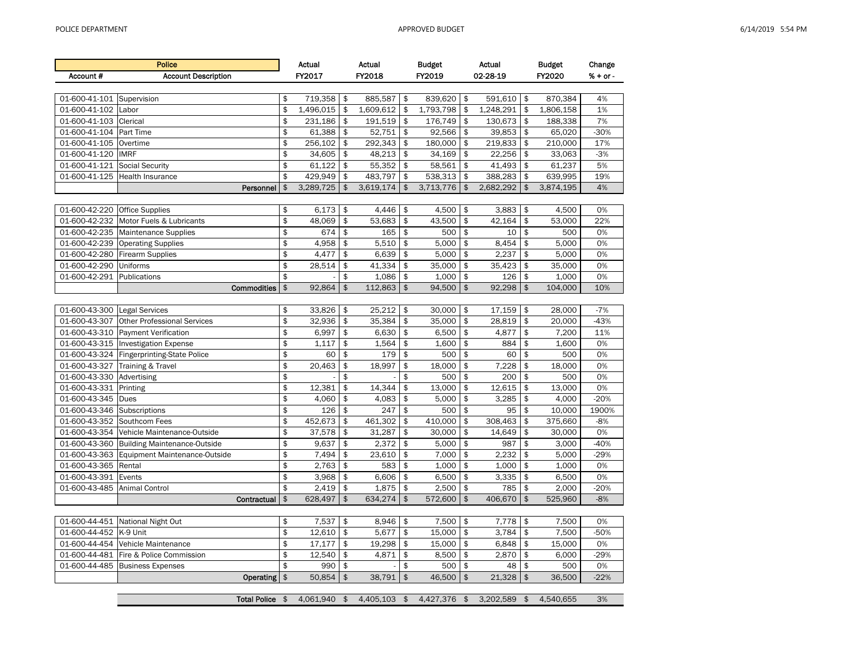| 01-600-41-101                | Supervision                                 | \$            | 719,358      | \$             | 885,587                  | \$<br>839,620   | \$             | 591,610   | \$             | 870,384   | 4%     |
|------------------------------|---------------------------------------------|---------------|--------------|----------------|--------------------------|-----------------|----------------|-----------|----------------|-----------|--------|
| 01-600-41-102                | Labor                                       | \$            | 1,496,015    | \$             | 1,609,612                | \$<br>1,793,798 | \$             | 1,248,291 | \$             | 1,806,158 | 1%     |
| 01-600-41-103 Clerical       |                                             | \$            | 231,186      | \$             | 191,519                  | \$<br>176,749   | \$             | 130,673   | \$             | 188,338   | 7%     |
| 01-600-41-104                | Part Time                                   | \$            | 61,388       | \$             | 52,751                   | \$<br>92,566    | \$             | 39,853    | \$             | 65,020    | $-30%$ |
| 01-600-41-105 Overtime       |                                             | \$            | 256,102      | \$             | 292,343                  | \$<br>180,000   | \$             | 219,833   | \$             | 210,000   | 17%    |
| 01-600-41-120                | <b>IMRF</b>                                 | \$            | 34,605       | \$             | 48,213                   | \$<br>34,169    | \$             | 22.256    | \$             | 33,063    | $-3%$  |
| 01-600-41-121                | <b>Social Security</b>                      | \$            | 61,122       | \$             | 55,352                   | \$<br>58,561    | \$             | 41,493    | \$             | 61,237    | 5%     |
|                              | 01-600-41-125 Health Insurance              | \$            | 429.949      | \$             | 483.797                  | \$<br>538,313   | \$             | 388.283   | \$             | 639,995   | 19%    |
|                              | Personnel                                   | \$            | 3,289,725    | $\mathfrak{s}$ | 3,619,174                | \$<br>3,713,776 | $\mathfrak{s}$ | 2,682,292 | $\mathfrak{S}$ | 3,874,195 | 4%     |
|                              |                                             |               |              |                |                          |                 |                |           |                |           |        |
| 01-600-42-220                | <b>Office Supplies</b>                      | \$            | 6.173        | \$             | 4.446                    | \$<br>4,500     | \$             | 3,883     | \$             | 4,500     | 0%     |
| 01-600-42-232                | Motor Fuels & Lubricants                    | \$            | 48,069       | \$             | 53,683                   | \$<br>43,500    | \$             | 42,164    | \$             | 53,000    | 22%    |
|                              | 01-600-42-235 Maintenance Supplies          | \$            | 674          | \$             | 165                      | \$<br>500       | \$             | 10        | \$             | 500       | 0%     |
| 01-600-42-239                | <b>Operating Supplies</b>                   | \$            | 4,958        | \$             | 5,510                    | \$<br>5,000     | \$             | 8,454     | \$             | 5,000     | 0%     |
|                              | 01-600-42-280 Firearm Supplies              | \$            | 4,477        | \$             | 6,639                    | \$<br>5,000     | \$             | 2,237     | \$             | 5,000     | 0%     |
| 01-600-42-290                | <b>Uniforms</b>                             | \$            | 28,514       | \$             | 41,334                   | \$<br>35,000    | \$             | 35,423    | \$             | 35,000    | 0%     |
| 01-600-42-291                | Publications                                | \$            |              | \$             | 1.086                    | \$<br>1.000     | \$             | 126       | \$             | 1,000     | 0%     |
|                              | Commodities                                 | \$            | 92,864       | $\frac{1}{2}$  | 112,863                  | \$<br>94,500    | $\mathfrak{s}$ | 92,298    | $\mathfrak{s}$ | 104,000   | 10%    |
|                              |                                             |               |              |                |                          |                 |                |           |                |           |        |
| 01-600-43-300 Legal Services |                                             | \$            | 33,826       | \$             | 25,212                   | \$<br>30.000    | \$             | 17,159    | \$             | 28.000    | $-7%$  |
| 01-600-43-307                | <b>Other Professional Services</b>          | \$            | 32,936       | \$             | 35,384                   | \$<br>35,000    | \$             | 28,819    | \$             | 20,000    | $-43%$ |
|                              | 01-600-43-310 Payment Verification          | \$            | 6,997        | \$             | 6,630                    | \$<br>6,500     | \$             | 4,877     | \$             | 7,200     | 11%    |
|                              | 01-600-43-315  Investigation Expense        | \$            | 1.117        | \$             | 1,564                    | \$<br>1,600     | \$             | 884       | \$             | 1.600     | 0%     |
|                              | 01-600-43-324 Fingerprinting-State Police   | \$            | 60           | \$             | 179                      | \$<br>500       | \$             | 60        | \$             | 500       | 0%     |
|                              | 01-600-43-327 Training & Travel             | \$            | 20,463       | \$             | 18,997                   | \$<br>18,000    | \$             | 7,228     | \$             | 18,000    | 0%     |
| 01-600-43-330 Advertising    |                                             | \$            |              | \$             | $\overline{\phantom{a}}$ | \$<br>500       | \$             | 200       | \$             | 500       | 0%     |
| 01-600-43-331                | Printing                                    | \$            | 12,381       | \$             | 14,344                   | \$<br>13,000    | \$             | 12,615    | \$             | 13,000    | 0%     |
| 01-600-43-345                | Dues                                        | \$            | 4,060        | \$             | 4,083                    | \$<br>5,000     | \$             | 3,285     | \$             | 4,000     | $-20%$ |
| 01-600-43-346                | Subscriptions                               | \$            | 126          | \$             | 247                      | \$<br>500       | \$             | 95        | \$             | 10,000    | 1900%  |
| 01-600-43-352 Southcom Fees  |                                             | \$            | 452,673      | \$             | 461,302                  | \$<br>410,000   | \$             | 308,463   | \$             | 375,660   | $-8%$  |
|                              | 01-600-43-354 Vehicle Maintenance-Outside   | \$            | 37,578       | \$             | 31,287                   | \$<br>30,000    | \$             | 14,649    | \$             | 30,000    | 0%     |
|                              | 01-600-43-360 Building Maintenance-Outside  | \$            | 9,637        | \$             | 2,372                    | \$<br>5,000     | \$             | 987       | \$             | 3,000     | $-40%$ |
|                              | 01-600-43-363 Equipment Maintenance-Outside | \$            | 7,494        | \$             | 23,610                   | \$<br>7,000     | \$             | 2,232     | \$             | 5,000     | $-29%$ |
| 01-600-43-365                | Rental                                      | \$            | 2,763        | \$             | 583                      | \$<br>1,000     | \$             | 1,000     | \$             | 1,000     | 0%     |
| 01-600-43-391                | Events                                      | \$            | 3,968        | \$             | 6.606                    | \$<br>6,500     | \$             | 3,335     | \$             | 6,500     | 0%     |
| 01-600-43-485                | <b>Animal Control</b>                       | \$            | 2,419        | \$             | 1,875                    | \$<br>2,500     | \$             | 785       | \$             | 2,000     | $-20%$ |
|                              | Contractual                                 | \$            | 628,497      | $\frac{1}{2}$  | 634,274                  | \$<br>572,600   | $\frac{1}{2}$  | 406,670   | $\mathfrak{s}$ | 525,960   | $-8%$  |
|                              |                                             |               |              |                |                          |                 |                |           |                |           |        |
|                              | 01-600-44-451 National Night Out            | \$            | 7,537        | \$             | 8,946                    | \$<br>7,500     | \$             | 7,778     | \$             | 7,500     | 0%     |
| 01-600-44-452                | K-9 Unit                                    | \$            | 12.610       | \$             | 5.677                    | \$<br>15.000    | \$             | 3.784     | \$             | 7.500     | $-50%$ |
|                              | 01-600-44-454 Vehicle Maintenance           | \$            | 17,177       | \$             | 19,298                   | \$<br>15,000    | \$             | 6,848     | \$             | 15,000    | 0%     |
| 01-600-44-481                | Fire & Police Commission                    | \$            | 12,540       | \$             | 4,871                    | \$<br>8,500     | \$             | 2,870     | \$             | 6,000     | $-29%$ |
|                              | 01-600-44-485 Business Expenses             | \$            | 990          | $\mathfrak{s}$ |                          | \$<br>500       | \$             | 48        | \$             | 500       | 0%     |
|                              | Operating                                   | $\frac{1}{2}$ | 50,854       | $\mathfrak{s}$ | 38,791                   | \$<br>46,500    | $\mathfrak{s}$ | 21,328    | \$             | 36,500    | $-22%$ |
|                              |                                             |               |              |                |                          |                 |                |           |                |           |        |
|                              | Total Police \$                             |               | 4.061.940 \$ |                | 4.405.103 \$             | 4.427.376 \$    |                | 3.202.589 | $\mathfrak{S}$ | 4.540.655 | 3%     |

|                           | <b>Police</b>                  | Actual            |      | Actual      |      | <b>Budget</b>   |      | Actual       |      | <b>Budget</b> | Change                 |
|---------------------------|--------------------------------|-------------------|------|-------------|------|-----------------|------|--------------|------|---------------|------------------------|
| Account #                 | <b>Account Description</b>     | FY2017            |      | FY2018      |      | FY2019          |      | 02-28-19     |      | FY2020        | $% + or -$             |
|                           |                                |                   |      |             |      |                 |      |              |      |               |                        |
| 01-600-41-101 Supervision |                                | \$<br>719.358     | l \$ | 885,587     | l \$ | 839.620 \$      |      | $591.610$ \$ |      | 870,384       | 4%                     |
| 01-600-41-102 Labor       |                                | \$<br>1.496.015   |      | 1,609,612   | \$   | 1,793,798       | \$   | 1,248,291    | -\$  | 1,806,158     | 1%                     |
| 01-600-41-103 Clerical    |                                | \$<br>231,186     | l \$ | 191,519     | - \$ | 176,749 \$      |      | $130,673$ \$ |      | 188,338       | 7%                     |
| 01-600-41-104 Part Time   |                                | \$<br>61,388      | l \$ | 52,751      | -\$  | 92,566          | l \$ | $39,853$ \$  |      | 65,020        | $-30%$                 |
| 01-600-41-105 Overtime    |                                | \$<br>256,102     |      | 292.343     | - \$ | 180,000         | l \$ | $219,833$ \$ |      | 210,000       | 17%                    |
| 01-600-41-120 IMRF        |                                | \$<br>$34.605$ \$ |      | $48.213$ \$ |      | 34,169          | l \$ | $22.256$ \$  |      | 33.063        | $-3%$                  |
| 01-600-41-121             | Social Security                | \$<br>$61,122$ \$ |      | 55,352      | l \$ | 58,561          | -\$  | $41.493$ \$  |      | 61.237        | 5%                     |
|                           | 01-600-41-125 Health Insurance | 429.949           |      | 483.797     | \$   | 538,313         | l \$ | 388,283      | l \$ | 639.995       | 19%                    |
|                           | <b>Darconnal</b>               | 3.289.725         | ¢    | 3619171     |      | $3713776$ $\pm$ |      | 268229       | ¢    | 3.871.195     | $\Lambda$ <sup>o</sup> |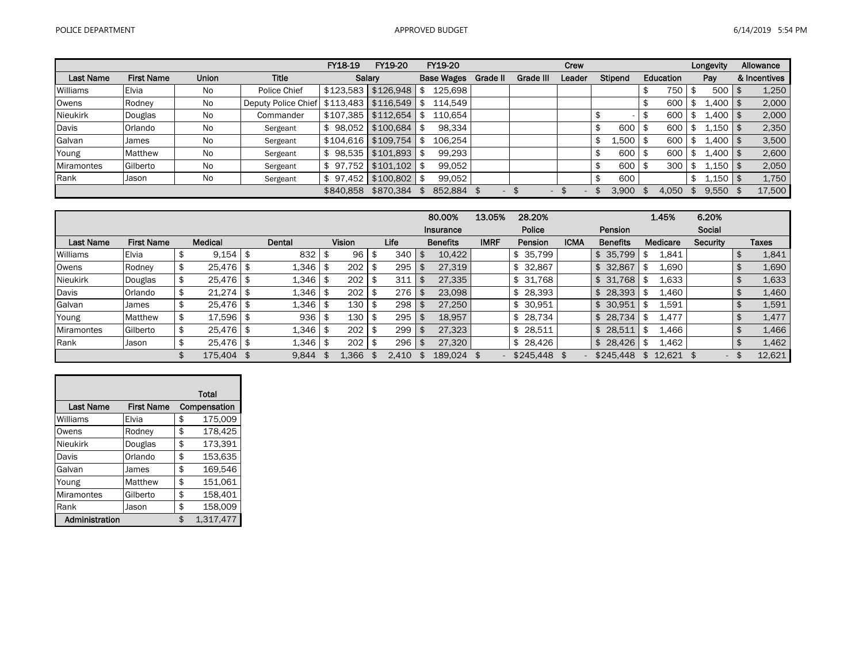|                   |                   |              |                            | FY18-19      | FY19-20   | FY19-20           |          |                          | Crew   |         |           | Longevity                                                        | Allowance    |
|-------------------|-------------------|--------------|----------------------------|--------------|-----------|-------------------|----------|--------------------------|--------|---------|-----------|------------------------------------------------------------------|--------------|
| <b>Last Name</b>  | <b>First Name</b> | <b>Union</b> | <b>Title</b>               |              | Salarv    | <b>Base Wages</b> | Grade II | Grade III                | Leader | Stipend | Education | Pay                                                              | & Incentives |
| Williams          | <b>Elvia</b>      | <b>No</b>    | Police Chief               | \$123,583    | \$126,948 | 125,698           |          |                          |        |         | 750       | 500                                                              | 1,250        |
| Owens             | Rodney            | No           | <b>Deputy Police Chief</b> | \$113.483    | \$116.549 | 114.549           |          |                          |        |         | 600<br>\$ | 400 l                                                            | 2,000        |
| <b>Nieukirk</b>   | Douglas           | No           | Commander                  | \$107.385    | \$112.654 | 110.654           |          |                          |        |         | 600       | $\pm 400$                                                        | 2,000        |
| Davis             | Orlando           | <b>No</b>    | Sergeant                   | 98.052       | \$100.684 | 98,334<br>-96     |          |                          |        | 600     | 600       | 150 l                                                            | 2,350        |
| Galvan            | James             | No           | Sergeant                   | \$104.616    | \$109.754 | 106.254           |          |                          |        | 1,500   | 600       | 400 l                                                            | 3,500        |
| Young             | Matthew           | No           | Sergeant                   | 98,535       | \$101.893 | 99,293            |          |                          |        | 600     | 600       | $\textcolor{red}{\textbf{1.400}}\mid\textcolor{red}{\textbf{7}}$ | 2,600        |
| <b>Miramontes</b> | Gilberto          | No           | Sergeant                   | 97.752       | \$101.102 | 99.052            |          |                          |        | 600     | 300       | 1.150                                                            | 2,050        |
| Rank              | Jason             | No           | Sergeant                   | 97.452<br>S. | \$100.802 | 99,052            |          |                          |        | 600     |           | $\perp$ ,150                                                     | 1,750        |
|                   |                   |              |                            | \$840.858    | \$870.384 | 852.884 \$        |          | $\overline{\phantom{a}}$ |        | 3.900   | 4.050     | 9.550                                                            | 17,500       |

|                  |                   |      |               |      |        |      |               |       |          | 80.00%          | 13.05%      | 28.20%       |             |                 | 1.45%    | 6.20%                    |              |
|------------------|-------------------|------|---------------|------|--------|------|---------------|-------|----------|-----------------|-------------|--------------|-------------|-----------------|----------|--------------------------|--------------|
|                  |                   |      |               |      |        |      |               |       |          | Insurance       |             | Police       |             | Pension         |          | Social                   |              |
| <b>Last Name</b> | <b>First Name</b> |      | Medical       |      | Dental |      | <b>Vision</b> | Life  |          | <b>Benefits</b> | <b>IMRF</b> | Pension      | <b>ICMA</b> | <b>Benefits</b> | Medicare | Security                 | <b>Taxes</b> |
| Williams         | Elvia             |      | $9,154$ \$    |      | 832    |      | 96            | 340   | <b>S</b> | 10.422          |             | 35,799<br>\$ |             | 35,799<br>\$    | 1,841    |                          | 1,841        |
| Owens            | Rodney            |      | $25,476$ \$   |      | 1.346  | - \$ | 202           | 295   | -96      | 27,319          |             | 32,867       |             | 32,867<br>\$    | 1,690    |                          | 1,690        |
| <b>Nieukirk</b>  | Douglas           |      | $25,476$ \$   |      | 1.346  |      | 202           | 311   |          | 27,335          |             | \$31,768     |             | \$31,768        | 1,633    |                          | 1,633        |
| Davis            | Orlando           | ৾৾ঌ  | $21,274$ \$   |      | 1.346  |      | 202           | 276   | \$       | 23,098          |             | 28,393       |             | \$28,393        | 1,460    |                          | 1,460        |
| Galvan           | James             | - \$ | $25,476$   \$ |      | 1,346  |      | 130           | 298   | -\$      | 27,250          |             | 30,951       |             | \$30,951        | 1,591    |                          | 1,591        |
| Young            | Matthew           |      | 17,596        | - \$ | 936    |      | 130           | 295   |          | 18.957          |             | 28,734       |             | \$28,734        | 1,477    |                          | 1,477        |
| Miramontes       | Gilberto          |      | $25,476$ \$   |      | 1.346  |      | 202           | 299   | <b>S</b> | 27,323          |             | 28,511       |             | 28,511<br>\$    | 1,466    |                          | 1,466        |
| Rank             | Jason             |      | $25,476$ \$   |      | 1,346  |      | 202           | 296   | \$       | 27,320          |             | \$28,426     |             | \$28,426        | 1,462    |                          | 1,462        |
|                  |                   |      | 175,404       | - \$ | 9.844  |      | .366          | 2.410 | <b>S</b> | 189,024         |             | \$245,448    |             | \$245.448       | 12.621   | $\overline{\phantom{0}}$ | 12,621       |

|                  |                   | Total           |
|------------------|-------------------|-----------------|
| <b>Last Name</b> | <b>First Name</b> | Compensation    |
| Williams         | Elvia             | \$<br>175,009   |
| Owens            | Rodney            | \$<br>178,425   |
| <b>Nieukirk</b>  | Douglas           | \$<br>173,391   |
| Davis            | Orlando           | \$<br>153,635   |
| Galvan           | James             | \$<br>169,546   |
| Young            | Matthew           | \$<br>151,061   |
| Miramontes       | Gilberto          | \$<br>158,401   |
| Rank             | Jason             | \$<br>158,009   |
| Administration   |                   | \$<br>1,317,477 |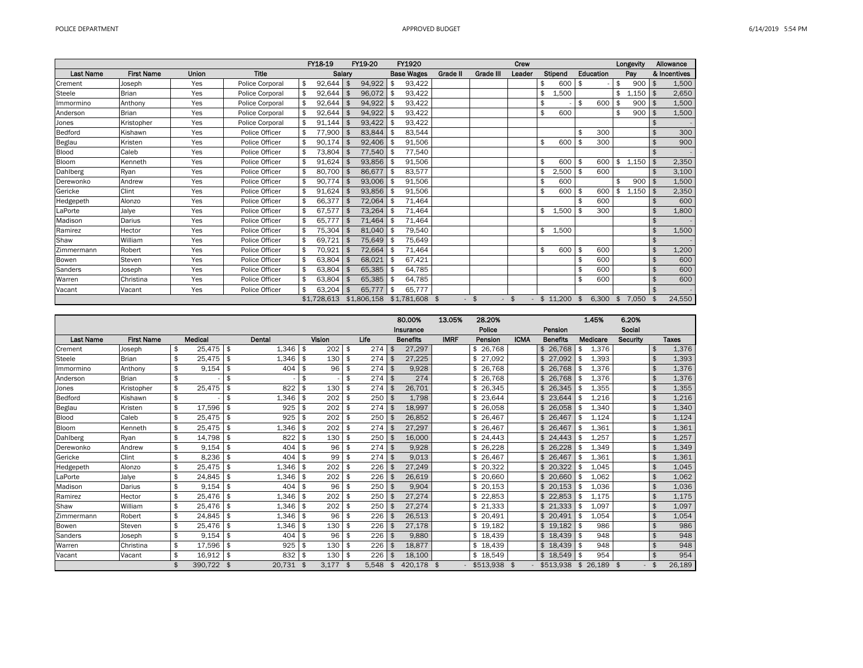|            |                   |       |                 | FY18-19      |           | FY19-20     | FY1920                 |          |                | Crew   |                  |     |           | Longevity   |               | Allowance    |
|------------|-------------------|-------|-----------------|--------------|-----------|-------------|------------------------|----------|----------------|--------|------------------|-----|-----------|-------------|---------------|--------------|
| Last Name  | <b>First Name</b> | Union | <b>Title</b>    |              | Salary    |             | <b>Base Wages</b>      | Grade II | Grade III      | Leader | Stipend          |     | Education | Pay         |               | & Incentives |
| Crement    | Joseph            | Yes   | Police Corporal | \$<br>92,644 | <b>\$</b> | 94,922      | 93,422                 |          |                |        | \$<br>600        | -\$ |           | \$<br>900   |               | 1,500        |
| Steele     | <b>Brian</b>      | Yes   | Police Corporal | 92,644       | \$        | 96.072      | \$<br>93,422           |          |                |        | 1,500            |     |           | \$<br>1.150 |               | 2,650        |
| Immormino  | Anthony           | Yes   | Police Corporal | 92,644       | -\$       | 94,922      | 93,422<br>\$           |          |                |        | \$               | \$  | 600       | \$<br>900   |               | 1,500        |
| Anderson   | <b>Brian</b>      | Yes   | Police Corporal | \$<br>92,644 | \$        | 94,922      | 93,422<br>$\mathbf{f}$ |          |                |        | \$<br>600        |     |           | \$<br>900   | \$            | 1,500        |
| Jones      | Kristopher        | Yes   | Police Corporal | 91,144       | -\$       | 93,422      | 93,422                 |          |                |        |                  |     |           |             |               |              |
| Bedford    | Kishawn           | Yes   | Police Officer  | 77,900       | \$        | 83,844      | 83,544                 |          |                |        |                  | \$  | 300       |             | \$            | 300          |
| Beglau     | Kristen           | Yes   | Police Officer  | \$<br>90,174 | - \$      | 92,406      | 91,506<br>\$           |          |                |        | \$<br>600        | \$  | 300       |             | \$            | 900          |
| Blood      | Caleb             | Yes   | Police Officer  | 73,804       | \$        | 77,540      | 77,540<br>\$           |          |                |        |                  |     |           |             | \$            | $\sim$       |
| Bloom      | Kenneth           | Yes   | Police Officer  | 91,624       | \$        | 93,856      | 91,506<br>\$           |          |                |        | 600              | \$  | 600       | \$<br>1,150 | \$            | 2,350        |
| Dahlberg   | Ryan              | Yes   | Police Officer  | \$<br>80,700 | \$        | 86,677      | 83,577<br>\$           |          |                |        | 2,500            | \$  | 600       |             |               | 3,100        |
| Derewonko  | Andrew            | Yes   | Police Officer  | \$<br>90,774 | \$        | 93.006      | 91,506<br>\$           |          |                |        | 600              |     |           | \$<br>900   | \$            | 1,500        |
| Gericke    | Clint             | Yes   | Police Officer  | \$<br>91,624 | \$        | 93,856      | 91,506<br>\$           |          |                |        | \$<br>600        | \$  | 600       | \$<br>1,150 | \$            | 2,350        |
| Hedgepeth  | Alonzo            | Yes   | Police Officer  | 66,377       | \$        | 72,064      | 71,464<br>\$           |          |                |        |                  |     | 600       |             |               | 600          |
| LaPorte    | Jalye             | Yes   | Police Officer  | \$<br>67,577 | \$        | 73,264      | 71,464<br>\$           |          |                |        | \$<br>1,500      | \$  | 300       |             | \$            | 1,800        |
| Madison    | Darius            | Yes   | Police Officer  | \$<br>65,777 | \$        | 71,464      | \$<br>71,464           |          |                |        |                  |     |           |             | \$            |              |
| Ramirez    | Hector            | Yes   | Police Officer  | \$<br>75,304 | \$        | 81,040      | \$<br>79,540           |          |                |        | 1,500            |     |           |             | $\frac{1}{2}$ | 1,500        |
| Shaw       | William           | Yes   | Police Officer  | \$<br>69,721 | \$        | 75,649 \$   | 75,649                 |          |                |        |                  |     |           |             | \$            |              |
| Zimmermann | Robert            | Yes   | Police Officer  | \$<br>70,921 | \$        | 72,664 \$   | 71,464                 |          |                |        | \$<br>600        | \$  | 600       |             | \$            | 1,200        |
| Bowen      | Steven            | Yes   | Police Officer  | \$<br>63,804 | \$        | 68,021      | \$<br>67,421           |          |                |        |                  | \$  | 600       |             | \$            | 600          |
| Sanders    | Joseph            | Yes   | Police Officer  | \$<br>63,804 | \$        | 65,385      | \$<br>64,785           |          |                |        |                  | \$  | 600       |             | \$            | 600          |
| Warren     | Christina         | Yes   | Police Officer  | \$<br>63,804 | \$        | 65,385      | \$<br>64,785           |          |                |        |                  | \$  | 600       |             | \$            | 600          |
| Vacant     | Vacant            | Yes   | Police Officer  | \$<br>63,204 | \$        | 65.777      | \$<br>65,777           |          |                |        |                  |     |           |             | \$.           |              |
|            |                   |       |                 | \$1,728,613  |           | \$1,806,158 | $$1.781.608$ \$        |          | - \$<br>$\sim$ | \$     | $-$ \$ 11,200 \$ |     | 6,300     | \$<br>7.050 |               | 24,550       |

|                  |                   |                |               |        |               |             |              | 80.00%          | 13.05%      | 28.20%        |             |                |                 |          | 1.45%    | 6.20%           |     |              |
|------------------|-------------------|----------------|---------------|--------|---------------|-------------|--------------|-----------------|-------------|---------------|-------------|----------------|-----------------|----------|----------|-----------------|-----|--------------|
|                  |                   |                |               |        |               |             |              | Insurance       |             | Police        |             |                | Pension         |          |          | Social          |     |              |
| <b>Last Name</b> | <b>First Name</b> | <b>Medical</b> |               | Dental | <b>Vision</b> | Life        |              | <b>Benefits</b> | <b>IMRF</b> | Pension       | <b>ICMA</b> |                | <b>Benefits</b> |          | Medicare | <b>Security</b> |     | <b>Taxes</b> |
| Crement          | Joseph            | \$<br>25,475   | l \$          | 1.346  | \$<br>202     | \$<br>274   | - \$         | 27,297          |             | \$26.768      |             |                | \$26.768        | \$       | 1,376    |                 | \$  | 1,376        |
| <b>Steele</b>    | <b>Brian</b>      | \$<br>25.475   | \$            | 1,346  | \$<br>130     | \$<br>274   |              | 27.225          |             | \$27,092      |             |                | \$27.092        | \$       | 1,393    |                 | \$  | 1,393        |
| Immormino        | Anthony           | \$<br>9,154    | \$            | 404    | \$<br>96      | \$<br>274   | <b>S</b>     | 9,928           |             | \$26,768      |             |                | 26.768          | \$       | 1,376    |                 | \$  | 1,376        |
| Anderson         | <b>Brian</b>      | \$             | \$            |        | \$            | \$<br>274   | l \$         | 274             |             | \$26,768      |             | \$             | 26,768          | \$       | 1,376    |                 | \$  | 1,376        |
| Jones            | Kristopher        | \$<br>25,475   | \$            | 822    | \$<br>130     | \$<br>274   |              | 26,701          |             | 26,345<br>\$  |             |                | 26.345          | \$       | 1,355    |                 | \$  | 1,355        |
| Bedford          | Kishawn           | \$             | \$            | 1,346  | \$<br>202     | \$<br>250   |              | 1.798           |             | 23,644<br>\$  |             |                | 23,644          | \$       | 1,216    |                 | \$  | 1,216        |
| Beglau           | Kristen           | \$<br>17,596   | \$            | 925    | \$<br>202     | \$<br>274   |              | 18,997          |             | \$26,058      |             | $\mathfrak{L}$ | 26.058          | \$       | 1,340    |                 | \$  | 1,340        |
| Blood            | Caleb             | \$<br>25.475   | $\frac{3}{2}$ | 925    | \$<br>202     | \$<br>250   |              | 26.852          |             | \$26.467      |             | $$^{\circ}$    | 26.467          | \$       | 1.124    |                 | \$  | 1,124        |
| Bloom            | Kenneth           | \$<br>25.475   | \$            | 1.346  | \$<br>202     | \$<br>274   |              | 27,297          |             | 26.467        |             |                | 26.467          | \$       | 1.361    |                 | \$  | 1,361        |
| Dahlberg         | Ryan              | \$<br>14,798   | \$            | 822    | \$<br>130     | \$<br>250   |              | 16.000          |             | \$24,443      |             |                | \$24.443        | \$       | 1,257    |                 | \$  | 1,257        |
| Derewonko        | Andrew            | \$<br>9.154    | \$            | 404    | \$<br>96      | \$<br>274   | $\mathsf{R}$ | 9.928           |             | \$26,228      |             |                | 26.228          | \$       | 1.349    |                 | \$  | 1,349        |
| Gericke          | Clint             | \$<br>8.236    | \$            | 404    | \$<br>99      | \$<br>274   |              | 9.013           |             | \$26,467      |             | $$^{\circ}$    | 26.467          | \$       | 1.361    |                 | \$  | 1,361        |
| Hedgepeth        | Alonzo            | \$<br>25,475   | \$            | 1.346  | \$<br>202     | \$<br>226   |              | 27,249          |             | 20,322<br>\$  |             |                | 20.322          | \$       | 1,045    |                 |     | 1,045        |
| LaPorte          | Jalye             | \$<br>24,845   | \$            | 1,346  | \$<br>202     | \$<br>226   |              | 26,619          |             | 20,660<br>\$  |             |                | 20,660          | \$       | 1.062    |                 | \$  | 1,062        |
| Madison          | Darius            | \$<br>9.154    | \$            | 404    | \$<br>96      | \$<br>250   |              | 9.904           |             | \$20,153      |             |                | 20.153          | \$       | 1.036    |                 | \$  | 1,036        |
| Ramirez          | Hector            | \$<br>25.476   | \$            | 1.346  | \$<br>202     | \$<br>250   |              | 27.274          |             | \$22,853      |             | \$             | 22,853          | \$       | 1.175    |                 | \$  | 1,175        |
| Shaw             | William           | \$<br>25,476   | \$            | 1,346  | \$<br>202     | \$<br>250   |              | 27,274          |             | 21,333<br>\$  |             | \$             | 21,333          | \$       | 1,097    |                 | \$  | 1,097        |
| Zimmermann       | Robert            | \$<br>24,845   | \$            | 1,346  | \$<br>96      | \$<br>226   |              | 26,513          |             | \$20,491      |             | \$             | 20,491          | \$       | 1,054    |                 | \$  | 1,054        |
| Bowen            | Steven            | \$<br>25,476   | \$            | 1,346  | \$<br>130     | \$<br>226   |              | 27,178          |             | \$19,182      |             |                | \$19,182        | \$       | 986      |                 | \$  | 986          |
| Sanders          | Joseph            | \$<br>9,154    | \$            | 404    | \$<br>96      | \$<br>226   |              | 9,880           |             | \$18,439      |             |                | \$18,439        | <b>S</b> | 948      |                 | \$  | 948          |
| Warren           | Christina         | \$<br>17,596   | \$            | 925    | \$<br>130     | \$<br>226   |              | 18,877          |             | \$18,439      |             | $$^{\circ}$    | 18,439          | \$       | 948      |                 |     | 948          |
| Vacant           | Vacant            | \$<br>16.912   | \$            | 832    | \$<br>130     | \$<br>226   |              | 18.100          |             | 18,549<br>\$  |             | $\mathfrak{L}$ | 18.549          | \$       | 954      |                 | \$. | 954          |
|                  |                   | 390.722 \$     |               | 20.731 | \$<br>3.177   | \$<br>5.548 | \$           | 420.178         | - \$        | $-$ \$513.938 | - \$        |                | \$513.938       |          | \$26.189 | -\$             | \$  | 26,189       |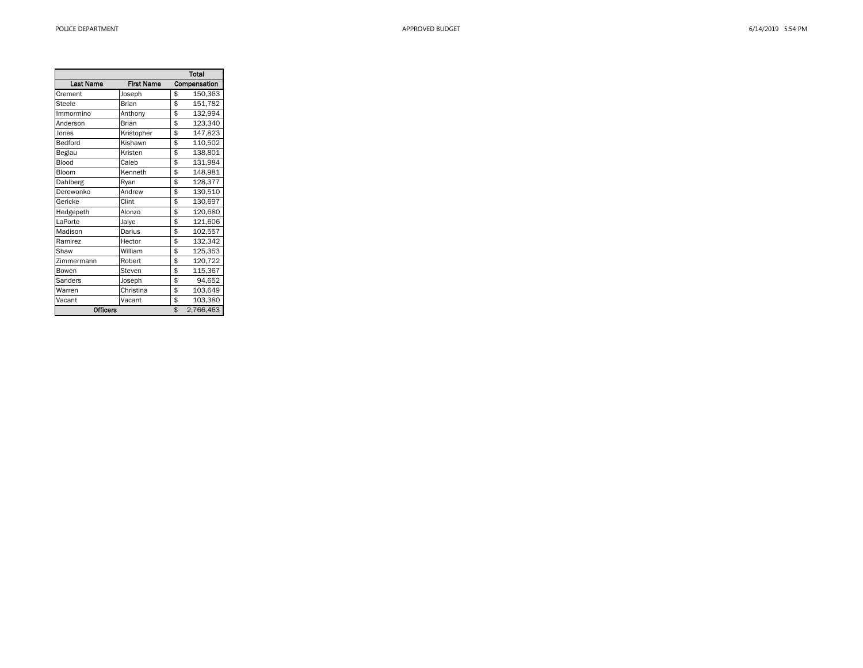|                  |                   | Total           |
|------------------|-------------------|-----------------|
| <b>Last Name</b> | <b>First Name</b> | Compensation    |
| Crement          | Joseph            | \$<br>150,363   |
| Steele           | Brian             | \$<br>151,782   |
| Immormino        | Anthony           | \$<br>132,994   |
| Anderson         | <b>Brian</b>      | \$<br>123,340   |
| Jones            | Kristopher        | \$<br>147,823   |
| Bedford          | Kishawn           | \$<br>110,502   |
| Beglau           | Kristen           | \$<br>138,801   |
| Blood            | Caleb             | \$<br>131,984   |
| Bloom            | Kenneth           | \$<br>148,981   |
| Dahlberg         | Ryan              | \$<br>128,377   |
| Derewonko        | Andrew            | \$<br>130,510   |
| Gericke          | Clint             | \$<br>130,697   |
| Hedgepeth        | Alonzo            | \$<br>120,680   |
| LaPorte          | Jalye             | \$<br>121,606   |
| Madison          | Darius            | \$<br>102,557   |
| Ramirez          | Hector            | \$<br>132,342   |
| Shaw             | William           | \$<br>125,353   |
| Zimmermann       | Robert            | \$<br>120,722   |
| Bowen            | Steven            | \$<br>115,367   |
| Sanders          | Joseph            | \$<br>94,652    |
| Warren           | Christina         | \$<br>103,649   |
| Vacant           | Vacant            | \$<br>103,380   |
| <b>Officers</b>  |                   | \$<br>2,766,463 |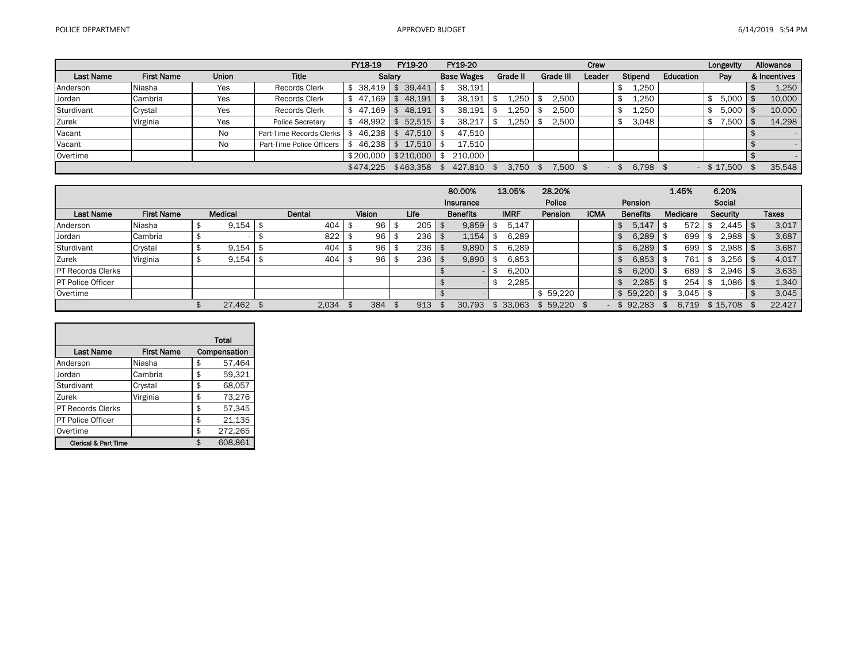|                  |                   |              |                           | FY18-19   | FY19-20     | FY19-20           |          |           | Crew   |         |           | Longevity    | Allowance    |
|------------------|-------------------|--------------|---------------------------|-----------|-------------|-------------------|----------|-----------|--------|---------|-----------|--------------|--------------|
| <b>Last Name</b> | <b>First Name</b> | <b>Union</b> | <b>Title</b>              |           | Salary      | <b>Base Wages</b> | Grade II | Grade III | Leader | Stipend | Education | Pay          | & Incentives |
| Anderson         | Niasha            | Yes          | <b>Records Clerk</b>      | 38.419    | 39.441      | 38,191            |          |           |        | 1,250   |           |              | 1,250        |
| Jordan           | Cambria           | Yes          | <b>Records Clerk</b>      | 47.169    | 48,191      | 38,191            | 1,250    | 2,500     |        | 1,250   |           | $5,000$   \$ | 10,000       |
| Sturdivant       | Crystal           | Yes          | <b>Records Clerk</b>      | 47.169    | 48,191      | 38,191            | 1,250    | 2,500     |        | 1,250   |           | $5,000$   \$ | 10,000       |
| Zurek            | Virginia          | Yes          | <b>Police Secretary</b>   | 48.992    | 52,515      | 38,217            | 1,250    | 2,500     |        | 3,048   |           | 7,500        | 14,298       |
| Vacant           |                   | No           | Part-Time Records Clerks  | 46.238    | 47.510      | 47.510            |          |           |        |         |           |              |              |
| Vacant           |                   | No           | Part-Time Police Officers | 46.238    | $17.510$ \$ | 17.510            |          |           |        |         |           |              |              |
| Overtime         |                   |              |                           | \$200,000 | \$210,000   | 210,000           |          |           |        |         |           |              |              |
|                  |                   |              |                           | \$474.225 | \$463,358   | 427,810           | 3.750    | 7.500     |        | 6,798   |           | \$17,500     | 35,548       |

|                           |                   |   |                          |        |        |   |      | 80.00%          | 13.05%      | 28.20%  |             |    |                 | 1.45%    | 6.20%    |              |
|---------------------------|-------------------|---|--------------------------|--------|--------|---|------|-----------------|-------------|---------|-------------|----|-----------------|----------|----------|--------------|
|                           |                   |   |                          |        |        |   |      | Insurance       |             | Police  |             |    | Pension         |          | Social   |              |
| <b>Last Name</b>          | <b>First Name</b> |   | Medical                  | Dental | Vision |   | Life | <b>Benefits</b> | <b>IMRF</b> | Pension | <b>ICMA</b> |    | <b>Benefits</b> | Medicare | Security | <b>Taxes</b> |
| Anderson                  | Niasha            |   | 9,154                    | 404    | 96     |   | 205  | 9.859           | 5,147       |         |             |    | 5.147           | 572      | 2,445    | 3,017        |
| Jordan                    | Cambria           |   | $\overline{\phantom{a}}$ | 822    | 96     | ъ | 236  | 1,154           | 6,289       |         |             | ъ  | 6.289           | 699      | 2,988    | 3,687        |
| Sturdivant                | Crystal           |   | 9,154                    | 404    | 96     |   | 236  | 9,890           | 6,289       |         |             | ъ  | 6.289           | 699      | 2,988    | 3,687        |
| Zurek                     | Virginia          | D | 9,154                    | 404    | 96     |   | 236  | 9,890           | 6,853       |         |             | Œ  | 6,853           | 761      | 3,256    | 4,017        |
| <b>IPT Records Clerks</b> |                   |   |                          |        |        |   |      |                 | 6,200       |         |             |    | 6.200           | 689      | 2.946    | 3,635        |
| <b>PT Police Officer</b>  |                   |   |                          |        |        |   |      |                 | 2,285       |         |             |    | 2.285           | 254      | 1.086    | 1,340        |
| Overtime                  |                   |   |                          |        |        |   |      |                 |             | 59.220  |             |    | 59.220          | 3.045    |          | 3,045        |
|                           |                   |   | 27,462 \$                | 2.034  | 384    |   | 913  | 30.793          | 33.063      | 59.220  |             | \$ | 92.283          | 6.719    | \$15,708 | 22,427       |

|                                 |                   | Total         |
|---------------------------------|-------------------|---------------|
| <b>Last Name</b>                | <b>First Name</b> | Compensation  |
| Anderson                        | Niasha            | \$<br>57,464  |
| Jordan                          | Cambria           | \$<br>59,321  |
| Sturdivant                      | Crystal           | \$<br>68,057  |
| Zurek                           | Virginia          | \$<br>73,276  |
| PT Records Clerks               |                   | \$<br>57,345  |
| PT Police Officer               |                   | \$<br>21,135  |
| Overtime                        |                   | \$<br>272,265 |
| <b>Clerical &amp; Part Time</b> |                   | 608.861       |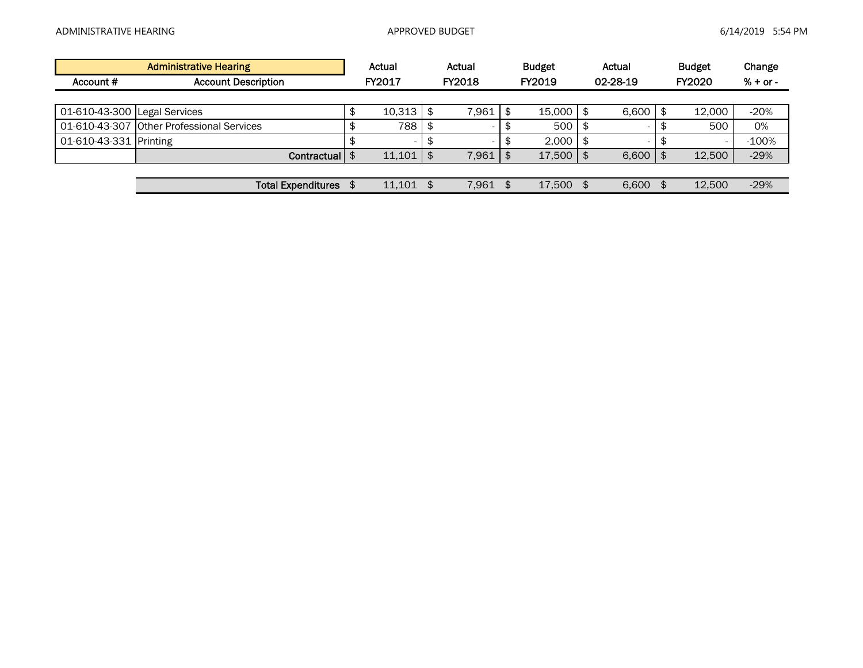|                              | <b>Administrative Hearing</b>             | Actual        |     | Actual        | <b>Budget</b> | Actual      | <b>Budget</b> | Change     |
|------------------------------|-------------------------------------------|---------------|-----|---------------|---------------|-------------|---------------|------------|
| Account #                    | <b>Account Description</b>                | FY2017        |     | <b>FY2018</b> | FY2019        | 02-28-19    | <b>FY2020</b> | $% + or -$ |
|                              |                                           |               |     |               |               |             |               |            |
| 01-610-43-300 Legal Services |                                           | 10.313        | \$  | 7,961         | 15.000        | 6,600       | 12.000        | $-20%$     |
|                              | 01-610-43-307 Other Professional Services | 788           |     |               | 500           | $\sim$      | 500           | 0%         |
| 01-610-43-331 Printing       |                                           |               |     |               | 2,000         |             |               | $-100%$    |
|                              | Contractual   \$                          | $11,101$   \$ |     | 7,961         | 17,500        | 6,600       | 12,500        | $-29%$     |
|                              |                                           |               |     |               |               |             |               |            |
|                              | <b>Total Expenditures</b>                 | 11.101        | \$. | 7.961         | 17.500        | \$<br>6.600 | 12.500        | $-29%$     |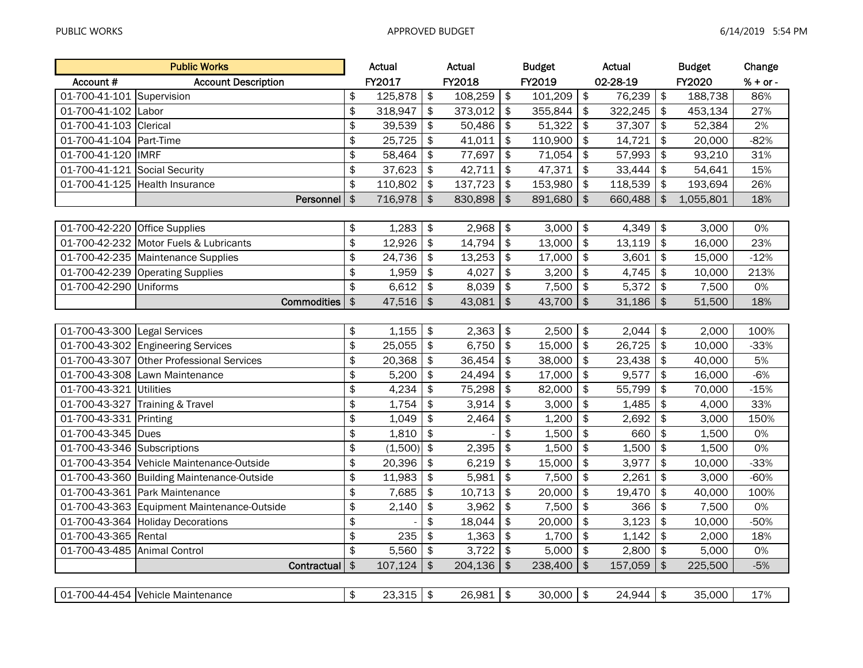|                               | <b>Public Works</b>                         |               | Actual  |               | Actual  |               | <b>Budget</b> |                           | Actual   |                           | <b>Budget</b> | Change     |
|-------------------------------|---------------------------------------------|---------------|---------|---------------|---------|---------------|---------------|---------------------------|----------|---------------------------|---------------|------------|
| Account #                     | <b>Account Description</b>                  |               | FY2017  |               | FY2018  |               | FY2019        |                           | 02-28-19 |                           | FY2020        | $% + or -$ |
| 01-700-41-101 Supervision     |                                             | \$            | 125,878 | \$            | 108,259 | \$            | 101,209       | \$                        | 76,239   | $\frac{1}{2}$             | 188,738       | 86%        |
| 01-700-41-102                 | Labor                                       | \$            | 318,947 | \$            | 373,012 | \$            | 355,844       | \$                        | 322,245  | \$                        | 453,134       | 27%        |
| 01-700-41-103                 | Clerical                                    | \$            | 39,539  | \$            | 50,486  | \$            | 51,322        | \$                        | 37,307   | $\frac{1}{2}$             | 52,384        | 2%         |
| 01-700-41-104 Part-Time       |                                             | \$            | 25,725  | \$            | 41,011  | \$            | 110,900       | \$                        | 14,721   | $\boldsymbol{\hat{\phi}}$ | 20,000        | $-82%$     |
| 01-700-41-120                 | <b>IMRF</b>                                 | \$            | 58,464  | \$            | 77,697  | \$            | 71,054        | \$                        | 57,993   | \$                        | 93,210        | 31%        |
| 01-700-41-121 Social Security |                                             | \$            | 37,623  | \$            | 42,711  | \$            | 47,371        | \$                        | 33,444   | \$                        | 54,641        | 15%        |
|                               | 01-700-41-125 Health Insurance              | \$            | 110,802 | $\frac{1}{2}$ | 137,723 | $\frac{1}{2}$ | 153,980       | \$                        | 118,539  | \$                        | 193,694       | 26%        |
|                               | Personnel                                   | $\frac{1}{2}$ | 716,978 | $\frac{1}{2}$ | 830,898 | $\frac{1}{2}$ | 891,680       | $\frac{1}{2}$             | 660,488  | $\frac{1}{2}$             | 1,055,801     | 18%        |
|                               |                                             |               |         |               |         |               |               |                           |          |                           |               |            |
| 01-700-42-220 Office Supplies |                                             | \$            | 1,283   | \$            | 2,968   | \$            | 3,000         | \$                        | 4,349    | \$                        | 3,000         | 0%         |
|                               | 01-700-42-232 Motor Fuels & Lubricants      | \$            | 12,926  | $\frac{1}{2}$ | 14,794  | \$            | 13,000        | $\boldsymbol{\hat{\phi}}$ | 13,119   | $\boldsymbol{\hat{\phi}}$ | 16,000        | 23%        |
|                               | 01-700-42-235   Maintenance Supplies        | \$            | 24,736  | \$            | 13,253  | \$            | 17,000        | \$                        | 3,601    | $\frac{1}{2}$             | 15,000        | $-12%$     |
|                               | 01-700-42-239 Operating Supplies            | \$            | 1,959   | \$            | 4,027   | \$            | 3,200         | \$                        | 4,745    | $\frac{1}{2}$             | 10,000        | 213%       |
| 01-700-42-290 Uniforms        |                                             | \$            | 6,612   | \$            | 8,039   | \$            | 7,500         | $\boldsymbol{\hat{\phi}}$ | 5,372    | \$                        | 7,500         | 0%         |
|                               | <b>Commodities</b>                          | $\frac{1}{2}$ | 47,516  | \$            | 43,081  | $\frac{1}{2}$ | 43,700        | $\frac{1}{2}$             | 31,186   | $\frac{1}{2}$             | 51,500        | 18%        |
|                               |                                             |               |         |               |         |               |               |                           |          |                           |               |            |
| 01-700-43-300 Legal Services  |                                             | \$            | 1,155   | \$            | 2,363   | \$            | 2,500         | \$                        | 2,044    | $\pmb{\$}$                | 2,000         | 100%       |
|                               | 01-700-43-302 Engineering Services          | \$            | 25,055  | \$            | 6,750   | \$            | 15,000        | \$                        | 26,725   | \$                        | 10,000        | $-33%$     |
| 01-700-43-307                 | <b>Other Professional Services</b>          | \$            | 20,368  | \$            | 36,454  | \$            | 38,000        | \$                        | 23,438   | \$                        | 40,000        | 5%         |
|                               | 01-700-43-308 Lawn Maintenance              | \$            | 5,200   | \$            | 24,494  | \$            | 17,000        | \$                        | 9,577    | \$                        | 16,000        | $-6%$      |
| 01-700-43-321 Utilities       |                                             | \$            | 4,234   | \$            | 75,298  | $\frac{1}{2}$ | 82,000        | \$                        | 55,799   | \$                        | 70,000        | $-15%$     |
|                               | 01-700-43-327 Training & Travel             | \$            | 1,754   | \$            | 3,914   | \$            | 3,000         | \$                        | 1,485    | \$                        | 4,000         | 33%        |
| 01-700-43-331 Printing        |                                             | \$            | 1,049   | \$            | 2,464   | \$            | 1,200         | \$                        | 2,692    | \$                        | 3,000         | 150%       |
| 01-700-43-345                 | <b>Dues</b>                                 | \$            | 1,810   | $\frac{1}{2}$ |         | \$            | 1,500         | \$                        | 660      | \$                        | 1,500         | 0%         |
| 01-700-43-346 Subscriptions   |                                             | \$            | (1,500) | $\frac{1}{2}$ | 2,395   | \$            | 1,500         | $\boldsymbol{\hat{\phi}}$ | 1,500    | $\boldsymbol{\hat{\phi}}$ | 1,500         | 0%         |
|                               | 01-700-43-354 Vehicle Maintenance-Outside   | \$            | 20,396  | $\frac{1}{2}$ | 6,219   | $\frac{1}{2}$ | 15,000        | \$                        | 3,977    | $\boldsymbol{\hat{z}}$    | 10,000        | $-33%$     |
|                               | 01-700-43-360 Building Maintenance-Outside  | \$            | 11,983  | \$            | 5,981   | \$            | 7,500         | $\frac{1}{2}$             | 2,261    | $\frac{1}{2}$             | 3,000         | $-60%$     |
|                               | 01-700-43-361 Park Maintenance              | \$            | 7,685   | \$            | 10,713  | \$            | 20,000        | $\boldsymbol{\hat{\phi}}$ | 19,470   | \$                        | 40,000        | 100%       |
|                               | 01-700-43-363 Equipment Maintenance-Outside | \$            | 2,140   | \$            | 3,962   | \$            | 7,500         | $\boldsymbol{\hat{\phi}}$ | 366      | $\frac{1}{2}$             | 7,500         | 0%         |
|                               | 01-700-43-364 Holiday Decorations           | \$            |         | \$            | 18,044  | \$            | 20,000        | \$                        | 3,123    | \$                        | 10,000        | $-50%$     |
| 01-700-43-365 Rental          |                                             | \$            | 235     | \$            | 1,363   | \$            | 1,700         | \$                        | 1,142    | \$                        | 2,000         | 18%        |
| 01-700-43-485 Animal Control  |                                             | \$            | 5,560   | \$            | 3,722   | \$            | 5,000         | $\boldsymbol{\hat{\phi}}$ | 2,800    | \$                        | 5,000         | 0%         |
|                               | Contractual                                 | $\frac{1}{2}$ | 107,124 | \$            | 204,136 | $\frac{1}{2}$ | 238,400       | $\frac{1}{2}$             | 157,059  | $\mathfrak{S}$            | 225,500       | $-5%$      |
|                               |                                             |               |         |               |         |               |               |                           |          |                           |               |            |
|                               | 01-700-44-454 Vehicle Maintenance           | \$            | 23,315  | $\frac{1}{2}$ | 26,981  | \$            | 30,000        | $\frac{1}{2}$             | 24,944   | $\frac{1}{2}$             | 35,000        | 17%        |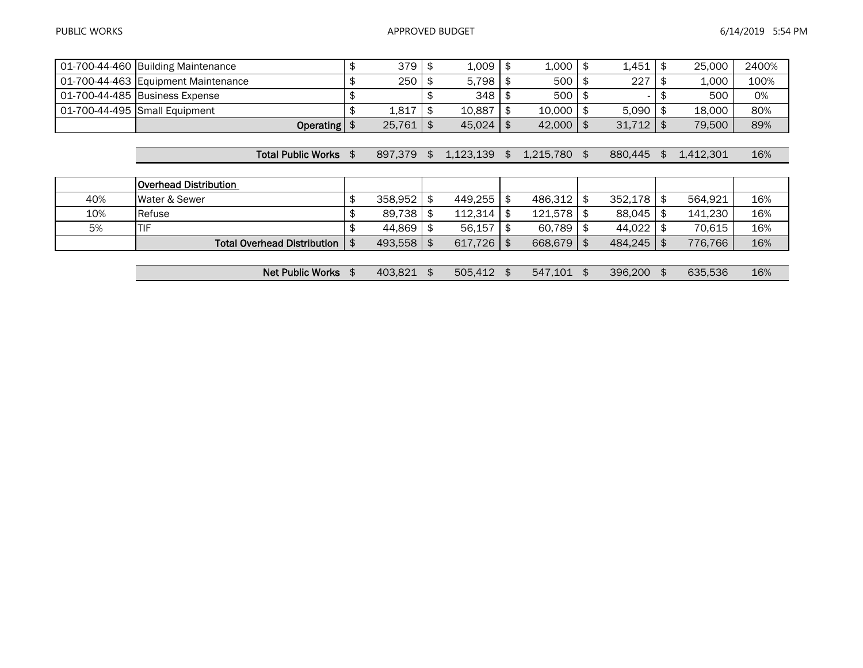|     | 01-700-44-460 Building Maintenance  | \$            | 379     | \$<br>1,009     | 1,000           | \$<br>1.451   | \$<br>25,000    | 2400% |
|-----|-------------------------------------|---------------|---------|-----------------|-----------------|---------------|-----------------|-------|
|     | 01-700-44-463 Equipment Maintenance | \$            | 250     | 5,798           | 500             | \$<br>227     | 1,000           | 100%  |
|     | 01-700-44-485 Business Expense      | \$            |         | \$<br>348       | 500             | \$            | \$<br>500       | 0%    |
|     | 01-700-44-495 Small Equipment       | \$            | 1,817   | \$<br>10,887    | 10,000          | \$<br>5,090   | \$<br>18,000    | 80%   |
|     | Operating $\frac{1}{2}$             |               | 25,761  | \$<br>45,024    | \$<br>42,000    | \$<br>31,712  | \$<br>79,500    | 89%   |
|     |                                     |               |         |                 |                 |               |                 |       |
|     | <b>Total Public Works</b>           | \$            | 897,379 | \$<br>1,123,139 | \$<br>1,215,780 | \$<br>880,445 | \$<br>1.412.301 | 16%   |
|     |                                     |               |         |                 |                 |               |                 |       |
|     | <b>Overhead Distribution</b>        |               |         |                 |                 |               |                 |       |
| 40% | Water & Sewer                       | \$            | 358,952 | \$<br>449,255   | \$<br>486,312   | \$<br>352,178 | \$<br>564,921   | 16%   |
| 10% | Refuse                              | \$            | 89,738  | \$<br>112,314   | \$<br>121,578   | \$<br>88,045  | \$<br>141.230   | 16%   |
| 5%  | TIF                                 | \$            | 44,869  | \$<br>56,157    | \$<br>60,789    | \$<br>44,022  | \$<br>70,615    | 16%   |
|     | <b>Total Overhead Distribution</b>  | $\frac{4}{5}$ | 493,558 | \$<br>617,726   | \$<br>668,679   | \$<br>484,245 | \$<br>776.766   | 16%   |
|     |                                     |               |         |                 |                 |               |                 |       |
|     |                                     |               |         |                 |                 |               |                 |       |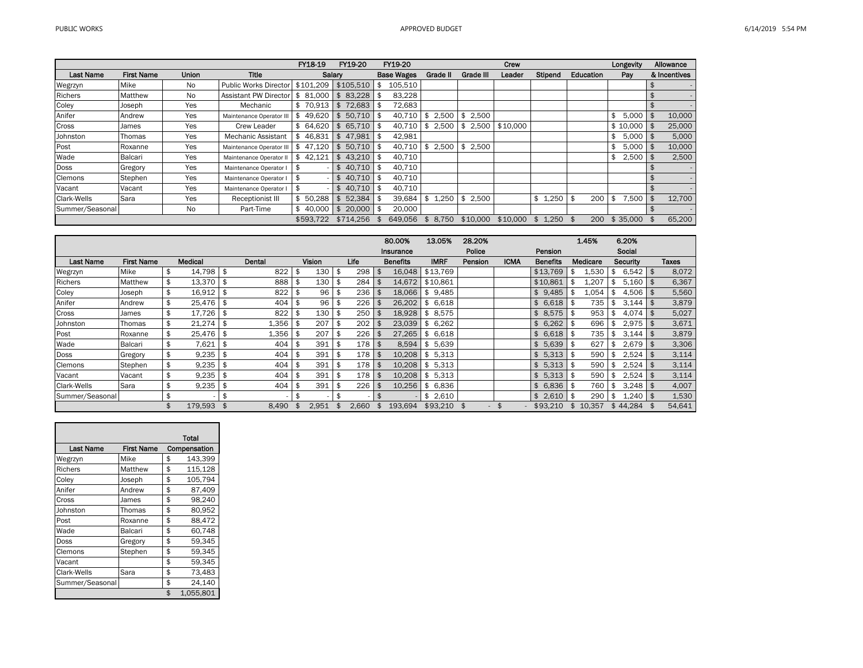|                    |                   |              |                              | FY18-19            | FY19-20                   | FY19-20           |                |            |             | Crew     |             |           | Longevity          | Allowance    |
|--------------------|-------------------|--------------|------------------------------|--------------------|---------------------------|-------------------|----------------|------------|-------------|----------|-------------|-----------|--------------------|--------------|
| <b>Last Name</b>   | <b>First Name</b> | <b>Union</b> | <b>Title</b>                 |                    | Salarv                    | <b>Base Wages</b> |                | Grade II   | Grade III   | Leader   | Stipend     | Education | Pay                | & Incentives |
| Wegrzyn            | Mike              | No           | <b>Public Works Director</b> | \$101.209          | \$105.510                 | 105,510           |                |            |             |          |             |           |                    |              |
| Richers            | Matthew           | No           | <b>Assistant PW Director</b> | l \$               | 81.000 \$ 83.228          | 83.228            |                |            |             |          |             |           |                    |              |
| Coley              | Joseph            | Yes          | Mechanic                     |                    | $$70.913 \;   \; $72.683$ | 72.683            |                |            |             |          |             |           |                    |              |
| Anifer             | Andrew            | Yes          | Maintenance Operator II      | $49.620$ \$<br>\$  | $50.710$   \$             | $40,710$ \$       |                | $2,500$ \$ | 2.500       |          |             |           | \$<br>$5,000$   \$ | 10,000       |
| Cross              | James             | Yes          | Crew Leader                  | \$64.620           | $$65.710$ \$              | $40.710$ \$       |                | $2.500$ \$ | 2.500       | \$10,000 |             |           | $$10,000$ \ \$     | 25,000       |
| Johnston           | Thomas            | Yes          | <b>Mechanic Assistant</b>    |                    | 46.831 \$47.981           | 42,981            |                |            |             |          |             |           | \$<br>5,000        | 5,000        |
| Post               | Roxanne           | Yes          | Maintenance Operator II      | 47.120<br>- \$     | 50.710<br>l \$            | 40.710            | $1$ \$         | 2,500      | \$<br>2.500 |          |             |           | \$<br>$5,000$   \$ | 10,000       |
| Wade               | Balcari           | Yes          | Maintenance Operator II      | <b>S</b><br>42.121 | 43.210<br>$1$ \$          | 40.710            |                |            |             |          |             |           | \$<br>$2,500$ \$   | 2,500        |
| <b>Doss</b>        | Gregory           | Yes          | Maintenance Operator I       |                    | \$40,710                  | 40,710            |                |            |             |          |             |           |                    |              |
| <b>Clemons</b>     | Stephen           | Yes          | Maintenance Operator I       | - \$               | \$40.710                  | 40,710            |                |            |             |          |             |           |                    |              |
| Vacant             | Vacant            | Yes          | Maintenance Operator         | - \$               | 40.710<br>\$              | 40.710            |                |            |             |          |             |           |                    |              |
| <b>Clark-Wells</b> | Sara              | Yes          | <b>Receptionist III</b>      | \$50,288           | 52.384<br>\$              | 39.684            | \$             | 1.250      | 2.500<br>\$ |          | \$<br>1,250 | 200<br>\$ | \$<br>7,500        | 12,700       |
| Summer/Seasonal    |                   | No           | Part-Time                    | 40.000             | \$<br>20,000              | 20.000            |                |            |             |          |             |           |                    |              |
|                    |                   |              |                              | \$593,722          | \$714.256                 | 649.056           | $\mathfrak{L}$ | 8.750      | \$10,000    | \$10.000 | . 250       | 200<br>\$ | \$35,000           | 65,200       |

|                 |                   |                 |      |        |      |               |             |      | 80.00%          | 13.05%      | 28.20%         |             |                 |     | 1.45%    | 6.20%                |        |
|-----------------|-------------------|-----------------|------|--------|------|---------------|-------------|------|-----------------|-------------|----------------|-------------|-----------------|-----|----------|----------------------|--------|
|                 |                   |                 |      |        |      |               |             |      | Insurance       |             | Police         |             | Pension         |     |          | Social               |        |
| Last Name       | <b>First Name</b> | <b>Medical</b>  |      | Dental |      | <b>Vision</b> | Life        |      | <b>Benefits</b> | <b>IMRF</b> | <b>Pension</b> | <b>ICMA</b> | <b>Benefits</b> |     | Medicare | Security             | Taxes  |
| Wegrzyn         | Mike              | \$<br>14,798 \$ |      | 822    | \$   | 130           | \$<br>298   |      | 16,048          | \$13,769    |                |             | \$13,769        | \$  | 1,530    | \$<br>$6,542$ \$     | 8,072  |
| Richers         | Matthew           | 13,370          | l \$ | 888    | \$   | 130           | \$<br>284   |      | 14,672          | \$10,861    |                |             | \$10,861        | \$  | 1,207    | \$<br>5,160          | 6,367  |
| Coley           | Joseph            | \$<br>16,912    | \$   | 822    | - \$ | 96            | \$<br>236   |      | 18.066          | \$9,485     |                |             | \$9,485         | \$  | 1.054    | \$<br>4,506          | 5,560  |
| Anifer          | Andrew            | 25.476 \$       |      | 404    | \$   | 96            | \$<br>226   |      | 26.202          | \$6,618     |                |             | \$<br>6,618     | \$  | 735      | \$<br>3,144          | 3,879  |
| Cross           | James             | 17,726          | l \$ | 822    | -\$  | 130           | \$<br>250   |      | 18,928          | \$8,575     |                |             | \$8,575         | \$  | 953      | \$<br>4,074          | 5,027  |
| Johnston        | Thomas            | $21,274$ \$     |      | 1,356  | \$   | 207           | \$<br>202   |      | 23,039          | \$6,262     |                |             | \$6,262         | \$  | 696      | \$<br>$2,975$   \$   | 3,671  |
| Post            | Roxanne           | 25,476 \$       |      | 1,356  | \$   | 207           | \$<br>226   | - 96 | 27.265          | \$6,618     |                |             | \$<br>6,618     | -\$ | 735      | \$<br>3,144          | 3,879  |
| Wade            | Balcari           | 7,621           | \$   | 404    | \$   | 391           | \$<br>178   | \$   | 8.594           | \$<br>5,639 |                |             | \$5.639         | \$  | 627      | \$<br>2,679          | 3,306  |
| <b>Doss</b>     | Gregory           | \$<br>9,235     | -\$  | 404    | \$   | 391           | \$<br>178   |      | 10,208          | \$<br>5,313 |                |             | \$5,313         | \$  | 590      | \$<br>2,524          | 3,114  |
| Clemons         | Stephen           | 9,235           | -\$  | 404    | \$   | 391           | \$<br>178   |      | 10.208          | \$5,313     |                |             | \$<br>5,313     | \$  | 590      | \$<br>2,524          | 3,114  |
| Vacant          | Vacant            | 9,235           | - \$ | 404    | -\$  | 391           | \$<br>178   | -96  | 10.208          | \$5,313     |                |             | \$5,313         | \$  | 590      | \$<br>2,524          | 3,114  |
| Clark-Wells     | Sara              | \$<br>9,235     | \$   | 404    | \$   | 391           | \$<br>226   |      | 10.256          | \$6,836     |                |             | \$6,836         | \$  | 760 l    | \$<br>$3,248$ \ \ \$ | 4,007  |
| Summer/Seasonal |                   | \$              |      |        | -\$  |               | \$          |      |                 | 2,610<br>\$ |                |             | \$2.610         | \$  | 290      | \$<br>1,240          | 1,530  |
|                 |                   | 179.593         |      | 8.490  |      | 2.951         | \$<br>2.660 |      | 193.694         | \$93,210    |                |             | \$93.210        | \$  | 10.357   | \$44.284             | 54,641 |

|                  |                   | Total           |
|------------------|-------------------|-----------------|
| <b>Last Name</b> | <b>First Name</b> | Compensation    |
| Wegrzyn          | Mike              | \$<br>143,399   |
| <b>Richers</b>   | Matthew           | \$<br>115.128   |
| Coley            | Joseph            | \$<br>105,794   |
| Anifer           | Andrew            | \$<br>87,409    |
| Cross            | James             | \$<br>98.240    |
| Johnston         | Thomas            | \$<br>80.952    |
| Post             | Roxanne           | \$<br>88,472    |
| Wade             | Balcari           | \$<br>60,748    |
| Doss             | Gregory           | \$<br>59.345    |
| Clemons          | Stephen           | \$<br>59.345    |
| Vacant           |                   | \$<br>59,345    |
| Clark-Wells      | Sara              | \$<br>73,483    |
| Summer/Seasonal  |                   | \$<br>24.140    |
|                  |                   | \$<br>1.055.801 |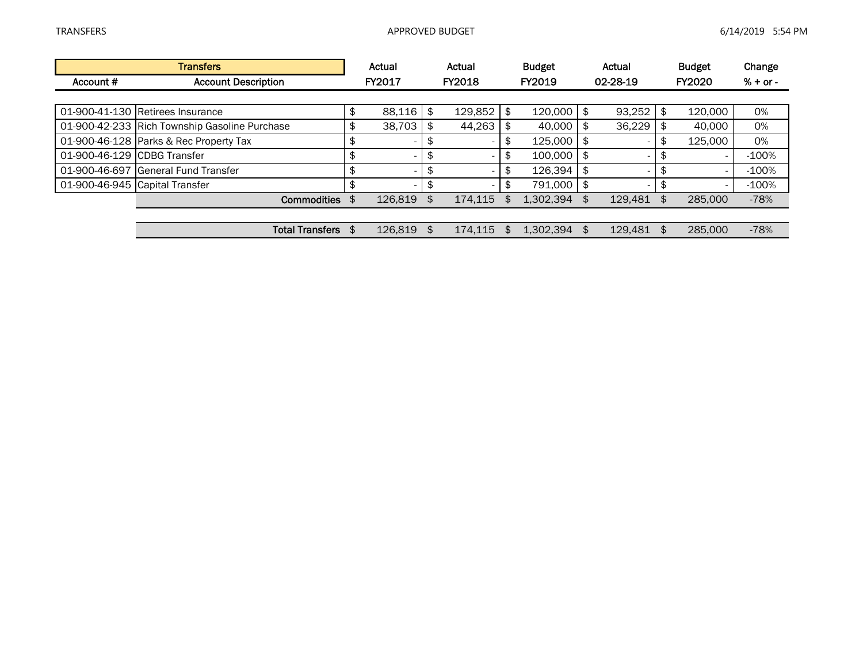|                             | <b>Transfers</b>                              | Actual                         | Actual                         |    | <b>Budget</b> | Actual                         |                | <b>Budget</b> | Change     |
|-----------------------------|-----------------------------------------------|--------------------------------|--------------------------------|----|---------------|--------------------------------|----------------|---------------|------------|
| Account #                   | <b>Account Description</b>                    | <b>FY2017</b>                  | FY2018                         |    | FY2019        | 02-28-19                       |                | <b>FY2020</b> | $% + or -$ |
|                             |                                               |                                |                                |    |               |                                |                |               |            |
|                             | 01-900-41-130 Retirees Insurance              | \$<br>88,116                   | \$<br>129,852                  | \$ | 120,000       | \$<br>93,252                   | \$             | 120,000       | 0%         |
|                             | 01-900-42-233 Rich Township Gasoline Purchase | \$<br>38,703                   | \$<br>44,263                   |    | 40,000        | \$<br>36,229                   |                | 40.000        | 0%         |
|                             | 01-900-46-128 Parks & Rec Property Tax        | \$                             | \$                             |    | 125,000       | \$<br>۰.                       |                | 125,000       | 0%         |
| 01-900-46-129 CDBG Transfer |                                               | \$<br>$\overline{\phantom{0}}$ | \$                             | \$ | 100,000       | \$<br>۰.                       | \$             |               | $-100%$    |
|                             | 01-900-46-697 General Fund Transfer           | \$                             | \$                             | ъ  | 126,394       | \$<br>$\overline{\phantom{0}}$ | \$             |               | $-100%$    |
|                             | 01-900-46-945 Capital Transfer                | \$<br>$\overline{\phantom{0}}$ | \$<br>$\overline{\phantom{a}}$ | \$ | 791.000       | \$<br>$\overline{\phantom{0}}$ | \$.            |               | $-100%$    |
|                             | <b>Commodities</b>                            | 126,819                        | \$<br>174,115                  |    | 1,302,394     | \$<br>129.481                  | \$.            | 285,000       | $-78%$     |
|                             |                                               |                                |                                |    |               |                                |                |               |            |
|                             | <b>Total Transfers</b>                        | 126,819                        | \$<br>174.115                  |    | 1.302.394     | \$<br>129,481                  | $\mathfrak{L}$ | 285,000       | $-78%$     |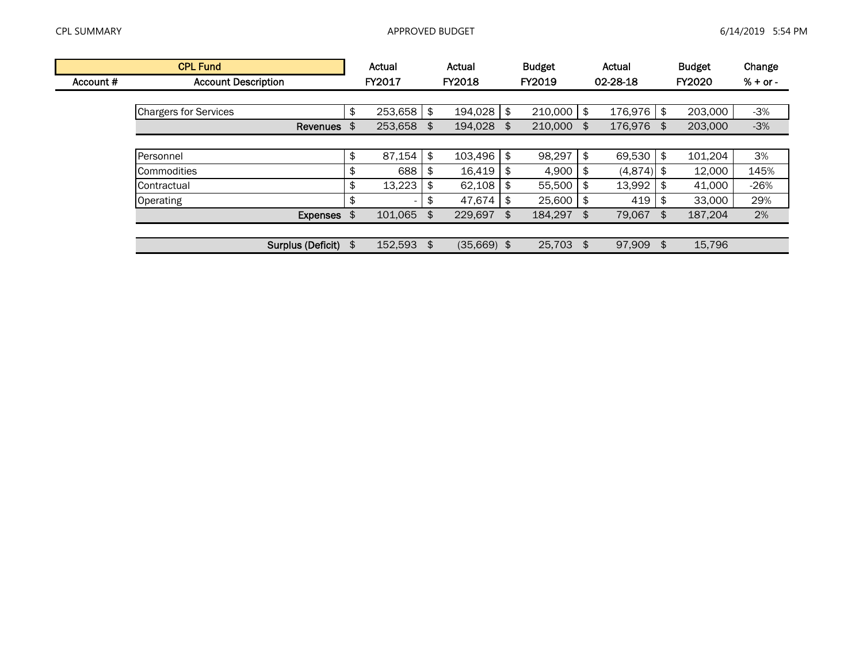|           | <b>CPL Fund</b>              | Actual        | Actual              |    | <b>Budget</b> | Actual           |      | <b>Budget</b> | Change     |
|-----------|------------------------------|---------------|---------------------|----|---------------|------------------|------|---------------|------------|
| Account # | <b>Account Description</b>   | <b>FY2017</b> | <b>FY2018</b>       |    | <b>FY2019</b> | 02-28-18         |      | <b>FY2020</b> | $% + or -$ |
|           |                              |               |                     |    |               |                  |      |               |            |
|           | <b>Chargers for Services</b> | \$<br>253,658 | \$<br>194,028       | \$ | 210,000       | \$<br>176,976    | \$   | 203,000       | $-3%$      |
|           | Revenues \$                  | 253,658       | \$<br>194,028       | \$ | 210,000       | \$<br>176,976 \$ |      | 203,000       | $-3%$      |
|           |                              |               |                     |    |               |                  |      |               |            |
|           | Personnel                    | \$<br>87,154  | \$<br>103,496       | \$ | 98,297        | \$<br>69,530     | \$   | 101,204       | 3%         |
|           | <b>Commodities</b>           | \$<br>688     | \$<br>16,419        | S  | 4,900         | \$<br>(4,874)    | - \$ | 12,000        | 145%       |
|           | <b>Contractual</b>           | \$<br>13,223  | \$<br>62,108        | \$ | 55,500        | \$<br>13,992     |      | 41,000        | $-26%$     |
|           | Operating                    | \$            | \$<br>47,674        | \$ | 25,600        | \$<br>419        | S    | 33,000        | 29%        |
|           | Expenses \$                  | 101.065       | \$<br>229,697       | \$ | 184.297       | \$<br>79.067     | \$   | 187.204       | 2%         |
|           |                              |               |                     |    |               |                  |      |               |            |
|           | Surplus (Deficit) \$         | 152.593       | \$<br>$(35,669)$ \$ |    | 25.703        | \$<br>97,909 \$  |      | 15,796        |            |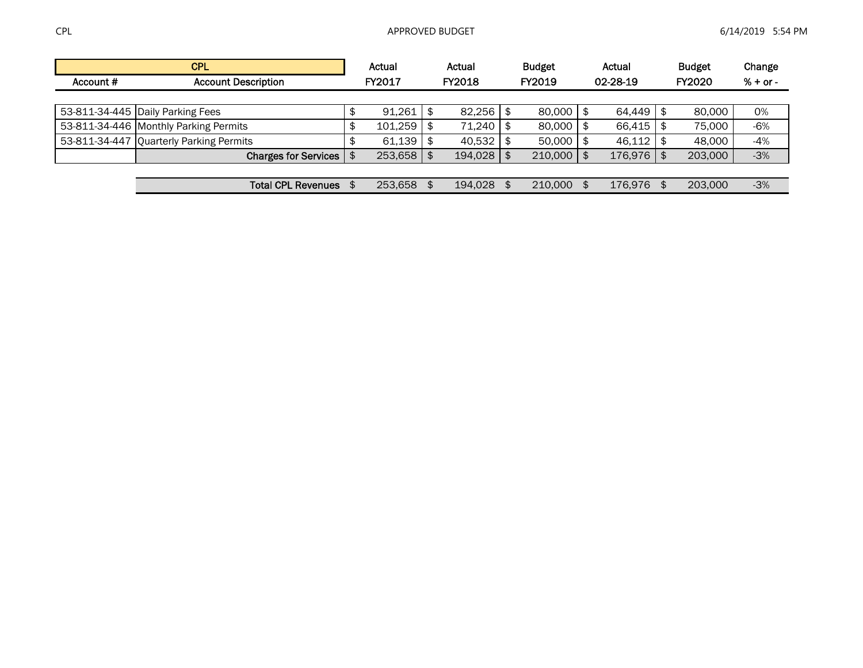|           | <b>CPL</b>                              |        | Actual        |     | Actual  | <b>Budget</b> |      | Actual   |      | <b>Budget</b> | Change     |
|-----------|-----------------------------------------|--------|---------------|-----|---------|---------------|------|----------|------|---------------|------------|
| Account # | <b>Account Description</b>              |        | <b>FY2017</b> |     | FY2018  | FY2019        |      | 02-28-19 |      | FY2020        | $% + or -$ |
|           |                                         |        |               |     |         |               |      |          |      |               |            |
|           | 53-811-34-445 Daily Parking Fees        | ጥ<br>⊅ | 91,261        | \$  | 82,256  | 80,000        | - \$ | 64,449   | - \$ | 80.000        | 0%         |
|           | 53-811-34-446 Monthly Parking Permits   | ጥ<br>⊅ | 101,259       | \$  | 71.240  | 80,000        |      | 66,415   | - SS | 75.000        | $-6%$      |
|           | 53-811-34-447 Quarterly Parking Permits |        | $61,139$ \$   |     | 40,532  | 50,000        |      | 46.112   | - \$ | 48.000        | $-4%$      |
|           | <b>Charges for Services</b>             | \$     | 253,658       | \$. | 194,028 | 210,000       |      | 176,976  | - SS | 203,000       | $-3%$      |
|           |                                         |        |               |     |         |               |      |          |      |               |            |
|           | <b>Total CPL Revenues</b>               |        | 253.658       |     | 194.028 | 210,000       |      | 176.976  |      | 203,000       | $-3%$      |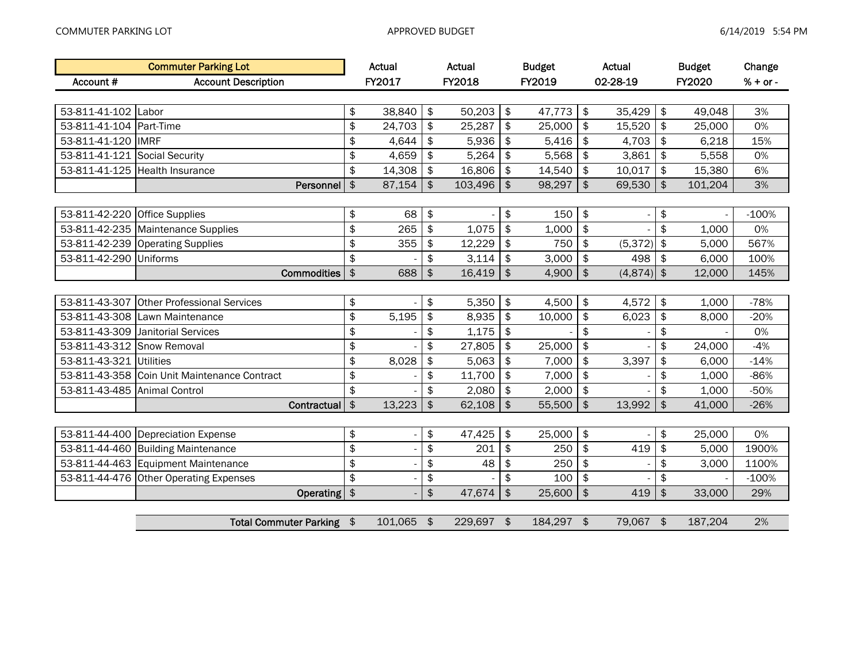|                               | <b>Commuter Parking Lot</b>            |               | Actual  |                                | Actual  |               | <b>Budget</b> | Actual         |               | <b>Budget</b> | Change     |
|-------------------------------|----------------------------------------|---------------|---------|--------------------------------|---------|---------------|---------------|----------------|---------------|---------------|------------|
| Account #                     | <b>Account Description</b>             |               | FY2017  |                                | FY2018  |               | FY2019        | 02-28-19       |               | FY2020        | $% + or -$ |
|                               |                                        |               |         |                                |         |               |               |                |               |               |            |
| 53-811-41-102                 | Labor                                  | \$            | 38,840  | \$                             | 50,203  | \$            | 47,773        | \$<br>35,429   | \$            | 49,048        | 3%         |
| 53-811-41-104                 | Part-Time                              | \$            | 24,703  | \$                             | 25,287  | \$            | 25,000        | \$<br>15,520   | \$            | 25,000        | 0%         |
| 53-811-41-120                 | <b>IMRF</b>                            | \$            | 4,644   | \$                             | 5,936   | \$            | 5,416         | \$<br>4,703    | \$            | 6,218         | 15%        |
| 53-811-41-121 Social Security |                                        | \$            | 4,659   | \$                             | 5,264   | \$            | 5,568         | \$<br>3,861    | \$            | 5,558         | 0%         |
| 53-811-41-125                 | <b>Health Insurance</b>                | \$            | 14,308  | \$                             | 16,806  | \$            | 14,540        | \$<br>10,017   | \$            | 15,380        | 6%         |
|                               | Personnel                              | $\pmb{\$}$    | 87,154  | \$                             | 103,496 | \$            | 98,297        | \$<br>69,530   | \$            | 101,204       | 3%         |
|                               |                                        |               |         |                                |         |               |               |                |               |               |            |
| 53-811-42-220                 | <b>Office Supplies</b>                 | \$            | 68      | \$                             |         | \$            | 150           | \$             | \$            |               | $-100%$    |
| 53-811-42-235                 | <b>Maintenance Supplies</b>            | \$            | 265     | \$                             | 1,075   | \$            | 1,000         | \$             | \$            | 1,000         | 0%         |
| 53-811-42-239                 | <b>Operating Supplies</b>              | \$            | 355     | \$                             | 12,229  | \$            | 750           | \$<br>(5, 372) | \$            | 5,000         | 567%       |
| 53-811-42-290                 | Uniforms                               | \$            |         | \$                             | 3,114   | \$            | 3,000         | \$<br>498      | \$            | 6,000         | 100%       |
|                               | <b>Commodities</b>                     | $\frac{1}{2}$ | 688     | $\ddot{\boldsymbol{\epsilon}}$ | 16,419  | \$            | 4,900         | \$<br>(4, 874) | $\frac{1}{2}$ | 12,000        | 145%       |
|                               |                                        |               |         |                                |         |               |               |                |               |               |            |
| 53-811-43-307                 | <b>Other Professional Services</b>     | \$            |         | \$                             | 5,350   | \$            | 4,500         | \$<br>4,572    | \$            | 1,000         | $-78%$     |
| 53-811-43-308                 | Lawn Maintenance                       | \$            | 5,195   | \$                             | 8,935   | \$            | 10,000        | \$<br>6,023    | \$            | 8,000         | $-20%$     |
| 53-811-43-309                 | Janitorial Services                    | \$            |         | \$                             | 1,175   | \$            |               | \$             | \$            |               | 0%         |
| 53-811-43-312 Snow Removal    |                                        | \$            |         | \$                             | 27,805  | \$            | 25,000        | \$             | \$            | 24,000        | $-4%$      |
| 53-811-43-321                 | <b>Utilities</b>                       | \$            | 8,028   | \$                             | 5,063   | \$            | 7,000         | \$<br>3,397    | \$            | 6,000         | $-14%$     |
| 53-811-43-358                 | Coin Unit Maintenance Contract         | \$            |         | \$                             | 11,700  | \$            | 7,000         | \$             | \$            | 1,000         | $-86%$     |
| 53-811-43-485                 | <b>Animal Control</b>                  | \$            |         | \$                             | 2,080   | \$            | 2,000         | \$             | \$            | 1,000         | $-50%$     |
|                               | Contractual                            | $\frac{1}{2}$ | 13,223  | \$                             | 62,108  | \$            | 55,500        | \$<br>13,992   | \$            | 41,000        | $-26%$     |
|                               |                                        |               |         |                                |         |               |               |                |               |               |            |
|                               | 53-811-44-400 Depreciation Expense     | \$            |         | \$                             | 47,425  | \$            | 25,000        | \$             | \$            | 25,000        | 0%         |
| 53-811-44-460                 | <b>Building Maintenance</b>            | \$            |         | \$                             | 201     | \$            | 250           | \$<br>419      | \$            | 5,000         | 1900%      |
| 53-811-44-463                 | <b>Equipment Maintenance</b>           | \$            |         | \$                             | 48      | \$            | 250           | \$             | \$            | 3,000         | 1100%      |
|                               | 53-811-44-476 Other Operating Expenses | \$            |         | \$                             |         | \$            | 100           | \$             | \$            |               | $-100%$    |
|                               | Operating \$                           |               |         | \$                             | 47,674  | $\frac{1}{2}$ | 25,600        | \$<br>419      | $\frac{4}{5}$ | 33,000        | 29%        |
|                               |                                        |               |         |                                |         |               |               |                |               |               |            |
|                               | <b>Total Commuter Parking</b>          | \$            | 101,065 | \$                             | 229,697 | \$            | 184,297 \$    | 79,067 \$      |               | 187,204       | 2%         |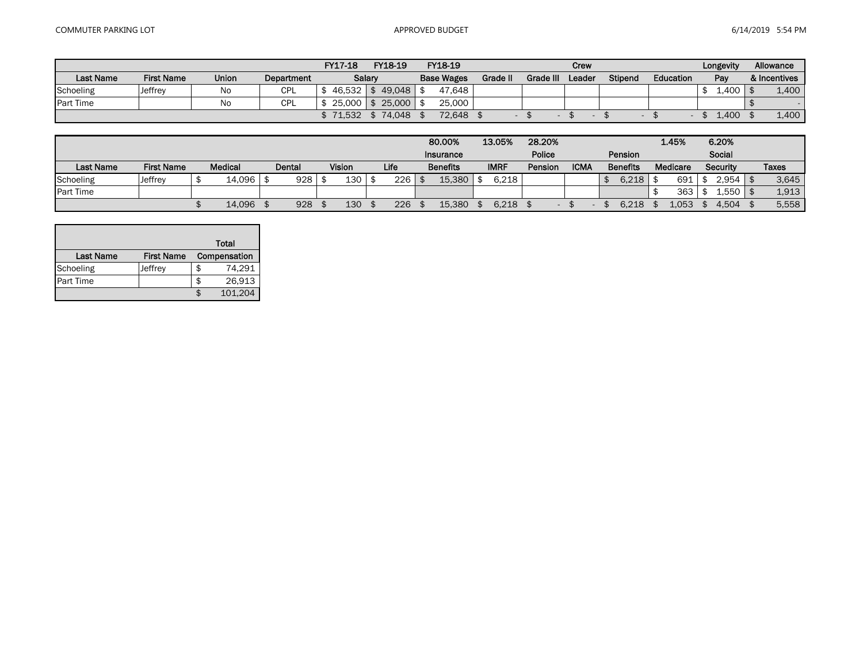|                  |                   |       |            | FY17-18       | FY18-19       | FY18-19           |          |           | Crew   |         |           | Longevity | Allowance    |
|------------------|-------------------|-------|------------|---------------|---------------|-------------------|----------|-----------|--------|---------|-----------|-----------|--------------|
| <b>Last Name</b> | <b>First Name</b> | Union | Department |               | Salary        | <b>Base Wages</b> | Grade II | Grade III | Leader | Stipend | Education | Pay       | & Incentives |
| Schoeling        | Jeffrey           | No    | <b>CPL</b> | $46.532$   \$ | 49.048        | 47.648            |          |           |        |         |           | .400      | 1,400        |
| <b>Part Time</b> |                   | No    | CPL        | 25,000        | 25,000<br>1 S | 25,000            |          |           |        |         |           |           |              |
|                  |                   |       |            | \$71.532      | 74.048        | 72,648            |          |           |        |         |           | 1.400     | 1,400        |

|                  |                   |                |        |                  |      |  | 80.00%          | 13.05%      | 28.20%  |             |                 | 1.45%    | 6.20%           |       |
|------------------|-------------------|----------------|--------|------------------|------|--|-----------------|-------------|---------|-------------|-----------------|----------|-----------------|-------|
|                  |                   |                |        |                  |      |  | Insurance       |             | Police  |             | Pension         |          | Social          |       |
| <b>Last Name</b> | <b>First Name</b> | <b>Medical</b> | Dental | Vision           | Life |  | <b>Benefits</b> | <b>IMRF</b> | Pension | <b>ICMA</b> | <b>Benefits</b> | Medicare | <b>Security</b> | Taxes |
| Schoeling        | Jeffrey           | 14,096         | 928    | 130 <sub>1</sub> | 226  |  | 15,380          | 6,218       |         |             | 6.218           | 691.     | 2.954           | 3.645 |
| <b>Part Time</b> |                   |                |        |                  |      |  |                 |             |         |             |                 | 363      | .,550           | 1.913 |
|                  |                   | 14.096         | 928    | 130              | 226  |  | 15.380          | 6.218       |         |             | 6.218           | 1.053    | 4.504           | 5,558 |

|                  |                   |   | Total        |
|------------------|-------------------|---|--------------|
| Last Name        | <b>First Name</b> |   | Compensation |
| Schoeling        | Jeffrey           | S | 74,291       |
| <b>Part Time</b> |                   | S | 26,913       |
|                  |                   |   | 101,204      |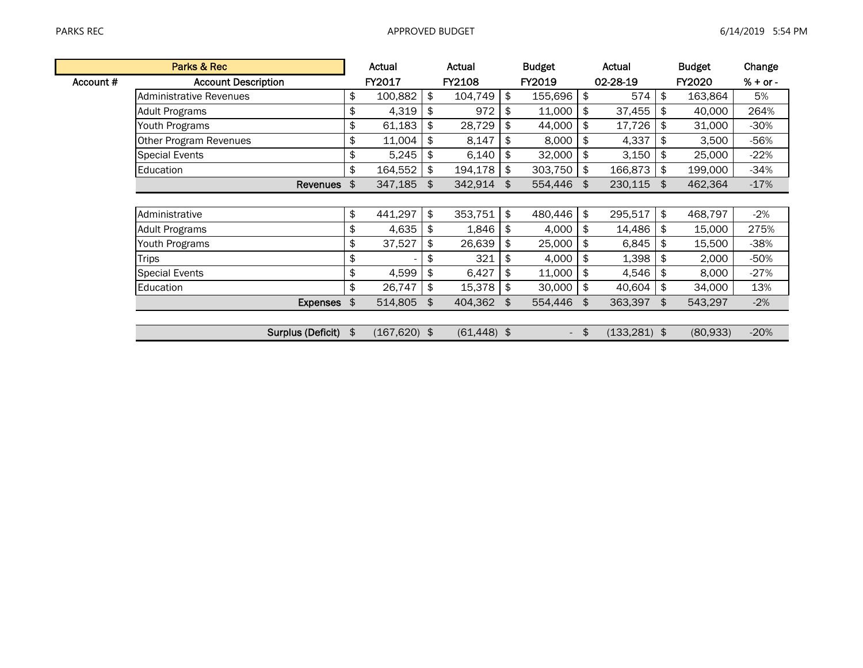|           | Parks & Rec                    | Actual          |               | Actual         |               | <b>Budget</b>            | Actual                |               | <b>Budget</b> | Change     |
|-----------|--------------------------------|-----------------|---------------|----------------|---------------|--------------------------|-----------------------|---------------|---------------|------------|
| Account # | <b>Account Description</b>     | <b>FY2017</b>   |               | <b>FY2108</b>  |               | <b>FY2019</b>            | 02-28-19              |               | <b>FY2020</b> | $% + or -$ |
|           | <b>Administrative Revenues</b> | \$<br>100,882   | \$            | 104,749        | \$            | 155,696                  | \$<br>574             | \$            | 163,864       | 5%         |
|           | Adult Programs                 | \$<br>4,319     | \$            | 972            | \$            | 11,000                   | \$<br>37,455          | $\frac{1}{2}$ | 40,000        | 264%       |
|           | Youth Programs                 | \$<br>61,183    | \$            | 28,729         | \$            | 44,000                   | \$<br>17,726          | \$            | 31,000        | $-30%$     |
|           | Other Program Revenues         | \$<br>11,004    | \$            | 8,147          |               | 8,000                    | \$<br>4,337           | \$            | 3,500         | -56%       |
|           | <b>Special Events</b>          | \$<br>5,245     | \$            | 6,140          | \$            | 32,000                   | \$<br>3,150           | \$            | 25,000        | $-22%$     |
|           | Education                      | \$<br>164,552   | \$            | 194,178        | \$            | 303,750                  | \$<br>166,873         | \$            | 199,000       | $-34%$     |
|           | Revenues \$                    | 347,185         | $\frac{1}{2}$ | 342,914        | $\frac{4}{5}$ | 554,446                  | \$<br>230,115 \$      |               | 462,364       | $-17%$     |
|           |                                |                 |               |                |               |                          |                       |               |               |            |
|           | Administrative                 | \$<br>441,297   | \$            | 353,751        | \$            | 480,446                  | \$<br>295,517         | \$            | 468,797       | $-2\%$     |
|           | <b>Adult Programs</b>          | \$<br>4,635     | \$            | 1,846          | \$            | 4,000                    | \$<br>14,486          | \$            | 15,000        | 275%       |
|           | Youth Programs                 | \$<br>37,527    | \$            | 26,639         | \$            | 25,000                   | \$<br>6,845           | \$            | 15,500        | $-38%$     |
|           | Trips                          | \$              | \$            | 321            | \$            | 4,000                    | \$<br>1,398           | \$            | 2,000         | $-50%$     |
|           | <b>Special Events</b>          | \$<br>4,599     | \$            | 6,427          |               | 11,000                   | \$<br>4,546           | \$            | 8,000         | $-27%$     |
|           | Education                      | \$<br>26,747    | \$            | 15,378         | \$            | 30,000                   | \$<br>40,604          | \$            | 34,000        | 13%        |
|           | Expenses \$                    | 514,805         | \$            | 404,362        | \$            | 554,446                  | \$<br>363,397         | \$            | 543,297       | $-2%$      |
|           |                                |                 |               |                |               |                          |                       |               |               |            |
|           | Surplus (Deficit) \$           | $(167, 620)$ \$ |               | $(61, 448)$ \$ |               | $\overline{\phantom{a}}$ | \$<br>$(133, 281)$ \$ |               | (80, 933)     | $-20%$     |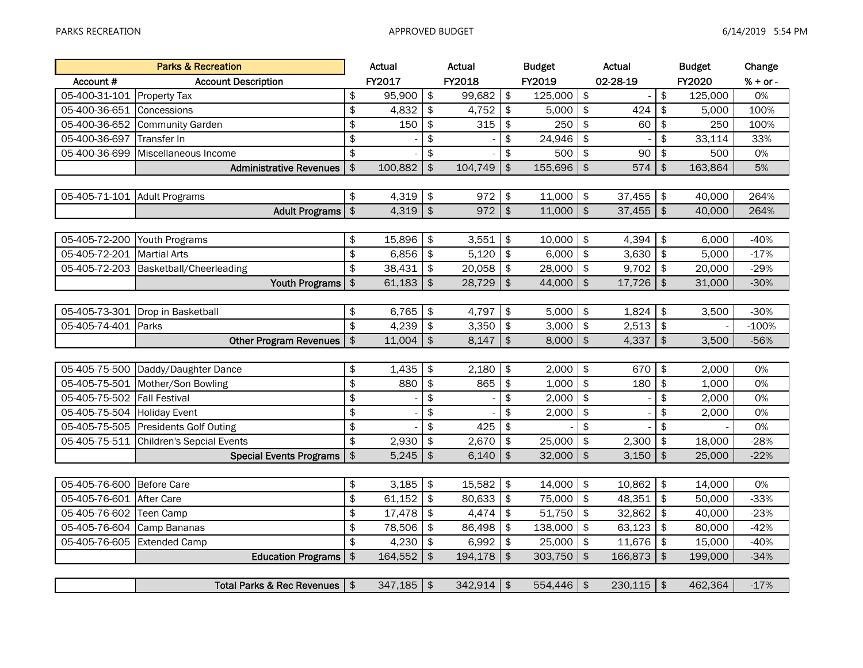|                              | <b>Parks &amp; Recreation</b>         |               | Actual  |                           | Actual  |               | <b>Budget</b> |               | <b>Actual</b>            |                           | <b>Budget</b> | Change     |
|------------------------------|---------------------------------------|---------------|---------|---------------------------|---------|---------------|---------------|---------------|--------------------------|---------------------------|---------------|------------|
| Account #                    | <b>Account Description</b>            |               | FY2017  |                           | FY2018  |               | FY2019        |               | 02-28-19                 |                           | FY2020        | $% + or -$ |
| 05-400-31-101                | <b>Property Tax</b>                   | \$            | 95,900  | $\frac{1}{2}$             | 99,682  | \$            | 125,000       | $\frac{4}{3}$ | $\overline{a}$           | \$                        | 125,000       | 0%         |
| 05-400-36-651                | Concessions                           | \$            | 4,832   | \$                        | 4,752   | \$            | 5,000         | \$            | 424                      | \$                        | 5,000         | 100%       |
| 05-400-36-652                | <b>Community Garden</b>               | \$            | 150     | $\frac{1}{2}$             | 315     | \$            | 250           | \$            | 60                       | $\frac{1}{2}$             | 250           | 100%       |
| 05-400-36-697                | Transfer In                           | \$            |         | \$                        |         | \$            | 24,946        | \$            |                          | \$                        | 33,114        | 33%        |
| 05-400-36-699                | Miscellaneous Income                  | \$            |         | \$                        |         | \$            | 500           | \$            | 90                       | \$                        | 500           | 0%         |
|                              | <b>Administrative Revenues</b>        | $\frac{1}{2}$ | 100,882 | $\frac{1}{2}$             | 104,749 | \$            | 155,696       | $\frac{1}{2}$ | 574                      | \$                        | 163,864       | 5%         |
|                              |                                       |               |         |                           |         |               |               |               |                          |                           |               |            |
| 05-405-71-101 Adult Programs |                                       | \$            | 4,319   | $\frac{1}{2}$             | 972     | \$            | 11,000        | \$            | 37,455                   | \$                        | 40,000        | 264%       |
|                              | <b>Adult Programs</b>                 | $\frac{1}{2}$ | 4,319   | $\frac{1}{2}$             | 972     | $\frac{1}{2}$ | 11,000        | $\frac{1}{2}$ | 37,455                   | $\frac{1}{2}$             | 40,000        | 264%       |
|                              |                                       |               |         |                           |         |               |               |               |                          |                           |               |            |
| 05-405-72-200                | Youth Programs                        | \$            | 15,896  | $\frac{1}{2}$             | 3,551   | \$            | 10,000        | \$            | 4,394                    | \$                        | 6,000         | $-40%$     |
| 05-405-72-201                | <b>Martial Arts</b>                   | \$            | 6,856   | $\frac{1}{2}$             | 5,120   | \$            | 6,000         | \$            | 3,630                    | \$                        | 5,000         | $-17%$     |
| 05-405-72-203                | Basketball/Cheerleading               | \$            | 38,431  | $\sqrt{2}$                | 20,058  | \$            | 28,000        | $\,$          | 9,702                    | \$                        | 20,000        | $-29%$     |
|                              | <b>Youth Programs</b>                 | $\frac{1}{2}$ | 61,183  | $\boldsymbol{\hat{\phi}}$ | 28,729  | \$            | 44,000        | $\frac{1}{2}$ | 17,726                   | $\boldsymbol{\hat{\phi}}$ | 31,000        | $-30%$     |
|                              |                                       |               |         |                           |         |               |               |               |                          |                           |               |            |
|                              | 05-405-73-301 Drop in Basketball      | \$            | 6,765   | \$                        | 4,797   | \$            | 5,000         | \$            | 1,824                    | \$                        | 3,500         | $-30%$     |
| 05-405-74-401                | Parks                                 | \$            | 4,239   | \$                        | 3,350   | \$            | 3,000         | \$            | 2,513                    | \$                        |               | $-100%$    |
|                              | <b>Other Program Revenues</b>         | $\frac{4}{5}$ | 11,004  | $\frac{1}{2}$             | 8,147   | \$            | 8,000         | $\frac{1}{2}$ | 4,337                    | \$                        | 3,500         | $-56%$     |
|                              |                                       |               |         |                           |         |               |               |               |                          |                           |               |            |
| 05-405-75-500                | Daddy/Daughter Dance                  | \$            | 1,435   | \$                        | 2,180   | \$            | 2,000         | \$            | 670                      | \$                        | 2,000         | 0%         |
| 05-405-75-501                | Mother/Son Bowling                    | $\frac{1}{2}$ | 880     | $\frac{1}{2}$             | 865     | \$            | 1,000         | \$            | 180                      | $\frac{1}{2}$             | 1,000         | 0%         |
| 05-405-75-502                | <b>Fall Festival</b>                  | \$            |         | \$                        |         | \$            | 2,000         | \$            | $\overline{\phantom{a}}$ | \$                        | 2,000         | 0%         |
| 05-405-75-504                | <b>Holiday Event</b>                  | \$            |         | \$                        |         | \$            | 2,000         | \$            | $\overline{a}$           | \$                        | 2,000         | 0%         |
| 05-405-75-505                | Presidents Golf Outing                | \$            |         | \$                        | 425     | \$            |               | \$            |                          | \$                        |               | 0%         |
| 05-405-75-511                | Children's Sepcial Events             | \$            | 2,930   | $\frac{1}{2}$             | 2,670   | \$            | 25,000        | $\,$          | 2,300                    | \$                        | 18,000        | $-28%$     |
|                              | <b>Special Events Programs</b>        | $\frac{1}{2}$ | 5,245   | $\frac{1}{2}$             | 6.140   | $\frac{1}{2}$ | 32,000        | $\frac{1}{2}$ | 3,150                    | $\frac{1}{2}$             | 25,000        | $-22%$     |
|                              |                                       |               |         |                           |         |               |               |               |                          |                           |               |            |
| 05-405-76-600                | Before Care                           | \$            | 3,185   | \$                        | 15,582  | \$            | 14,000        | \$            | 10,862                   | \$                        | 14,000        | 0%         |
| 05-405-76-601                | After Care                            | \$            | 61,152  | \$                        | 80,633  | \$            | 75,000        | \$            | 48,351                   | \$                        | 50,000        | $-33%$     |
| 05-405-76-602                | Teen Camp                             | \$            | 17,478  | $\sqrt{2}$                | 4,474   | \$            | 51,750        | \$            | 32,862                   | \$                        | 40,000        | $-23%$     |
| 05-405-76-604                | Camp Bananas                          | \$            | 78,506  | \$                        | 86,498  | \$            | 138,000       | \$            | 63,123                   | \$                        | 80,000        | $-42%$     |
| 05-405-76-605                | <b>Extended Camp</b>                  | \$            | 4,230   | \$                        | 6,992   | \$            | 25,000        | \$            | 11,676                   | \$                        | 15,000        | $-40%$     |
|                              | <b>Education Programs</b>             | $\frac{1}{2}$ | 164,552 | $\frac{1}{2}$             | 194,178 | $\frac{1}{2}$ | 303,750       | \$            | 166,873                  | \$                        | 199,000       | $-34%$     |
|                              |                                       |               |         |                           |         |               |               |               |                          |                           |               |            |
|                              | <b>Total Parks &amp; Rec Revenues</b> | $\frac{1}{2}$ | 347,185 | $\frac{1}{2}$             | 342,914 | $\frac{1}{2}$ | 554,446       | $\frac{1}{2}$ | 230,115                  | $\frac{1}{2}$             | 462,364       | $-17%$     |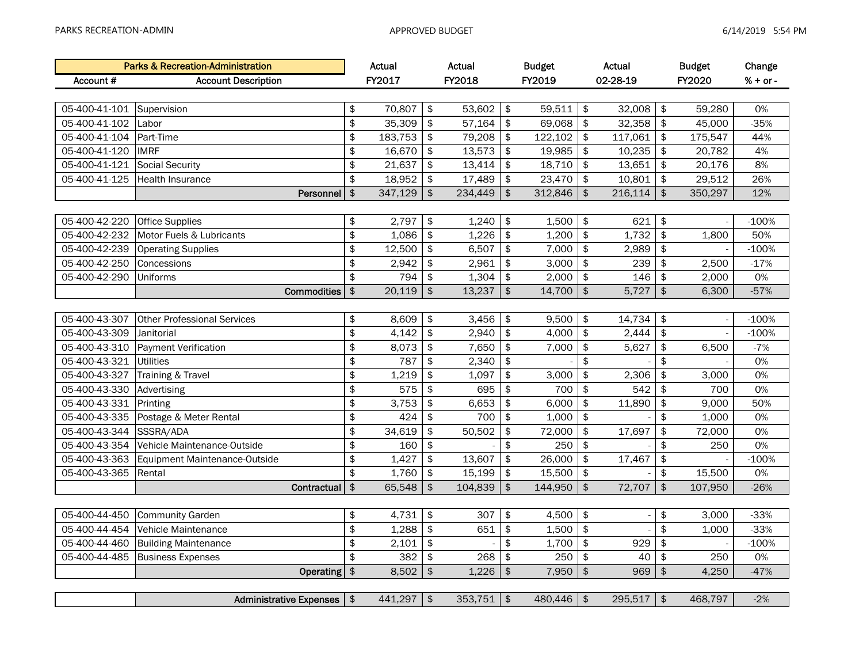|               | <b>Parks &amp; Recreation-Administration</b> |               | Actual       |                  | Actual       |               | <b>Budget</b> |               | Actual   |               | <b>Budget</b> | Change   |
|---------------|----------------------------------------------|---------------|--------------|------------------|--------------|---------------|---------------|---------------|----------|---------------|---------------|----------|
| Account #     | <b>Account Description</b>                   |               | FY2017       |                  | FY2018       |               | FY2019        |               | 02-28-19 |               | FY2020        | % + or - |
|               |                                              |               |              |                  |              |               |               |               |          |               |               |          |
| 05-400-41-101 | Supervision                                  | \$            | 70,807       | \$               | 53,602       | \$            | 59,511        | \$            | 32,008   | \$            | 59,280        | 0%       |
| 05-400-41-102 | Labor                                        | \$            | 35,309       | \$               | 57,164       | \$            | 69,068        | \$            | 32,358   | \$            | 45,000        | $-35%$   |
| 05-400-41-104 | Part-Time                                    | \$            | 183,753      | \$               | 79,208       | \$            | 122,102       | \$            | 117,061  | \$            | 175,547       | 44%      |
| 05-400-41-120 | <b>IMRF</b>                                  | \$            | 16,670       | \$               | 13,573       | \$            | 19,985        | \$            | 10,235   | \$            | 20,782        | 4%       |
| 05-400-41-121 | <b>Social Security</b>                       | \$            | 21,637       | \$               | 13,414       | \$            | 18,710        | \$            | 13,651   | \$            | 20,176        | 8%       |
| 05-400-41-125 | <b>Health Insurance</b>                      | $\frac{1}{2}$ | 18,952       | \$               | 17,489       | \$            | 23,470        | $\sqrt{2}$    | 10,801   | \$            | 29,512        | 26%      |
|               | Personnel                                    | $\frac{1}{2}$ | 347,129      | $\frac{1}{2}$    | 234,449      | $\frac{1}{2}$ | 312,846       | $\frac{1}{2}$ | 216,114  | $\frac{1}{2}$ | 350,297       | 12%      |
|               |                                              |               |              |                  |              |               |               |               |          |               |               |          |
| 05-400-42-220 | <b>Office Supplies</b>                       | \$            | 2,797        | \$               | 1,240        | \$            | 1,500         | \$            | 621      | \$            |               | $-100%$  |
| 05-400-42-232 | Motor Fuels & Lubricants                     | \$            | 1,086        | \$               | 1,226        | \$            | 1,200         | \$            | 1,732    | \$            | 1,800         | 50%      |
| 05-400-42-239 | <b>Operating Supplies</b>                    | \$            | 12,500       | \$               | 6,507        | \$            | 7,000         | \$            | 2,989    | \$            |               | $-100%$  |
| 05-400-42-250 | Concessions                                  | \$            | 2,942        | \$               | 2,961        | \$            | 3,000         | \$            | 239      | \$            | 2,500         | $-17%$   |
| 05-400-42-290 | Uniforms                                     | \$            | 794          | \$               | 1,304        | \$            | 2,000         | \$            | 146      | \$            | 2,000         | 0%       |
|               | <b>Commodities</b>                           | \$            | 20,119       | $\frac{1}{2}$    | 13,237       | \$            | 14,700        | $\frac{1}{2}$ | 5,727    | $\frac{1}{2}$ | 6,300         | $-57%$   |
|               |                                              |               |              |                  |              |               |               |               |          |               |               |          |
| 05-400-43-307 | <b>Other Professional Services</b>           | \$            | 8,609        | \$               | 3,456        | \$            | 9,500         | \$            | 14,734   | \$            |               | $-100%$  |
| 05-400-43-309 | Janitorial                                   | \$            | 4,142        | \$               | 2,940        | \$            | 4,000         | \$            | 2,444    | \$            |               | $-100%$  |
| 05-400-43-310 | <b>Payment Verification</b>                  | \$            | 8,073        | \$               | 7,650        | \$            | 7,000         | \$            | 5,627    | \$            | 6,500         | $-7%$    |
| 05-400-43-321 | <b>Utilities</b>                             | \$            | 787          | \$               | 2,340        | \$            |               | \$            |          | \$            |               | 0%       |
| 05-400-43-327 | Training & Travel                            | \$            | 1,219        | \$               | 1,097        | \$            | 3,000         | \$            | 2,306    | \$            | 3,000         | 0%       |
| 05-400-43-330 | Advertising                                  | \$            | 575          | \$               | 695          | \$            | 700           | \$            | 542      | \$            | 700           | 0%       |
| 05-400-43-331 | Printing                                     | \$            | 3,753        | \$               | 6,653        | \$            | 6,000         | \$            | 11,890   | \$            | 9,000         | 50%      |
| 05-400-43-335 | Postage & Meter Rental                       | \$            | 424          | \$               | 700          | \$            | 1,000         | \$            |          | \$            | 1,000         | 0%       |
| 05-400-43-344 | SSSRA/ADA                                    | \$            | 34,619       | \$               | 50,502       | \$            | 72,000        | \$            | 17,697   | \$            | 72,000        | 0%       |
| 05-400-43-354 | Vehicle Maintenance-Outside                  | \$            | 160          | \$               |              | \$            | 250           | \$            |          | \$            | 250           | 0%       |
| 05-400-43-363 | Equipment Maintenance-Outside                | \$            | 1,427        | \$               | 13,607       | \$            | 26,000        | \$            | 17,467   | \$            |               | $-100%$  |
| 05-400-43-365 | Rental                                       | \$            | 1,760        | \$               | 15,199       | \$            | 15,500        | \$            |          | \$            | 15,500        | 0%       |
|               | Contractual                                  | $\frac{1}{2}$ | 65,548       | $\frac{1}{2}$    | 104,839      | \$            | 144,950       | $\frac{1}{2}$ | 72,707   | $\frac{1}{2}$ | 107,950       | $-26%$   |
|               |                                              |               |              |                  |              |               |               |               |          |               |               |          |
| 05-400-44-450 | <b>Community Garden</b>                      | \$            | 4,731        | \$               | 307          | \$            | 4,500         | \$            |          | \$            | 3,000         | $-33%$   |
| 05-400-44-454 | Vehicle Maintenance                          | \$            | 1,288        | \$               | 651          | \$            | 1,500         | \$            |          | \$            | 1,000         | $-33%$   |
| 05-400-44-460 | <b>Building Maintenance</b>                  | \$            | 2,101        | \$               |              | \$            | 1,700         | \$            | 929      | \$            |               | $-100%$  |
| 05-400-44-485 | <b>Business Expenses</b>                     | \$            | 382          | \$               | 268          | \$            | 250           | \$            | 40       | \$            | 250           | 0%       |
|               | <b>Operating</b>                             | $\frac{1}{2}$ | 8,502        | $$\mathfrak{F}$$ | 1,226        | $\, \, \$$    | 7,950         | $\frac{1}{2}$ | 969      | $\,$          | 4,250         | $-47%$   |
|               |                                              |               |              |                  |              |               |               |               |          |               |               |          |
|               | Administrative Expenses   \$                 |               | $441,297$ \$ |                  | $353,751$ \$ |               | $480,446$ \$  |               | 295,517  | $\sqrt{3}$    | 468,797       | $-2%$    |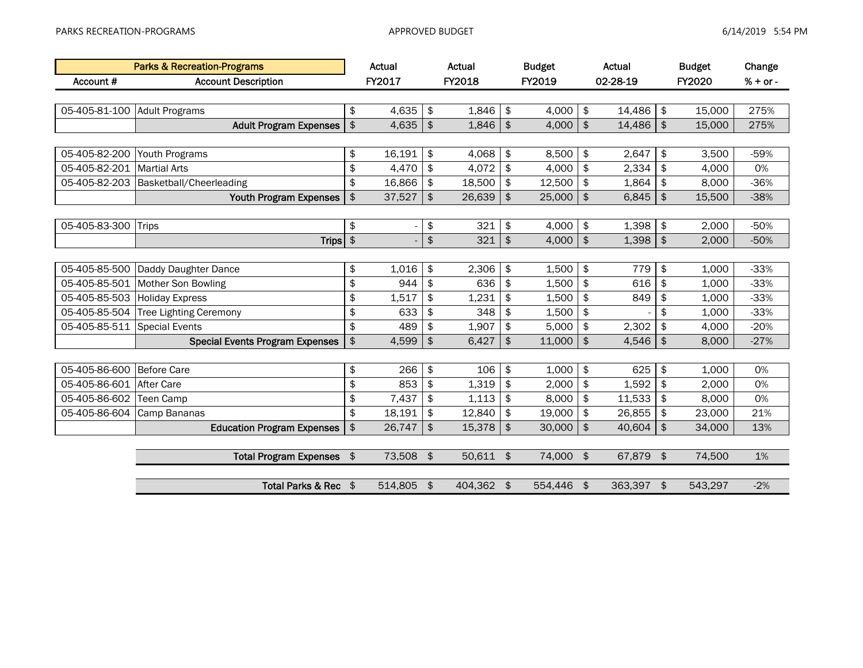|               | <b>Parks &amp; Recreation-Programs</b> |                | Actual     |               | Actual     |               | <b>Budget</b> |               | Actual    |               | <b>Budget</b> | Change     |
|---------------|----------------------------------------|----------------|------------|---------------|------------|---------------|---------------|---------------|-----------|---------------|---------------|------------|
| Account #     | <b>Account Description</b>             |                | FY2017     |               | FY2018     |               | FY2019        |               | 02-28-19  |               | FY2020        | $% + or -$ |
|               |                                        |                |            |               |            |               |               |               |           |               |               |            |
| 05-405-81-100 | <b>Adult Programs</b>                  | \$             | 4,635      | \$            | 1,846      | \$            | 4,000         | \$            | 14,486    | \$            | 15,000        | 275%       |
|               | <b>Adult Program Expenses</b>          | $\frac{1}{2}$  | 4,635      | \$            | 1,846      | \$            | 4,000         | \$            | 14,486    | $\frac{1}{2}$ | 15,000        | 275%       |
|               |                                        |                |            |               |            |               |               |               |           |               |               |            |
| 05-405-82-200 | Youth Programs                         | \$             | 16,191     | $\frac{1}{2}$ | 4,068      | \$            | 8,500         | \$            | 2,647     | \$            | 3,500         | $-59%$     |
| 05-405-82-201 | <b>Martial Arts</b>                    | \$             | 4,470      | $\sqrt{3}$    | 4,072      | $\frac{1}{2}$ | 4,000         | $\frac{1}{2}$ | 2,334     | \$            | 4,000         | 0%         |
| 05-405-82-203 | Basketball/Cheerleading                | \$             | 16,866     | \$            | 18,500     | \$            | 12,500        | \$            | 1,864     | \$            | 8,000         | $-36%$     |
|               | <b>Youth Program Expenses</b>          | $\frac{1}{2}$  | 37,527     | \$            | 26,639     | \$            | 25,000        | $\frac{1}{2}$ | 6,845     | $\frac{1}{2}$ | 15,500        | $-38%$     |
|               |                                        |                |            |               |            |               |               |               |           |               |               |            |
| 05-405-83-300 | <b>Trips</b>                           | \$             |            | \$            | 321        | \$            | 4,000         | \$            | 1,398     | \$            | 2,000         | $-50%$     |
|               | <b>Trips</b>                           | $\updownarrow$ |            | $\pmb{\$}$    | 321        | \$            | 4,000         | $\frac{1}{2}$ | 1,398     | $\frac{1}{2}$ | 2,000         | $-50%$     |
|               |                                        |                |            |               |            |               |               |               |           |               |               |            |
| 05-405-85-500 | Daddy Daughter Dance                   | \$             | 1,016      | \$            | 2,306      | \$            | 1,500         | \$            | 779       | \$            | 1,000         | $-33%$     |
| 05-405-85-501 | Mother Son Bowling                     | \$             | 944        | \$            | 636        | \$            | 1,500         | \$            | 616       | \$            | 1,000         | $-33%$     |
| 05-405-85-503 | <b>Holiday Express</b>                 | \$             | 1,517      | \$            | 1,231      | \$            | 1,500         | \$            | 849       | \$            | 1,000         | $-33%$     |
| 05-405-85-504 | <b>Tree Lighting Ceremony</b>          | \$             | 633        | \$            | 348        | \$            | 1,500         | \$            |           | \$            | 1,000         | $-33%$     |
| 05-405-85-511 | <b>Special Events</b>                  | \$             | 489        | \$            | 1,907      | \$            | 5,000         | \$            | 2,302     | \$            | 4,000         | $-20%$     |
|               | <b>Special Events Program Expenses</b> | $\frac{1}{2}$  | 4,599      | \$            | 6,427      | \$            | 11,000        | $\frac{1}{2}$ | 4,546     | $\frac{1}{2}$ | 8,000         | $-27%$     |
|               |                                        |                |            |               |            |               |               |               |           |               |               |            |
| 05-405-86-600 | Before Care                            | \$             | 266        | $\frac{1}{2}$ | 106        | \$            | 1,000         | \$            | 625       | \$            | 1,000         | 0%         |
| 05-405-86-601 | After Care                             | \$             | 853        | $\frac{1}{2}$ | 1,319      | \$            | 2,000         | \$            | 1,592     | \$            | 2,000         | 0%         |
| 05-405-86-602 | Teen Camp                              | \$             | 7,437      | \$            | 1,113      | \$            | 8,000         | \$            | 11,533    | \$            | 8,000         | 0%         |
| 05-405-86-604 | Camp Bananas                           | \$             | 18,191     | \$            | 12,840     | \$            | 19,000        | \$            | 26,855    | \$            | 23,000        | 21%        |
|               | <b>Education Program Expenses</b>      | \$             | 26,747     | $\frac{2}{3}$ | 15,378     | \$            | 30,000        | $\frac{1}{2}$ | 40,604    | $\frac{1}{2}$ | 34,000        | 13%        |
|               |                                        |                |            |               |            |               |               |               |           |               |               |            |
|               | <b>Total Program Expenses</b>          | \$             | 73,508     | $\frac{1}{2}$ | 50,611 \$  |               | 74,000 \$     |               | 67,879 \$ |               | 74,500        | 1%         |
|               |                                        |                |            |               |            |               |               |               |           |               |               |            |
|               | Total Parks & Rec \$                   |                | 514,805 \$ |               | 404,362 \$ |               | 554,446       | \$            | 363,397   | \$            | 543,297       | $-2%$      |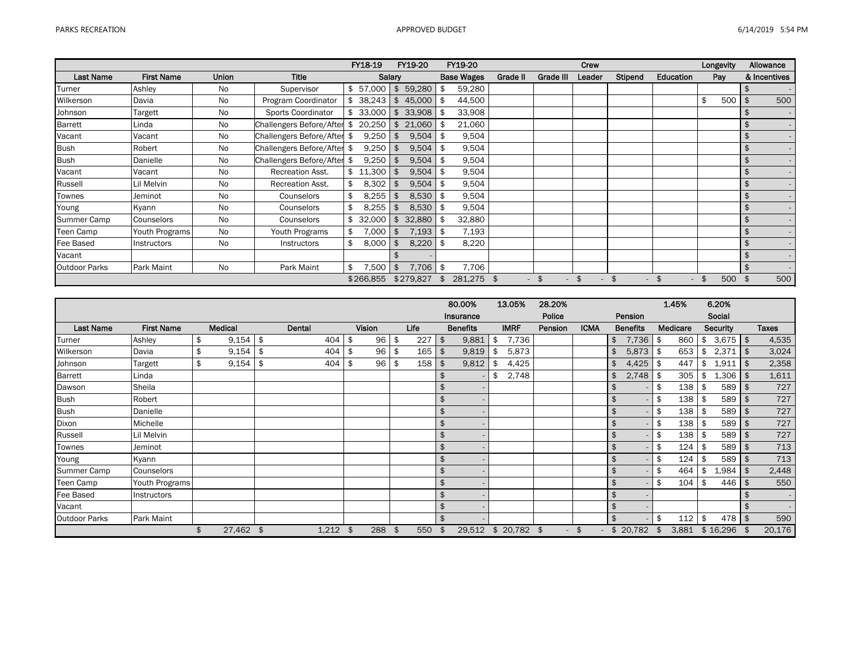|                      |                   |              |                          | FY18-19          |            | FY19-20   | FY19-20           |          |              | Crew         |              |              | Longevity |                | Allowance    |
|----------------------|-------------------|--------------|--------------------------|------------------|------------|-----------|-------------------|----------|--------------|--------------|--------------|--------------|-----------|----------------|--------------|
| Last Name            | <b>First Name</b> | <b>Union</b> | <b>Title</b>             | Salary           |            |           | <b>Base Wages</b> | Grade II | Grade III    | Leader       | Stipend      | Education    | Pay       |                | & Incentives |
| Turner               | Ashley            | No           | Supervisor               | \$57,000         | \$         | 59,280    | \$<br>59,280      |          |              |              |              |              |           | \$             |              |
| Wilkerson            | Davia             | No           | Program Coordinator      |                  |            | 45,000    | \$<br>44,500      |          |              |              |              |              | \$<br>500 |                | 500          |
| Johnson              | Targett           | No           | Sports Coordinator       | 33,000           | \$         | 33,908    | \$<br>33,908      |          |              |              |              |              |           |                |              |
| <b>Barrett</b>       | Linda             | No           | Challengers Before/After | \$<br>20,250     | \$         | 21,060    | \$<br>21,060      |          |              |              |              |              |           | $\mathfrak{L}$ |              |
| Vacant               | Vacant            | No           | Challengers Before/After | \$<br>9,250      | \$         | 9,504     | \$<br>9,504       |          |              |              |              |              |           | \$             |              |
| <b>Bush</b>          | Robert            | No           | Challengers Before/After | \$<br>9,250      | \$         | 9,504     | \$<br>9,504       |          |              |              |              |              |           | \$             |              |
| <b>Bush</b>          | Danielle          | No           | Challengers Before/After | \$<br>9,250      | \$         | 9,504     | \$<br>9,504       |          |              |              |              |              |           | \$             |              |
| Vacant               | Vacant            | No           | <b>Recreation Asst.</b>  | \$11,300         | \$         | 9,504     | \$<br>9,504       |          |              |              |              |              |           | \$             |              |
| Russell              | Lil Melvin        | No           | <b>Recreation Asst.</b>  | 8,302            | \$         | 9,504     | \$<br>9,504       |          |              |              |              |              |           | \$             |              |
| Townes               | Jeminot           | No           | Counselors               | \$<br>$8,255$ \$ |            | 8,530     | \$<br>9,504       |          |              |              |              |              |           | \$             |              |
| Young                | Kyann             | No           | Counselors               | \$<br>8,255      | - \$       | 8,530     | \$<br>9,504       |          |              |              |              |              |           | $\mathfrak{L}$ |              |
| Summer Camp          | Counselors        | No           | Counselors               | \$32,000         | \$         | 32,880    | \$<br>32,880      |          |              |              |              |              |           | \$             |              |
| Teen Camp            | Youth Programs    | <b>No</b>    | Youth Programs           | \$<br>7,000      | <b>5</b>   | 7,193     | \$<br>7,193       |          |              |              |              |              |           | \$             |              |
| Fee Based            | Instructors       | <b>No</b>    | Instructors              | \$<br>8,000      | <b>5</b>   | 8,220     | \$<br>8,220       |          |              |              |              |              |           | \$             |              |
| Vacant               |                   |              |                          |                  |            |           |                   |          |              |              |              |              |           | $\mathfrak{L}$ |              |
| <b>Outdoor Parks</b> | <b>Park Maint</b> | No           | Park Maint               | \$<br>,500       | $\sqrt{3}$ | 7,706     | \$<br>7,706       |          |              |              |              |              |           | $\mathfrak{L}$ |              |
|                      |                   |              |                          | \$266,855        |            | \$279,827 | \$<br>281,275 \$  | $\sim$   | \$<br>$\sim$ | \$<br>$\sim$ | \$<br>$\sim$ | \$<br>$\sim$ | \$<br>500 | - \$           | 500          |

|                      |                   |                  |     |        |      |               |      |      |                           | 80.00%          | 13.05%              | 28.20%  |                    |                    |                 |     | 1.45%    |     | 6.20%           |              |
|----------------------|-------------------|------------------|-----|--------|------|---------------|------|------|---------------------------|-----------------|---------------------|---------|--------------------|--------------------|-----------------|-----|----------|-----|-----------------|--------------|
|                      |                   |                  |     |        |      |               |      |      |                           | Insurance       |                     | Police  |                    |                    | Pension         |     |          |     | Social          |              |
| <b>Last Name</b>     | <b>First Name</b> | Medical          |     | Dental |      | <b>Vision</b> |      | Life |                           | <b>Benefits</b> | <b>IMRF</b>         | Pension | <b>ICMA</b>        |                    | <b>Benefits</b> |     | Medicare |     | <b>Security</b> | <b>Taxes</b> |
| Turner               | Ashley            | \$<br>$9,154$ \$ |     | 404    | \$   | 96            | l \$ | 227  | -\$                       | 9,881           | \$<br>7,736         |         |                    | \$                 | 7,736           | -\$ | 860      | \$  | $3,675$ \$      | 4,535        |
| Wilkerson            | Davia             | \$<br>9,154      | \$  | 404    | \$   | 96            | \$   | 165  | $\frac{4}{5}$             | 9,819           | \$<br>5,873         |         |                    | \$                 | 5,873           | \$  | 653      | \$  | 2,371           | 3,024        |
| Johnson              | Targett           | \$<br>9,154      | -\$ | 404    | -\$  | 96            | \$   | 158  | \$                        | 9,812           | \$<br>4,425         |         |                    | \$                 | 4,425           | \$  | 447      | \$  | 1,911           | 2,358        |
| Barrett              | Linda             |                  |     |        |      |               |      |      |                           |                 | 2,748               |         |                    | \$                 | 2,748           | -\$ | 305      | \$  | $1,306$   \$    | 1,611        |
| Dawson               | Sheila            |                  |     |        |      |               |      |      | \$                        |                 |                     |         |                    | $\frac{1}{2}$      |                 | \$  | 138      | \$  | $589$ \$        | 727          |
| <b>Bush</b>          | Robert            |                  |     |        |      |               |      |      | \$                        |                 |                     |         |                    | $\frac{1}{2}$      |                 | \$  | 138      | \$  | $589$ \$        | 727          |
| <b>Bush</b>          | Danielle          |                  |     |        |      |               |      |      | \$                        |                 |                     |         |                    | $\frac{1}{2}$      |                 | \$  | 138      | \$  | $589$ \$        | 727          |
| Dixon                | Michelle          |                  |     |        |      |               |      |      | \$                        |                 |                     |         |                    | $\mathfrak{S}$     |                 | \$  | 138      | \$  | $589$ \$        | 727          |
| Russell              | Lil Melvin        |                  |     |        |      |               |      |      | \$                        |                 |                     |         |                    | $\mathfrak{S}$     |                 | \$  | 138      | \$  | $589$ \$        | 727          |
| Townes               | Jeminot           |                  |     |        |      |               |      |      | \$                        |                 |                     |         |                    | $\frac{1}{2}$      |                 | \$  | 124      | -\$ | $589$ \$        | 713          |
| Young                | Kyann             |                  |     |        |      |               |      |      | \$                        |                 |                     |         |                    | $\frac{1}{2}$      |                 | \$  | 124      | \$  | $589$ \$        | 713          |
| Summer Camp          | Counselors        |                  |     |        |      |               |      |      | \$                        |                 |                     |         |                    | \$                 |                 | \$  | 464      | \$  | 1,984           | 2,448        |
| Teen Camp            | Youth Programs    |                  |     |        |      |               |      |      | \$                        |                 |                     |         |                    | $\frac{1}{2}$      |                 | \$  | 104      | \$  | 446             | 550          |
| Fee Based            | Instructors       |                  |     |        |      |               |      |      | \$                        |                 |                     |         |                    | $\frac{1}{2}$      |                 |     |          |     |                 |              |
| Vacant               |                   |                  |     |        |      |               |      |      | $\boldsymbol{\mathsf{s}}$ |                 |                     |         |                    | $\frac{1}{2}$      |                 |     |          |     |                 |              |
| <b>Outdoor Parks</b> | Park Maint        |                  |     |        |      |               |      |      |                           |                 |                     |         |                    | $\mathbf{\hat{S}}$ |                 | \$  | 112      | \$  | 478             | 590          |
|                      |                   | \$<br>27,462 \$  |     | 1,212  | - \$ | 288           | \$   | 550  | \$                        |                 | 29,512 \$ 20,782 \$ |         | $\mathbf{\hat{S}}$ |                    | \$20,782        |     | 3,881    |     | \$16,296        | 20,176       |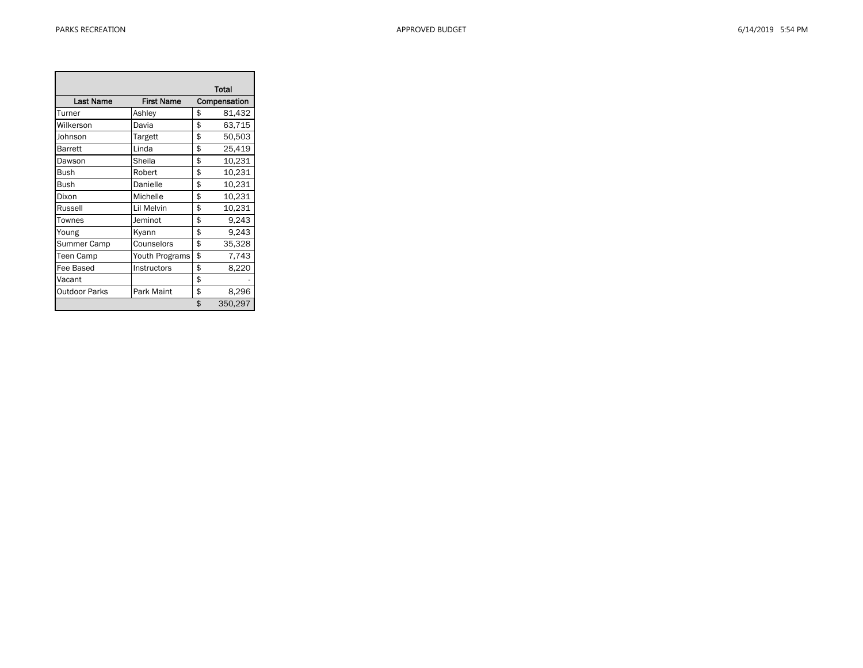Ē.

|                      |                   | Total         |
|----------------------|-------------------|---------------|
| <b>Last Name</b>     | <b>First Name</b> | Compensation  |
| Turner               | Ashley            | \$<br>81,432  |
| Wilkerson            | Davia             | \$<br>63,715  |
| Johnson              | Targett           | \$<br>50,503  |
| Barrett              | Linda             | \$<br>25,419  |
| Dawson               | Sheila            | \$<br>10,231  |
| Bush                 | Robert            | \$<br>10,231  |
| Bush                 | Danielle          | \$<br>10,231  |
| Dixon                | Michelle          | \$<br>10,231  |
| Russell              | Lil Melvin        | \$<br>10,231  |
| Townes               | Jeminot           | \$<br>9,243   |
| Young                | Kyann             | \$<br>9,243   |
| Summer Camp          | Counselors        | \$<br>35,328  |
| Teen Camp            | Youth Programs    | \$<br>7,743   |
| Fee Based            | Instructors       | \$<br>8,220   |
| Vacant               |                   | \$            |
| <b>Outdoor Parks</b> | Park Maint        | \$<br>8,296   |
|                      |                   | \$<br>350,297 |

÷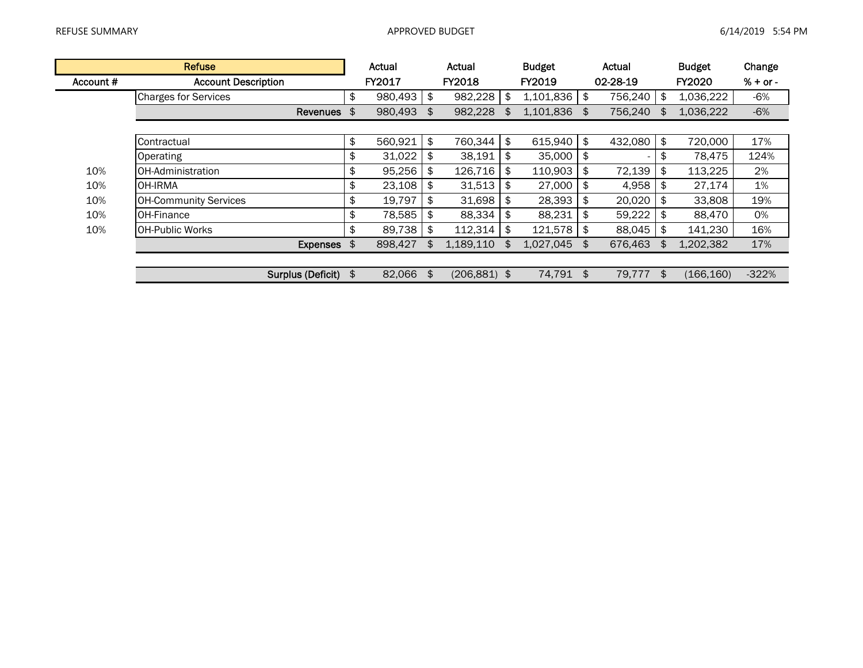|           | <b>Refuse</b>                |     | Actual  | Actual                |    | <b>Budget</b> | Actual                |     | <b>Budget</b> | Change     |
|-----------|------------------------------|-----|---------|-----------------------|----|---------------|-----------------------|-----|---------------|------------|
| Account # | <b>Account Description</b>   |     | FY2017  | FY2018                |    | FY2019        | 02-28-19              |     | FY2020        | $% + or -$ |
|           | <b>Charges for Services</b>  | \$  | 980,493 | \$<br>982,228         | \$ | 1,101,836     | \$<br>756,240         | \$  | 1,036,222     | -6%        |
|           | <b>Revenues</b>              | -\$ | 980,493 | \$<br>982,228         |    | 1,101,836     | \$<br>756,240         | \$. | 1,036,222     | $-6%$      |
|           |                              |     |         |                       |    |               |                       |     |               |            |
|           | Contractual                  | \$  | 560,921 | \$<br>760,344         | \$ | 615,940       | \$<br>432,080         | \$  | 720,000       | 17%        |
|           | Operating                    | \$  | 31,022  | \$<br>38,191          | \$ | 35,000        | \$<br>$\qquad \qquad$ | \$  | 78,475        | 124%       |
| 10%       | OH-Administration            | \$  | 95,256  | \$<br>126,716         | \$ | 110,903       | \$<br>72,139          | \$  | 113,225       | 2%         |
| 10%       | <b>OH-IRMA</b>               | \$  | 23,108  | \$<br>31,513          | S  | 27,000        | \$<br>4,958           | \$  | 27,174        | 1%         |
| 10%       | <b>OH-Community Services</b> | \$  | 19,797  | \$<br>31,698          | S  | 28,393        | \$<br>20,020          | \$  | 33,808        | 19%        |
| 10%       | <b>OH-Finance</b>            | \$  | 78,585  | \$<br>88,334          | \$ | 88,231        | \$<br>59,222          | \$  | 88,470        | 0%         |
| 10%       | IOH-Public Works             | \$  | 89,738  | \$<br>112,314         | \$ | 121,578       | \$<br>88,045          | \$  | 141,230       | 16%        |
|           | Expenses \$                  |     | 898,427 | \$<br>1,189,110       | \$ | 1,027,045     | \$<br>676,463         | \$  | 1,202,382     | 17%        |
|           |                              |     |         |                       |    |               |                       |     |               |            |
|           | Surplus (Deficit)            | \$  | 82,066  | \$<br>$(206, 881)$ \$ |    | 74,791        | \$<br>79,777          | \$  | (166, 160)    | $-322%$    |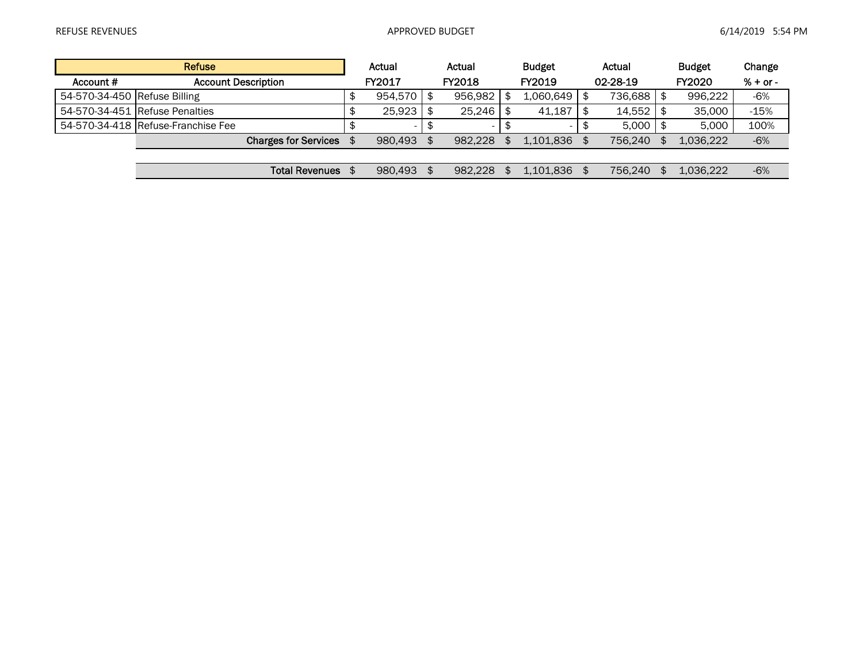|                              | <b>Refuse</b>                      | Actual  |      | Actual  | <b>Budget</b> |     | Actual       | <b>Budget</b> | Change     |
|------------------------------|------------------------------------|---------|------|---------|---------------|-----|--------------|---------------|------------|
| Account #                    | <b>Account Description</b>         | FY2017  |      | FY2018  | FY2019        |     | 02-28-19     | <b>FY2020</b> | $% + or -$ |
| 54-570-34-450 Refuse Billing |                                    | 954.570 | - SS | 956.982 | 1.060.649     |     | 736,688      | 996,222       | -6%        |
|                              | 54-570-34-451 Refuse Penalties     | 25.923  |      | 25.246  | 41.187        | 1 S | $14.552$ \$  | 35,000        | $-15%$     |
|                              | 54-570-34-418 Refuse-Franchise Fee |         |      |         |               |     | $5.000$   \$ | 5.000         | 100%       |
|                              | <b>Charges for Services</b>        | 980.493 |      | 982.228 | 1.101.836     |     | 756.240      | 1.036.222     | $-6%$      |
|                              |                                    |         |      |         |               |     |              |               |            |
|                              | <b>Total Revenues</b>              | 980.493 |      | 982.228 | 1.101.836     |     | 756.240      | 1.036.222     | $-6%$      |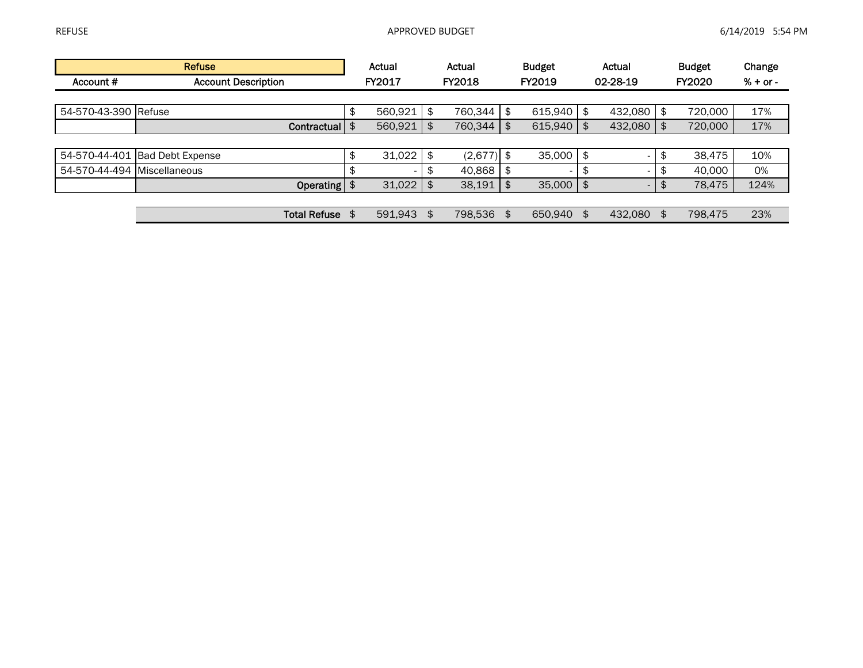|                             | Refuse                         | Actual                         | Actual        | <b>Budget</b>                  |            | Actual       | <b>Budget</b> | Change     |
|-----------------------------|--------------------------------|--------------------------------|---------------|--------------------------------|------------|--------------|---------------|------------|
| Account #                   | <b>Account Description</b>     | FY2017                         | <b>FY2018</b> | FY2019                         |            | 02-28-19     | <b>FY2020</b> | $% + or -$ |
|                             |                                |                                |               |                                |            |              |               |            |
| 54-570-43-390 Refuse        |                                | \$<br>560,921                  | \$<br>760,344 | \$<br>615,940                  | \$         | $432,080$ \$ | 720,000       | 17%        |
|                             | Contractual                    | \$<br>560,921                  | \$<br>760,344 | \$<br>615,940                  | \$         | $432,080$ \$ | 720,000       | 17%        |
|                             |                                |                                |               |                                |            |              |               |            |
|                             | 54-570-44-401 Bad Debt Expense | \$<br>31,022                   | $(2,677)$ \$  | $35,000$   \$                  |            |              | \$<br>38.475  | 10%        |
| 54-570-44-494 Miscellaneous |                                | \$<br>$\overline{\phantom{a}}$ | 40,868        | \$<br>$\overline{\phantom{a}}$ | \$         |              | \$<br>40.000  | 0%         |
|                             | Operating                      | \$<br>31,022                   | \$<br>38,191  | \$<br>35,000                   | $\sqrt{3}$ | ۰.           | \$<br>78,475  | 124%       |
|                             |                                |                                |               |                                |            |              |               |            |
|                             | <b>Total Refuse</b>            | \$<br>591.943                  | \$<br>798,536 | \$<br>650.940                  | \$         | 432,080 \$   | 798.475       | 23%        |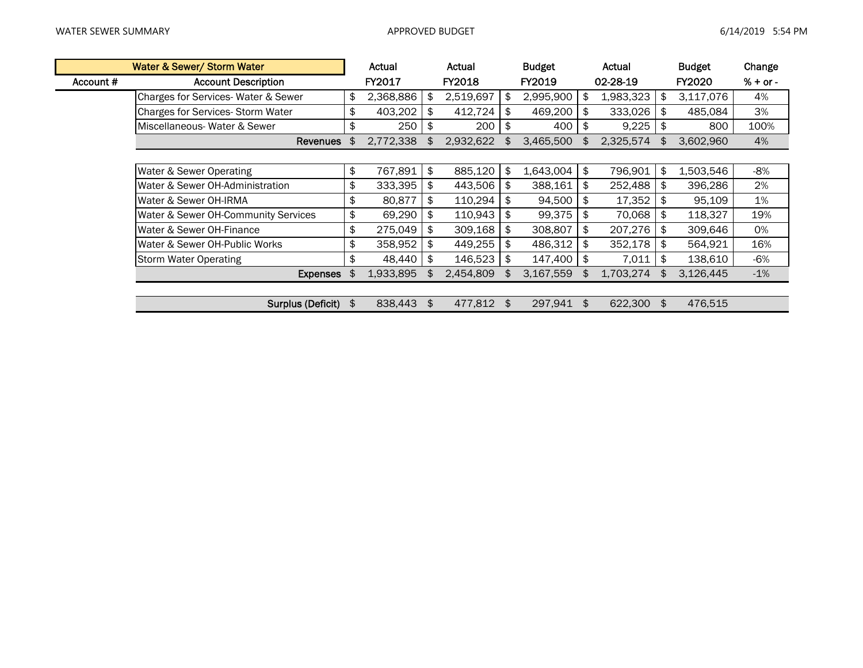|           | Water & Sewer/ Storm Water              | Actual          | Actual          |     | <b>Budget</b> | Actual          | <b>Budget</b>   | Change     |
|-----------|-----------------------------------------|-----------------|-----------------|-----|---------------|-----------------|-----------------|------------|
| Account # | <b>Account Description</b>              | FY2017          | FY2018          |     | FY2019        | 02-28-19        | <b>FY2020</b>   | $% + or -$ |
|           | Charges for Services-Water & Sewer      | \$<br>2,368,886 | \$<br>2,519,697 | \$  | 2,995,900     | \$<br>1,983,323 | \$<br>3,117,076 | 4%         |
|           | <b>Charges for Services-Storm Water</b> | \$<br>403,202   | \$<br>412,724   | \$  | 469,200       | \$<br>333,026   | \$<br>485,084   | 3%         |
|           | Miscellaneous-Water & Sewer             | \$<br>250       | \$<br>200       | Ъ.  | 400           | \$<br>9,225     | \$<br>800       | 100%       |
|           | <b>Revenues</b>                         | \$<br>2,772,338 | \$<br>2,932,622 | \$. | 3,465,500     | \$<br>2,325,574 | \$<br>3,602,960 | 4%         |
|           |                                         |                 |                 |     |               |                 |                 |            |
|           | Water & Sewer Operating                 | \$<br>767,891   | \$<br>885,120   | \$  | 1,643,004     | \$<br>796,901   | \$<br>1,503,546 | -8%        |
|           | Water & Sewer OH-Administration         | \$<br>333,395   | \$<br>443,506   | S   | 388,161       | \$<br>252,488   | \$<br>396,286   | 2%         |
|           | Water & Sewer OH-IRMA                   | \$<br>80,877    | \$<br>110,294   | \$. | 94,500        | \$<br>17,352    | \$<br>95,109    | 1%         |
|           | Water & Sewer OH-Community Services     | \$<br>69,290    | \$<br>110,943   | \$. | 99,375        | \$<br>70,068    | \$<br>118,327   | 19%        |
|           | Water & Sewer OH-Finance                | \$<br>275,049   | \$<br>309,168   | Ъ.  | 308,807       | \$<br>207,276   | \$<br>309,646   | 0%         |
|           | Water & Sewer OH-Public Works           | \$<br>358,952   | \$<br>449,255   | \$  | 486,312       | \$<br>352,178   | \$<br>564,921   | 16%        |
|           | <b>Storm Water Operating</b>            | \$<br>48,440    | \$<br>146,523   | \$  | 147,400       | \$<br>7,011     | \$<br>138,610   | -6%        |
|           | <b>Expenses</b>                         | \$<br>1,933,895 | \$<br>2,454,809 |     | 3,167,559     | \$<br>1,703,274 | 3,126,445       | $-1%$      |
|           |                                         |                 |                 |     |               |                 |                 |            |
|           | Surplus (Deficit)                       | \$<br>838,443   | \$<br>477,812   | \$  | 297,941       | \$<br>622,300   | \$<br>476,515   |            |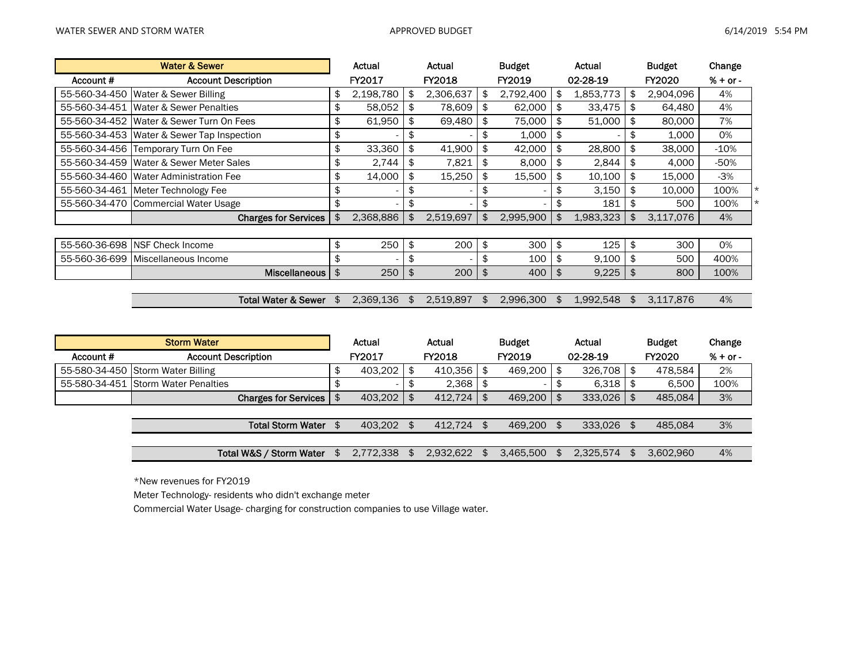|               | <b>Water &amp; Sewer</b>        |     | Actual        |     | Actual    |     | <b>Budget</b> |     | Actual    | <b>Budget</b>   | Change     |
|---------------|---------------------------------|-----|---------------|-----|-----------|-----|---------------|-----|-----------|-----------------|------------|
| Account #     | <b>Account Description</b>      |     | <b>FY2017</b> |     | FY2018    |     | FY2019        |     | 02-28-19  | <b>FY2020</b>   | $% + or -$ |
| 55-560-34-450 | Water & Sewer Billing           |     | 2,198,780     | \$  | 2,306,637 | \$  | 2,792,400     | -\$ | 1,853,773 | \$<br>2,904,096 | 4%         |
| 55-560-34-451 | Water & Sewer Penalties         | \$  | 58,052        | \$  | 78,609    | \$  | 62,000        | -\$ | 33,475    | \$<br>64,480    | 4%         |
| 55-560-34-452 | Water & Sewer Turn On Fees      | \$  | 61,950        | \$  | 69,480    | \$  | 75,000        | -\$ | 51,000    | \$<br>80,000    | 7%         |
| 55-560-34-453 | Water & Sewer Tap Inspection    | \$  |               | \$  |           | \$  | 1,000         |     |           | \$<br>1,000     | 0%         |
| 55-560-34-456 | Temporary Turn On Fee           | \$  | 33,360        | \$  | 41,900    | \$  | 42,000        |     | 28,800    | \$<br>38,000    | $-10%$     |
| 55-560-34-459 | Water & Sewer Meter Sales       | \$  | 2,744         | \$  | 7,821     | \$  | 8,000         | -\$ | 2,844     | \$<br>4,000     | -50%       |
| 55-560-34-460 | <b>Water Administration Fee</b> | \$  | 14,000        | \$  | 15,250    | \$  | 15,500        |     | 10,100    | \$<br>15,000    | $-3%$      |
| 55-560-34-461 | Meter Technology Fee            | \$  | ۰             | \$  |           | \$  |               |     | 3,150     | \$<br>10,000    | 100%       |
| 55-560-34-470 | Commercial Water Usage          |     | ۰             | \$  |           | \$  |               |     | 181       | \$<br>500       | 100%       |
|               | <b>Charges for Services</b>     |     | 2,368,886     | \$  | 2,519,697 | \$  | 2,995,900     | \$  | 1,983,323 | \$<br>3,117,076 | 4%         |
|               |                                 |     |               |     |           |     |               |     |           |                 |            |
| 55-560-36-698 | NSF Check Income                | \$  | 250           | \$  | 200       | \$  | 300           | -\$ | 125       | \$<br>300       | 0%         |
| 55-560-36-699 | Miscellaneous Income            |     |               | \$  |           | \$  | 100           |     | 9,100     | \$<br>500       | 400%       |
|               | <b>Miscellaneous</b>            | \$  | 250           | \$  | 200       | \$  | 400           | \$  | 9,225     | \$<br>800       | 100%       |
|               |                                 |     |               |     |           |     |               |     |           |                 |            |
|               | <b>Total Water &amp; Sewer</b>  | \$. | 2,369,136     | \$. | 2,519,897 | \$. | 2,996,300     | \$  | 1,992,548 | \$<br>3,117,876 | 4%         |
|               |                                 |     |               |     |           |     |               |     |           |                 |            |

|           | <b>Storm Water</b>                  | Actual        | Actual        |                | <b>Budget</b> | Actual         | <b>Budget</b> | Change     |
|-----------|-------------------------------------|---------------|---------------|----------------|---------------|----------------|---------------|------------|
| Account # | <b>Account Description</b>          | FY2017        | <b>FY2018</b> |                | FY2019        | 02-28-19       | FY2020        | $% + or -$ |
|           | 55-580-34-450 Storm Water Billing   | 403.202       | 410.356       | \$             | 469.200       | $326.708$ \$   | 478.584       | 2%         |
|           | 55-580-34-451 Storm Water Penalties |               | 2.368         |                | -             | $6,318$ \$     | 6.500         | 100%       |
|           | <b>Charges for Services</b>         | \$<br>403.202 | 412.724       | $\mathfrak{L}$ | 469,200       | $333,026$   \$ | 485.084       | 3%         |
|           |                                     |               |               |                |               |                |               |            |
|           | <b>Total Storm Water</b>            | \$<br>403.202 | 412.724       | \$.            | 469.200       | 333.026 \$     | 485.084       | 3%         |
|           |                                     |               |               |                |               |                |               |            |
|           | Total W&S / Storm Water             | 2.772.338     | 2.932.622     |                | 3.465.500     | 2.325.574      | 3.602.960     | 4%         |

\*New revenues for FY2019

Meter Technology- residents who didn't exchange meter

Commercial Water Usage- charging for construction companies to use Village water.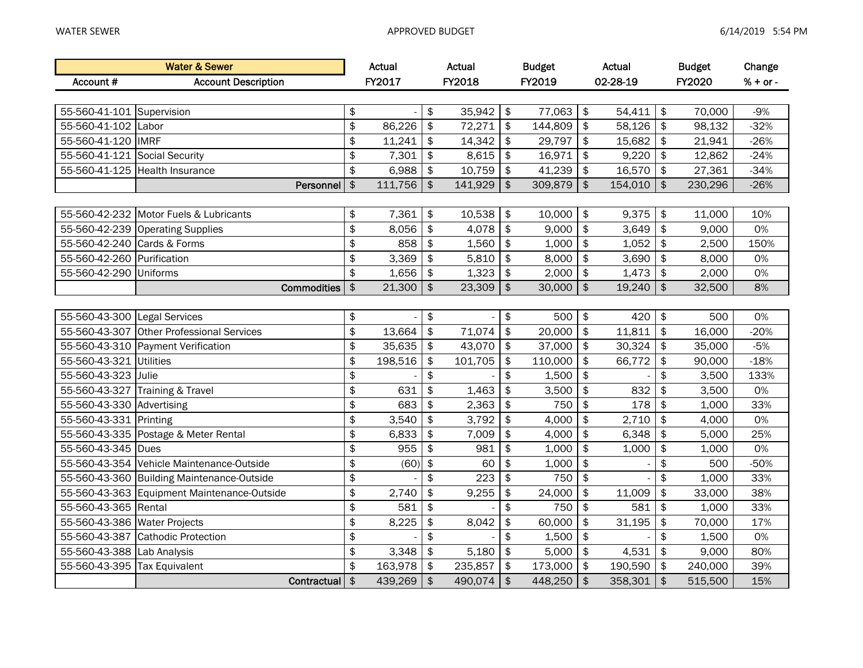|                               | <b>Water &amp; Sewer</b>                    |               | Actual  |                           | Actual  |                        | <b>Budget</b> |               | <b>Actual</b> |                         | <b>Budget</b> | Change     |
|-------------------------------|---------------------------------------------|---------------|---------|---------------------------|---------|------------------------|---------------|---------------|---------------|-------------------------|---------------|------------|
| Account #                     | <b>Account Description</b>                  |               | FY2017  |                           | FY2018  |                        | FY2019        |               | 02-28-19      |                         | FY2020        | $% + or -$ |
|                               |                                             |               |         |                           |         |                        |               |               |               |                         |               |            |
| 55-560-41-101 Supervision     |                                             | \$            |         | \$                        | 35,942  | \$                     | 77,063        | \$            | 54,411        | $\frac{1}{2}$           | 70,000        | $-9%$      |
| 55-560-41-102                 | Labor                                       | $\frac{1}{2}$ | 86,226  | \$                        | 72,271  | \$                     | 144,809       | \$            | 58,126        | \$                      | 98,132        | $-32%$     |
| 55-560-41-120                 | <b>IMRF</b>                                 | \$            | 11,241  | \$                        | 14,342  | \$                     | 29,797        | \$            | 15,682        | $\frac{1}{2}$           | 21,941        | $-26%$     |
| 55-560-41-121 Social Security |                                             | $\frac{1}{2}$ | 7,301   | \$                        | 8,615   | \$                     | 16,971        | \$            | 9,220         | $\frac{1}{2}$           | 12,862        | $-24%$     |
|                               | 55-560-41-125 Health Insurance              | $\frac{1}{2}$ | 6,988   | \$                        | 10,759  | $\frac{1}{2}$          | 41,239        | \$            | 16,570        | $\frac{1}{2}$           | 27,361        | $-34%$     |
|                               | Personnel                                   | $\frac{1}{2}$ | 111,756 | \$                        | 141,929 | $\boldsymbol{\hat{z}}$ | 309,879       | $\frac{1}{2}$ | 154,010       | \$                      | 230,296       | $-26%$     |
|                               |                                             |               |         |                           |         |                        |               |               |               |                         |               |            |
|                               | 55-560-42-232 Motor Fuels & Lubricants      | \$            | 7,361   | \$                        | 10,538  | $\frac{1}{2}$          | 10,000        | \$            | 9,375         | $\frac{1}{2}$           | 11,000        | 10%        |
| 55-560-42-239                 | <b>Operating Supplies</b>                   | \$            | 8,056   | \$                        | 4,078   | \$                     | 9,000         | \$            | 3,649         | $\frac{1}{2}$           | 9,000         | 0%         |
| 55-560-42-240                 | Cards & Forms                               | $\frac{1}{2}$ | 858     | \$                        | 1,560   | \$                     | 1,000         | \$            | 1,052         | \$                      | 2,500         | 150%       |
| 55-560-42-260                 | Purification                                | $\frac{1}{2}$ | 3,369   | \$                        | 5,810   | \$                     | 8,000         | \$            | 3,690         | \$                      | 8,000         | 0%         |
| 55-560-42-290                 | Uniforms                                    | \$            | 1,656   | \$                        | 1,323   | \$                     | 2,000         | \$            | 1,473         | $\frac{1}{2}$           | 2,000         | 0%         |
|                               | <b>Commodities</b>                          | $\frac{1}{2}$ | 21,300  | \$                        | 23,309  | $\boldsymbol{\hat{z}}$ | 30,000        | $\frac{1}{2}$ | 19,240        | $\frac{1}{2}$           | 32,500        | 8%         |
|                               |                                             |               |         |                           |         |                        |               |               |               |                         |               |            |
| 55-560-43-300                 | Legal Services                              | \$            |         | \$                        |         | $\frac{1}{2}$          | 500           | \$            | 420           | $\frac{1}{2}$           | 500           | 0%         |
|                               | 55-560-43-307 Other Professional Services   | $\frac{1}{2}$ | 13,664  | \$                        | 71,074  | \$                     | 20,000        | \$            | 11,811        | \$                      | 16,000        | $-20%$     |
|                               | 55-560-43-310 Payment Verification          | $\frac{1}{2}$ | 35,635  | \$                        | 43,070  | $\frac{1}{2}$          | 37,000        | \$            | 30,324        | $\frac{1}{2}$           | 35,000        | $-5%$      |
| 55-560-43-321                 | Utilities                                   | \$            | 198,516 | $\boldsymbol{\hat{\phi}}$ | 101,705 | $\frac{1}{2}$          | 110,000       | \$            | 66,772        | $\frac{1}{2}$           | 90,000        | $-18%$     |
| 55-560-43-323                 | Julie                                       | \$            |         | \$                        |         | \$                     | 1,500         | \$            |               | \$                      | 3,500         | 133%       |
|                               | 55-560-43-327 Training & Travel             | \$            | 631     | \$                        | 1,463   | $\frac{1}{2}$          | 3,500         | \$            | 832           | \$                      | 3,500         | 0%         |
| 55-560-43-330 Advertising     |                                             | \$            | 683     | $\frac{1}{2}$             | 2,363   | $\frac{1}{2}$          | 750           | $\frac{1}{2}$ | 178           | $\sqrt[6]{\frac{1}{2}}$ | 1,000         | 33%        |
| 55-560-43-331                 | Printing                                    | \$            | 3,540   | \$                        | 3,792   | $\frac{1}{2}$          | 4,000         | \$            | 2,710         | $\frac{1}{2}$           | 4,000         | 0%         |
|                               | 55-560-43-335 Postage & Meter Rental        | $\frac{1}{2}$ | 6,833   | \$                        | 7,009   | \$                     | 4,000         | \$            | 6,348         | $\frac{1}{2}$           | 5,000         | 25%        |
| 55-560-43-345 Dues            |                                             | \$            | 955     | \$                        | 981     | \$                     | 1,000         | \$            | 1,000         | \$                      | 1,000         | 0%         |
| 55-560-43-354                 | Vehicle Maintenance-Outside                 | \$            | (60)    | \$                        | 60      | \$                     | 1,000         | \$            |               | \$                      | 500           | $-50%$     |
|                               | 55-560-43-360 Building Maintenance-Outside  | $\frac{1}{2}$ |         | \$                        | 223     | \$                     | 750           | \$            |               | \$                      | 1,000         | 33%        |
|                               | 55-560-43-363 Equipment Maintenance-Outside | \$            | 2,740   | \$                        | 9,255   | \$                     | 24,000        | \$            | 11,009        | $\frac{1}{2}$           | 33,000        | 38%        |
| 55-560-43-365                 | Rental                                      | $\frac{1}{2}$ | 581     | \$                        |         | \$                     | 750           | \$            | 581           | \$                      | 1,000         | 33%        |
| 55-560-43-386 Water Projects  |                                             | \$            | 8,225   | \$                        | 8,042   | \$                     | 60,000        | \$            | 31,195        | \$                      | 70,000        | 17%        |
|                               | 55-560-43-387 Cathodic Protection           | \$            |         | \$                        |         | \$                     | 1,500         | \$            |               | \$                      | 1,500         | 0%         |
| 55-560-43-388 Lab Analysis    |                                             | \$            | 3,348   | \$                        | 5,180   | $\frac{1}{2}$          | 5,000         | \$            | 4,531         | $\frac{1}{2}$           | 9,000         | 80%        |
| 55-560-43-395                 | Tax Equivalent                              | \$            | 163,978 | \$                        | 235,857 | \$                     | 173,000       | \$            | 190,590       | $\frac{1}{2}$           | 240,000       | 39%        |
|                               | Contractual \$                              |               | 439,269 | $\frac{1}{2}$             | 490,074 | $\sqrt{2}$             | 448,250       | $\frac{1}{2}$ | 358,301       | $\sqrt{2}$              | 515,500       | 15%        |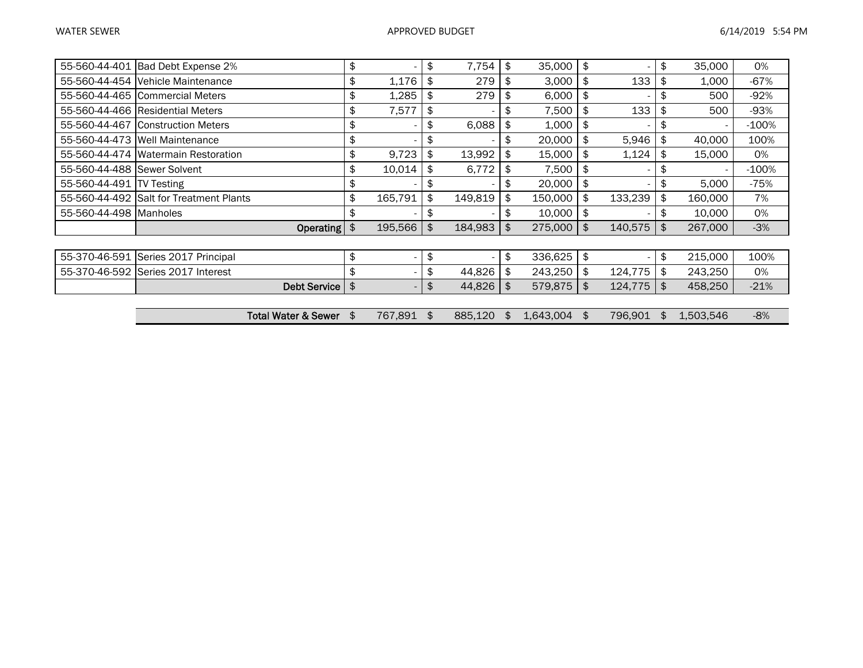|                                                                             |                           |               |                          | \$  | 35,000    | 0%      |
|-----------------------------------------------------------------------------|---------------------------|---------------|--------------------------|-----|-----------|---------|
| \$<br>1,176<br>279<br>55-560-44-454 Vehicle Maintenance<br>£                |                           | 3,000<br>\$   | 133                      |     | 1,000     | $-67%$  |
| \$<br>279<br>1,285<br>55-560-44-465 Commercial Meters<br>\$                 | \$                        | 6,000<br>\$   |                          | \$  | 500       | $-92%$  |
| \$<br>7,577<br>55-560-44-466 Residential Meters<br>\$                       | \$                        | 7,500<br>\$   | 133                      | \$  | 500       | $-93%$  |
| \$<br>6,088<br>55-560-44-467 Construction Meters<br>\$                      | \$                        | 1,000<br>\$   |                          | \$  |           | $-100%$ |
| \$<br>55-560-44-473 Well Maintenance<br>\$                                  | \$<br>20,000              | \$            | 5,946                    | \$  | 40,000    | 100%    |
| \$<br>9,723<br>13,992<br>55-560-44-474 Watermain Restoration<br>\$          | \$<br>15,000              | \$            | 1,124                    | \$  | 15,000    | 0%      |
| \$<br>10,014<br>6,772<br>55-560-44-488 Sewer Solvent<br>\$                  | \$                        | 7,500<br>\$   | $\overline{\phantom{0}}$ | \$  |           | $-100%$ |
| \$<br>55-560-44-491<br><b>TV Testing</b><br>\$                              | \$<br>20,000              | \$            | $\overline{\phantom{0}}$ | \$  | 5,000     | $-75%$  |
| \$<br>55-560-44-492 Salt for Treatment Plants<br>165,791<br>\$<br>149,819   | 150,000<br>\$             | \$            | 133,239                  | \$  | 160,000   | 7%      |
| \$<br>55-560-44-498 Manholes<br>\$                                          | \$<br>10,000              | \$            | $\overline{\phantom{0}}$ | \$  | 10,000    | 0%      |
| \$<br>\$<br>195,566<br>184,983<br>Operating                                 | \$<br>275,000             | $\frac{1}{2}$ | 140,575                  | \$  | 267,000   | $-3%$   |
|                                                                             |                           |               |                          |     |           |         |
| \$<br>55-370-46-591 Series 2017 Principal<br>\$<br>$\overline{\phantom{a}}$ | \$<br>336,625             | \$            | $\overline{\phantom{0}}$ | \$  | 215,000   | 100%    |
| \$<br>\$<br>55-370-46-592 Series 2017 Interest<br>44,826                    | \$<br>243,250             | \$            | 124,775                  | \$  | 243,250   | 0%      |
| \$<br>\$<br>44,826<br><b>Debt Service</b>                                   | $\mathfrak{L}$<br>579,875 | $\frac{1}{2}$ | 124,775                  | \$  | 458,250   | $-21%$  |
|                                                                             |                           |               |                          |     |           |         |
| 767,891<br>\$<br>\$<br>885,120<br>Total Water & Sewer                       | 1,643,004<br>\$           | \$            | 796,901                  | \$. | 1,503,546 | $-8%$   |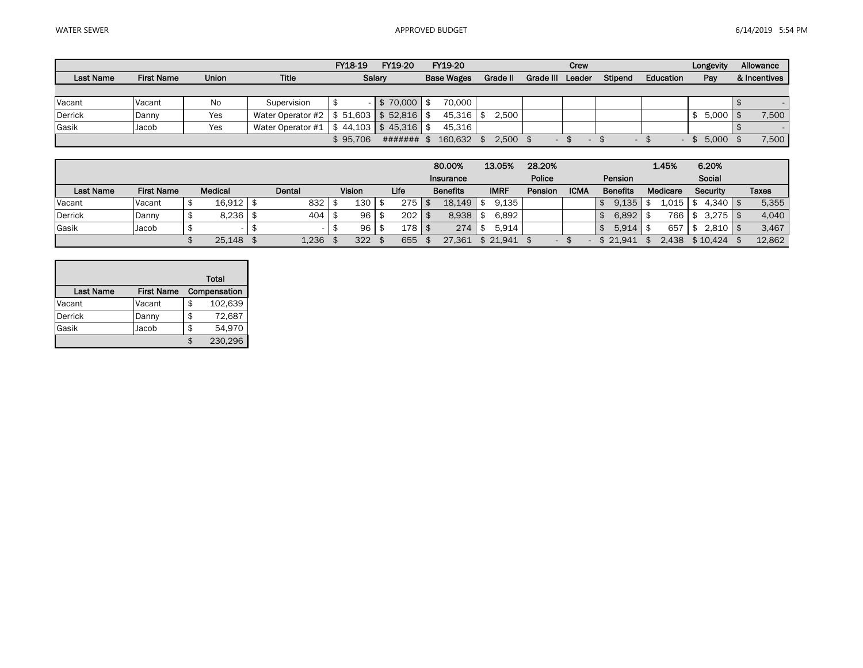|                  |                   |              |                                           | FY18-19  | FY19-20                    | FY19-20           |          |           | Crew   |                          |           | Longevity | Allowance    |
|------------------|-------------------|--------------|-------------------------------------------|----------|----------------------------|-------------------|----------|-----------|--------|--------------------------|-----------|-----------|--------------|
| <b>Last Name</b> | <b>First Name</b> | <b>Union</b> | <b>Title</b>                              |          | Salary                     | <b>Base Wages</b> | Grade II | Grade III | Leader | Stipend                  | Education | Pay       | & Incentives |
|                  |                   |              |                                           |          |                            |                   |          |           |        |                          |           |           |              |
| Vacant           | Vacant            | No           | Supervision                               |          | $\degree$ 70,000   .<br>\$ | 70.000            |          |           |        |                          |           |           |              |
| <b>Derrick</b>   | Danny             | Yes          | Water Operator #2   \$ 51,603   \$ 52,816 |          |                            | $45.316$   \$     | 2.500    |           |        |                          |           | 5.000     | 7,500        |
| Gasik            | Jacob             | Yes          | Water Operator #1                         | 44.103   | \$45.316                   | 45,316            |          |           |        |                          |           |           |              |
|                  |                   |              |                                           | \$95.706 | #######                    | 160.632           | 2.500    |           |        | $\overline{\phantom{a}}$ |           | 5.000     | 7,500        |

|                  |                   |             |        |               |      | 80.00%          | 13.05%   | 28.20%  |             |                 | 1.45%    | 6.20%        |              |
|------------------|-------------------|-------------|--------|---------------|------|-----------------|----------|---------|-------------|-----------------|----------|--------------|--------------|
|                  |                   |             |        |               |      | Insurance       |          | Police  |             | Pension         |          | Social       |              |
| <b>Last Name</b> | <b>First Name</b> | Medical     | Dental | <b>Vision</b> | Life | <b>Benefits</b> | IMRF     | Pension | <b>ICMA</b> | <b>Benefits</b> | Medicare | Security     | <b>Taxes</b> |
| Vacant           | Vacant            | 16.912   \$ | 832    | 130           | 275  | 18.149          | 9.135    |         |             | 9,135           | 1.015    | $4,340$   \$ | 5,355        |
| <b>Derrick</b>   | Danny             | 8.236       | 404    | 96            | 202  | 8.938           | 6.892    |         |             | 6,892           | 766      | $3,275$   \$ | 4,040        |
| Gasik            | Jacob             |             |        | 96            | 178  | 274             | 5.914    |         |             | 5,914           | 657      | 2,810        | 3,467        |
|                  |                   | $25,148$ \$ | 1,236  | 322           | 655  | 27.361          | \$21.941 |         |             | \$21.941        | 2.438    | \$10,424     | 12,862       |

|                  |                   | Total         |
|------------------|-------------------|---------------|
| <b>Last Name</b> | <b>First Name</b> | Compensation  |
| Vacant           | Vacant            | \$<br>102,639 |
| <b>Derrick</b>   | Danny             | \$<br>72,687  |
| Gasik            | Jacob             | 54,970        |
|                  |                   | 230,296       |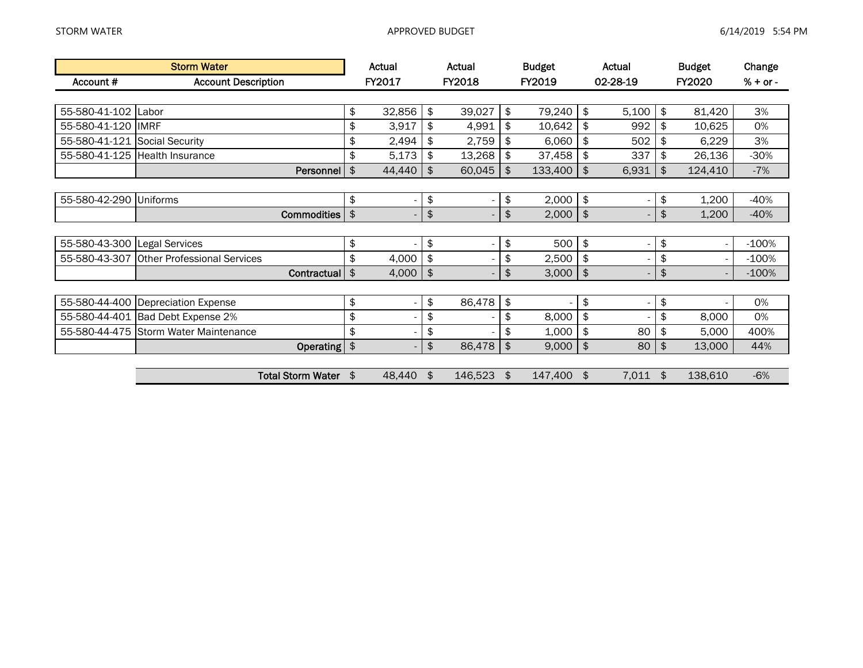|                               | <b>Storm Water</b>                 |               | Actual | Actual                         |               | <b>Budget</b> |               | Actual                       | <b>Budget</b> | Change     |
|-------------------------------|------------------------------------|---------------|--------|--------------------------------|---------------|---------------|---------------|------------------------------|---------------|------------|
| Account #                     | <b>Account Description</b>         |               | FY2017 | FY2018                         |               | FY2019        |               | 02-28-19                     | FY2020        | $% + or -$ |
|                               |                                    |               |        |                                |               |               |               |                              |               |            |
| 55-580-41-102 Labor           |                                    | \$            | 32,856 | \$<br>39,027                   | \$            | 79,240        | \$            | 5,100                        | \$<br>81,420  | 3%         |
| 55-580-41-120                 | <b>IMRF</b>                        | \$            | 3,917  | \$<br>4,991                    | \$            | 10,642        | \$            | 992                          | \$<br>10,625  | 0%         |
| 55-580-41-121 Social Security |                                    | \$            | 2,494  | \$<br>2,759                    |               | 6,060         | \$            | 502                          | \$<br>6,229   | 3%         |
| 55-580-41-125                 | <b>Health Insurance</b>            | \$            | 5,173  | \$<br>13,268                   | \$            | 37,458        | \$            | 337                          | \$<br>26,136  | $-30%$     |
|                               | Personnel                          | \$            | 44,440 | \$<br>60,045                   | \$            | 133,400       | $\frac{1}{2}$ | 6,931                        | \$<br>124,410 | $-7%$      |
|                               |                                    |               |        |                                |               |               |               |                              |               |            |
| 55-580-42-290                 | <b>Uniforms</b>                    | \$            |        | \$                             | \$            | 2,000         | \$            | $\overline{\phantom{0}}$     | \$<br>1,200   | $-40%$     |
|                               | Commodities                        | $\frac{1}{2}$ |        | \$                             | $\frac{1}{2}$ | 2,000         | $\frac{1}{2}$ |                              | \$<br>1,200   | $-40%$     |
|                               |                                    |               |        |                                |               |               |               |                              |               |            |
| 55-580-43-300                 | Legal Services                     | \$            |        | \$                             | \$            | 500           | $\frac{1}{2}$ | $\overline{\phantom{0}}$     | \$            | $-100%$    |
| 55-580-43-307                 | <b>Other Professional Services</b> | \$            | 4,000  | \$                             | \$            | 2,500         | \$            | $\overline{\phantom{0}}$     | \$            | $-100%$    |
|                               | Contractual                        | \$            | 4,000  | \$<br>$\overline{\phantom{a}}$ | \$            | 3,000         | $\frac{1}{2}$ | $\qquad \qquad \blacksquare$ | \$            | $-100%$    |
|                               |                                    |               |        |                                |               |               |               |                              |               |            |
| 55-580-44-400                 | Depreciation Expense               | \$            |        | \$<br>86,478                   | \$            |               | \$            | $\overline{\phantom{0}}$     | \$            | 0%         |
|                               | 55-580-44-401 Bad Debt Expense 2%  | \$            |        | \$                             | \$            | 8,000         | \$            |                              | \$<br>8,000   | 0%         |
| 55-580-44-475                 | Storm Water Maintenance            | \$            |        | \$                             | \$            | 1,000         | \$            | 80                           | \$<br>5,000   | 400%       |
|                               | Operating                          | $\frac{1}{2}$ |        | \$<br>86,478                   | $\frac{1}{2}$ | 9,000         | $\frac{1}{2}$ | 80                           | \$<br>13,000  | 44%        |
|                               |                                    |               |        |                                |               |               |               |                              |               |            |
|                               | <b>Total Storm Water</b>           | \$            | 48,440 | \$<br>146,523                  | \$            | 147,400       | \$            | 7,011                        | \$<br>138,610 | $-6%$      |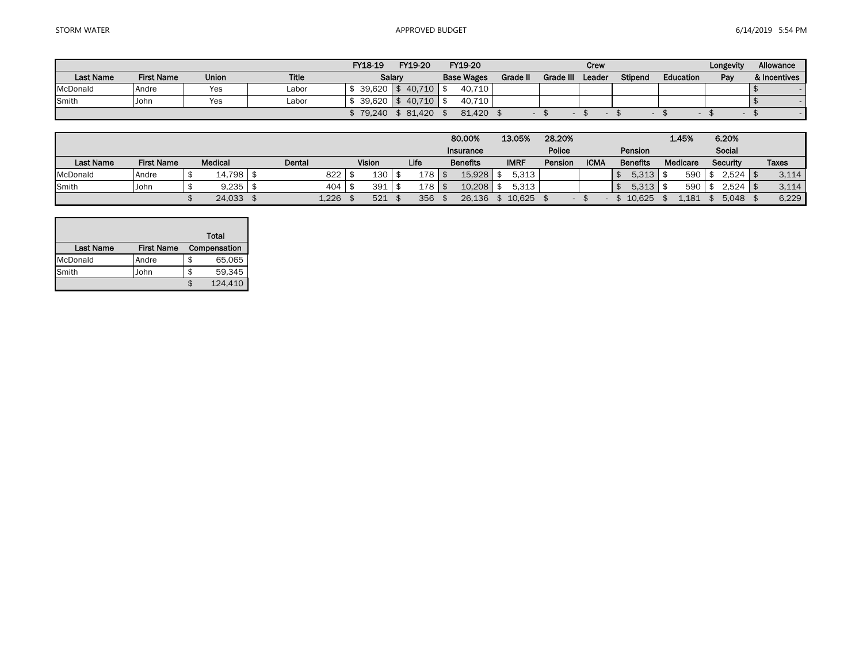|                  |                   |              |       | FY18-19             | FY19-20 | FY19-20           |          |           | Crew   |         |           | Longevity | Allowance    |
|------------------|-------------------|--------------|-------|---------------------|---------|-------------------|----------|-----------|--------|---------|-----------|-----------|--------------|
| <b>Last Name</b> | <b>First Name</b> | <b>Union</b> | Title |                     | Salary  | <b>Base Wages</b> | Grade II | Grade III | Leader | Stipend | Education | Pay       | & Incentives |
| McDonald         | Andre             | Yes          | Labor | $39.620$ \ \$       | 40.710  | 40.710            |          |           |        |         |           |           |              |
| Smith            | John              | Yes          | Labor | $39.620$ $\sqrt{5}$ | 40.710  | 40.710            |          |           |        |         |           |           |              |
|                  |                   |              |       | 79,240              | 81.420  | 81.420            |          |           |        |         |           |           |              |

|                  |                   |                |          |        |      | 80,00%          | 13.05%      | 28.20%                   |             |                 | 1.45%    | 6.20%              |              |
|------------------|-------------------|----------------|----------|--------|------|-----------------|-------------|--------------------------|-------------|-----------------|----------|--------------------|--------------|
|                  |                   |                |          |        |      | Insurance       |             | Police                   |             | Pension         |          | Social             |              |
| <b>Last Name</b> | <b>First Name</b> | <b>Medical</b> | Dental   | Vision | Life | <b>Benefits</b> | <b>IMRF</b> | Pension                  | <b>ICMA</b> | <b>Benefits</b> | Medicare | Security           | <b>Taxes</b> |
| McDonald         | Andre             | $14,798$ \$    | $822$ \$ | 130    | 178  | 15.928          | 5,313       |                          |             | $5,313$ \\$     | 590      | \$<br>$2,524$   \$ | 3,114        |
| Smith            | John              | 9,235          | $404$ \; | 391    | 178  | 10.208          | 5,313       |                          |             | $5,313$ \\$     | 590      | $2,524$   \$       | 3,114        |
|                  |                   | 24,033         | 1,226    | 521    | 356  | 26.136          | 10.625      | $\overline{\phantom{a}}$ |             | 10.625          | 181      | 5.048              | 6,229        |

|                  |                   | Total        |
|------------------|-------------------|--------------|
| <b>Last Name</b> | <b>First Name</b> | Compensation |
| McDonald         | Andre             | \$<br>65,065 |
| Smith            | John              | \$<br>59.345 |
|                  |                   | 124.410      |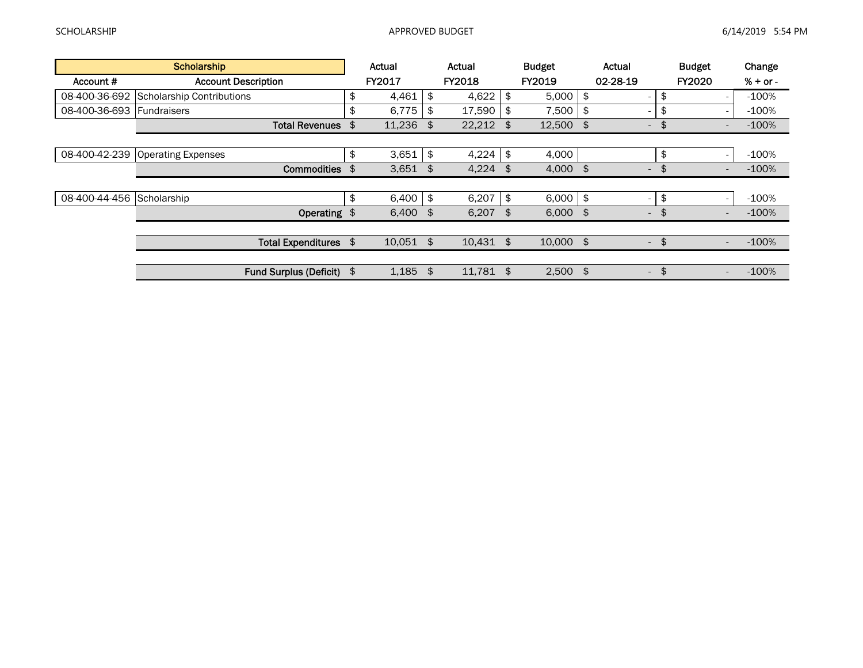|               | <b>Scholarship</b>         | Actual       | Actual            | <b>Budget</b>    |     | Actual                   | <b>Budget</b>                      | Change     |
|---------------|----------------------------|--------------|-------------------|------------------|-----|--------------------------|------------------------------------|------------|
| Account #     | <b>Account Description</b> | FY2017       | <b>FY2018</b>     | FY2019           |     | 02-28-19                 | <b>FY2020</b>                      | $% + or -$ |
| 08-400-36-692 | Scholarship Contributions  | \$<br>4,461  | \$<br>4,622       | \$<br>5,000      | \$  | $\overline{\phantom{a}}$ | \$                                 | $-100%$    |
| 08-400-36-693 | <b>Fundraisers</b>         | \$<br>6,775  | \$<br>17,590      | \$<br>7,500      |     | $\overline{\phantom{a}}$ | \$                                 | $-100%$    |
|               | <b>Total Revenues</b>      | \$<br>11,236 | \$<br>$22,212$ \$ | $12,500$ \$      |     | $\overline{\phantom{a}}$ | \$<br>$\qquad \qquad \blacksquare$ | $-100%$    |
|               |                            |              |                   |                  |     |                          |                                    |            |
| 08-400-42-239 | <b>Operating Expenses</b>  | \$<br>3,651  | \$<br>4,224       | \$<br>4,000      |     |                          | \$<br>$\overline{\phantom{a}}$     | $-100%$    |
|               | Commodities                | \$<br>3,651  | \$<br>4,224       | \$<br>$4,000$ \$ |     | $\overline{\phantom{a}}$ | \$<br>$\overline{\phantom{a}}$     | $-100%$    |
|               |                            |              |                   |                  |     |                          |                                    |            |
| 08-400-44-456 | Scholarship                | \$<br>6,400  | \$<br>6,207       | \$<br>6,000      | \$  | $\overline{\phantom{a}}$ | \$                                 | $-100%$    |
|               | Operating \$               | $6,400$ \$   | 6,207             | \$<br>6,000      | -\$ | $\overline{\phantom{a}}$ | \$<br>$\overline{\phantom{a}}$     | $-100%$    |
|               |                            |              |                   |                  |     |                          |                                    |            |
|               | Total Expenditures \$      | $10,051$ \$  | $10,431$ \$       | $10,000$ \$      |     | $\overline{\phantom{a}}$ | \$<br>$\overline{\phantom{a}}$     | $-100%$    |
|               |                            |              |                   |                  |     |                          |                                    |            |
|               | Fund Surplus (Deficit) \$  | 1,185        | \$<br>11,781      | \$<br>2,500      | \$  | $\sim$                   | \$<br>$\qquad \qquad \blacksquare$ | $-100%$    |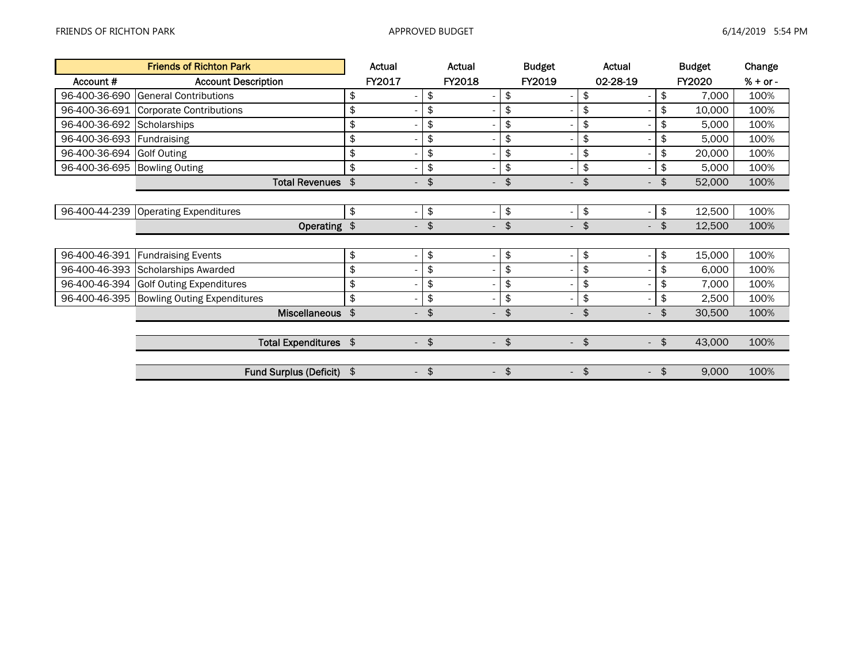L,

|               | <b>Friends of Richton Park</b>     | Actual                                    | Actual                                    | <b>Budget</b>                             | Actual                         | <b>Budget</b>           | Change     |
|---------------|------------------------------------|-------------------------------------------|-------------------------------------------|-------------------------------------------|--------------------------------|-------------------------|------------|
| Account #     | <b>Account Description</b>         | FY2017                                    | FY2018                                    | FY2019                                    | 02-28-19                       | <b>FY2020</b>           | $% + or -$ |
| 96-400-36-690 | <b>General Contributions</b>       | \$                                        | \$                                        | \$<br>$\overline{\phantom{a}}$            | \$                             | \$<br>7,000             | 100%       |
| 96-400-36-691 | <b>Corporate Contributions</b>     | \$                                        | \$                                        | \$<br>$\overline{\phantom{a}}$            | \$                             | \$<br>10,000            | 100%       |
| 96-400-36-692 | Scholarships                       | \$                                        | \$                                        | \$<br>$\overline{\phantom{a}}$            | \$                             | \$<br>5,000             | 100%       |
| 96-400-36-693 | Fundraising                        | \$                                        | \$                                        | \$<br>$\overline{\phantom{a}}$            | \$                             | \$<br>5,000             | 100%       |
| 96-400-36-694 | <b>Golf Outing</b>                 | \$                                        | \$                                        | \$<br>$\overline{\phantom{a}}$            | \$                             | \$<br>20,000            | 100%       |
| 96-400-36-695 | <b>Bowling Outing</b>              | \$                                        | \$                                        | \$<br>$\overline{\phantom{a}}$            | \$<br>-                        | \$<br>5,000             | 100%       |
|               | <b>Total Revenues</b>              | \$<br>$\overline{\phantom{a}}$            | \$<br>$\overline{\phantom{0}}$            | \$<br>$\overline{\phantom{a}}$            | \$<br>$\overline{\phantom{0}}$ | \$<br>52,000            | 100%       |
|               |                                    |                                           |                                           |                                           |                                |                         |            |
| 96-400-44-239 | <b>Operating Expenditures</b>      | \$                                        | \$                                        | \$<br>$\blacksquare$                      | \$<br>-                        | \$<br>12,500            | 100%       |
|               | Operating \$                       | $\overline{\phantom{a}}$                  | \$<br>$\overline{\phantom{a}}$            | $\frac{1}{2}$<br>$\overline{\phantom{a}}$ | \$<br>$\overline{\phantom{0}}$ | \$<br>12,500            | 100%       |
|               |                                    |                                           |                                           |                                           |                                |                         |            |
| 96-400-46-391 | <b>Fundraising Events</b>          | \$                                        | \$                                        | \$<br>$\overline{\phantom{a}}$            | \$<br>$\overline{a}$           | \$<br>15,000            | 100%       |
| 96-400-46-393 | Scholarships Awarded               | \$                                        | \$                                        | \$<br>$\overline{\phantom{a}}$            | \$<br>-                        | \$<br>6,000             | 100%       |
| 96-400-46-394 | <b>Golf Outing Expenditures</b>    | \$                                        | \$                                        | \$<br>$\overline{\phantom{a}}$            | \$<br>-                        | \$<br>7,000             | 100%       |
| 96-400-46-395 | <b>Bowling Outing Expenditures</b> | \$                                        | \$                                        | \$<br>$\overline{\phantom{a}}$            | \$<br>-                        | \$<br>2,500             | 100%       |
|               | <b>Miscellaneous</b>               | $\frac{1}{2}$<br>$\overline{\phantom{a}}$ | \$<br>$\overline{\phantom{a}}$            | \$<br>$\overline{\phantom{a}}$            | \$<br>$\overline{\phantom{0}}$ | \$<br>30,500            | 100%       |
|               |                                    |                                           |                                           |                                           |                                |                         |            |
|               | Total Expenditures \$              | $\overline{\phantom{a}}$                  | $\frac{1}{2}$<br>$\overline{\phantom{a}}$ | $\frac{1}{2}$<br>$\overline{\phantom{a}}$ | \$<br>$\overline{\phantom{a}}$ | $\frac{1}{2}$<br>43,000 | 100%       |
|               |                                    |                                           |                                           |                                           |                                |                         |            |
|               | <b>Fund Surplus (Deficit)</b>      | \$<br>$\overline{\phantom{a}}$            | $\frac{1}{2}$<br>$\overline{\phantom{a}}$ | \$<br>$\overline{\phantom{a}}$            | \$<br>$\overline{\phantom{0}}$ | \$<br>9,000             | 100%       |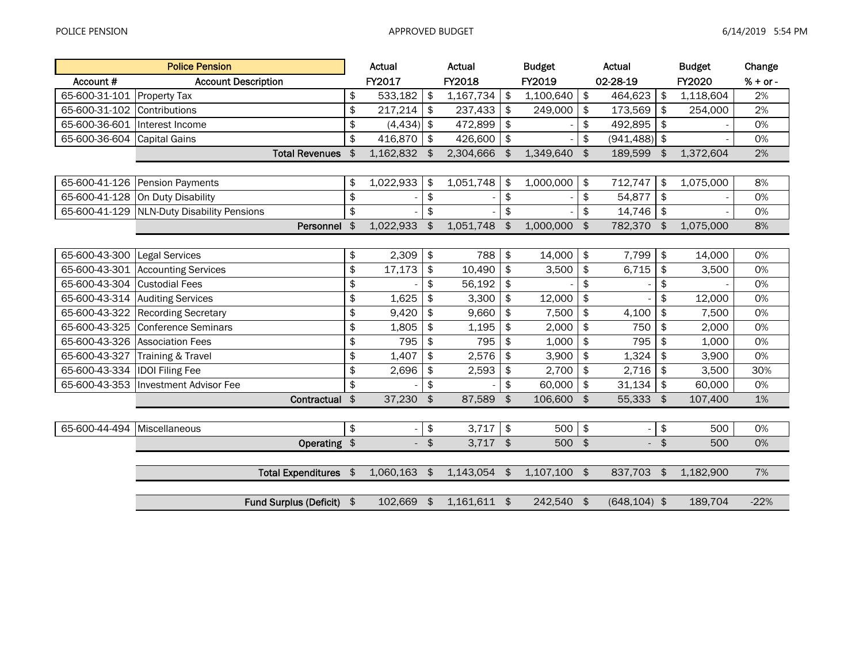|                                 | <b>Police Pension</b>                      | Actual          |               | Actual    |               | <b>Budget</b>  |               | Actual                   |        | <b>Budget</b> | Change     |
|---------------------------------|--------------------------------------------|-----------------|---------------|-----------|---------------|----------------|---------------|--------------------------|--------|---------------|------------|
| Account #                       | <b>Account Description</b>                 | FY2017          |               | FY2018    |               | FY2019         |               | 02-28-19                 |        | FY2020        | $% + or -$ |
| 65-600-31-101 Property Tax      |                                            | \$<br>533,182   | \$            | 1,167,734 | \$            | 1,100,640      | \$            | 464,623                  | \$     | 1,118,604     | 2%         |
| 65-600-31-102                   | Contributions                              | \$<br>217,214   | \$            | 237,433   | \$            | 249,000        | \$            | 173,569                  | \$     | 254,000       | 2%         |
| 65-600-36-601   Interest Income |                                            | \$<br>(4, 434)  | \$            | 472,899   | \$            |                | \$            | 492,895                  | \$     |               | 0%         |
| 65-600-36-604                   | Capital Gains                              | \$<br>416,870   | \$            | 426,600   | \$            |                | \$            | (941, 488)               | \$     |               | 0%         |
|                                 | <b>Total Revenues</b>                      | \$<br>1,162,832 | \$            | 2,304,666 | \$            | 1,349,640      | \$            | 189,599                  | \$     | 1,372,604     | 2%         |
|                                 |                                            |                 |               |           |               |                |               |                          |        |               |            |
| 65-600-41-126                   | Pension Payments                           | \$<br>1,022,933 | \$            | 1,051,748 | \$            | 1,000,000      | \$            | 712,747                  | \$     | 1,075,000     | 8%         |
|                                 | 65-600-41-128 On Duty Disability           | \$              | \$            |           | $\frac{1}{2}$ |                | \$            | 54,877                   | \$     |               | 0%         |
|                                 | 65-600-41-129 NLN-Duty Disability Pensions | \$              | \$            |           | \$            |                | \$            | 14,746                   | \$     |               | 0%         |
|                                 | Personnel                                  | \$<br>1,022,933 | $\frac{2}{3}$ | 1,051,748 | \$            | 1,000,000      | \$            | 782,370 \$               |        | 1,075,000     | 8%         |
|                                 |                                            |                 |               |           |               |                |               |                          |        |               |            |
| 65-600-43-300                   | Legal Services                             | \$<br>2,309     | \$            | 788       | \$            | 14,000         | $\,$          | 7,799                    | \$     | 14,000        | 0%         |
|                                 | 65-600-43-301 Accounting Services          | \$<br>17,173    | \$            | 10,490    | \$            | 3,500          | \$            | 6,715                    | \$     | 3,500         | 0%         |
| 65-600-43-304                   | <b>Custodial Fees</b>                      | \$              | \$            | 56,192    | \$            |                | \$            |                          | \$     |               | 0%         |
|                                 | 65-600-43-314 Auditing Services            | \$<br>1,625     | \$            | 3,300     | \$            | 12,000         | \$            |                          | \$     | 12,000        | 0%         |
| 65-600-43-322                   | <b>Recording Secretary</b>                 | \$<br>9,420     | \$            | 9,660     | \$            | 7,500          | \$            | 4,100                    | \$     | 7,500         | 0%         |
| 65-600-43-325                   | <b>Conference Seminars</b>                 | \$<br>1,805     | \$            | 1,195     | \$            | 2,000          | \$            | 750                      | \$     | 2,000         | 0%         |
| 65-600-43-326                   | <b>Association Fees</b>                    | \$<br>795       | \$            | 795       | \$            | 1,000          | \$            | 795                      | \$     | 1,000         | 0%         |
| 65-600-43-327                   | Training & Travel                          | \$<br>1,407     | \$            | 2,576     | \$            | 3,900          | \$            | 1,324                    | \$     | 3,900         | 0%         |
| 65-600-43-334                   | <b>IDOI</b> Filing Fee                     | \$<br>2,696     | \$            | 2,593     | \$            | 2,700          | \$            | 2,716                    | \$     | 3,500         | 30%        |
| 65-600-43-353                   | Investment Advisor Fee                     | \$              | \$            |           | \$            | 60,000         | \$            | 31,134                   | \$     | 60,000        | 0%         |
|                                 | Contractual \$                             | 37,230          | \$            | 87,589    | \$            | 106,600        | \$            | 55,333 \$                |        | 107,400       | 1%         |
|                                 |                                            |                 |               |           |               |                |               |                          |        |               |            |
| 65-600-44-494                   | Miscellaneous                              | \$              | \$            | 3,717     | \$            | 500            | \$            | $\overline{\phantom{a}}$ | \$     | 500           | 0%         |
|                                 | Operating \$                               |                 | $-$ \$        | 3,717     | $\frac{4}{5}$ | 500            | $\frac{1}{2}$ |                          | $-$ \$ | 500           | 0%         |
|                                 |                                            |                 |               |           |               |                |               |                          |        |               |            |
|                                 | Total Expenditures \$                      | 1,060,163       | $\sqrt{3}$    | 1,143,054 | \$            | $1,107,100$ \$ |               | 837,703 \$               |        | 1,182,900     | 7%         |
|                                 |                                            |                 |               |           |               |                |               |                          |        |               |            |
|                                 | Fund Surplus (Deficit) \$                  | 102,669         | $\frac{1}{2}$ | 1,161,611 | \$            | 242,540        | $\frac{1}{2}$ | $(648, 104)$ \$          |        | 189,704       | $-22%$     |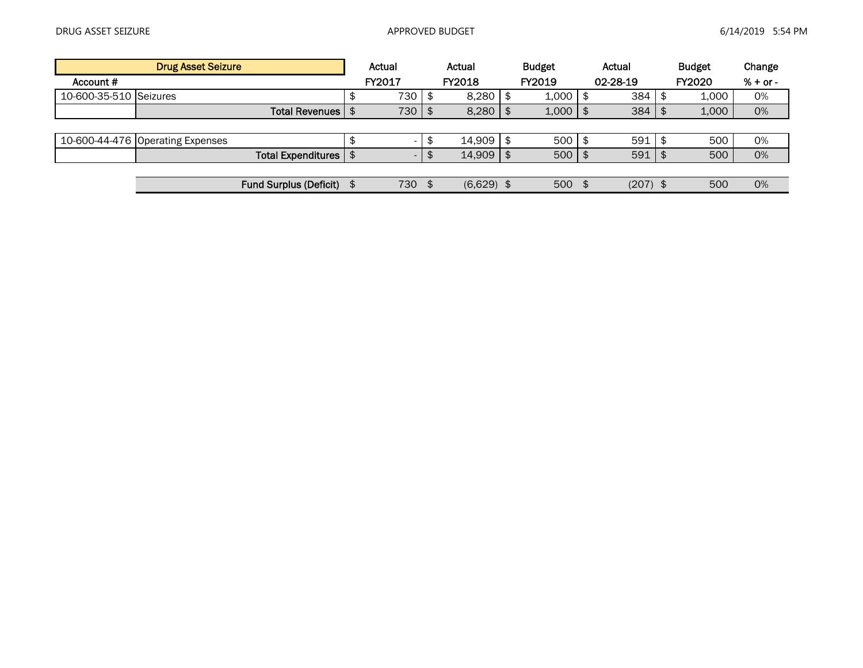|                        | <b>Drug Asset Seizure</b>        | Actual |                          |    | Actual        |  | <b>Budget</b> | Actual     | <b>Budget</b> | Change     |
|------------------------|----------------------------------|--------|--------------------------|----|---------------|--|---------------|------------|---------------|------------|
| Account #              |                                  |        | FY2017                   |    | <b>FY2018</b> |  | FY2019        | 02-28-19   | <b>FY2020</b> | $% + or -$ |
| 10-600-35-510 Seizures |                                  |        | 730                      | \$ | 8,280         |  | 1,000         | 384        | 1,000         | 0%         |
|                        | Total Revenues I                 |        | 730                      | \$ | 8,280         |  | 1,000         | 384        | 1,000         | 0%         |
|                        |                                  |        |                          |    |               |  |               |            |               |            |
|                        | 10-600-44-476 Operating Expenses |        |                          | \$ | 14,909        |  | 500           | 591        | 500           | 0%         |
|                        | <b>Total Expenditures</b>        |        | $\overline{\phantom{a}}$ | จ  | 14,909        |  | 500           | 591        | 500           | 0%         |
|                        |                                  |        |                          |    |               |  |               |            |               |            |
|                        | <b>Fund Surplus (Deficit)</b>    |        | 730                      | \$ | $(6,629)$ \$  |  | 500           | $(207)$ \$ | 500           | 0%         |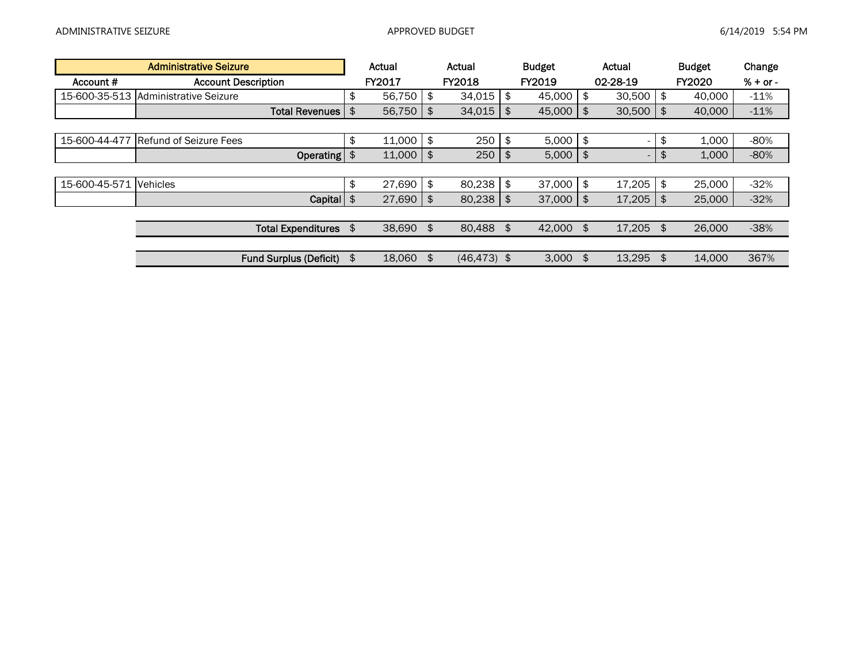|               | <b>Administrative Seizure</b> | Actual       | Actual               |               | <b>Budget</b> | Actual              | <b>Budget</b> | Change     |
|---------------|-------------------------------|--------------|----------------------|---------------|---------------|---------------------|---------------|------------|
| Account #     | <b>Account Description</b>    | FY2017       | <b>FY2018</b>        |               | <b>FY2019</b> | 02-28-19            | <b>FY2020</b> | $% + or -$ |
| 15-600-35-513 | Administrative Seizure        | \$<br>56.750 | \$<br>34,015         | \$            | 45.000        | \$<br>30,500        | \$<br>40,000  | $-11%$     |
|               | <b>Total Revenues I</b>       | \$<br>56,750 | \$<br>34,015         | \$            | 45,000        | \$<br>$30,500$   \$ | 40,000        | $-11%$     |
|               |                               |              |                      |               |               |                     |               |            |
| 15-600-44-477 | Refund of Seizure Fees        | \$<br>11,000 | \$<br>250            | $\frac{1}{2}$ | 5,000         | \$                  | \$<br>1,000   | $-80%$     |
|               | <b>Operating</b>              | \$<br>11,000 | \$<br>250            | \$            | 5,000         | \$                  | \$<br>1,000   | $-80%$     |
|               |                               |              |                      |               |               |                     |               |            |
| 15-600-45-571 | <b>Vehicles</b>               | \$<br>27,690 | \$<br>80,238         | \$            | 37,000        | \$<br>$17,205$ \$   | 25,000        | $-32%$     |
|               | Capital                       | \$<br>27,690 | \$<br>80,238         | \$            | 37,000        | \$<br>$17,205$ \$   | 25,000        | $-32%$     |
|               |                               |              |                      |               |               |                     |               |            |
|               | Total Expenditures \$         | 38,690 \$    | 80,488 \$            |               | 42,000 \$     | $17,205$ \$         | 26,000        | $-38%$     |
|               |                               |              |                      |               |               |                     |               |            |
|               | <b>Fund Surplus (Deficit)</b> | \$<br>18,060 | \$<br>$(46, 473)$ \$ |               | 3,000         | \$<br>$13,295$ \$   | 14,000        | 367%       |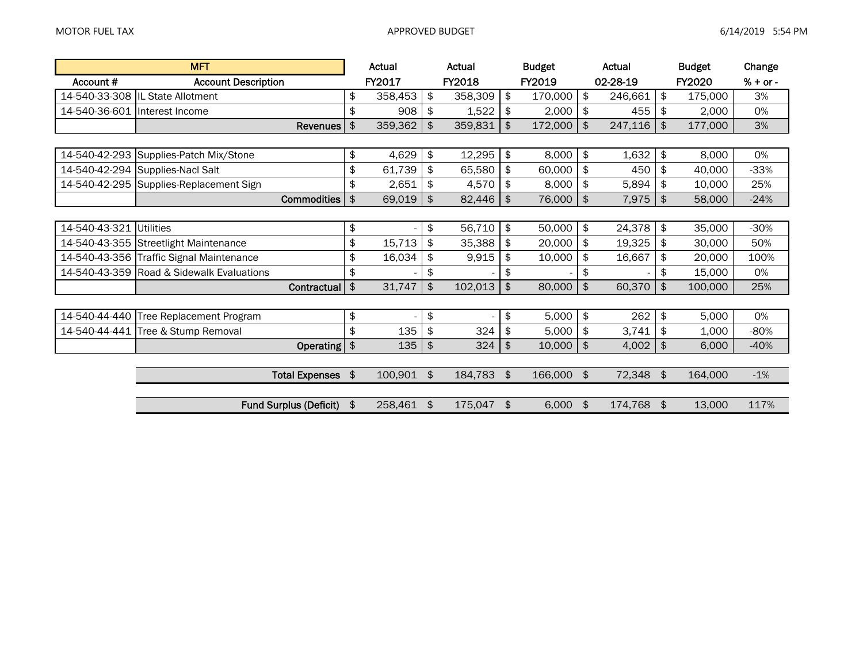|                               | <b>MFT</b>                                |            | Actual  |                       | Actual  |               | <b>Budget</b> | Actual        |                | <b>Budget</b> | Change     |
|-------------------------------|-------------------------------------------|------------|---------|-----------------------|---------|---------------|---------------|---------------|----------------|---------------|------------|
| Account#                      | <b>Account Description</b>                |            | FY2017  |                       | FY2018  |               | FY2019        | 02-28-19      |                | FY2020        | $% + or -$ |
|                               | 14-540-33-308  IL State Allotment         | \$         | 358,453 | \$                    | 358,309 | \$            | 170,000       | \$<br>246,661 | \$             | 175,000       | 3%         |
| 14-540-36-601 Interest Income |                                           | \$         | 908     | \$                    | 1,522   | \$            | 2,000         | \$<br>455     | \$             | 2,000         | 0%         |
|                               | <b>Revenues</b>                           | \$         | 359,362 | $\frac{1}{2}$         | 359,831 | $\frac{1}{2}$ | 172,000       | \$<br>247,116 | $\mathfrak{L}$ | 177,000       | 3%         |
|                               |                                           |            |         |                       |         |               |               |               |                |               |            |
|                               | 14-540-42-293 Supplies-Patch Mix/Stone    | \$         | 4,629   | \$                    | 12,295  | \$            | 8,000         | \$<br>1,632   | $\frac{1}{2}$  | 8,000         | 0%         |
|                               | 14-540-42-294 Supplies-Nacl Salt          | \$         | 61,739  | \$                    | 65,580  | \$            | 60,000        | \$<br>450     | \$             | 40,000        | $-33%$     |
|                               | 14-540-42-295 Supplies-Replacement Sign   | \$         | 2,651   | \$                    | 4,570   | \$            | 8,000         | \$<br>5,894   | \$             | 10,000        | 25%        |
|                               | <b>Commodities</b>                        | \$         | 69,019  | $\boldsymbol{\theta}$ | 82,446  | $\frac{1}{2}$ | 76,000        | \$<br>7,975   | \$             | 58,000        | $-24%$     |
|                               |                                           |            |         |                       |         |               |               |               |                |               |            |
| 14-540-43-321 Utilities       |                                           | \$         |         | \$                    | 56,710  | \$            | 50,000        | \$<br>24,378  | \$             | 35,000        | $-30%$     |
|                               | 14-540-43-355 Streetlight Maintenance     | \$         | 15,713  | \$                    | 35,388  | \$            | 20,000        | \$<br>19,325  | \$             | 30,000        | 50%        |
|                               | 14-540-43-356 Traffic Signal Maintenance  | \$         | 16,034  | \$                    | 9,915   | \$            | 10,000        | \$<br>16,667  | \$             | 20,000        | 100%       |
|                               | 14-540-43-359 Road & Sidewalk Evaluations | \$         |         | \$                    |         | \$            |               | \$            | \$             | 15,000        | 0%         |
|                               | Contractual                               | \$         | 31,747  | \$                    | 102,013 | \$            | 80,000        | \$<br>60,370  | $\frac{1}{2}$  | 100,000       | 25%        |
|                               |                                           |            |         |                       |         |               |               |               |                |               |            |
|                               | 14-540-44-440 Tree Replacement Program    | \$         |         | \$                    |         | \$            | 5,000         | \$<br>262     | \$             | 5,000         | 0%         |
|                               | 14-540-44-441 Tree & Stump Removal        | \$         | 135     | \$                    | 324     | \$            | 5,000         | \$<br>3,741   | \$             | 1,000         | $-80%$     |
|                               | Operating $\frac{1}{2}$                   |            | 135     | $\boldsymbol{\theta}$ | 324     | \$            | 10,000        | \$<br>4,002   | $\frac{4}{5}$  | 6,000         | $-40%$     |
|                               |                                           |            |         |                       |         |               |               |               |                |               |            |
|                               | <b>Total Expenses</b>                     | $\sqrt{2}$ | 100,901 | $\frac{1}{2}$         | 184,783 | \$            | 166,000 \$    | 72,348 \$     |                | 164,000       | $-1%$      |
|                               |                                           |            |         |                       |         |               |               |               |                |               |            |
|                               | <b>Fund Surplus (Deficit)</b>             | \$         | 258,461 | \$                    | 175,047 | \$            | 6,000         | \$<br>174,768 | \$             | 13,000        | 117%       |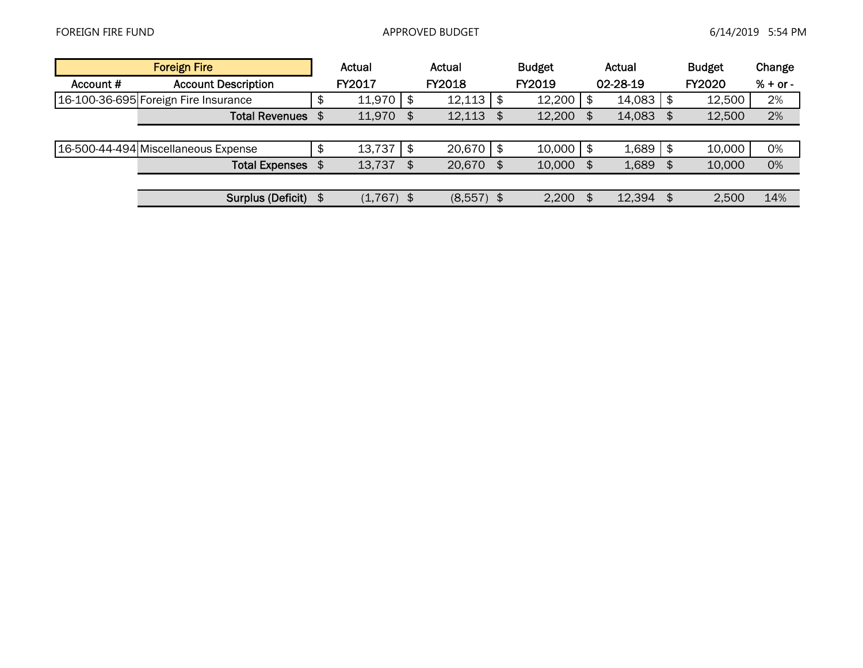|           | <b>Foreign Fire</b>                  | Actual       |      | Actual        |      | <b>Budget</b> |      | Actual   |      | <b>Budget</b> | Change     |
|-----------|--------------------------------------|--------------|------|---------------|------|---------------|------|----------|------|---------------|------------|
| Account # | <b>Account Description</b>           | FY2017       |      | <b>FY2018</b> |      | FY2019        |      | 02-28-19 |      | <b>FY2020</b> | $% + or -$ |
|           | 16-100-36-695 Foreign Fire Insurance | $11.970$ \$  |      | 12,113        | l \$ | 12,200        | \$   | 14,083   | l \$ | 12,500        | 2%         |
|           | <b>Total Revenues</b>                | 11,970       | - \$ | 12,113        | \$   | 12,200        | \$   | 14,083   | \$   | 12,500        | 2%         |
|           |                                      |              |      |               |      |               |      |          |      |               |            |
|           | 16-500-44-494 Miscellaneous Expense  | 13,737       | \$   | $20,670$ \$   |      | 10,000        | l \$ | 1,689    | l \$ | 10,000        | 0%         |
|           | <b>Total Expenses</b>                | 13,737       | \$   | 20,670        | - \$ | 10,000        | -\$  | 1,689    | \$   | 10,000        | 0%         |
|           |                                      |              |      |               |      |               |      |          |      |               |            |
|           | Surplus (Deficit) \$                 | $(1,767)$ \$ |      | $(8,557)$ \$  |      | 2,200         | \$   | 12,394   | - \$ | 2,500         | 14%        |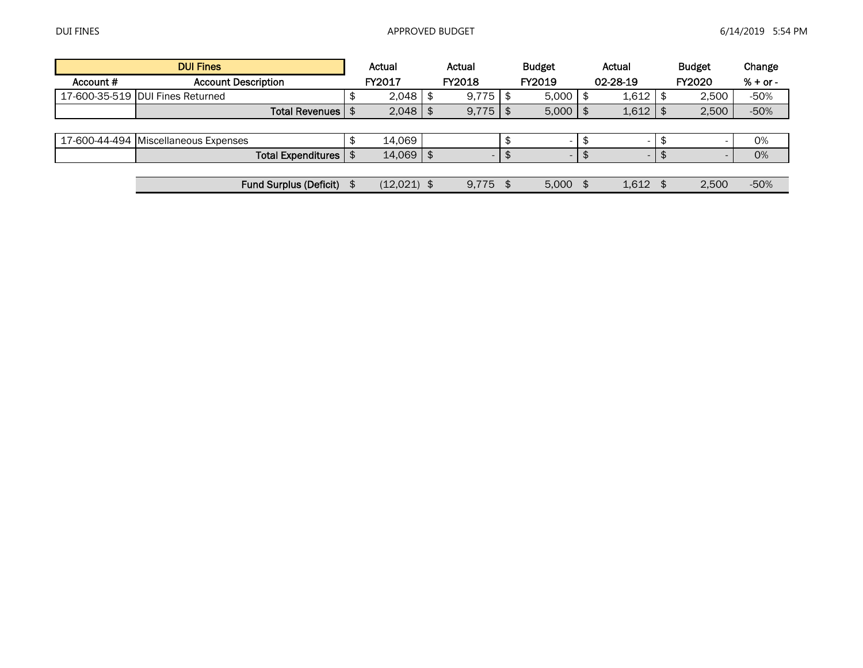| <b>DUI Fines</b> |                                      |    | Actual        |  | Actual |    | <b>Budget</b>            | Actual |                          |     | <b>Budget</b>            | Change     |
|------------------|--------------------------------------|----|---------------|--|--------|----|--------------------------|--------|--------------------------|-----|--------------------------|------------|
| Account #        | <b>Account Description</b>           |    | FY2017        |  | FY2018 |    | FY2019                   |        | 02-28-19                 |     | <b>FY2020</b>            | $% + or -$ |
|                  | 17-600-35-519 DUI Fines Returned     |    | $2,048$ \$    |  | 9,775  |    | 5,000                    |        | 1.612                    | \$  | 2.500                    | $-50%$     |
|                  | Total Revenues   \$                  |    | $2,048$ \$    |  | 9,775  |    | 5,000                    |        | 1,612                    |     | 2,500                    | $-50%$     |
|                  |                                      |    |               |  |        |    |                          |        |                          |     |                          |            |
|                  | 17-600-44-494 Miscellaneous Expenses |    | 14,069        |  |        |    |                          |        |                          |     | $\overline{\phantom{0}}$ | 0%         |
|                  | Total Expenditures   \$              |    | $14,069$ \ \$ |  |        |    | $\overline{\phantom{a}}$ |        | $\overline{\phantom{a}}$ |     |                          | 0%         |
|                  |                                      |    |               |  |        |    |                          |        |                          |     |                          |            |
|                  | <b>Fund Surplus (Deficit)</b>        | \$ | $(12,021)$ \$ |  | 9,775  | \$ | 5.000                    |        | 1.612                    | \$. | 2.500                    | $-50%$     |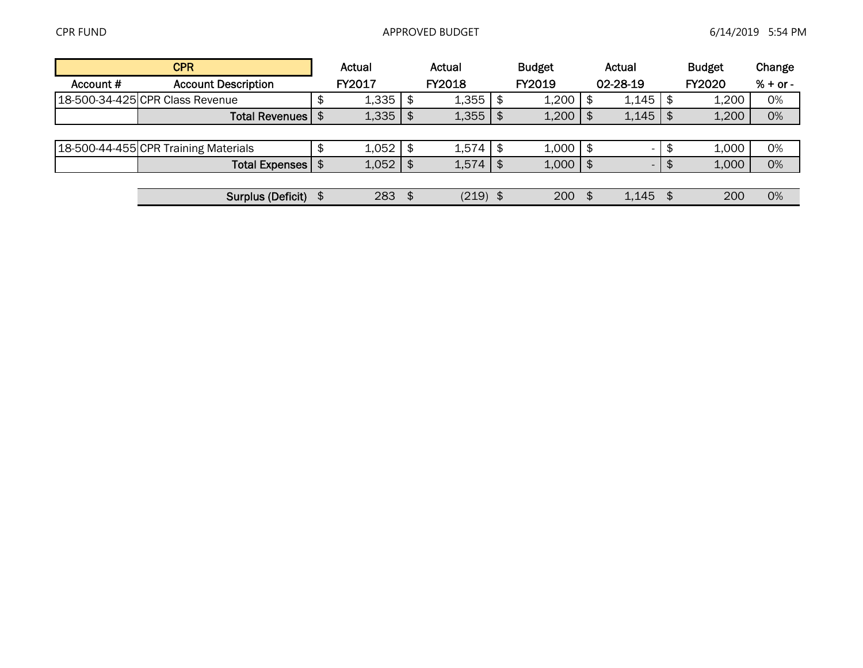| <b>CPR</b> |                                      |  | Actual |      | Actual        | <b>Budget</b> |        |          | Actual |      | <b>Budget</b> | Change     |
|------------|--------------------------------------|--|--------|------|---------------|---------------|--------|----------|--------|------|---------------|------------|
| Account #  | <b>Account Description</b>           |  | FY2017 |      | <b>FY2018</b> |               | FY2019 | 02-28-19 |        |      | <b>FY2020</b> | $% + or -$ |
|            | 18-500-34-425 CPR Class Revenue      |  | 1,335  | \$   | $1,355$   \$  |               | 1,200  | l \$     | 1,145  |      | 1,200         | 0%         |
|            | Total Revenues   \$                  |  | 1,335  | l \$ | $1,355$   \$  |               | 1,200  | l \$     | 1,145  |      | 1,200         | 0%         |
|            |                                      |  |        |      |               |               |        |          |        |      |               |            |
|            | 18-500-44-455 CPR Training Materials |  | 1,052  | l \$ | $1,574$   \$  |               | 1,000  | l \$     |        |      | 1,000         | 0%         |
|            | <b>Total Expenses</b>                |  | 1,052  | \$   | 1,574         |               | 1,000  |          | $\sim$ |      | 1,000         | 0%         |
|            |                                      |  |        |      |               |               |        |          |        |      |               |            |
|            | Surplus (Deficit) \$                 |  | 283    | - \$ | $(219)$ \$    |               | 200    | - \$     | 1,145  | - \$ | 200           | 0%         |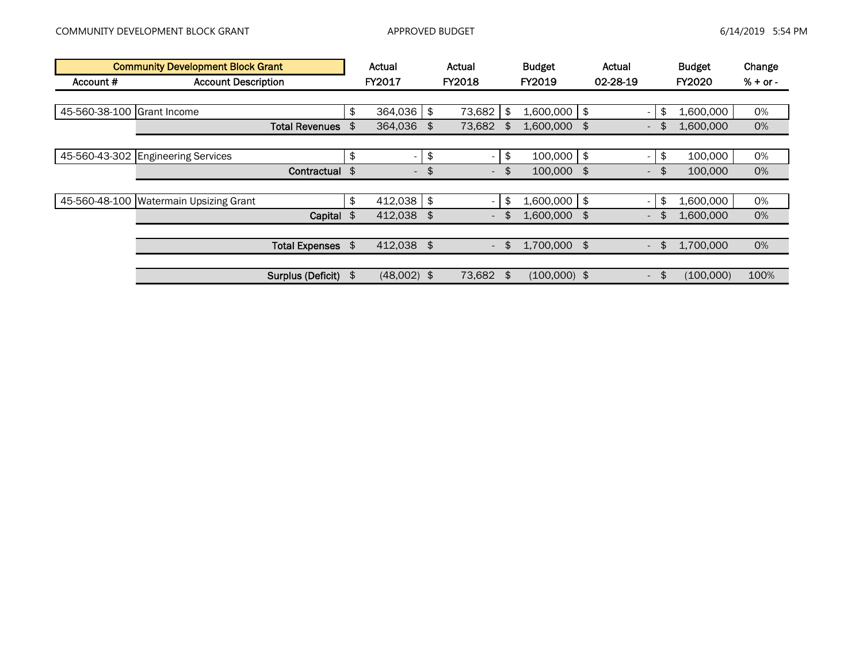| <b>Community Development Block Grant</b> |                                        |    | Actual                   | Actual                         | <b>Budget</b>        |               | Actual                          | <b>Budget</b> | Change     |
|------------------------------------------|----------------------------------------|----|--------------------------|--------------------------------|----------------------|---------------|---------------------------------|---------------|------------|
| Account #                                | <b>Account Description</b>             |    | FY2017                   | <b>FY2018</b>                  | FY2019               | 02-28-19      |                                 | <b>FY2020</b> | $% + or -$ |
|                                          |                                        |    |                          |                                |                      |               |                                 |               |            |
| 45-560-38-100 Grant Income               |                                        | \$ | 364,036                  | \$<br>73,682                   | \$<br>1,600,000      | \$            | \$<br>$\overline{\phantom{0}}$  | 1,600,000     | 0%         |
|                                          | <b>Total Revenues</b>                  | \$ | 364,036                  | \$<br>73,682                   | \$<br>1,600,000      | \$            | $\overline{\phantom{a}}$        | 1,600,000     | 0%         |
|                                          |                                        |    |                          |                                |                      |               |                                 |               |            |
|                                          | 45-560-43-302 Engineering Services     | \$ | $\overline{\phantom{0}}$ | \$<br>$\overline{\phantom{a}}$ | \$<br>100,000        | \$            | \$<br>$\overline{\phantom{0}}$  | 100,000       | 0%         |
|                                          | Contractual \$                         |    | $\overline{\phantom{a}}$ | \$<br>$\sim$                   | \$<br>100,000 \$     |               | \$<br>$\overline{\phantom{0}}$  | 100,000       | 0%         |
|                                          |                                        |    |                          |                                |                      |               |                                 |               |            |
|                                          | 45-560-48-100 Watermain Upsizing Grant | \$ | $412,038$ \$             |                                | \$<br>1,600,000      | $\frac{1}{2}$ | \$.<br>$\overline{\phantom{0}}$ | 1,600,000     | 0%         |
|                                          | Capital \$                             |    | 412,038                  | \$<br>$\overline{\phantom{a}}$ | 1,600,000            | \$            | $\overline{\phantom{a}}$        | 1,600,000     | 0%         |
|                                          |                                        |    |                          |                                |                      |               |                                 |               |            |
|                                          | <b>Total Expenses</b>                  | \$ | 412,038 \$               | $\overline{\phantom{a}}$       | \$<br>1,700,000 \$   |               | \$<br>$\sim$                    | 1,700,000     | 0%         |
|                                          |                                        |    |                          |                                |                      |               |                                 |               |            |
|                                          | Surplus (Deficit)                      | \$ | $(48,002)$ \$            | 73,682                         | \$<br>$(100,000)$ \$ |               | \$<br>$\sim$                    | (100,000)     | 100%       |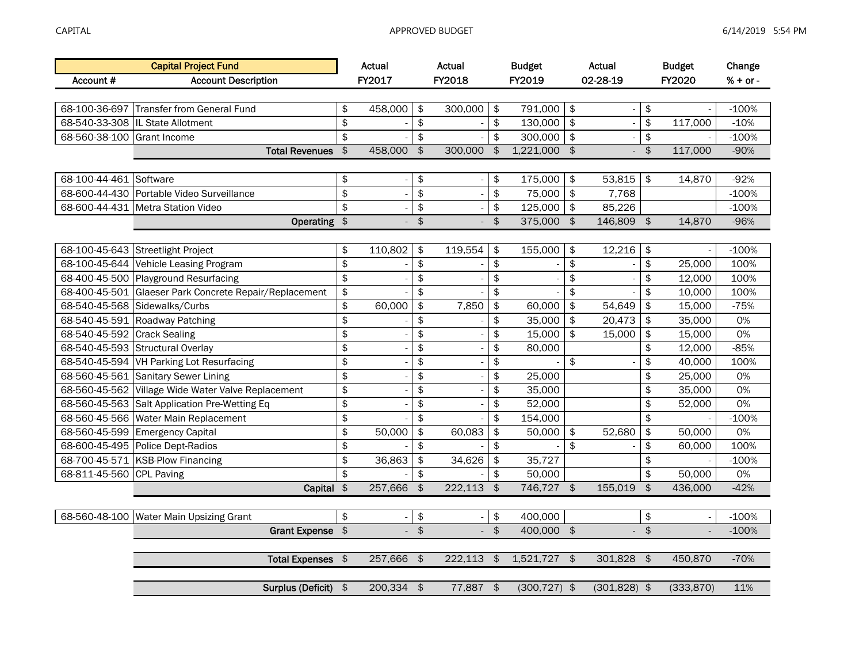|                             | <b>Capital Project Fund</b>                            |                         | Actual                   |                         | Actual                   |                        | <b>Budget</b>   |                         | Actual          |                         | <b>Budget</b>            | Change     |
|-----------------------------|--------------------------------------------------------|-------------------------|--------------------------|-------------------------|--------------------------|------------------------|-----------------|-------------------------|-----------------|-------------------------|--------------------------|------------|
| Account #                   | <b>Account Description</b>                             |                         | FY2017                   |                         | FY2018                   |                        | FY2019          |                         | 02-28-19        |                         | FY2020                   | $% + or -$ |
|                             |                                                        |                         |                          |                         |                          |                        |                 |                         |                 |                         |                          |            |
|                             | 68-100-36-697 Transfer from General Fund               | \$                      | 458,000                  | \$                      | 300,000                  | \$                     | 791,000         | \$                      |                 | \$                      |                          | $-100%$    |
|                             | 68-540-33-308 IL State Allotment                       | \$                      |                          | \$                      |                          | \$                     | 130,000         | \$                      |                 | \$                      | 117,000                  | $-10%$     |
| 68-560-38-100 Grant Income  |                                                        | \$                      |                          | $\overline{\mathbf{e}}$ |                          | \$                     | 300,000         | $\pmb{\$}$              |                 | $\frac{1}{2}$           |                          | $-100%$    |
|                             | <b>Total Revenues</b>                                  | $\frac{1}{2}$           | 458,000                  | $\frac{1}{2}$           | 300,000                  | $\frac{1}{2}$          | 1,221,000       | $\overline{\mathbf{3}}$ |                 | $\overline{\mathbf{6}}$ | 117,000                  | $-90%$     |
|                             |                                                        |                         |                          |                         |                          |                        |                 |                         |                 |                         |                          |            |
| 68-100-44-461 Software      |                                                        | \$                      | $\overline{\phantom{a}}$ | \$                      |                          | \$                     | 175,000         | \$                      | 53,815          | \$                      | 14,870                   | $-92%$     |
|                             | 68-600-44-430 Portable Video Surveillance              | $\overline{\mathbf{e}}$ | ÷,                       | $\overline{\mathbf{e}}$ |                          | \$                     | 75,000          | \$                      | 7,768           |                         |                          | $-100%$    |
|                             | 68-600-44-431 Metra Station Video                      | \$                      |                          | \$                      |                          | \$                     | 125,000         | $\frac{1}{2}$           | 85,226          |                         |                          | $-100%$    |
|                             | Operating $\sqrt[3]{ }$                                |                         |                          | $\frac{1}{2}$           |                          | $\frac{1}{2}$          | 375,000         | $\frac{1}{2}$           | 146,809         | $\frac{1}{2}$           | 14,870                   | $-96%$     |
|                             |                                                        |                         |                          |                         |                          |                        |                 |                         |                 |                         |                          |            |
|                             | 68-100-45-643 Streetlight Project                      | \$                      | 110,802                  | \$                      | 119,554                  | \$                     | 155,000         | \$                      | 12,216          | $\frac{1}{2}$           |                          | $-100%$    |
|                             | 68-100-45-644 Vehicle Leasing Program                  | \$                      |                          | \$                      |                          | \$                     |                 | \$                      |                 | \$                      | 25,000                   | 100%       |
|                             | 68-400-45-500 Playground Resurfacing                   | \$                      |                          | \$                      |                          | \$                     |                 | \$                      |                 | \$                      | 12,000                   | 100%       |
|                             | 68-400-45-501 Glaeser Park Concrete Repair/Replacement | \$                      |                          | \$                      |                          | \$                     |                 | \$                      |                 | \$                      | 10,000                   | 100%       |
|                             | 68-540-45-568 Sidewalks/Curbs                          | \$                      | 60,000                   | \$                      | 7,850                    | \$                     | 60,000          | \$                      | 54,649          | \$                      | 15,000                   | $-75%$     |
|                             | 68-540-45-591 Roadway Patching                         | \$                      |                          | \$                      | $\overline{\phantom{a}}$ | \$                     | 35,000          | \$                      | 20,473          | \$                      | 35,000                   | 0%         |
| 68-540-45-592 Crack Sealing |                                                        | \$                      |                          | \$                      |                          | \$                     | 15,000          | \$                      | 15,000          | \$                      | 15,000                   | 0%         |
|                             | 68-540-45-593 Structural Overlay                       | \$                      |                          | \$                      | $\overline{\phantom{a}}$ | \$                     | 80,000          |                         |                 | \$                      | 12,000                   | $-85%$     |
|                             | 68-540-45-594 VH Parking Lot Resurfacing               | \$                      |                          | \$                      |                          | \$                     |                 | \$                      |                 | \$                      | 40,000                   | 100%       |
|                             | 68-560-45-561 Sanitary Sewer Lining                    | \$                      |                          | \$                      |                          | \$                     | 25,000          |                         |                 | \$                      | 25,000                   | 0%         |
|                             | 68-560-45-562 Village Wide Water Valve Replacement     | \$                      |                          | \$                      |                          | \$                     | 35,000          |                         |                 | \$                      | 35,000                   | 0%         |
|                             | 68-560-45-563 Salt Application Pre-Wetting Eq          | \$                      |                          | \$                      |                          | \$                     | 52,000          |                         |                 | \$                      | 52,000                   | 0%         |
|                             | 68-560-45-566 Water Main Replacement                   | \$                      |                          | \$                      |                          | \$                     | 154,000         |                         |                 | \$                      |                          | $-100%$    |
|                             | 68-560-45-599 Emergency Capital                        | \$                      | 50,000                   | \$                      | 60,083                   | \$                     | 50,000          | \$                      | 52,680          | \$                      | 50,000                   | 0%         |
|                             | 68-600-45-495 Police Dept-Radios                       | \$                      |                          | \$                      |                          | \$                     |                 | \$                      |                 | \$                      | 60,000                   | 100%       |
|                             | 68-700-45-571 KSB-Plow Financing                       | \$                      | 36,863                   | $\sqrt{2}$              | 34,626                   | \$                     | 35,727          |                         |                 | \$                      |                          | $-100%$    |
| 68-811-45-560 CPL Paving    |                                                        | $\overline{\mathbf{S}}$ |                          | \$                      |                          | \$                     | 50,000          |                         |                 | \$                      | 50,000                   | 0%         |
|                             | Capital \$                                             |                         | 257,666                  | \$                      | 222,113                  | $\boldsymbol{\hat{z}}$ | 746,727         | $\sqrt{3}$              | 155,019         | \$                      | 436,000                  | $-42%$     |
|                             |                                                        |                         |                          |                         |                          |                        |                 |                         |                 |                         |                          |            |
|                             | 68-560-48-100 Water Main Upsizing Grant                | \$                      |                          | \$                      |                          | \$                     | 400,000         |                         |                 | \$                      |                          | $-100%$    |
|                             | <b>Grant Expense</b>                                   | $\frac{1}{2}$           |                          | $\sqrt{2}$              | $\overline{\phantom{a}}$ | $\frac{1}{2}$          | 400,000 \$      |                         | $\Box$          | $\frac{1}{2}$           | $\overline{\phantom{a}}$ | $-100%$    |
|                             |                                                        |                         |                          |                         |                          |                        |                 |                         |                 |                         |                          |            |
|                             | <b>Total Expenses</b>                                  | $\frac{1}{2}$           | 257,666                  | $\frac{1}{2}$           | 222,113                  | $\frac{1}{2}$          | 1,521,727 \$    |                         | 301,828         | $\sqrt{3}$              | 450,870                  | $-70%$     |
|                             |                                                        |                         |                          |                         |                          |                        |                 |                         |                 |                         |                          |            |
|                             | Surplus (Deficit) \$                                   |                         | 200,334 \$               |                         | 77,887 \$                |                        | $(300, 727)$ \$ |                         | $(301, 828)$ \$ |                         | (333, 870)               | 11%        |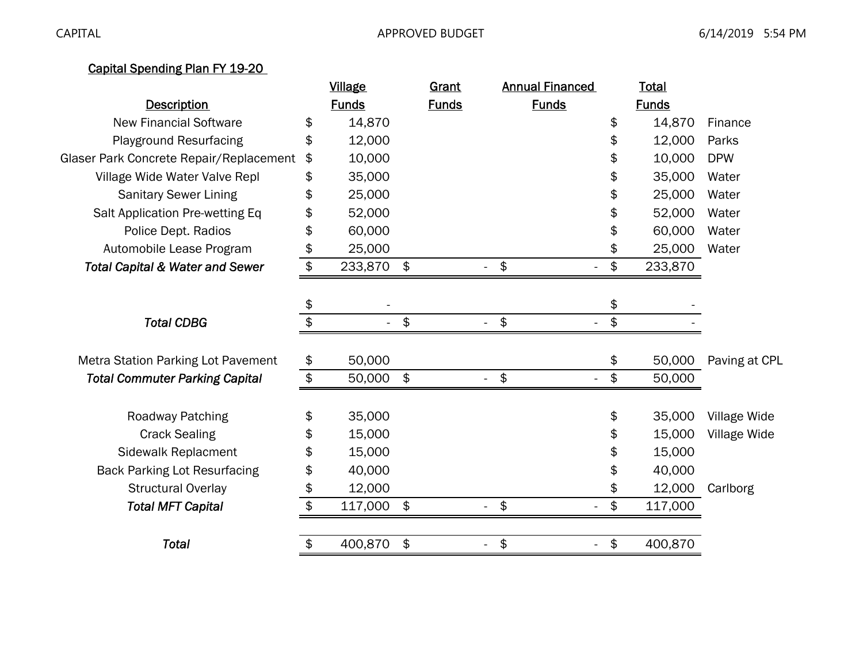## Capital Spending Plan FY 19-20

|                                            |               | <u>Village</u> |               | <b>Grant</b> |                                       | <b>Annual Financed</b> |               | <u>Total</u> |               |
|--------------------------------------------|---------------|----------------|---------------|--------------|---------------------------------------|------------------------|---------------|--------------|---------------|
| <b>Description</b>                         |               | <b>Funds</b>   |               | <b>Funds</b> |                                       | <b>Funds</b>           |               | <b>Funds</b> |               |
| <b>New Financial Software</b>              | \$            | 14,870         |               |              |                                       |                        | \$            | 14,870       | Finance       |
| <b>Playground Resurfacing</b>              | \$            | 12,000         |               |              |                                       |                        | \$            | 12,000       | Parks         |
| Glaser Park Concrete Repair/Replacement    | \$            | 10,000         |               |              |                                       |                        | \$            | 10,000       | <b>DPW</b>    |
| Village Wide Water Valve Repl              | \$            | 35,000         |               |              |                                       |                        | \$            | 35,000       | Water         |
| <b>Sanitary Sewer Lining</b>               | \$            | 25,000         |               |              |                                       |                        | \$            | 25,000       | Water         |
| Salt Application Pre-wetting Eq            | \$            | 52,000         |               |              |                                       |                        |               | 52,000       | Water         |
| Police Dept. Radios                        | \$            | 60,000         |               |              |                                       |                        |               | 60,000       | Water         |
| Automobile Lease Program                   | \$            | 25,000         |               |              |                                       |                        |               | 25,000       | Water         |
| <b>Total Capital &amp; Water and Sewer</b> | \$            | 233,870        | $\frac{1}{2}$ |              | \$                                    |                        | \$            | 233,870      |               |
|                                            |               |                |               |              |                                       |                        |               |              |               |
|                                            | \$            |                |               |              |                                       |                        | \$            |              |               |
| <b>Total CDBG</b>                          | \$            |                | \$            |              | \$                                    |                        | \$            |              |               |
| Metra Station Parking Lot Pavement         | \$            | 50,000         |               |              |                                       |                        | \$            | 50,000       | Paving at CPL |
| <b>Total Commuter Parking Capital</b>      | $\frac{1}{2}$ | 50,000         | $\frac{1}{2}$ |              | \$                                    |                        | \$            | 50,000       |               |
|                                            |               |                |               |              |                                       |                        |               |              |               |
| Roadway Patching                           | \$            | 35,000         |               |              |                                       |                        | \$            | 35,000       | Village Wide  |
| <b>Crack Sealing</b>                       | \$            | 15,000         |               |              |                                       |                        |               | 15,000       | Village Wide  |
| Sidewalk Replacment                        | \$            | 15,000         |               |              |                                       |                        |               | 15,000       |               |
| <b>Back Parking Lot Resurfacing</b>        | \$            | 40,000         |               |              |                                       |                        |               | 40,000       |               |
| <b>Structural Overlay</b>                  | \$            | 12,000         |               |              |                                       |                        |               | 12,000       | Carlborg      |
| <b>Total MFT Capital</b>                   | \$            | 117,000        | $\frac{1}{2}$ |              | $\boldsymbol{\phi}$<br>$\blacksquare$ |                        | $\frac{1}{2}$ | 117,000      |               |
| <b>Total</b>                               | \$            | 400,870        | \$            |              | $\pmb{\$}$                            | $\blacksquare$         | \$            | 400,870      |               |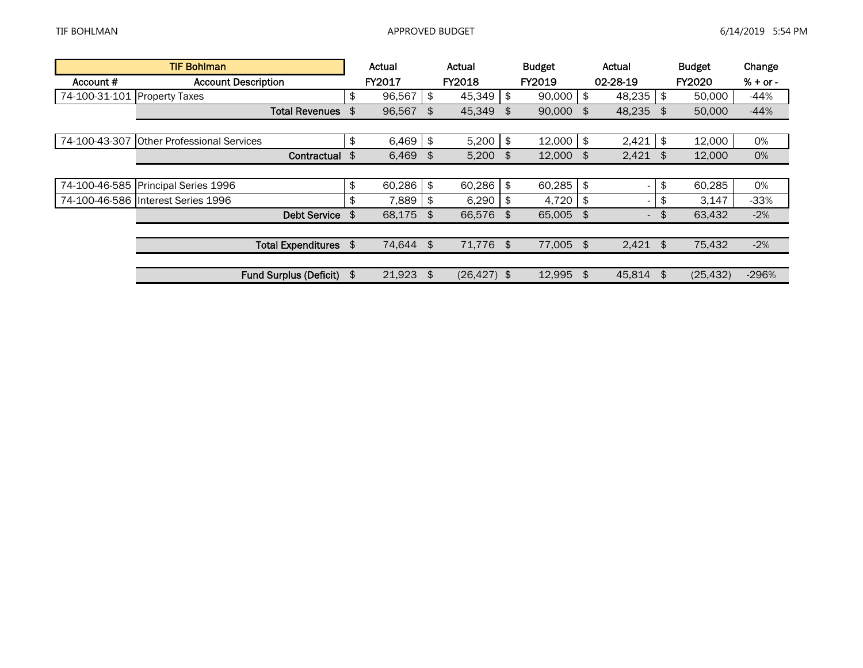| <b>TIF Bohlman</b> |                                     |    | Actual       |     | Actual         |    | <b>Budget</b> | Actual                   | <b>Budget</b>   | Change     |
|--------------------|-------------------------------------|----|--------------|-----|----------------|----|---------------|--------------------------|-----------------|------------|
| Account #          | <b>Account Description</b>          |    | FY2017       |     | <b>FY2018</b>  |    | FY2019        | 02-28-19                 | <b>FY2020</b>   | $% + or -$ |
| 74-100-31-101      | <b>Property Taxes</b>               | \$ | 96,567       | \$  | 45,349         | \$ | 90,000        | \$<br>48,235             | \$<br>50,000    | $-44%$     |
|                    | <b>Total Revenues</b>               | \$ | 96,567       | \$  | 45,349         | \$ | 90,000        | \$<br>48,235             | \$<br>50,000    | $-44%$     |
|                    |                                     |    |              |     |                |    |               |                          |                 |            |
| 74-100-43-307      | <b>Other Professional Services</b>  | \$ | $6,469$   \$ |     | 5,200          | \$ | 12,000        | \$<br>2,421              | \$<br>12,000    | 0%         |
|                    | Contractual \$                      |    | $6,469$ \$   |     | 5,200          | \$ | 12,000        | \$<br>$2,421$ \$         | 12,000          | 0%         |
|                    |                                     |    |              |     |                |    |               |                          |                 |            |
|                    | 74-100-46-585 Principal Series 1996 | \$ | 60,286       | \$  | 60,286         | \$ | 60,285        | \$<br>$\sim$             | \$<br>60,285    | 0%         |
|                    | 74-100-46-586 Interest Series 1996  | \$ | 7,889        | -\$ | 6,290          | S  | 4,720         | \$<br>-                  | \$<br>3,147     | $-33%$     |
|                    | <b>Debt Service</b>                 | \$ | 68,175       | \$  | 66,576         | \$ | 65.005 \$     | $\overline{\phantom{0}}$ | \$<br>63.432    | $-2%$      |
|                    |                                     |    |              |     |                |    |               |                          |                 |            |
|                    | <b>Total Expenditures</b>           | \$ | 74,644 \$    |     | 71,776 \$      |    | 77,005        | \$<br>$2,421$ \$         | 75,432          | $-2%$      |
|                    |                                     |    |              |     |                |    |               |                          |                 |            |
|                    | <b>Fund Surplus (Deficit)</b>       | \$ | 21,923       |     | $(26, 427)$ \$ |    | 12,995        | \$<br>45,814             | \$<br>(25, 432) | $-296%$    |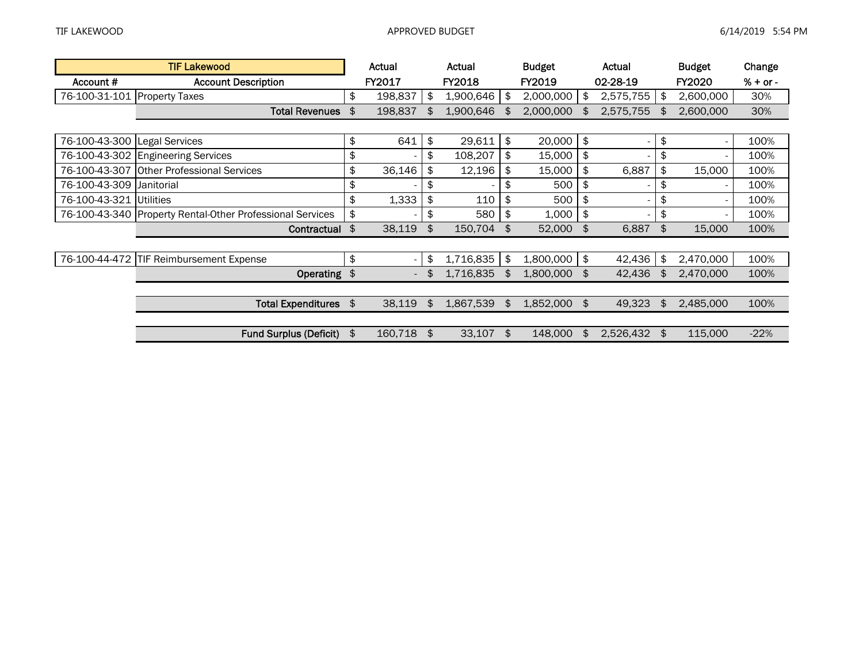| <b>TIF Lakewood</b>          |                                                           | Actual                   | Actual          | <b>Budget</b>   | Actual                         | <b>Budget</b>   | Change     |
|------------------------------|-----------------------------------------------------------|--------------------------|-----------------|-----------------|--------------------------------|-----------------|------------|
| Account #                    | <b>Account Description</b>                                | <b>FY2017</b>            | <b>FY2018</b>   | FY2019          | 02-28-19                       | <b>FY2020</b>   | $% + or -$ |
| 76-100-31-101 Property Taxes |                                                           | \$<br>198,837            | \$<br>1,900,646 | \$<br>2,000,000 | \$<br>2,575,755                | \$<br>2,600,000 | 30%        |
|                              | <b>Total Revenues</b>                                     | \$<br>198,837            | \$<br>1,900,646 | \$<br>2,000,000 | \$<br>2,575,755                | 2,600,000       | 30%        |
|                              |                                                           |                          |                 |                 |                                |                 |            |
| 76-100-43-300 Legal Services |                                                           | \$<br>641                | \$<br>29,611    | \$<br>20,000    | \$<br>$\sim$                   | \$              | 100%       |
|                              | 76-100-43-302 Engineering Services                        | \$                       | \$<br>108,207   | \$<br>15,000    | \$<br>$\overline{\phantom{0}}$ | \$              | 100%       |
|                              | 76-100-43-307 Other Professional Services                 | \$<br>36,146             | \$<br>12,196    | \$<br>15,000    | \$<br>6,887                    | \$<br>15,000    | 100%       |
| 76-100-43-309 Janitorial     |                                                           | \$                       | \$              | \$<br>500       | \$                             | \$              | 100%       |
| 76-100-43-321 Utilities      |                                                           | \$<br>1,333              | \$<br>110       | \$<br>500       | \$<br>$\overline{\phantom{0}}$ | \$              | 100%       |
|                              | 76-100-43-340 Property Rental-Other Professional Services | \$                       | \$<br>580       | \$<br>1,000     | \$<br>$\overline{\phantom{0}}$ | \$              | 100%       |
|                              | Contractual                                               | \$<br>38,119             | \$<br>150,704   | \$<br>52,000    | \$<br>6,887                    | \$<br>15,000    | 100%       |
|                              |                                                           |                          |                 |                 |                                |                 |            |
|                              | 76-100-44-472 TIF Reimbursement Expense                   | \$                       | \$<br>1,716,835 | \$<br>1,800,000 | \$<br>42,436                   | \$<br>2,470,000 | 100%       |
|                              | Operating \$                                              | $\overline{\phantom{a}}$ | 1,716,835       | \$<br>1,800,000 | \$<br>42,436                   | 2,470,000       | 100%       |
|                              |                                                           |                          |                 |                 |                                |                 |            |
|                              | Total Expenditures \$                                     | 38,119                   | \$<br>1,867,539 | \$<br>1,852,000 | \$<br>49,323                   | \$<br>2,485,000 | 100%       |
|                              |                                                           |                          |                 |                 |                                |                 |            |
|                              | <b>Fund Surplus (Deficit)</b>                             | \$<br>160,718            | \$<br>33,107    | \$<br>148,000   | \$<br>2,526,432                | \$<br>115,000   | $-22%$     |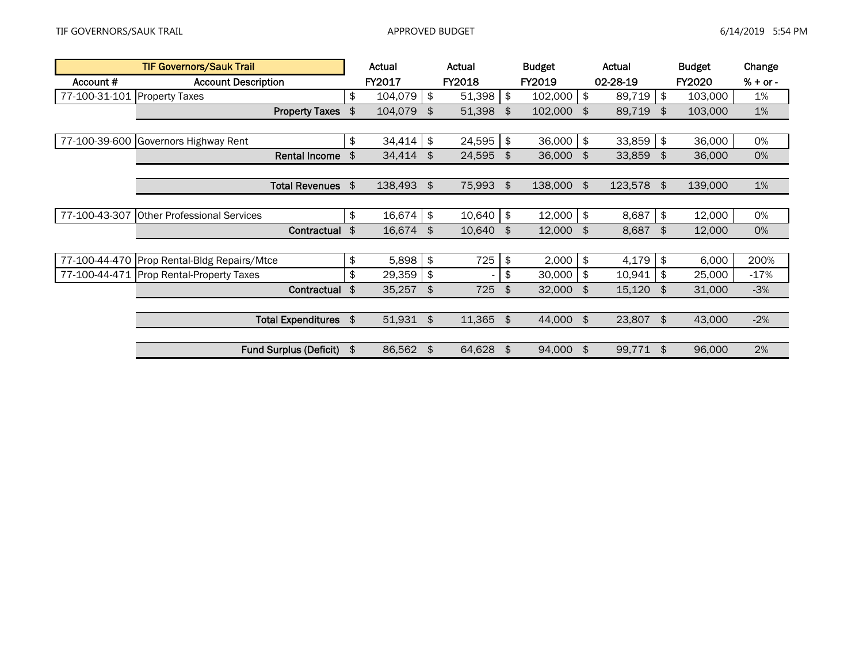| <b>TIF Governors/Sauk Trail</b> |                                    | Actual        |               | Actual | <b>Budget</b> |         |               | Actual    | <b>Budget</b> |               | Change     |
|---------------------------------|------------------------------------|---------------|---------------|--------|---------------|---------|---------------|-----------|---------------|---------------|------------|
| Account #                       | <b>Account Description</b>         | FY2017        |               | FY2018 |               | FY2019  |               | 02-28-19  |               | <b>FY2020</b> | $% + or -$ |
| 77-100-31-101                   | <b>Property Taxes</b>              | \$<br>104,079 | \$            | 51,398 | \$            | 102,000 | \$            | 89,719    | \$            | 103,000       | 1%         |
|                                 | <b>Property Taxes</b>              | \$<br>104,079 | \$            | 51,398 | \$            | 102,000 | \$            | 89,719    | \$            | 103,000       | 1%         |
|                                 |                                    |               |               |        |               |         |               |           |               |               |            |
| 77-100-39-600                   | Governors Highway Rent             | \$<br>34,414  | \$            | 24,595 | \$            | 36,000  | \$            | 33,859    | \$            | 36,000        | 0%         |
|                                 | Rental Income                      | \$<br>34,414  | \$            | 24,595 | \$            | 36,000  | \$            | 33,859    | \$            | 36,000        | 0%         |
|                                 |                                    |               |               |        |               |         |               |           |               |               |            |
|                                 | <b>Total Revenues</b>              | \$<br>138,493 | \$            | 75,993 | \$            | 138,000 | \$            | 123,578   | \$            | 139,000       | 1%         |
|                                 |                                    |               |               |        |               |         |               |           |               |               |            |
| 77-100-43-307                   | <b>Other Professional Services</b> | \$<br>16,674  | $\frac{1}{2}$ | 10,640 | \$            | 12,000  | \$            | 8,687     | \$            | 12,000        | 0%         |
|                                 | Contractual                        | \$<br>16,674  | \$            | 10,640 | \$            | 12,000  | \$            | 8,687     | \$            | 12,000        | 0%         |
|                                 |                                    |               |               |        |               |         |               |           |               |               |            |
| 77-100-44-470                   | Prop Rental-Bldg Repairs/Mtce      | \$<br>5,898   | \$            | 725    | \$            | 2,000   | \$            | 4,179     | $\frac{1}{2}$ | 6,000         | 200%       |
| 77-100-44-471                   | <b>Prop Rental-Property Taxes</b>  | \$<br>29,359  | \$            |        | \$            | 30,000  | \$            | 10,941    | \$            | 25,000        | $-17%$     |
|                                 | Contractual                        | \$<br>35,257  | \$            | 725    | \$            | 32,000  | \$            | 15,120    | \$            | 31,000        | $-3%$      |
|                                 |                                    |               |               |        |               |         |               |           |               |               |            |
|                                 | <b>Total Expenditures</b>          | \$<br>51,931  | $\frac{1}{2}$ | 11,365 | $\frac{1}{2}$ | 44,000  | $\frac{4}{5}$ | 23,807    | $\frac{1}{2}$ | 43,000        | $-2%$      |
|                                 |                                    |               |               |        |               |         |               |           |               |               |            |
|                                 | <b>Fund Surplus (Deficit)</b>      | \$<br>86,562  | \$            | 64,628 | \$            | 94,000  | \$            | 99,771 \$ |               | 96,000        | 2%         |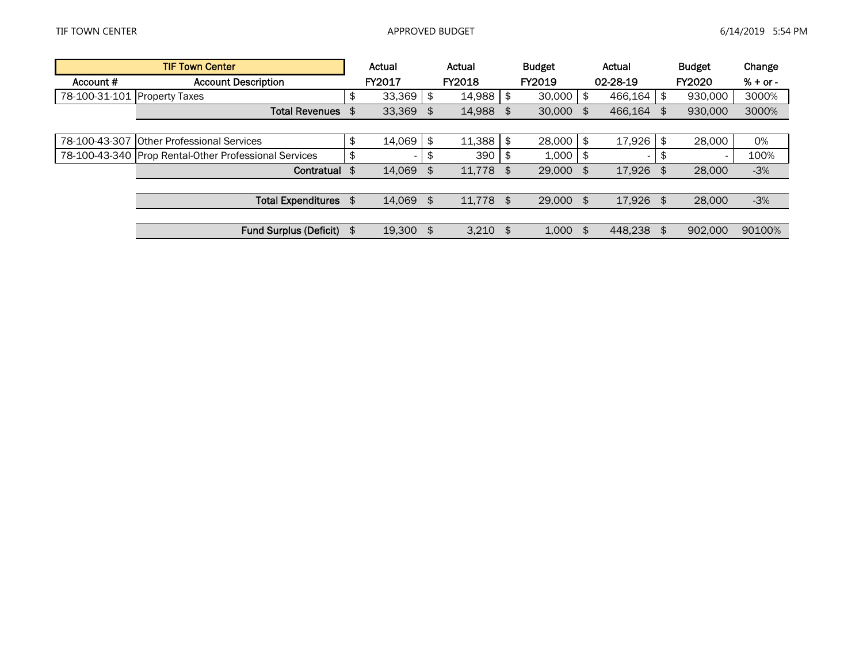|                              | <b>TIF Town Center</b>                                | Actual          |    | Actual        | <b>Budget</b> |     | Actual                   | <b>Budget</b>                  | Change     |
|------------------------------|-------------------------------------------------------|-----------------|----|---------------|---------------|-----|--------------------------|--------------------------------|------------|
| Account #                    | <b>Account Description</b>                            | FY2017          |    | <b>FY2018</b> | FY2019        |     | 02-28-19                 | <b>FY2020</b>                  | $% + or -$ |
| 78-100-31-101 Property Taxes |                                                       | \$<br>33,369    | \$ | 14,988        | \$<br>30,000  | \$  | 466,164                  | \$<br>930,000                  | 3000%      |
|                              | <b>Total Revenues</b>                                 | \$<br>33,369    | \$ | 14,988        | \$<br>30,000  | \$  | 466,164                  | 930,000                        | 3000%      |
|                              |                                                       |                 |    |               |               |     |                          |                                |            |
|                              | 78-100-43-307 Other Professional Services             | \$<br>14,069    | \$ | 11,388        | \$<br>28,000  | \$  | 17,926                   | \$<br>28,000                   | 0%         |
|                              | 78-100-43-340 Prop Rental-Other Professional Services | \$              | Ъ  | 390           | 1,000         | \$  | $\overline{\phantom{a}}$ | \$<br>$\overline{\phantom{0}}$ | 100%       |
|                              | Contratual                                            | \$<br>14,069    | \$ | 11.778        | \$<br>29,000  | \$  | 17.926                   | \$<br>28,000                   | $-3%$      |
|                              |                                                       |                 |    |               |               |     |                          |                                |            |
|                              | <b>Total Expenditures</b>                             | \$<br>14,069    | \$ | 11,778 \$     | 29,000        | -\$ | 17,926 \$                | 28,000                         | $-3%$      |
|                              |                                                       |                 |    |               |               |     |                          |                                |            |
|                              | <b>Fund Surplus (Deficit)</b>                         | \$<br>19,300 \$ |    | $3.210$ \$    | 1.000         | \$  | 448.238                  | \$<br>902,000                  | 90100%     |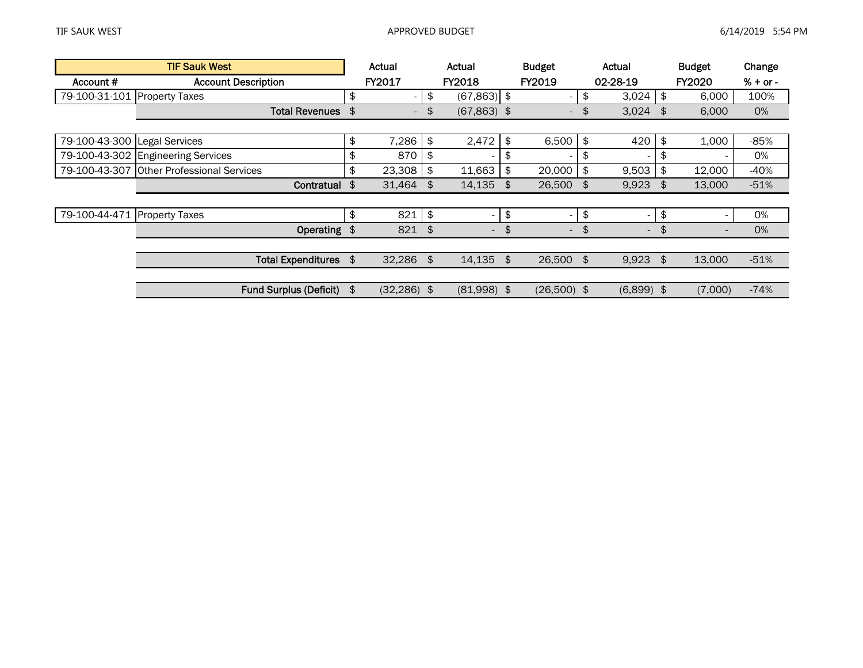|                              | <b>TIF Sauk West</b>                      | Actual                         |    | Actual                   | <b>Budget</b>                  |               | Actual                   | <b>Budget</b>                  | Change     |
|------------------------------|-------------------------------------------|--------------------------------|----|--------------------------|--------------------------------|---------------|--------------------------|--------------------------------|------------|
| Account #                    | <b>Account Description</b>                | FY2017                         |    | <b>FY2018</b>            | <b>FY2019</b>                  |               | 02-28-19                 | <b>FY2020</b>                  | $% + or -$ |
| 79-100-31-101 Property Taxes |                                           | \$<br>$\overline{\phantom{0}}$ | \$ | $(67,863)$ \$            |                                | \$            | 3,024                    | \$<br>6,000                    | 100%       |
|                              | <b>Total Revenues</b>                     | \$<br>$\overline{\phantom{a}}$ | \$ | $(67,863)$ \$            | $\overline{\phantom{a}}$       | \$            | 3,024                    | \$<br>6,000                    | 0%         |
|                              |                                           |                                |    |                          |                                |               |                          |                                |            |
| 79-100-43-300 Legal Services |                                           | \$<br>7,286                    | \$ | 2,472                    | \$<br>6,500                    | $\frac{1}{2}$ | 420                      | \$<br>1,000                    | $-85%$     |
|                              | 79-100-43-302 Engineering Services        | \$<br>870                      | \$ |                          | \$                             | \$            | $\overline{\phantom{0}}$ | \$                             | 0%         |
|                              | 79-100-43-307 Other Professional Services | \$<br>23,308                   | £. | 11,663                   | \$<br>20,000                   | \$            | 9,503                    | \$<br>12,000                   | $-40%$     |
|                              | Contratual                                | \$<br>31,464                   | \$ | 14,135                   | \$<br>26,500                   | \$            | $9,923$ \$               | 13,000                         | $-51%$     |
|                              |                                           |                                |    |                          |                                |               |                          |                                |            |
| 79-100-44-471 Property Taxes |                                           | \$<br>821                      | \$ |                          | \$<br>$\overline{\phantom{a}}$ | \$            | $\sim$                   | \$<br>$\overline{\phantom{a}}$ | 0%         |
|                              | Operating \$                              | 821                            | \$ | $\overline{\phantom{a}}$ | \$<br>$\overline{\phantom{a}}$ | \$            | $\overline{\phantom{a}}$ | $\overline{\phantom{a}}$       | 0%         |
|                              |                                           |                                |    |                          |                                |               |                          |                                |            |
|                              | <b>Total Expenditures</b>                 | \$<br>$32,286$ \$              |    | 14,135                   | \$<br>26,500 \$                |               | $9,923$ \$               | 13,000                         | $-51%$     |
|                              |                                           |                                |    |                          |                                |               |                          |                                |            |
|                              | <b>Fund Surplus (Deficit)</b>             | \$<br>$(32, 286)$ \$           |    | $(81,998)$ \$            | $(26,500)$ \$                  |               | $(6,899)$ \$             | (7,000)                        | $-74%$     |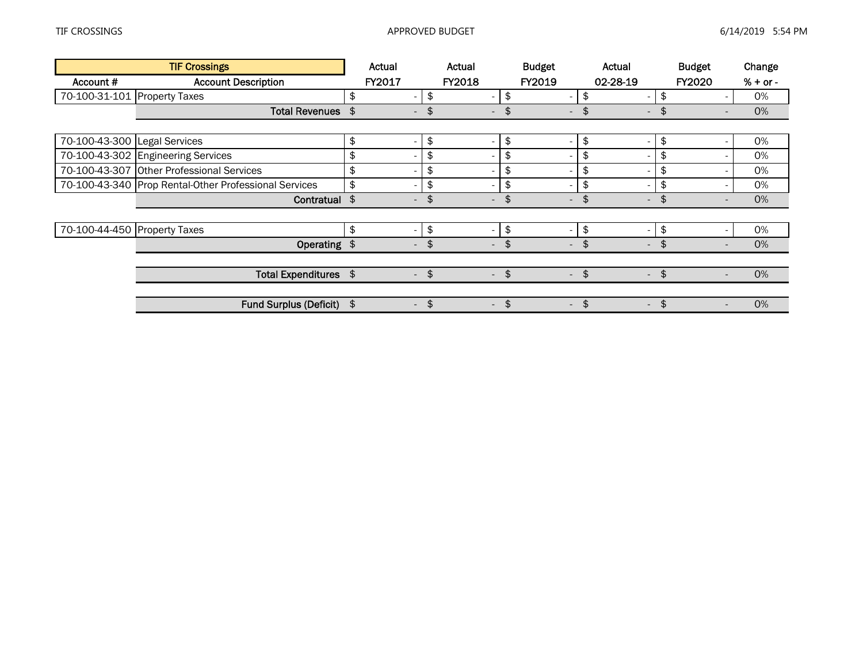|                              | <b>TIF Crossings</b>                                  | Actual                         | Actual                         |               | <b>Budget</b>            |                     | Actual                   | <b>Budget</b>                  | Change     |
|------------------------------|-------------------------------------------------------|--------------------------------|--------------------------------|---------------|--------------------------|---------------------|--------------------------|--------------------------------|------------|
| Account #                    | <b>Account Description</b>                            | FY2017                         | <b>FY2018</b>                  |               | FY2019                   |                     | 02-28-19                 | <b>FY2020</b>                  | $% + or -$ |
| 70-100-31-101 Property Taxes |                                                       | \$<br>$\overline{\phantom{a}}$ | \$<br>$\overline{\phantom{0}}$ | \$            | $\overline{\phantom{a}}$ | \$                  | $\overline{\phantom{0}}$ | \$                             | 0%         |
|                              | <b>Total Revenues</b>                                 | \$<br>$\overline{\phantom{a}}$ | \$<br>$\overline{\phantom{a}}$ | \$            | $\overline{\phantom{0}}$ | \$                  | $\overline{\phantom{0}}$ |                                | 0%         |
|                              |                                                       |                                |                                |               |                          |                     |                          |                                |            |
| 70-100-43-300 Legal Services |                                                       | \$                             | \$                             | \$            | $\overline{\phantom{a}}$ | \$                  | $\overline{\phantom{0}}$ | \$                             | 0%         |
|                              | 70-100-43-302 Engineering Services                    | \$                             | \$                             | \$            | ٠                        | \$                  | $\overline{\phantom{0}}$ | \$                             | 0%         |
|                              | 70-100-43-307 Other Professional Services             | \$                             | \$                             | \$            | $\overline{\phantom{a}}$ | \$                  | $\overline{\phantom{0}}$ | \$                             | 0%         |
|                              | 70-100-43-340 Prop Rental-Other Professional Services | \$                             | \$                             | \$            | $\overline{\phantom{0}}$ | \$                  | $\overline{\phantom{0}}$ | \$                             | 0%         |
|                              | Contratual \$                                         | $\overline{\phantom{a}}$       | \$<br>$\overline{\phantom{a}}$ | \$            | $\overline{\phantom{a}}$ | \$                  | $\overline{\phantom{a}}$ | \$                             | 0%         |
|                              |                                                       |                                |                                |               |                          |                     |                          |                                |            |
| 70-100-44-450 Property Taxes |                                                       | \$<br>$\overline{\phantom{0}}$ | \$                             | \$            | $\overline{\phantom{0}}$ | \$                  | $\overline{\phantom{0}}$ | \$                             | 0%         |
|                              | Operating \$                                          | $\sim$                         | \$<br>$\overline{\phantom{a}}$ | \$            | $\overline{\phantom{a}}$ | \$                  | $\sim$                   | \$<br>$\overline{\phantom{a}}$ | 0%         |
|                              |                                                       |                                |                                |               |                          |                     |                          |                                |            |
|                              | Total Expenditures \$                                 | $\overline{\phantom{a}}$       | \$<br>$\overline{\phantom{a}}$ | $\frac{4}{5}$ | $\overline{\phantom{a}}$ | $\boldsymbol{\phi}$ | $\overline{\phantom{a}}$ | \$                             | 0%         |
|                              |                                                       |                                |                                |               |                          |                     |                          |                                |            |
|                              | <b>Fund Surplus (Deficit)</b>                         | \$<br>$\overline{\phantom{a}}$ | \$<br>$\overline{\phantom{a}}$ | \$            | $\sim$                   | \$                  | $\sim$                   | \$<br>$\overline{\phantom{a}}$ | 0%         |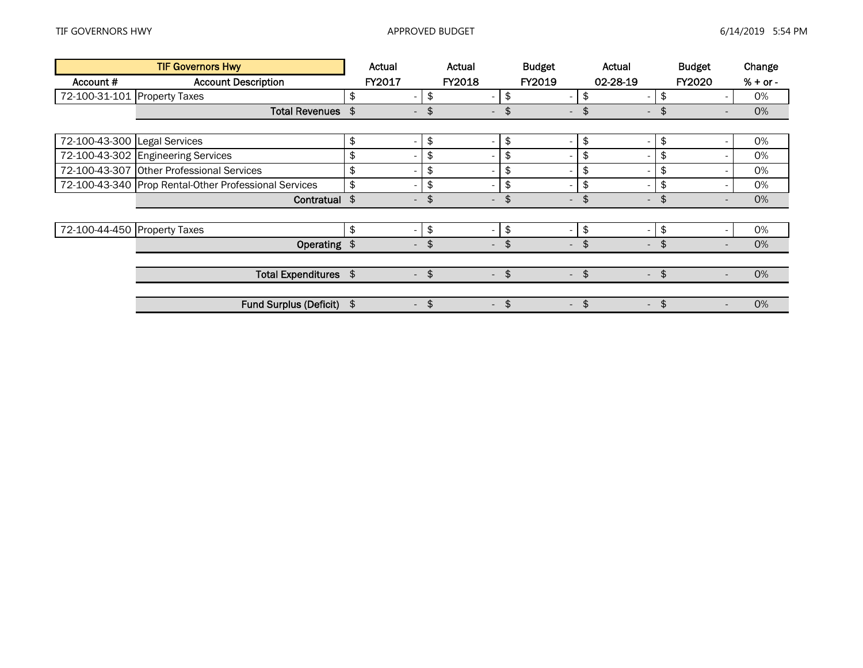|                              | <b>TIF Governors Hwy</b>                              | Actual                         |               | Actual                   | <b>Budget</b>                  | Actual                         |               | <b>Budget</b>            | Change     |  |
|------------------------------|-------------------------------------------------------|--------------------------------|---------------|--------------------------|--------------------------------|--------------------------------|---------------|--------------------------|------------|--|
| Account #                    | <b>Account Description</b>                            | FY2017                         |               | FY2018                   | <b>FY2019</b>                  | 02-28-19                       |               | <b>FY2020</b>            | $% + or -$ |  |
| 72-100-31-101                | <b>Property Taxes</b>                                 | \$<br>$\overline{\phantom{a}}$ | \$            | $\overline{\phantom{a}}$ | \$<br>$\overline{\phantom{a}}$ | \$<br>$\overline{\phantom{0}}$ | \$            |                          | 0%         |  |
|                              | <b>Total Revenues</b>                                 | \$                             | \$            | $\overline{\phantom{a}}$ | \$<br>$\overline{\phantom{a}}$ | \$<br>$\overline{\phantom{0}}$ |               |                          | 0%         |  |
|                              |                                                       |                                |               |                          |                                |                                |               |                          |            |  |
| 72-100-43-300 Legal Services |                                                       | \$                             | \$            |                          | \$<br>$\overline{\phantom{a}}$ | \$<br>$\overline{\phantom{0}}$ | \$            |                          | 0%         |  |
|                              | 72-100-43-302 Engineering Services                    | \$                             | \$            |                          | \$<br>$\overline{\phantom{a}}$ | \$<br>-                        | \$            |                          | 0%         |  |
|                              | 72-100-43-307 Other Professional Services             | \$                             | \$            |                          | \$<br>$\overline{\phantom{a}}$ | \$<br>$\overline{\phantom{0}}$ | \$            |                          | 0%         |  |
|                              | 72-100-43-340 Prop Rental-Other Professional Services | \$                             | \$            |                          | \$<br>$\overline{\phantom{a}}$ | \$<br>-                        | \$            |                          | 0%         |  |
|                              | Contratual \$                                         | $\overline{\phantom{a}}$       | \$            | $\overline{\phantom{a}}$ | \$<br>$\overline{\phantom{a}}$ | \$<br>$\overline{\phantom{a}}$ | \$            |                          | 0%         |  |
|                              |                                                       |                                |               |                          |                                |                                |               |                          |            |  |
| 72-100-44-450 Property Taxes |                                                       | \$<br>$\overline{\phantom{a}}$ | \$            | $\overline{\phantom{a}}$ | \$<br>$\overline{\phantom{a}}$ | \$<br>$\sim$                   | \$            |                          | 0%         |  |
|                              | Operating \$                                          | $\sim$                         | \$            | $\overline{\phantom{a}}$ | \$<br>$\overline{\phantom{a}}$ | \$<br>$\sim$                   | \$            |                          | 0%         |  |
|                              |                                                       |                                |               |                          |                                |                                |               |                          |            |  |
|                              | Total Expenditures \$                                 | $\overline{\phantom{a}}$       | \$            | $\overline{\phantom{a}}$ | \$<br>$\overline{\phantom{a}}$ | \$<br>$\overline{\phantom{a}}$ | \$            |                          | 0%         |  |
|                              |                                                       |                                |               |                          |                                |                                |               |                          |            |  |
|                              | <b>Fund Surplus (Deficit)</b>                         | \$<br>$\sim$                   | $\frac{1}{2}$ | $\sim$                   | \$<br>$\sim$                   | \$<br>$\sim$                   | $\frac{4}{5}$ | $\overline{\phantom{a}}$ | 0%         |  |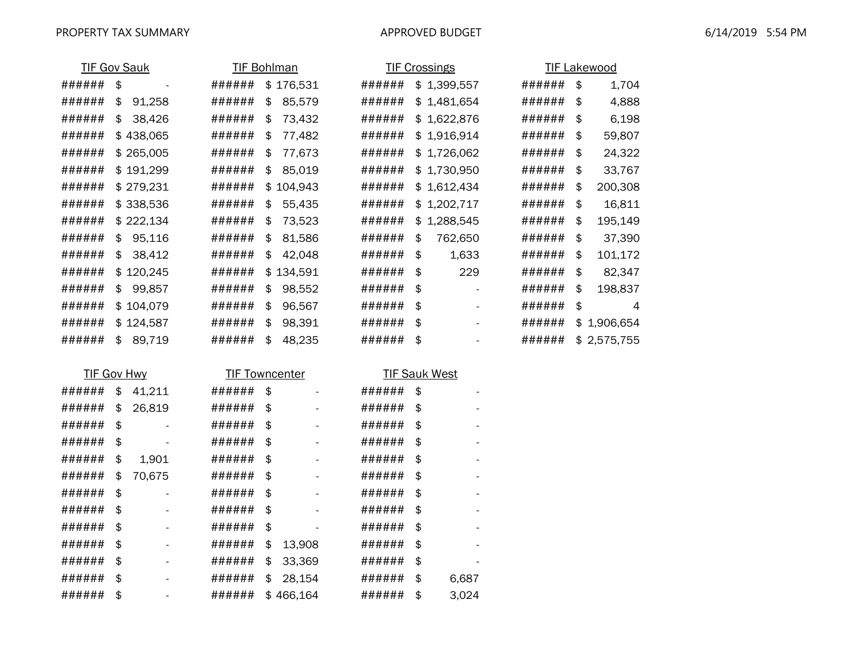|        | <b>TIF Gov Sauk</b>       | <b>TIF Bohlman</b>    |               |        | <b>TIF Crossings</b> |        | <b>TIF Lakewood</b> |
|--------|---------------------------|-----------------------|---------------|--------|----------------------|--------|---------------------|
| ###### | $\boldsymbol{\hat{\phi}}$ | ######                | \$176,531     | ###### | \$1,399,557          | ###### | \$<br>1,704         |
| ###### | \$<br>91,258              | ######                | \$<br>85,579  | ###### | \$1,481,654          | ###### | \$<br>4,888         |
| ###### | \$<br>38,426              | ######                | \$<br>73,432  | ###### | \$1,622,876          | ###### | \$<br>6,198         |
| ###### | \$438,065                 | ######                | \$<br>77,482  | ###### | \$1,916,914          | ###### | \$<br>59,807        |
| ###### | \$265,005                 | ######                | \$<br>77,673  | ###### | \$1,726,062          | ###### | \$<br>24,322        |
| ###### | \$191,299                 | ######                | \$<br>85,019  | ###### | \$1,730,950          | ###### | \$<br>33,767        |
| ###### | \$279,231                 | ######                | \$<br>104,943 | ###### | \$1,612,434          | ###### | \$<br>200,308       |
| ###### | \$338,536                 | ######                | \$<br>55,435  | ###### | \$1,202,717          | ###### | \$<br>16,811        |
| ###### | \$222,134                 | ######                | \$<br>73,523  | ###### | \$1,288,545          | ###### | \$<br>195,149       |
| ###### | 95,116<br>\$              | ######                | \$<br>81,586  | ###### | \$<br>762,650        | ###### | \$<br>37,390        |
| ###### | \$<br>38,412              | ######                | \$<br>42,048  | ###### | \$<br>1,633          | ###### | \$<br>101,172       |
| ###### | \$120,245                 | ######                | \$134,591     | ###### | \$<br>229            | ###### | \$<br>82,347        |
| ###### | 99,857<br>\$              | ######                | \$<br>98,552  | ###### | \$                   | ###### | \$<br>198,837       |
| ###### | \$104,079                 | ######                | \$<br>96,567  | ###### | \$                   | ###### | \$<br>4             |
| ###### | \$124,587                 | ######                | \$<br>98,391  | ###### | \$                   | ###### | \$<br>1,906,654     |
| ###### | 89,719<br>\$              | ######                | \$<br>48,235  | ###### | \$                   | ###### | \$2,575,755         |
|        |                           |                       |               |        |                      |        |                     |
|        | <b>TIF Gov Hwy</b>        | <b>TIF Towncenter</b> |               |        | <b>TIF Sauk West</b> |        |                     |
| ###### | \$<br>41,211              | ######                | \$            | ###### | \$                   |        |                     |
| ###### | \$<br>26,819              | ######                | \$            | ###### | \$                   |        |                     |
|        |                           |                       |               |        |                      |        |                     |

| ###### | \$<br>26,819 | ###### | \$  |         | ###### | \$                             |
|--------|--------------|--------|-----|---------|--------|--------------------------------|
| ###### | \$           | ###### | \$  |         | ###### | \$                             |
| ###### | \$           | ###### | \$  |         | ###### | \$                             |
| ###### | \$<br>1,901  | ###### | \$  |         | ###### | \$                             |
| ###### | \$<br>70,675 | ###### | \$  |         | ###### | \$<br>$\overline{\phantom{a}}$ |
| ###### | \$           | ###### | \$  |         | ###### | \$                             |
| ###### | \$           | ###### | \$  |         | ###### | \$                             |
| ###### | \$           | ###### | \$  |         | ###### | \$                             |
| ###### | \$           | ###### | \$  | 13,908  | ###### | \$                             |
| ###### | \$           | ###### | \$  | 33,369  | ###### | \$                             |
| ###### | \$           | ###### | \$  | 28,154  | ###### | \$<br>6,687                    |
| ###### | \$           | ###### | \$. | 466,164 | ###### | \$<br>3.024                    |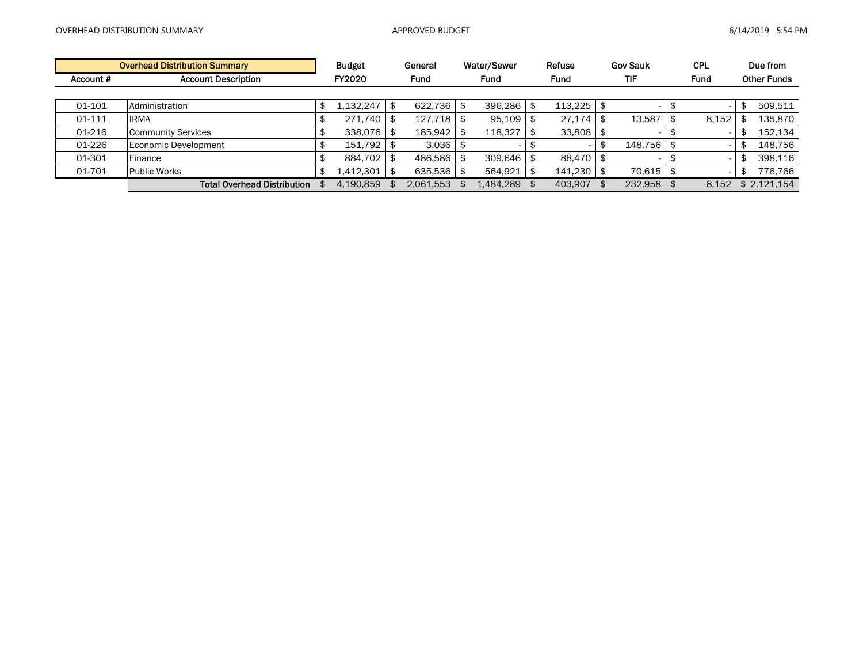|           | <b>Overhead Distribution Summary</b> | <b>Budget</b> | General   |     | Water/Sewer | Refuse      | <b>Gov Sauk</b> | <b>CPL</b>  | Due from           |
|-----------|--------------------------------------|---------------|-----------|-----|-------------|-------------|-----------------|-------------|--------------------|
| Account # | <b>Account Description</b>           | FY2020        | Fund      |     | <b>Fund</b> | <b>Fund</b> | <b>TIF</b>      | <b>Fund</b> | <b>Other Funds</b> |
|           |                                      |               |           |     |             |             |                 |             |                    |
| 01-101    | Administration                       | 1.132.247     | 622.736   | -\$ | 396.286     | 113,225     |                 |             | 509.511            |
| 01-111    | <b>IRMA</b>                          | 271.740       | 127.718   |     | 95,109      | 27.174      | 13.587          | 8,152       | 135.870            |
| 01-216    | Community Services                   | 338,076       | 185,942   |     | 118.327     | 33,808      |                 |             | 152.134            |
| 01-226    | Economic Development                 | 151,792       | 3.036     |     |             |             | 148,756         |             | 148.756            |
| 01-301    | Finance                              | 884.702       | 486.586   |     | 309.646     | 88.470      |                 |             | 398.116            |
| 01-701    | <b>Public Works</b>                  | 1,412,301     | 635,536   |     | 564,921     | 141.230     | 70,615          |             | 776,766            |
|           | <b>Total Overhead Distribution</b>   | 4,190,859     | 2.061.553 |     | 1.484.289   | 403.907     | 232.958         | 8.152       | \$2.121.154        |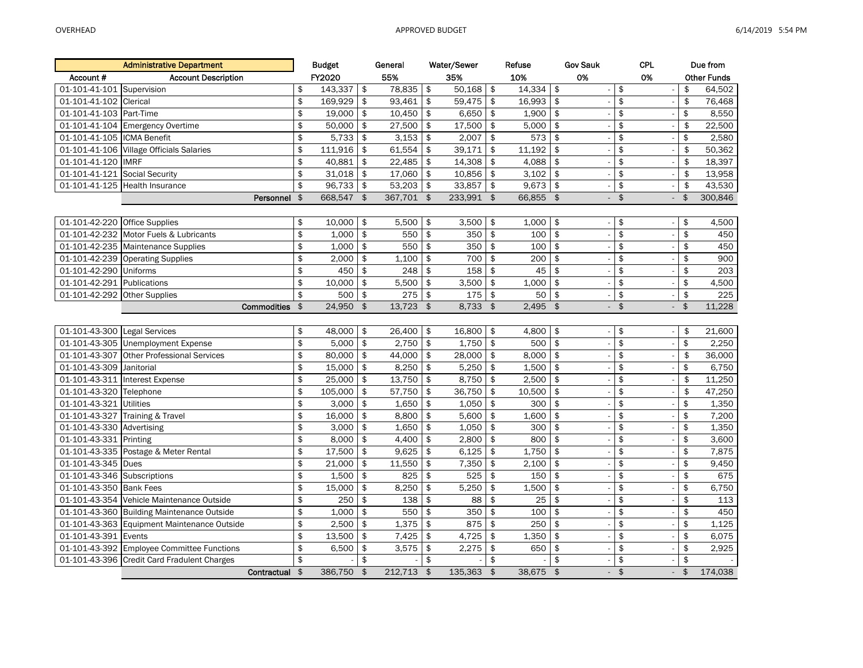|                               | <b>Administrative Department</b>            |                         | <b>Budget</b>   |                                | General          |               | Water/Sewer    |                | Refuse       | <b>Gov Sauk</b> |                          | <b>CPL</b>                                 |          | Due from           |
|-------------------------------|---------------------------------------------|-------------------------|-----------------|--------------------------------|------------------|---------------|----------------|----------------|--------------|-----------------|--------------------------|--------------------------------------------|----------|--------------------|
| Account#                      | <b>Account Description</b>                  |                         | FY2020          |                                | 55%              |               | 35%            |                | 10%          | 0%              |                          | 0%                                         |          | <b>Other Funds</b> |
| 01-101-41-101 Supervision     |                                             | \$                      | 143,337         | \$                             | 78,835           | \$            | 50,168         | \$             | 14,334       | \$              |                          | \$                                         | \$       | 64,502             |
| 01-101-41-102 Clerical        |                                             | \$                      | 169,929         | $\frac{4}{5}$                  | 93,461           | $\frac{1}{2}$ | 59,475         | \$             | 16,993       | $\frac{1}{2}$   | $\overline{\phantom{a}}$ | $\frac{1}{2}$                              | \$       | 76,468             |
| 01-101-41-103 Part-Time       |                                             | \$                      | 19,000          | \$                             | 10,450           | \$            | 6,650          | \$             | 1,900        | $\mathfrak{s}$  |                          | \$                                         | \$       | 8,550              |
|                               | 01-101-41-104 Emergency Overtime            | \$                      | 50,000          | \$                             | 27,500           | $\frac{1}{2}$ | 17,500         | \$             | 5,000        | $\mathfrak{s}$  | $\overline{\phantom{a}}$ | \$<br>$\sim$                               | \$       | 22,500             |
| 01-101-41-105  ICMA Benefit   |                                             | \$                      | 5,733           | \$                             | 3,153            | \$            | 2,007          | \$             | 573          | \$              |                          | \$                                         | \$       | 2,580              |
|                               | 01-101-41-106 Village Officials Salaries    | \$                      | 111,916         | \$                             | 61,554           | \$            | 39,171         | $\frac{1}{2}$  | 11,192       | \$              |                          | \$                                         | \$       | 50,362             |
| 01-101-41-120  IMRF           |                                             | \$                      | 40,881          | \$                             | 22,485           | \$            | 14,308         | \$             | 4,088        | \$              |                          | \$                                         | \$       | 18,397             |
| 01-101-41-121 Social Security |                                             | \$                      | 31,018          | \$                             | 17,060           | \$            | 10,856         | \$             | 3,102        | \$              | $\sim$                   | \$<br>$\overline{\phantom{a}}$             | \$       | 13,958             |
|                               | 01-101-41-125 Health Insurance              | \$                      | 96,733          | \$                             | 53,203           | \$            | 33,857         | \$             | 9,673        | $\frac{1}{2}$   |                          | \$                                         | \$       | 43,530             |
|                               | Personnel                                   | \$                      | 668,547         | $\frac{4}{5}$                  | 367,701          | $\sqrt{2}$    | $233,991$ \$   |                | 66,855       | $\frac{1}{2}$   | ÷.                       | $\frac{1}{2}$<br>$\overline{\phantom{a}}$  | \$       | 300,846            |
|                               |                                             |                         |                 |                                |                  |               |                |                |              |                 |                          |                                            |          |                    |
| 01-101-42-220 Office Supplies |                                             | \$                      | 10,000          | \$                             | 5,500            | \$            | 3,500          | \$             | 1,000        | \$              | ÷.                       | \$<br>$\overline{\phantom{a}}$             | \$       | 4,500              |
|                               | 01-101-42-232 Motor Fuels & Lubricants      | \$                      | 1,000           | \$                             | 550              | \$            | 350            | \$             | 100          | \$              |                          | \$                                         | \$       | 450                |
|                               | 01-101-42-235 Maintenance Supplies          | \$                      | 1,000           | $\frac{4}{5}$                  | 550              | \$            | 350            | \$             | 100          | \$              |                          | \$                                         | \$       | 450                |
|                               | 01-101-42-239 Operating Supplies            | \$                      | 2,000           | \$                             | 1,100            | \$            | 700            | \$             | 200          | \$              |                          | \$                                         | \$       | 900                |
| 01-101-42-290 Uniforms        |                                             | \$                      | 450             | \$                             | $\overline{248}$ | \$            | 158            | \$             | 45           | \$              | $\sim$                   | \$<br>$\overline{\phantom{a}}$             | \$       | 203                |
| 01-101-42-291 Publications    |                                             | \$                      | 10,000          | $\frac{1}{2}$                  | 5,500            | $\frac{1}{2}$ | 3,500          | \$             | 1,000        | \$              |                          | \$                                         | \$       | 4,500              |
| 01-101-42-292 Other Supplies  |                                             | \$                      | 500             | $\frac{4}{5}$                  | 275              | $\frac{1}{2}$ | 175            | \$             | 50           | \$              |                          | \$                                         | \$       | 225                |
|                               | <b>Commodities</b>                          | \$                      | 24,950          | \$                             | 13,723           | \$            | 8,733          | $\mathfrak{S}$ | 2,495        | $\mathfrak{S}$  | $\blacksquare$           | $\mathfrak{S}$<br>$\overline{\phantom{a}}$ | \$       | 11,228             |
|                               |                                             |                         |                 |                                |                  |               |                |                |              |                 |                          |                                            |          |                    |
| 01-101-43-300 Legal Services  |                                             | \$                      | 48,000          | \$                             | 26,400           | \$            | 16,800         | \$             | 4,800        | \$              |                          | \$                                         | \$       | 21,600             |
|                               | 01-101-43-305 Unemployment Expense          | \$                      | 5,000           | $\mathfrak{s}$                 | 2,750            | $\frac{1}{2}$ | 1,750          | \$             | 500          | \$              |                          | \$                                         | \$       | 2,250              |
|                               | 01-101-43-307 Other Professional Services   | \$                      | 80,000          | \$                             | 44,000           | \$            | 28,000         | \$             | 8,000        | \$              |                          | \$                                         | \$       | 36,000             |
| 01-101-43-309                 | Janitorial                                  | \$                      | 15,000          | $\frac{4}{5}$                  | 8,250            | \$            | 5,250          | \$             | 1,500        | \$              |                          | \$                                         | \$       | 6,750              |
|                               | 01-101-43-311 Interest Expense              | \$                      | 25,000          | $\frac{4}{5}$                  | 13,750           | $\frac{1}{2}$ | 8,750          | \$             | 2,500        | \$              |                          | \$                                         | \$       | 11,250             |
| 01-101-43-320 Telephone       |                                             | \$                      | 105,000         | $\frac{4}{5}$                  | 57,750           | \$            | 36,750         | \$             | 10,500       | $\frac{1}{2}$   |                          | \$                                         | \$       | 47,250             |
| 01-101-43-321 Utilities       |                                             | \$                      | 3,000           | \$                             | 1,650            | \$            | 1,050          | \$             | 300          | $\mathsf{\$}$   |                          | \$                                         | \$       | 1,350              |
| 01-101-43-330 Advertising     | 01-101-43-327 Training & Travel             | \$                      | 16,000<br>3,000 | $\frac{4}{5}$<br>$\frac{1}{2}$ | 8,800<br>1,650   | $\frac{1}{2}$ | 5,600<br>1,050 | \$<br>\$       | 1,600<br>300 | \$<br>\$        | $\overline{\phantom{a}}$ | \$<br>$\Box$<br>\$                         | \$       | 7,200<br>1,350     |
| 01-101-43-331 Printing        |                                             | \$<br>\$                | 8,000           | \$                             | 4,400            | \$<br>\$      | 2,800          | \$             | 800          | \$              |                          | \$                                         | \$<br>\$ | 3,600              |
|                               | 01-101-43-335 Postage & Meter Rental        | \$                      | 17,500          | $\frac{4}{5}$                  | 9,625            | $\frac{1}{2}$ | 6,125          | $\frac{1}{2}$  | 1,750        | $\frac{1}{2}$   |                          | \$<br>÷,                                   | \$       | 7,875              |
| 01-101-43-345                 | <b>Dues</b>                                 | $\overline{\mathbf{e}}$ | 21,000          | \$                             | 11,550           | \$            | 7,350          | \$             | 2,100        | \$              |                          | \$                                         | \$       | 9,450              |
| 01-101-43-346 Subscriptions   |                                             | \$                      | 1,500           | $\frac{4}{5}$                  | 825              | $\frac{1}{2}$ | 525            | $\frac{1}{2}$  | 150          | \$              |                          | \$                                         | \$       | 675                |
| 01-101-43-350 Bank Fees       |                                             | \$                      | 15,000          | \$                             | 8,250            | \$            | 5,250          | \$             | 1,500        | \$              |                          | \$                                         | \$       | 6,750              |
|                               | 01-101-43-354 Vehicle Maintenance Outside   | \$                      | 250             | \$                             | $\frac{138}{ }$  | \$            | 88             | \$             | 25           | $\mathsf{\$}$   | $\overline{\phantom{a}}$ | \$<br>$\sim$                               | \$       | $\frac{113}{2}$    |
|                               | 01-101-43-360 Building Maintenance Outside  | \$                      | 1,000           | \$                             | 550              | \$            | 350            | \$             | 100          | \$              |                          | \$                                         | \$       | 450                |
|                               | 01-101-43-363 Equipment Maintenance Outside | \$                      | 2,500           | $\frac{4}{5}$                  | 1,375            | \$            | 875            | \$             | 250          | \$              |                          | \$                                         | \$       | 1,125              |
| 01-101-43-391 Events          |                                             | \$                      | 13,500          | \$                             | 7,425            | \$            | 4,725          | \$             | 1,350        | \$              |                          | \$                                         | \$       | 6,075              |
|                               | 01-101-43-392 Employee Committee Functions  | \$                      | 6,500           | \$                             | 3,575            | \$            | 2,275          | \$             | 650          | \$              | $\mathbb{L}$             | \$<br>$\omega$                             | \$       | 2,925              |
|                               | 01-101-43-396 Credit Card Fradulent Charges | \$                      |                 | \$                             |                  | \$            |                | \$             |              | \$              |                          | \$                                         | \$       |                    |
|                               | Contractual                                 | \$                      | 386,750         | $\mathfrak{s}$                 | 212,713          | \$            | 135,363        | $\mathfrak{s}$ | 38,675       | $\frac{1}{2}$   | $\omega_{\rm c}$         | $\mathbf{\hat{S}}$<br>$\mathcal{L}^{\pm}$  | \$       | 174,038            |
|                               |                                             |                         |                 |                                |                  |               |                |                |              |                 |                          |                                            |          |                    |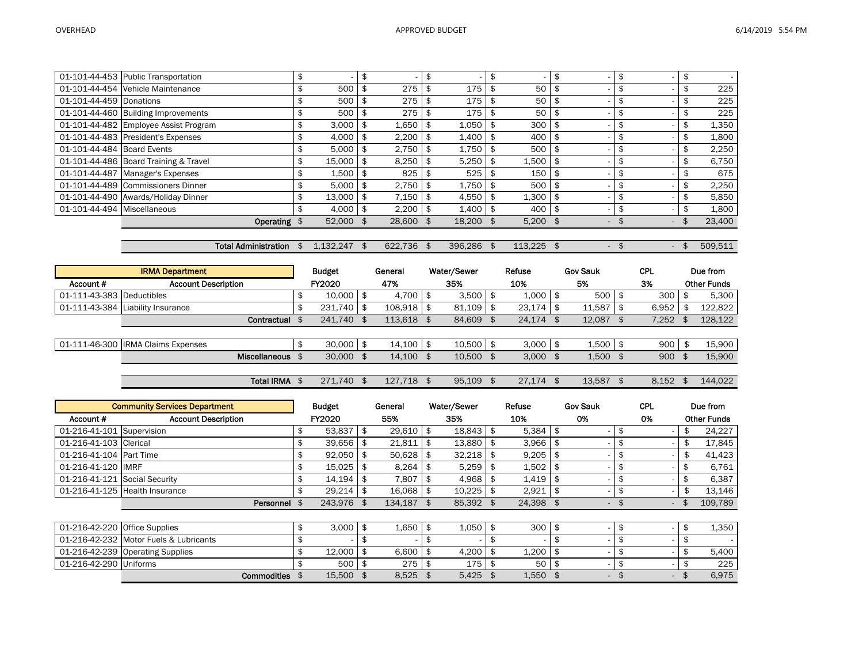|                             | 01-101-44-453 Public Transportation   | \$ |             | \$         | \$  |              |            | \$     | \$           | \$            |
|-----------------------------|---------------------------------------|----|-------------|------------|-----|--------------|------------|--------|--------------|---------------|
|                             | 01-101-44-454 Vehicle Maintenance     |    | 500         | 275        |     | 175          | 50         |        | \$           | \$<br>225     |
| 01-101-44-459 Donations     |                                       |    | 500         | 275        |     | 175          | 50         | \$     | \$           | \$<br>225     |
|                             | 01-101-44-460 Building Improvements   |    | 500         | 275        |     | 175          | 50         |        | \$           | \$<br>225     |
|                             | 01-101-44-482 Employee Assist Program | J  | 3,000       | 1,650      |     | 1,050        | 300        |        |              | \$<br>1,350   |
|                             | 01-101-44-483 President's Expenses    | J. | 4,000       | 2,200      |     | $1.400$   \$ | 400        |        | \$           | \$<br>1,800   |
| 01-101-44-484 Board Events  |                                       |    | 5,000       | 2,750      |     | $1,750$ \$   | 500        |        |              | \$<br>2,250   |
|                             | 01-101-44-486 Board Training & Travel | \$ | $15,000$ \$ | 8,250      |     | $5,250$ \$   | $1,500$ \$ |        | \$           | \$<br>6,750   |
|                             | 01-101-44-487 Manager's Expenses      | \$ | 1.500       | 825        |     | 525          | 150        |        |              | 675           |
|                             | 01-101-44-489 Commissioners Dinner    | \$ | $5,000$ \$  | 2,750      | -\$ | $1,750$ \$   | 500 l      | \$     | \$           | \$<br>2,250   |
|                             | 01-101-44-490 Awards/Holiday Dinner   | \$ | 13.000      | 7,150      |     | $4.550$ \$   | $1,300$ \$ |        | \$           | \$<br>5,850   |
| 01-101-44-494 Miscellaneous |                                       |    | $4.000$ \$  | $2,200$ \$ |     | $1.400$ \$   | 400        |        | \$           | \$<br>1,800   |
|                             | Operating \$                          |    | 52,000 \$   | 28,600 \$  |     | 18,200 \$    | $5,200$ \$ | $\sim$ | \$<br>$\sim$ | \$<br>23,400  |
|                             |                                       |    |             |            |     |              |            |        |              |               |
|                             | <b>Total Administration</b>           |    | 1.132.247   | 622,736 \$ |     | 396,286      | 113,225 \$ | $\sim$ | $\sim$       | \$<br>509,511 |

|                           | <b>IRMA Department</b>             | <b>Budget</b> | General      | Water/Sewer | Refuse        | <b>Gov Sauk</b> | <b>CPL</b> | Due from           |
|---------------------------|------------------------------------|---------------|--------------|-------------|---------------|-----------------|------------|--------------------|
| Account #                 | <b>Account Description</b>         | FY2020        | 47%          | 35%         | 10%           | 5%              | 3%         | <b>Other Funds</b> |
| 01-111-43-383 Deductibles |                                    | $10.000$ \$   | $4,700$ \$   | 3,500       | 1,000         | 500             | 300        | 5,300              |
|                           | 01-111-43-384 Liability Insurance  | $231.740$ \$  | $108.918$ \$ | 81.109      | $23.174$   \$ | 11.587          | 6.952      | 122,822            |
|                           | Contractual                        | 241.740       | 113,618      | 84,609      | 24.174        | 12.087          | 7,252      | 128,122            |
|                           |                                    |               |              |             |               |                 |            |                    |
|                           | 01-111-46-300 IRMA Claims Expenses | $30,000$ \$   | $14.100$ \$  | 10,500      | 3,000         | 1,500           | 900        | 15,900             |
|                           | Miscellaneous                      | 30,000        | 14,100       | 10,500      | 3,000         | 1,500           | 900        | 15,900             |
|                           |                                    |               |              |             |               |                 |            |                    |
|                           | <b>Total IRMA</b>                  | 271.740       | 127.718      | 95.109      | 27.174        | 13.587          | 8.152      | 144.022            |

|                               | <b>Community Services Department</b>   | <b>Budget</b> |      | General |      | Water/Sewer |      | Refuse |     | <b>Gov Sauk</b>          | <b>CPL</b>                     | Due from           |
|-------------------------------|----------------------------------------|---------------|------|---------|------|-------------|------|--------|-----|--------------------------|--------------------------------|--------------------|
| Account #                     | <b>Account Description</b>             | FY2020        |      | 55%     |      | 35%         |      | 10%    |     | 0%                       | 0%                             | <b>Other Funds</b> |
| 01-216-41-101 Supervision     |                                        | \$<br>53,837  | \$   | 29,610  | \$   | 18,843      | \$   | 5,384  |     |                          | \$                             | 24,227             |
| 01-216-41-103 Clerical        |                                        | \$<br>39.656  | \$   | 21,811  | \$   | 13,880      | -\$  | 3,966  | \$  |                          | \$                             | \$<br>17,845       |
| 01-216-41-104 Part Time       |                                        | \$<br>92.050  |      | 50.628  | \$   | 32.218      | - \$ | 9,205  | \$  |                          | \$                             | \$<br>41.423       |
| 01-216-41-120 IMRF            |                                        | \$<br>15,025  | \$   | 8,264   | \$   | 5,259       | - \$ | 1,502  | -\$ |                          | \$                             | \$<br>6,761        |
| 01-216-41-121 Social Security |                                        | \$<br>14.194  | - \$ | 7.807   | \$   | 4,968       |      | 1.419  | -\$ |                          | \$                             | \$<br>6,387        |
|                               | 01-216-41-125 Health Insurance         | \$<br>29,214  | -\$  | 16,068  | -\$  | 10,225      | - \$ | 2,921  | -\$ |                          | \$<br>$\overline{\phantom{a}}$ | 13,146             |
|                               | Personnel \$                           | 243,976 \$    |      | 134,187 | - \$ | 85,392 \$   |      | 24,398 |     | $\overline{\phantom{0}}$ | $\sim$                         | 109,789            |
|                               |                                        |               |      |         |      |             |      |        |     |                          |                                |                    |
| 01-216-42-220 Office Supplies |                                        | \$<br>3.000   |      | 1.650   | \$   | 1,050       | -\$  | 300    | \$  |                          | \$                             | \$<br>1,350        |
|                               | 01-216-42-232 Motor Fuels & Lubricants |               |      |         |      |             |      |        |     |                          |                                |                    |
|                               | 01-216-42-239 Operating Supplies       | \$<br>12.000  |      | 6.600   | \$   | 4.200       |      | 1.200  | \$  |                          | \$                             | \$<br>5,400        |
| 01-216-42-290 Uniforms        |                                        | 500           |      | 275     | \$   | 175         | \$   | 50     | \$  |                          | \$                             | 225                |
|                               | Commodities                            | 15.500        |      | 8.525   | \$   | 5.425       |      | 1,550  |     | $\sim$                   | $\sim$                         | \$<br>6,975        |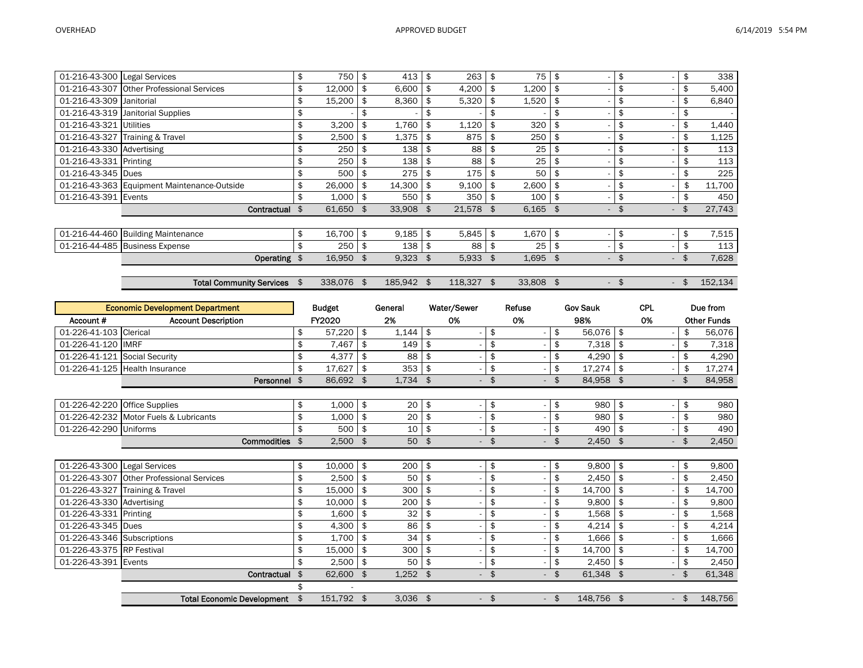| 01-216-43-300 Legal Services |                                             | \$<br>750    | \$  | 413     | \$  | 263     | -\$ | 75         | \$  |                          | \$                             |                | 338     |
|------------------------------|---------------------------------------------|--------------|-----|---------|-----|---------|-----|------------|-----|--------------------------|--------------------------------|----------------|---------|
|                              | 01-216-43-307 Other Professional Services   | \$<br>12,000 | \$  | 6,600   | \$  | 4,200   | \$  | 1,200      | -\$ |                          | \$                             | \$             | 5,400   |
| 01-216-43-309                | Janitorial                                  | \$<br>15,200 | \$  | 8,360   | \$  | 5,320   | \$  | 1,520      | \$  |                          | \$                             | \$             | 6,840   |
|                              | 01-216-43-319 Janitorial Supplies           | \$           |     |         | \$  |         |     |            | \$  |                          | \$                             | \$             |         |
| 01-216-43-321 Utilities      |                                             | \$<br>3,200  |     | 1,760   |     | 1,120   |     | 320        |     |                          | \$                             |                | 1,440   |
|                              | 01-216-43-327 Training & Travel             | \$<br>2,500  | \$  | 1,375   | \$  | 875     | \$  | 250        | \$  |                          | \$                             | \$             | 1,125   |
| 01-216-43-330 Advertising    |                                             | \$<br>250    | -\$ | 138     | \$  | 88      | \$  | 25         | -\$ |                          | \$                             |                | 113     |
| 01-216-43-331 Printing       |                                             | \$<br>250    | -\$ | 138     | -\$ | 88      | \$  | 25         | -\$ |                          | \$                             |                | 113     |
| 01-216-43-345 Dues           |                                             | 500          | \$  | 275     | \$  | 175     | -\$ | 50         | \$  |                          | \$                             |                | 225     |
|                              | 01-216-43-363 Equipment Maintenance-Outside | \$<br>26,000 | \$  | 14,300  | \$  | 9,100   | \$  | 2,600      | -\$ |                          | \$                             | \$             | 11,700  |
| 01-216-43-391 Events         |                                             | \$<br>1,000  | -\$ | 550     | -\$ | 350     | -\$ | 100        | \$  |                          | \$                             | \$             | 450     |
|                              | Contractual                                 | 61,650 \$    |     | 33,908  | \$  | 21,578  | \$  | $6,165$ \$ |     | $\sim$                   | \$<br>$\overline{\phantom{a}}$ | \$             | 27,743  |
|                              |                                             |              |     |         |     |         |     |            |     |                          |                                |                |         |
|                              | 01-216-44-460 Building Maintenance          | \$<br>16,700 | -\$ | 9,185   | \$  | 5,845   | \$  | 1,670      | \$  | $\overline{\phantom{a}}$ | \$                             | \$             | 7,515   |
|                              | 01-216-44-485 Business Expense              | \$<br>250    | -\$ | 138     | \$  | 88      | -\$ | 25         | -\$ |                          | \$                             |                | 113     |
|                              | Operating \$                                | 16,950       | \$  | 9,323   | \$  | 5,933   |     | 1,695      | \$  | $\overline{\phantom{a}}$ | $\overline{\phantom{a}}$       |                | 7,628   |
|                              |                                             |              |     |         |     |         |     |            |     |                          |                                |                |         |
|                              | Total Community Services                    | 338,076      | \$  | 185,942 | \$  | 118,327 | \$  | 33,808 \$  |     | $\overline{\phantom{a}}$ | \$                             | $\mathfrak{L}$ | 152,134 |

| <b>Economic Development Department</b> |                                           |    | <b>Budget</b> |     | General    | Water/Sewer |        | Refuse |        | <b>Gov Sauk</b> | <b>CPL</b> | Due from           |
|----------------------------------------|-------------------------------------------|----|---------------|-----|------------|-------------|--------|--------|--------|-----------------|------------|--------------------|
| Account #                              | <b>Account Description</b>                |    | FY2020        |     | 2%         | 0%          |        | 0%     |        | 98%             | 0%         | <b>Other Funds</b> |
| $01 - 226 - 41 - 103$                  | Clerical                                  | \$ | 57,220        | \$  | 1,144      | \$          | \$     |        | \$     | 56,076          | \$         | \$<br>56,076       |
| 01-226-41-120                          | <b>IMRF</b>                               | \$ | 7,467         | \$  | 149        | \$          | \$     |        | \$     | 7,318           | \$         | \$<br>7,318        |
| 01-226-41-121 Social Security          |                                           | \$ | 4,377         | \$  | 88         | \$          | \$     |        | \$     | 4,290           | \$         | \$<br>4,290        |
| 01-226-41-125                          | <b>Health Insurance</b>                   | \$ | 17,627        | \$  | 353        | \$          | \$     |        | \$     | 17,274          | \$         | \$<br>17,274       |
|                                        | Personnel \$                              |    | 86,692 \$     |     | $1,734$ \$ |             | \$     |        | \$     | 84,958 \$       |            | \$<br>84,958       |
|                                        |                                           |    |               |     |            |             |        |        |        |                 |            |                    |
| 01-226-42-220                          | <b>Office Supplies</b>                    | \$ | 1,000         | \$  | 20         | \$          | \$     |        | \$     | 980             | \$         | \$<br>980          |
|                                        | 01-226-42-232 Motor Fuels & Lubricants    | \$ | 1,000         | \$  | 20         | \$          | \$     |        | \$     | 980             | \$         | \$<br>980          |
| 01-226-42-290 Uniforms                 |                                           | \$ | 500           | \$  | 10         | \$          | \$     |        | \$     | 490             | \$         | \$<br>490          |
|                                        | <b>Commodities</b>                        | \$ | 2,500         | \$  | 50         | \$          | \$     |        | \$     | 2,450           | \$         | \$<br>2,450        |
|                                        |                                           |    |               |     |            |             |        |        |        |                 |            |                    |
| 01-226-43-300 Legal Services           |                                           | \$ | 10,000        | \$  | 200        | \$          | \$     |        | \$     | 9,800           | \$         | \$<br>9,800        |
|                                        | 01-226-43-307 Other Professional Services | \$ | 2,500         | \$  | 50         | \$          | \$     |        | \$     | 2,450           | \$         | \$<br>2,450        |
|                                        | 01-226-43-327 Training & Travel           | \$ | 15.000        | \$  | 300        | \$          | \$     |        | \$     | 14.700          | \$         | \$<br>14,700       |
| 01-226-43-330 Advertising              |                                           | \$ | 10,000        | \$  | 200        | \$          | \$     |        | \$     | 9,800           | \$         | \$<br>9,800        |
| 01-226-43-331                          | Printing                                  | \$ | 1,600         | \$  | 32         | \$          | \$     |        | \$     | 1,568           | \$         | \$<br>1,568        |
| 01-226-43-345 Dues                     |                                           | \$ | 4,300         | \$  | 86         | \$          | \$     |        | \$     | 4,214           | \$         | \$<br>4,214        |
| 01-226-43-346 Subscriptions            |                                           | \$ | 1,700         | \$  | 34         | \$          | \$     |        | \$     | 1,666           | \$         | \$<br>1,666        |
| 01-226-43-375 RP Festival              |                                           | \$ | 15,000        | -\$ | 300        | \$          | \$     |        | \$     | 14,700          | \$         | \$<br>14,700       |
| 01-226-43-391 Events                   |                                           | \$ | 2.500         | \$  | 50         | \$          | \$     |        | \$     | 2,450           | \$         | \$<br>2,450        |
|                                        | Contractual                               | \$ | 62,600 \$     |     | $1,252$ \$ |             | \$     |        | \$     | 61,348 \$       |            | \$<br>61,348       |
|                                        |                                           |    |               |     |            |             |        |        |        |                 |            |                    |
|                                        | <b>Total Economic Development</b>         | \$ | 151,792 \$    |     | $3,036$ \$ |             | $-$ \$ |        | $-$ \$ | 148.756 \$      | $-$ \$     | 148,756            |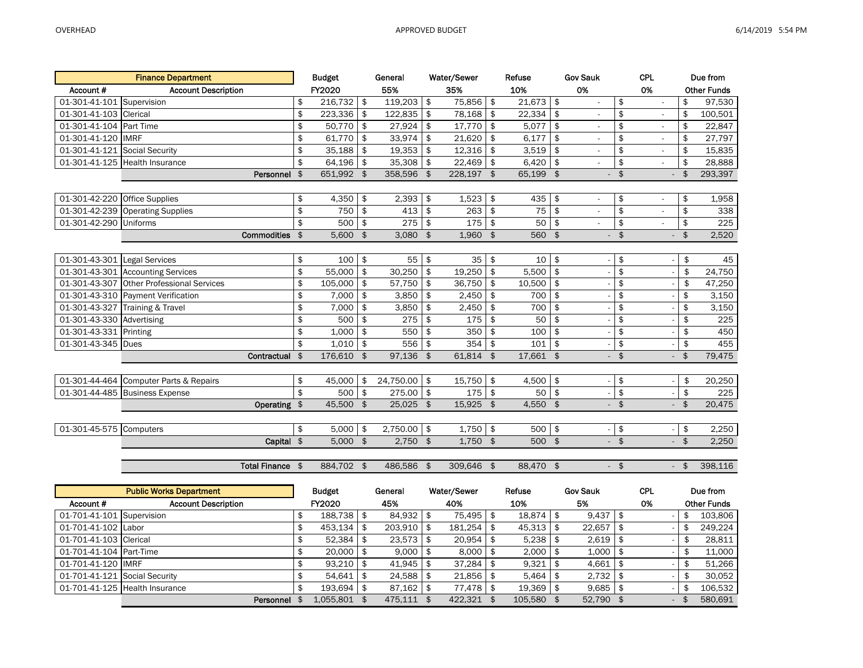| <b>Finance Department</b>                 | <b>Budget</b>    |               | General     |               | Water/Sewer |                    | Refuse    |                | <b>Gov Sauk</b>          |                         | <b>CPL</b>               | Due from     |                    |  |
|-------------------------------------------|------------------|---------------|-------------|---------------|-------------|--------------------|-----------|----------------|--------------------------|-------------------------|--------------------------|--------------|--------------------|--|
| Account#<br><b>Account Description</b>    | FY2020           |               | 55%         |               | 35%         |                    | 10%       |                | 0%                       |                         | 0%                       |              | <b>Other Funds</b> |  |
| 01-301-41-101 Supervision                 | \$<br>216,732    | \$            | 119,203     | $\frac{1}{2}$ | 75,856      | \$                 | 21,673    | \$             |                          | \$                      | $\overline{\phantom{a}}$ | \$           | 97,530             |  |
| 01-301-41-103 Clerical                    | \$<br>223,336    | \$            | 122.835     | \$            | 78,168      | \$                 | 22,334    | \$             |                          | \$                      | $\blacksquare$           | \$           | 100,501            |  |
| 01-301-41-104 Part Time                   | \$<br>50,770     | \$            | 27,924      | \$            | 17,770      | \$                 | 5,077     | \$             |                          | \$                      | ÷,                       | \$           | 22,847             |  |
| 01-301-41-120 IMRF                        | \$<br>61,770     | \$            | 33,974      | \$            | 21,620      | \$                 | 6,177     | \$             |                          | \$                      |                          | \$           | 27,797             |  |
| 01-301-41-121 Social Security             | \$<br>35,188     | \$            | 19,353      | \$            | 12,316      | \$                 | 3,519     | \$             |                          | \$                      | $\blacksquare$           | \$           | 15,835             |  |
| 01-301-41-125 Health Insurance            | \$<br>64,196     | \$            | 35,308      | \$            | 22,469      | \$                 | 6,420     | \$             |                          | \$                      | $\blacksquare$           | \$           | 28,888             |  |
| Personnel                                 | \$<br>651,992 \$ |               | 358,596     | \$            | 228,197 \$  |                    | 65,199    | $\mathfrak{S}$ |                          | \$                      |                          | \$           | 293,397            |  |
|                                           |                  |               |             |               |             |                    |           |                |                          |                         |                          |              |                    |  |
| 01-301-42-220 Office Supplies             | \$<br>4,350      | \$            | 2,393       | \$            | 1,523       | \$                 | 435       | \$             | $\overline{\phantom{a}}$ | \$                      | $\overline{\phantom{a}}$ | \$           | 1,958              |  |
| 01-301-42-239 Operating Supplies          | \$<br>750        | \$            | 413         | \$            | 263         | \$                 | 75        | \$             |                          | \$                      |                          | \$           | 338                |  |
| 01-301-42-290 Uniforms                    | \$<br>500        | \$            | 275         | \$            | 175         | \$                 | 50        | \$             |                          | \$                      |                          | \$           | 225                |  |
| <b>Commodities</b>                        | \$<br>5,600      | $\frac{1}{2}$ | $3,080$ \$  |               | 1,960 \$    |                    | 560 \$    |                |                          | $\frac{1}{2}$           |                          | \$           | 2,520              |  |
|                                           |                  |               |             |               |             |                    |           |                |                          |                         |                          |              |                    |  |
| 01-301-43-301 Legal Services              | \$<br>100        | \$            | 55          | \$            | 35          | \$                 | 10        | \$             |                          | \$                      |                          | \$           | 45                 |  |
| 01-301-43-301 Accounting Services         | \$<br>55,000     | \$            | 30,250      | \$            | 19,250      | \$                 | 5,500     | \$             |                          | \$                      |                          | \$           | 24,750             |  |
| 01-301-43-307 Other Professional Services | \$<br>105,000    | \$            | 57,750      | \$            | 36,750      | \$                 | 10,500    | \$             |                          | \$                      |                          | \$           | 47,250             |  |
| 01-301-43-310 Payment Verification        | \$<br>7,000      | \$            | 3,850       | \$            | 2,450       | \$                 | 700       | \$             |                          | \$                      |                          | \$           | 3,150              |  |
| 01-301-43-327 Training & Travel           | \$<br>7.000      | \$            | 3.850       | \$            | 2,450       | \$                 | 700       | \$             |                          | \$                      |                          | \$           | 3,150              |  |
| 01-301-43-330 Advertising                 | \$<br>500        | \$            | 275         | \$            | 175         | \$                 | 50        | \$             |                          | \$                      |                          | \$           | 225                |  |
| 01-301-43-331 Printing                    | \$<br>1,000      | \$            | 550         | \$            | 350         | \$                 | 100       | $\frac{1}{2}$  |                          | \$                      |                          | \$           | 450                |  |
| 01-301-43-345 Dues                        | \$<br>1,010      | \$            | 556         | \$            | 354         | \$                 | 101       | \$             |                          | $\overline{\mathbf{e}}$ |                          | \$           | 455                |  |
| Contractual                               | \$<br>176,610 \$ |               | 97,136      | \$            | 61,814 \$   |                    | 17,661 \$ |                |                          | $-$ \$                  |                          | \$           | 79,475             |  |
|                                           |                  |               |             |               |             |                    |           |                |                          |                         |                          |              |                    |  |
| 01-301-44-464 Computer Parts & Repairs    | \$<br>45,000     | \$            | 24,750.00   | $\sqrt[6]{3}$ | 15,750      | $\frac{1}{2}$      | 4,500     | $\frac{1}{2}$  |                          | \$                      |                          | \$           | 20,250             |  |
| 01-301-44-485 Business Expense            | \$<br>500        | \$            | 275.00      | \$            | 175         | \$                 | 50        | \$             |                          | \$                      |                          | \$           | 225                |  |
| Operating \$                              | 45,500 \$        |               | $25.025$ \$ |               | 15,925 \$   |                    | 4,550 \$  |                |                          | $-$ \$                  |                          | $-$ \$       | 20,475             |  |
|                                           |                  |               |             |               |             |                    |           |                |                          |                         |                          |              |                    |  |
| 01-301-45-575 Computers                   | \$<br>5,000      | \$            | 2,750.00    | $\frac{1}{2}$ | 1,750       | \$                 | 500       | \$             |                          | $\pmb{\mathfrak{s}}$    |                          | \$           | 2,250              |  |
| Capital \$                                | $5,000$ \$       |               | $2.750$ \$  |               | 1.750       | $\mathbf{\hat{S}}$ | 500 \$    |                |                          | $-$ \$                  | $-$ \$                   |              | 2,250              |  |
|                                           |                  |               |             |               |             |                    |           |                |                          |                         |                          |              |                    |  |
| Total Finance \$                          | 884,702 \$       |               | 486,586 \$  |               | 309,646 \$  |                    | 88,470 \$ |                |                          | $\frac{1}{2}$           |                          | $\mathbf{s}$ | 398,116            |  |

| <b>Public Works Department</b>    |                                |               | <b>Budget</b>  |     | General |      | Water/Sewer |     | Refuse    |    | <b>Gov Sauk</b> |  | <b>CPL</b>               |  | Due from           |  |
|-----------------------------------|--------------------------------|---------------|----------------|-----|---------|------|-------------|-----|-----------|----|-----------------|--|--------------------------|--|--------------------|--|
| Account #                         | <b>Account Description</b>     | <b>FY2020</b> |                | 45% |         | 40%  |             | 10% |           | 5% |                 |  | 0%                       |  | <b>Other Funds</b> |  |
| $\vert$ 01-701-41-101 Supervision |                                |               | $188.738$   \$ |     | 84.932  | - \$ | 75.495      |     | 18.874 \$ |    | 9.437           |  |                          |  | 103.806            |  |
| 01-701-41-102 Labor               |                                |               | 453.134        |     | 203,910 |      | 181.254     |     | 45.313    |    | 22.657          |  | $\overline{\phantom{a}}$ |  | 249.224            |  |
| 01-701-41-103 Clerical            |                                |               | $52.384$ \ \$  |     | 23,573  | - \$ | 20,954      |     | 5,238     |    | 2,619           |  |                          |  | 28,811             |  |
| 01-701-41-104 Part-Time           |                                |               | $20.000$   \$  |     | 9,000   | - \$ | 8.000       |     | 2,000     |    | 1.000           |  | $\overline{\phantom{a}}$ |  | 11.000             |  |
| 01-701-41-120 IMRF                |                                |               | $93.210$   \$  |     | 41.945  | - \$ | 37.284      |     | 9.321     |    | 4.661           |  |                          |  | 51.266             |  |
| 01-701-41-121 Social Security     |                                |               | 54.641         |     | 24,588  |      | 21.856      |     | 5.464     |    | 2.732           |  |                          |  | 30,052             |  |
|                                   | 01-701-41-125 Health Insurance |               | $193.694$ \$   |     | 87.162  | - \$ | 77,478 \$   |     | 19,369    |    | 9.685           |  | $\overline{\phantom{a}}$ |  | 106,532            |  |
|                                   | Personnel                      |               | 1.055.801      |     | 475.111 |      | 422.321     |     | 105,580   |    | 52,790 \$       |  | $\sim$                   |  | 580.691            |  |